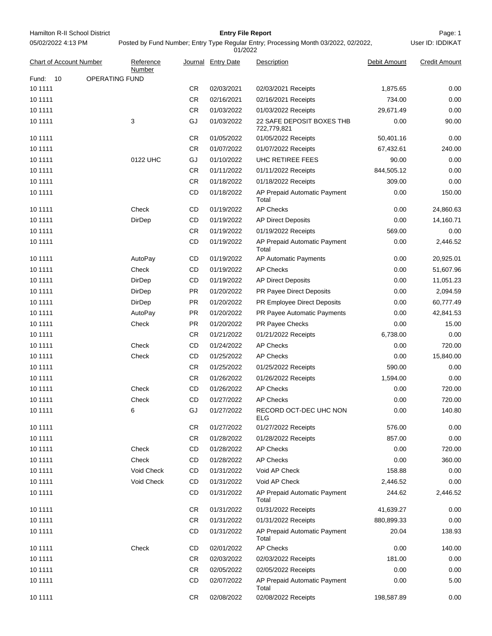Hamilton R-II School District **Entry File Report Entry File Report Page: 1** 05/02/2022 4:13 PM

# **Entry File Report**

Posted by Fund Number; Entry Type Regular Entry; Processing Month 03/2022, 02/2022,

|                                |                       |                     |           | 01/2022            |                                          |              |                      |
|--------------------------------|-----------------------|---------------------|-----------|--------------------|------------------------------------------|--------------|----------------------|
| <b>Chart of Account Number</b> |                       | Reference<br>Number |           | Journal Entry Date | Description                              | Debit Amount | <b>Credit Amount</b> |
| Fund:<br>10                    | <b>OPERATING FUND</b> |                     |           |                    |                                          |              |                      |
| 10 11 11                       |                       |                     | CR        | 02/03/2021         | 02/03/2021 Receipts                      | 1,875.65     | 0.00                 |
| 10 11 11                       |                       |                     | CR.       | 02/16/2021         | 02/16/2021 Receipts                      | 734.00       | 0.00                 |
| 10 11 11                       |                       |                     | CR.       | 01/03/2022         | 01/03/2022 Receipts                      | 29,671.49    | 0.00                 |
| 10 11 11                       |                       | 3                   | GJ        | 01/03/2022         | 22 SAFE DEPOSIT BOXES THB<br>722,779,821 | 0.00         | 90.00                |
| 10 11 11                       |                       |                     | CR        | 01/05/2022         | 01/05/2022 Receipts                      | 50,401.16    | 0.00                 |
| 10 11 11                       |                       |                     | CR        | 01/07/2022         | 01/07/2022 Receipts                      | 67,432.61    | 240.00               |
| 10 11 11                       |                       | 0122 UHC            | GJ        | 01/10/2022         | UHC RETIREE FEES                         | 90.00        | 0.00                 |
| 10 11 11                       |                       |                     | <b>CR</b> | 01/11/2022         | 01/11/2022 Receipts                      | 844,505.12   | 0.00                 |
| 10 11 11                       |                       |                     | <b>CR</b> | 01/18/2022         | 01/18/2022 Receipts                      | 309.00       | 0.00                 |
| 10 11 11                       |                       |                     | CD        | 01/18/2022         | AP Prepaid Automatic Payment<br>Total    | 0.00         | 150.00               |
| 10 11 11                       |                       | Check               | CD        | 01/19/2022         | <b>AP Checks</b>                         | 0.00         | 24,860.63            |
| 10 11 11                       |                       | DirDep              | <b>CD</b> | 01/19/2022         | <b>AP Direct Deposits</b>                | 0.00         | 14,160.71            |
| 10 11 11                       |                       |                     | CR        | 01/19/2022         | 01/19/2022 Receipts                      | 569.00       | 0.00                 |
| 10 11 11                       |                       |                     | CD        | 01/19/2022         | AP Prepaid Automatic Payment<br>Total    | 0.00         | 2,446.52             |
| 10 11 11                       |                       | AutoPay             | <b>CD</b> | 01/19/2022         | AP Automatic Payments                    | 0.00         | 20,925.01            |
| 10 11 11                       |                       | Check               | CD        | 01/19/2022         | <b>AP Checks</b>                         | 0.00         | 51,607.96            |
| 10 11 11                       |                       | DirDep              | CD        | 01/19/2022         | <b>AP Direct Deposits</b>                | 0.00         | 11,051.23            |
| 10 11 11                       |                       | DirDep              | PR.       | 01/20/2022         | PR Payee Direct Deposits                 | 0.00         | 2,094.59             |
| 10 11 11                       |                       | DirDep              | PR.       | 01/20/2022         | PR Employee Direct Deposits              | 0.00         | 60,777.49            |
| 10 11 11                       |                       | AutoPay             | PR.       | 01/20/2022         | PR Payee Automatic Payments              | 0.00         | 42,841.53            |
| 10 11 11                       |                       | Check               | PR.       | 01/20/2022         | PR Payee Checks                          | 0.00         | 15.00                |
| 10 11 11                       |                       |                     | CR        | 01/21/2022         | 01/21/2022 Receipts                      | 6,738.00     | 0.00                 |
| 10 11 11                       |                       | Check               | CD        | 01/24/2022         | <b>AP Checks</b>                         | 0.00         | 720.00               |
| 10 11 11                       |                       | Check               | CD        | 01/25/2022         | <b>AP Checks</b>                         | 0.00         | 15,840.00            |
| 10 11 11                       |                       |                     | CR        | 01/25/2022         | 01/25/2022 Receipts                      | 590.00       | 0.00                 |
| 10 11 11                       |                       |                     | <b>CR</b> | 01/26/2022         | 01/26/2022 Receipts                      | 1,594.00     | 0.00                 |
| 10 11 11                       |                       | Check               | CD        | 01/26/2022         | <b>AP Checks</b>                         | 0.00         | 720.00               |
| 10 11 11                       |                       | Check               | CD        | 01/27/2022         | <b>AP Checks</b>                         | 0.00         | 720.00               |
| 10 11 11                       |                       | 6                   | GJ        | 01/27/2022         | RECORD OCT-DEC UHC NON<br>ELG            | 0.00         | 140.80               |
| 10 1111                        |                       |                     | CR.       | 01/27/2022         | 01/27/2022 Receipts                      | 576.00       | 0.00                 |
| 10 11 11                       |                       |                     | CR.       | 01/28/2022         | 01/28/2022 Receipts                      | 857.00       | 0.00                 |
| 10 11 11                       |                       | Check               | CD        | 01/28/2022         | <b>AP Checks</b>                         | 0.00         | 720.00               |
| 10 1111                        |                       | Check               | CD        | 01/28/2022         | <b>AP Checks</b>                         | 0.00         | 360.00               |
| 10 11 11                       |                       | Void Check          | CD        | 01/31/2022         | Void AP Check                            | 158.88       | 0.00                 |
| 10 11 11                       |                       | Void Check          | CD        | 01/31/2022         | Void AP Check                            | 2,446.52     | 0.00                 |
| 10 1111                        |                       |                     | <b>CD</b> | 01/31/2022         | AP Prepaid Automatic Payment<br>Total    | 244.62       | 2,446.52             |
| 10 1111                        |                       |                     | CR.       | 01/31/2022         | 01/31/2022 Receipts                      | 41,639.27    | 0.00                 |
| 10 11 11                       |                       |                     | CR        | 01/31/2022         | 01/31/2022 Receipts                      | 880,899.33   | 0.00                 |
| 10 1111                        |                       |                     | <b>CD</b> | 01/31/2022         | AP Prepaid Automatic Payment<br>Total    | 20.04        | 138.93               |
| 10 1111                        |                       | Check               | CD        | 02/01/2022         | <b>AP Checks</b>                         | 0.00         | 140.00               |
| 10 11 11                       |                       |                     | CR.       | 02/03/2022         | 02/03/2022 Receipts                      | 181.00       | 0.00                 |
| 10 1111                        |                       |                     | CR        | 02/05/2022         | 02/05/2022 Receipts                      | 0.00         | 0.00                 |
| 10 1111                        |                       |                     | CD        | 02/07/2022         | AP Prepaid Automatic Payment<br>Total    | 0.00         | 5.00                 |
| 10 1111                        |                       |                     | CR.       | 02/08/2022         | 02/08/2022 Receipts                      | 198,587.89   | 0.00                 |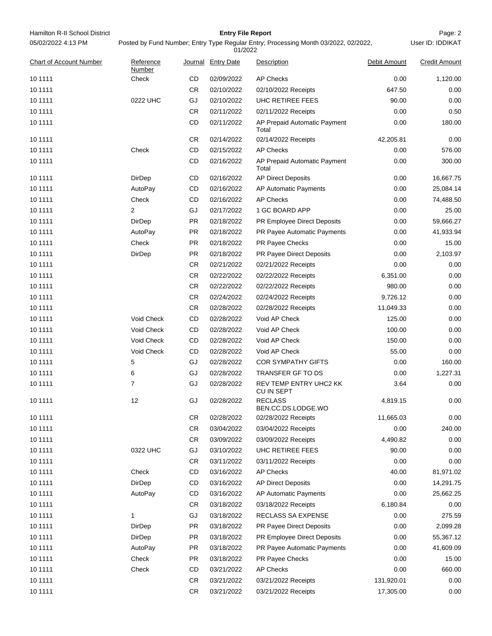| Hamilton R-II School District<br>05/02/2022 4:13 PM |                     |           | <b>Entry File Report</b>      | Posted by Fund Number; Entry Type Regular Entry; Processing Month 03/2022, 02/2022, |              | Page: 2<br>User ID: IDDIKAT |
|-----------------------------------------------------|---------------------|-----------|-------------------------------|-------------------------------------------------------------------------------------|--------------|-----------------------------|
| <b>Chart of Account Number</b>                      | Reference<br>Number |           | 01/2022<br>Journal Entry Date | <b>Description</b>                                                                  | Debit Amount | <b>Credit Amount</b>        |
| 10 11 11                                            | Check               | CD        | 02/09/2022                    | <b>AP Checks</b>                                                                    | 0.00         | 1,120.00                    |
| 10 11 11                                            |                     | <b>CR</b> | 02/10/2022                    | 02/10/2022 Receipts                                                                 | 647.50       | 0.00                        |
| 10 11 11                                            | 0222 UHC            | GJ        | 02/10/2022                    | UHC RETIREE FEES                                                                    | 90.00        | 0.00                        |
| 10 11 11                                            |                     | <b>CR</b> | 02/11/2022                    | 02/11/2022 Receipts                                                                 | 0.00         | 0.50                        |
| 10 11 11                                            |                     | CD        | 02/11/2022                    | AP Prepaid Automatic Payment<br>Total                                               | 0.00         | 180.00                      |
| 10 1111                                             |                     | CR.       | 02/14/2022                    | 02/14/2022 Receipts                                                                 | 42,205.81    | 0.00                        |
| 10 11 11                                            | Check               | CD        | 02/15/2022                    | <b>AP Checks</b>                                                                    | 0.00         | 576.00                      |
| 10 11 11                                            |                     | CD        | 02/16/2022                    | AP Prepaid Automatic Payment<br>Total                                               | 0.00         | 300.00                      |
| 10 11 11                                            | DirDep              | CD        | 02/16/2022                    | <b>AP Direct Deposits</b>                                                           | 0.00         | 16,667.75                   |
| 10 11 11                                            | AutoPay             | CD        | 02/16/2022                    | <b>AP Automatic Payments</b>                                                        | 0.00         | 25,084.14                   |
| 10 11 11                                            | Check               | CD        | 02/16/2022                    | <b>AP Checks</b>                                                                    | 0.00         | 74,488.50                   |
| 10 11 11                                            | 2                   | GJ        | 02/17/2022                    | 1 GC BOARD APP                                                                      | 0.00         | 25.00                       |
| 10 11 11                                            | DirDep              | PR.       | 02/18/2022                    | PR Employee Direct Deposits                                                         | 0.00         | 59,666.27                   |
| 10 11 11                                            | AutoPay             | <b>PR</b> | 02/18/2022                    | PR Payee Automatic Payments                                                         | 0.00         | 41,933.94                   |
| 10 11 11                                            | Check               | PR.       | 02/18/2022                    | PR Payee Checks                                                                     | 0.00         | 15.00                       |
| 10 11 11                                            | <b>DirDep</b>       | <b>PR</b> | 02/18/2022                    | PR Payee Direct Deposits                                                            | 0.00         | 2,103.97                    |
| 10 11 11                                            |                     | CR.       | 02/21/2022                    | 02/21/2022 Receipts                                                                 | 0.00         | 0.00                        |
| 10 11 11                                            |                     | <b>CR</b> | 02/22/2022                    | 02/22/2022 Receipts                                                                 | 6,351.00     | 0.00                        |
| 10 11 11                                            |                     | CR.       | 02/22/2022                    | 02/22/2022 Receipts                                                                 | 980.00       | 0.00                        |
| 10 11 11                                            |                     | CR.       | 02/24/2022                    | 02/24/2022 Receipts                                                                 | 9,726.12     | 0.00                        |
| 10 11 11                                            |                     | CR.       | 02/28/2022                    | 02/28/2022 Receipts                                                                 | 11,049.33    | 0.00                        |
| 10 11 11                                            | Void Check          | CD        | 02/28/2022                    | Void AP Check                                                                       | 125.00       | 0.00                        |
| 10 11 11                                            | Void Check          | CD        | 02/28/2022                    | Void AP Check                                                                       | 100.00       | 0.00                        |
| 10 11 11                                            | Void Check          | CD        | 02/28/2022                    | Void AP Check                                                                       | 150.00       | 0.00                        |
| 10 1111                                             | Void Check          | CD        | 02/28/2022                    | Void AP Check                                                                       | 55.00        | 0.00                        |
| 10 11 11                                            | 5                   | GJ        | 02/28/2022                    | <b>COR SYMPATHY GIFTS</b>                                                           | 0.00         | 160.00                      |
| 10 11 11                                            | 6                   | GJ        | 02/28/2022                    | TRANSFER GF TO DS                                                                   | 0.00         | 1,227.31                    |
| 10 1111                                             | 7                   | GJ        | 02/28/2022                    | REV TEMP ENTRY UHC2 KK<br>CU IN SEPT                                                | 3.64         | 0.00                        |
| 10 11 11                                            | 12                  | GJ        | 02/28/2022                    | <b>RECLASS</b><br>BEN.CC.DS.LODGE.WO                                                | 4,819.15     | 0.00                        |
| 10 1111                                             |                     | CR.       | 02/28/2022                    | 02/28/2022 Receipts                                                                 | 11,665.03    | 0.00                        |
| 10 11 11                                            |                     | CR        | 03/04/2022                    | 03/04/2022 Receipts                                                                 | 0.00         | 240.00                      |
| 10 11 11                                            |                     | CR        | 03/09/2022                    | 03/09/2022 Receipts                                                                 | 4,490.82     | 0.00                        |
| 10 11 11                                            | 0322 UHC            | GJ        | 03/10/2022                    | UHC RETIREE FEES                                                                    | 90.00        | 0.00                        |
| 10 11 11                                            |                     | CR.       | 03/11/2022                    | 03/11/2022 Receipts                                                                 | 0.00         | 0.00                        |
| 10 1111                                             | Check               | CD        | 03/16/2022                    | <b>AP Checks</b>                                                                    | 40.00        | 81,971.02                   |
| 10 1111                                             | DirDep              | CD        | 03/16/2022                    | <b>AP Direct Deposits</b>                                                           | 0.00         | 14,291.75                   |
| 10 11 11                                            | AutoPay             | CD        | 03/16/2022                    | AP Automatic Payments                                                               | 0.00         | 25,662.25                   |
| 10 1111                                             |                     | CR.       | 03/18/2022                    | 03/18/2022 Receipts                                                                 | 6,180.84     | 0.00                        |
| 10 1111                                             | 1                   | GJ        | 03/18/2022                    | RECLASS SA EXPENSE                                                                  | 0.00         | 275.59                      |
| 10 1111                                             | DirDep              | PR        | 03/18/2022                    | PR Payee Direct Deposits                                                            | 0.00         | 2,099.28                    |
| 10 11 11                                            | DirDep              | PR        | 03/18/2022                    | PR Employee Direct Deposits                                                         | 0.00         | 55,367.12                   |
| 10 1111                                             | AutoPay             | PR        | 03/18/2022                    | PR Payee Automatic Payments                                                         | 0.00         | 41,609.09                   |
| 10 1111                                             | Check               | PR        | 03/18/2022                    | PR Payee Checks                                                                     | 0.00         | 15.00                       |
| 10 1111                                             | Check               | CD        | 03/21/2022                    | <b>AP Checks</b>                                                                    | 0.00         | 660.00                      |
| 10 11 11                                            |                     | CR.       | 03/21/2022                    | 03/21/2022 Receipts                                                                 | 131,920.01   | 0.00                        |
| 10 11 11                                            |                     | CR        | 03/21/2022                    | 03/21/2022 Receipts                                                                 | 17,305.00    | 0.00                        |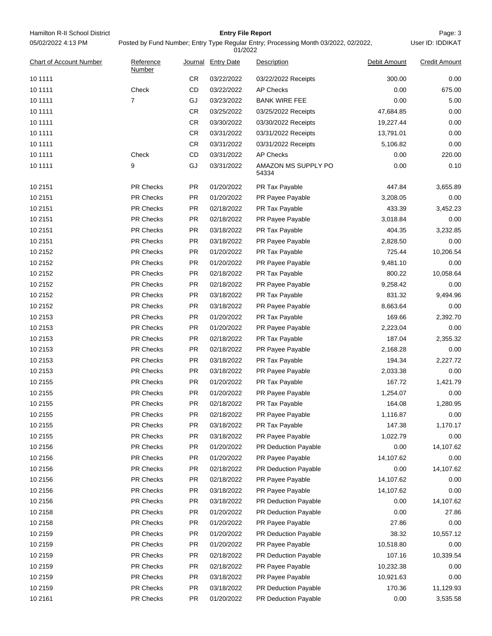| Hamilton R-II School District | <b>Entry File Report</b>                                                            | Page: 3          |
|-------------------------------|-------------------------------------------------------------------------------------|------------------|
| 05/02/2022 4:13 PM            | Posted by Fund Number; Entry Type Regular Entry; Processing Month 03/2022, 02/2022, | User ID: IDDIKAT |

|                                |                     |           | 01/2022            |                              |              |                      |
|--------------------------------|---------------------|-----------|--------------------|------------------------------|--------------|----------------------|
| <b>Chart of Account Number</b> | Reference<br>Number |           | Journal Entry Date | Description                  | Debit Amount | <b>Credit Amount</b> |
| 10 1111                        |                     | CR        | 03/22/2022         | 03/22/2022 Receipts          | 300.00       | 0.00                 |
| 10 11 11                       | Check               | CD        | 03/22/2022         | <b>AP Checks</b>             | 0.00         | 675.00               |
| 10 1111                        | 7                   | GJ        | 03/23/2022         | <b>BANK WIRE FEE</b>         | 0.00         | 5.00                 |
| 10 11 11                       |                     | CR.       | 03/25/2022         | 03/25/2022 Receipts          | 47,684.85    | 0.00                 |
| 10 1111                        |                     | CR.       | 03/30/2022         | 03/30/2022 Receipts          | 19,227.44    | 0.00                 |
| 10 11 11                       |                     | CR        | 03/31/2022         | 03/31/2022 Receipts          | 13,791.01    | 0.00                 |
| 10 1111                        |                     | CR.       | 03/31/2022         | 03/31/2022 Receipts          | 5,106.82     | 0.00                 |
| 10 1111                        | Check               | CD        | 03/31/2022         | <b>AP Checks</b>             | 0.00         | 220.00               |
| 10 1111                        | 9                   | GJ        | 03/31/2022         | AMAZON MS SUPPLY PO<br>54334 | 0.00         | 0.10                 |
| 10 2151                        | <b>PR Checks</b>    | PR        | 01/20/2022         | PR Tax Payable               | 447.84       | 3,655.89             |
| 10 2151                        | <b>PR Checks</b>    | PR        | 01/20/2022         | PR Payee Payable             | 3,208.05     | 0.00                 |
| 10 2151                        | PR Checks           | <b>PR</b> | 02/18/2022         | PR Tax Payable               | 433.39       | 3,452.23             |
| 10 2151                        | PR Checks           | PR        | 02/18/2022         | PR Payee Payable             | 3,018.84     | 0.00                 |
| 10 2151                        | PR Checks           | <b>PR</b> | 03/18/2022         | PR Tax Payable               | 404.35       | 3,232.85             |
| 10 2151                        | PR Checks           | PR        | 03/18/2022         | PR Payee Payable             | 2,828.50     | 0.00                 |
| 10 2152                        | PR Checks           | PR        | 01/20/2022         | PR Tax Payable               | 725.44       | 10,206.54            |
| 10 2152                        | PR Checks           | PR        | 01/20/2022         | PR Payee Payable             | 9,481.10     | 0.00                 |
| 10 2152                        | <b>PR Checks</b>    | PR        | 02/18/2022         | PR Tax Payable               | 800.22       | 10,058.64            |
| 10 2152                        | PR Checks           | PR        | 02/18/2022         | PR Payee Payable             | 9,258.42     | 0.00                 |
| 10 2152                        | PR Checks           | <b>PR</b> | 03/18/2022         | PR Tax Payable               | 831.32       | 9,494.96             |
| 10 2152                        | PR Checks           | PR        | 03/18/2022         | PR Payee Payable             | 8,663.64     | 0.00                 |
| 10 2153                        | PR Checks           | <b>PR</b> | 01/20/2022         | PR Tax Payable               | 169.66       | 2,392.70             |
| 10 2153                        | PR Checks           | PR        | 01/20/2022         | PR Payee Payable             | 2,223.04     | 0.00                 |
| 10 2153                        | PR Checks           | PR        | 02/18/2022         | PR Tax Payable               | 187.04       | 2,355.32             |
| 10 2153                        | PR Checks           | PR        | 02/18/2022         | PR Payee Payable             | 2,168.28     | 0.00                 |
| 10 2153                        | <b>PR Checks</b>    | PR        | 03/18/2022         | PR Tax Payable               | 194.34       | 2,227.72             |
| 10 2153                        | PR Checks           | PR        | 03/18/2022         | PR Payee Payable             | 2,033.38     | 0.00                 |
| 10 2155                        | PR Checks           | PR        | 01/20/2022         | PR Tax Payable               | 167.72       | 1,421.79             |
| 10 2155                        | PR Checks           | PR        | 01/20/2022         | PR Payee Payable             | 1,254.07     | 0.00                 |
| 10 2155                        | <b>PR Checks</b>    | <b>PR</b> | 02/18/2022         | PR Tax Payable               | 164.08       | 1,280.95             |
| 10 2155                        | PR Checks           | PR        | 02/18/2022         | PR Payee Payable             | 1,116.87     | $0.00\,$             |
| 10 2155                        | PR Checks           | PR        | 03/18/2022         | PR Tax Payable               | 147.38       | 1,170.17             |
| 10 2155                        | PR Checks           | PR        | 03/18/2022         | PR Payee Payable             | 1,022.79     | 0.00                 |
| 10 2156                        | PR Checks           | PR        | 01/20/2022         | PR Deduction Payable         | 0.00         | 14,107.62            |
| 10 2156                        | PR Checks           | PR        | 01/20/2022         | PR Payee Payable             | 14,107.62    | 0.00                 |
| 10 2156                        | PR Checks           | PR        | 02/18/2022         | PR Deduction Payable         | 0.00         | 14,107.62            |
| 10 2156                        | PR Checks           | PR        | 02/18/2022         | PR Payee Payable             | 14,107.62    | 0.00                 |
| 10 2156                        | PR Checks           | PR        | 03/18/2022         | PR Payee Payable             | 14,107.62    | 0.00                 |
| 10 2156                        | PR Checks           | PR        | 03/18/2022         | PR Deduction Payable         | 0.00         | 14,107.62            |
| 10 2158                        | PR Checks           | <b>PR</b> | 01/20/2022         | PR Deduction Payable         | 0.00         | 27.86                |
| 10 2158                        | PR Checks           | PR        | 01/20/2022         | PR Payee Payable             | 27.86        | 0.00                 |
| 10 2159                        | PR Checks           | PR        | 01/20/2022         | PR Deduction Payable         | 38.32        | 10,557.12            |
| 10 2159                        | PR Checks           | PR        | 01/20/2022         | PR Payee Payable             | 10,518.80    | 0.00                 |
| 10 2159                        | PR Checks           | <b>PR</b> | 02/18/2022         | PR Deduction Payable         | 107.16       | 10,339.54            |
| 10 2159                        | PR Checks           | PR        | 02/18/2022         | PR Payee Payable             | 10,232.38    | 0.00                 |
| 10 2159                        | PR Checks           | PR        | 03/18/2022         | PR Payee Payable             | 10,921.63    | 0.00                 |
| 10 2159                        | PR Checks           | PR        | 03/18/2022         | PR Deduction Payable         | 170.36       | 11,129.93            |
| 10 21 61                       | PR Checks           | <b>PR</b> | 01/20/2022         | PR Deduction Payable         | 0.00         | 3,535.58             |
|                                |                     |           |                    |                              |              |                      |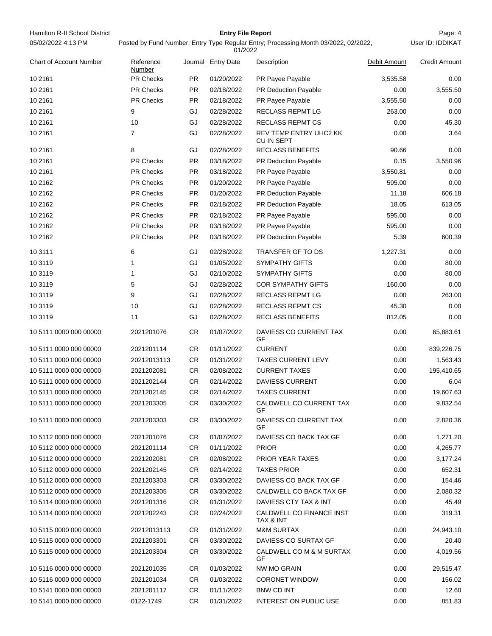| Hamilton R-II School District  |                     |           | <b>Entry File Report</b> |                                                                                     |              | Page: 4              |
|--------------------------------|---------------------|-----------|--------------------------|-------------------------------------------------------------------------------------|--------------|----------------------|
| 05/02/2022 4:13 PM             |                     |           | 01/2022                  | Posted by Fund Number; Entry Type Regular Entry; Processing Month 03/2022, 02/2022, |              | User ID: IDDIKAT     |
| <b>Chart of Account Number</b> | Reference<br>Number |           | Journal Entry Date       | Description                                                                         | Debit Amount | <b>Credit Amount</b> |
| 10 21 61                       | PR Checks           | <b>PR</b> | 01/20/2022               | PR Payee Payable                                                                    | 3,535.58     | 0.00                 |
| 10 21 61                       | PR Checks           | <b>PR</b> | 02/18/2022               | <b>PR Deduction Payable</b>                                                         | 0.00         | 3,555.50             |
| 10 21 61                       | PR Checks           | <b>PR</b> | 02/18/2022               | PR Payee Payable                                                                    | 3,555.50     | 0.00                 |
| 10 21 61                       | 9                   | GJ        | 02/28/2022               | RECLASS REPMT LG                                                                    | 263.00       | 0.00                 |
| 10 21 61                       | 10                  | GJ        | 02/28/2022               | RECLASS REPMT CS                                                                    | 0.00         | 45.30                |
| 10 21 61                       | 7                   | GJ        | 02/28/2022               | REV TEMP ENTRY UHC2 KK<br>CU IN SEPT                                                | 0.00         | 3.64                 |
| 10 21 61                       | 8                   | GJ        | 02/28/2022               | <b>RECLASS BENEFITS</b>                                                             | 90.66        | 0.00                 |
| 10 21 61                       | PR Checks           | <b>PR</b> | 03/18/2022               | PR Deduction Payable                                                                | 0.15         | 3,550.96             |
| 10 21 61                       | <b>PR Checks</b>    | <b>PR</b> | 03/18/2022               | PR Payee Payable                                                                    | 3,550.81     | 0.00                 |
| 10 2162                        | PR Checks           | <b>PR</b> | 01/20/2022               | PR Payee Payable                                                                    | 595.00       | 0.00                 |
| 10 2162                        | PR Checks           | <b>PR</b> | 01/20/2022               | PR Deduction Payable                                                                | 11.18        | 606.18               |
| 10 2162                        | PR Checks           | PR        | 02/18/2022               | <b>PR Deduction Payable</b>                                                         | 18.05        | 613.05               |
| 10 2162                        | <b>PR Checks</b>    | PR        | 02/18/2022               | PR Payee Payable                                                                    | 595.00       | 0.00                 |
| 10 2162                        | PR Checks           | <b>PR</b> | 03/18/2022               | PR Payee Payable                                                                    | 595.00       | 0.00                 |
| 10 2162                        | PR Checks           | <b>PR</b> | 03/18/2022               | PR Deduction Payable                                                                | 5.39         | 600.39               |
| 10 3111                        | 6                   | GJ        | 02/28/2022               | TRANSFER GF TO DS                                                                   | 1,227.31     | 0.00                 |
| 10 3119                        | 1                   | GJ        | 01/05/2022               | <b>SYMPATHY GIFTS</b>                                                               | 0.00         | 80.00                |
| 10 3119                        | 1                   | GJ        | 02/10/2022               | <b>SYMPATHY GIFTS</b>                                                               | 0.00         | 80.00                |
| 10 3119                        | 5                   | GJ        | 02/28/2022               | <b>COR SYMPATHY GIFTS</b>                                                           | 160.00       | 0.00                 |
| 10 3119                        | 9                   | GJ        | 02/28/2022               | RECLASS REPMT LG                                                                    | 0.00         | 263.00               |
| 10 3119                        | 10                  | GJ        | 02/28/2022               | <b>RECLASS REPMT CS</b>                                                             | 45.30        | 0.00                 |
| 10 31 19                       | 11                  | GJ        | 02/28/2022               | <b>RECLASS BENEFITS</b>                                                             | 812.05       | 0.00                 |
| 10 5111 0000 000 00000         | 2021201076          | <b>CR</b> | 01/07/2022               | DAVIESS CO CURRENT TAX<br>GF                                                        | 0.00         | 65,883.61            |
| 10 5111 0000 000 00000         | 2021201114          | CR        | 01/11/2022               | <b>CURRENT</b>                                                                      | 0.00         | 839,226.75           |
| 10 5111 0000 000 00000         | 20212013113         | <b>CR</b> | 01/31/2022               | <b>TAXES CURRENT LEVY</b>                                                           | 0.00         | 1,563.43             |
| 10 5111 0000 000 00000         | 2021202081          | <b>CR</b> | 02/08/2022               | <b>CURRENT TAXES</b>                                                                | 0.00         | 195,410.65           |
| 10 5111 0000 000 00000         | 2021202144          | CR        | 02/14/2022               | <b>DAVIESS CURRENT</b>                                                              | 0.00         | 6.04                 |
| 10 5111 0000 000 00000         | 2021202145          | CR.       | 02/14/2022               | <b>TAXES CURRENT</b>                                                                | 0.00         | 19,607.63            |
| 10 5111 0000 000 00000         | 2021203305          | <b>CR</b> | 03/30/2022               | CALDWELL CO CURRENT TAX<br>GF                                                       | 0.00         | 9,832.54             |
| 10 5111 0000 000 00000         | 2021203303          | <b>CR</b> | 03/30/2022               | DAVIESS CO CURRENT TAX<br>GF                                                        | 0.00         | 2,820.36             |
| 10 5112 0000 000 00000         | 2021201076          | CR        | 01/07/2022               | DAVIESS CO BACK TAX GF                                                              | 0.00         | 1,271.20             |
| 10 5112 0000 000 00000         | 2021201114          | CR.       | 01/11/2022               | <b>PRIOR</b>                                                                        | 0.00         | 4,265.77             |
| 10 5112 0000 000 00000         | 2021202081          | <b>CR</b> | 02/08/2022               | <b>PRIOR YEAR TAXES</b>                                                             | 0.00         | 3,177.24             |
| 10 5112 0000 000 00000         | 2021202145          | CR.       | 02/14/2022               | <b>TAXES PRIOR</b>                                                                  | 0.00         | 652.31               |
| 10 5112 0000 000 00000         | 2021203303          | CR        | 03/30/2022               | DAVIESS CO BACK TAX GF                                                              | 0.00         | 154.46               |
| 10 5112 0000 000 00000         | 2021203305          | CR.       | 03/30/2022               | CALDWELL CO BACK TAX GF                                                             | 0.00         | 2,080.32             |
| 10 5114 0000 000 00000         | 2021201316          | CR        | 01/31/2022               | DAVIESS CTY TAX & INT                                                               | 0.00         | 45.49                |
| 10 5114 0000 000 00000         | 2021202243          | <b>CR</b> | 02/24/2022               | CALDWELL CO FINANCE INST<br>TAX & INT                                               | 0.00         | 319.31               |
| 10 5115 0000 000 00000         | 20212013113         | CR.       | 01/31/2022               | <b>M&amp;M SURTAX</b>                                                               | 0.00         | 24,943.10            |
| 10 5115 0000 000 00000         | 2021203301          | CR.       | 03/30/2022               | DAVIESS CO SURTAX GF                                                                | 0.00         | 20.40                |
| 10 5115 0000 000 00000         | 2021203304          | <b>CR</b> | 03/30/2022               | CALDWELL CO M & M SURTAX<br>GF                                                      | 0.00         | 4,019.56             |
| 10 5116 0000 000 00000         | 2021201035          | CR.       | 01/03/2022               | NW MO GRAIN                                                                         | 0.00         | 29,515.47            |
| 10 5116 0000 000 00000         | 2021201034          | CR.       | 01/03/2022               | <b>CORONET WINDOW</b>                                                               | 0.00         | 156.02               |
| 10 5141 0000 000 00000         | 2021201117          | CR.       | 01/11/2022               | <b>BNW CD INT</b>                                                                   | 0.00         | 12.60                |
| 10 5141 0000 000 00000         | 0122-1749           | <b>CR</b> | 01/31/2022               | <b>INTEREST ON PUBLIC USE</b>                                                       | 0.00         | 851.83               |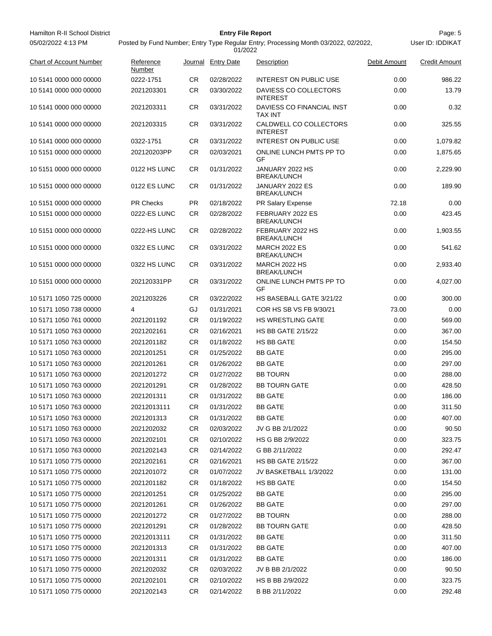| Hamilton R-II School District |                     |           | <b>Entry File Report</b> |                                                                                     |              | Page: 5              |
|-------------------------------|---------------------|-----------|--------------------------|-------------------------------------------------------------------------------------|--------------|----------------------|
| 05/02/2022 4:13 PM            |                     |           | 01/2022                  | Posted by Fund Number; Entry Type Regular Entry; Processing Month 03/2022, 02/2022, |              | User ID: IDDIKAT     |
| Chart of Account Number       | Reference<br>Number | Journal   | <b>Entry Date</b>        | Description                                                                         | Debit Amount | <b>Credit Amount</b> |
| 10 5141 0000 000 00000        | 0222-1751           | CR        | 02/28/2022               | <b>INTEREST ON PUBLIC USE</b>                                                       | 0.00         | 986.22               |
| 10 5141 0000 000 00000        | 2021203301          | <b>CR</b> | 03/30/2022               | DAVIESS CO COLLECTORS<br><b>INTEREST</b>                                            | 0.00         | 13.79                |
| 10 5141 0000 000 00000        | 2021203311          | CR        | 03/31/2022               | DAVIESS CO FINANCIAL INST<br><b>TAX INT</b>                                         | 0.00         | 0.32                 |
| 10 5141 0000 000 00000        | 2021203315          | <b>CR</b> | 03/31/2022               | CALDWELL CO COLLECTORS<br><b>INTEREST</b>                                           | 0.00         | 325.55               |
| 10 5141 0000 000 00000        | 0322-1751           | <b>CR</b> | 03/31/2022               | <b>INTEREST ON PUBLIC USE</b>                                                       | 0.00         | 1,079.82             |
| 10 5151 0000 000 00000        | 202120203PP         | <b>CR</b> | 02/03/2021               | ONLINE LUNCH PMTS PP TO<br>GF                                                       | 0.00         | 1,875.65             |
| 10 5151 0000 000 00000        | 0122 HS LUNC        | <b>CR</b> | 01/31/2022               | JANUARY 2022 HS<br><b>BREAK/LUNCH</b>                                               | 0.00         | 2,229.90             |
| 10 5151 0000 000 00000        | 0122 ES LUNC        | <b>CR</b> | 01/31/2022               | JANUARY 2022 ES<br><b>BREAK/LUNCH</b>                                               | 0.00         | 189.90               |
| 10 5151 0000 000 00000        | <b>PR Checks</b>    | <b>PR</b> | 02/18/2022               | PR Salary Expense                                                                   | 72.18        | 0.00                 |
| 10 5151 0000 000 00000        | 0222-ES LUNC        | <b>CR</b> | 02/28/2022               | FEBRUARY 2022 ES<br><b>BREAK/LUNCH</b>                                              | 0.00         | 423.45               |
| 10 5151 0000 000 00000        | 0222-HS LUNC        | <b>CR</b> | 02/28/2022               | FEBRUARY 2022 HS<br><b>BREAK/LUNCH</b>                                              | 0.00         | 1,903.55             |
| 10 5151 0000 000 00000        | 0322 ES LUNC        | <b>CR</b> | 03/31/2022               | <b>MARCH 2022 ES</b><br><b>BREAK/LUNCH</b>                                          | 0.00         | 541.62               |
| 10 5151 0000 000 00000        | 0322 HS LUNC        | CR        | 03/31/2022               | <b>MARCH 2022 HS</b><br><b>BREAK/LUNCH</b>                                          | 0.00         | 2,933.40             |
| 10 5151 0000 000 00000        | 202120331PP         | CR        | 03/31/2022               | ONLINE LUNCH PMTS PP TO<br>GF                                                       | 0.00         | 4,027.00             |
| 10 5171 1050 725 00000        | 2021203226          | CR        | 03/22/2022               | HS BASEBALL GATE 3/21/22                                                            | 0.00         | 300.00               |
| 10 5171 1050 738 00000        | 4                   | GJ        | 01/31/2021               | COR HS SB VS FB 9/30/21                                                             | 73.00        | 0.00                 |
| 10 5171 1050 761 00000        | 2021201192          | CR        | 01/19/2022               | <b>HS WRESTLING GATE</b>                                                            | 0.00         | 569.00               |
| 10 5171 1050 763 00000        | 2021202161          | <b>CR</b> | 02/16/2021               | <b>HS BB GATE 2/15/22</b>                                                           | 0.00         | 367.00               |
| 10 5171 1050 763 00000        | 2021201182          | <b>CR</b> | 01/18/2022               | HS BB GATE                                                                          | 0.00         | 154.50               |
| 10 5171 1050 763 00000        | 2021201251          | CR        | 01/25/2022               | <b>BB GATE</b>                                                                      | 0.00         | 295.00               |
| 10 5171 1050 763 00000        | 2021201261          | CR        | 01/26/2022               | <b>BB GATE</b>                                                                      | 0.00         | 297.00               |
| 10 5171 1050 763 00000        | 2021201272          | CR        | 01/27/2022               | <b>BB TOURN</b>                                                                     | 0.00         | 288.00               |
| 10 5171 1050 763 00000        | 2021201291          | <b>CR</b> | 01/28/2022               | <b>BB TOURN GATE</b>                                                                | 0.00         | 428.50               |
| 10 5171 1050 763 00000        | 2021201311          | CR        | 01/31/2022               | <b>BB GATE</b>                                                                      | 0.00         | 186.00               |
| 10 5171 1050 763 00000        | 20212013111         | CR        | 01/31/2022               | <b>BB GATE</b>                                                                      | 0.00         | 311.50               |
| 10 5171 1050 763 00000        | 2021201313          | CR        | 01/31/2022               | <b>BB GATE</b>                                                                      | 0.00         | 407.00               |
| 10 5171 1050 763 00000        | 2021202032          | CR        | 02/03/2022               | JV G BB 2/1/2022                                                                    | 0.00         | 90.50                |
| 10 5171 1050 763 00000        | 2021202101          | CR        | 02/10/2022               | HS G BB 2/9/2022                                                                    | 0.00         | 323.75               |
| 10 5171 1050 763 00000        | 2021202143          | CR        | 02/14/2022               | G BB 2/11/2022                                                                      | 0.00         | 292.47               |
| 10 5171 1050 775 00000        | 2021202161          | CR        | 02/16/2021               | <b>HS BB GATE 2/15/22</b>                                                           | 0.00         | 367.00               |
| 10 5171 1050 775 00000        | 2021201072          | CR        | 01/07/2022               | JV BASKETBALL 1/3/2022                                                              | 0.00         | 131.00               |
| 10 5171 1050 775 00000        | 2021201182          | CR        | 01/18/2022               | HS BB GATE                                                                          | 0.00         | 154.50               |
| 10 5171 1050 775 00000        | 2021201251          | CR        | 01/25/2022               | <b>BB GATE</b>                                                                      | 0.00         | 295.00               |
| 10 5171 1050 775 00000        | 2021201261          | CR        | 01/26/2022               | <b>BB GATE</b>                                                                      | 0.00         | 297.00               |
| 10 5171 1050 775 00000        | 2021201272          | CR        | 01/27/2022               | <b>BB TOURN</b>                                                                     | 0.00         | 288.00               |
| 10 5171 1050 775 00000        | 2021201291          | CR        | 01/28/2022               | <b>BB TOURN GATE</b>                                                                | 0.00         | 428.50               |
| 10 5171 1050 775 00000        | 20212013111         | CR        | 01/31/2022               | <b>BB GATE</b>                                                                      | 0.00         | 311.50               |
| 10 5171 1050 775 00000        | 2021201313          | CR        | 01/31/2022               | <b>BB GATE</b>                                                                      | 0.00         | 407.00               |
| 10 5171 1050 775 00000        | 2021201311          | CR        | 01/31/2022               | <b>BB GATE</b>                                                                      | 0.00         | 186.00               |
| 10 5171 1050 775 00000        | 2021202032          | CR        | 02/03/2022               | JV B BB 2/1/2022                                                                    | 0.00         | 90.50                |
| 10 5171 1050 775 00000        | 2021202101          | CR        | 02/10/2022               | HS B BB 2/9/2022                                                                    | 0.00         | 323.75               |
| 10 5171 1050 775 00000        | 2021202143          | CR.       | 02/14/2022               | B BB 2/11/2022                                                                      | 0.00         | 292.48               |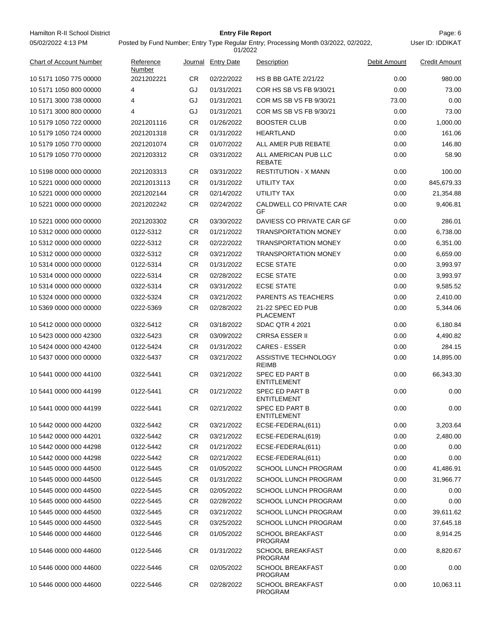Hamilton R-II School District **Entry File Report Entry File Report Page: 6** Page: 6 05/02/2022 4:13 PM

# **Entry File Report**

User ID: IDDIKAT

| <b>Chart of Account Number</b> | Reference<br>Number |           | Journal Entry Date | Description                               | Debit Amount | <b>Credit Amount</b> |
|--------------------------------|---------------------|-----------|--------------------|-------------------------------------------|--------------|----------------------|
| 10 5171 1050 775 00000         | 2021202221          | CR.       | 02/22/2022         | <b>HS B BB GATE 2/21/22</b>               | 0.00         | 980.00               |
| 10 5171 1050 800 00000         | 4                   | GJ        | 01/31/2021         | COR HS SB VS FB 9/30/21                   | 0.00         | 73.00                |
| 10 5171 3000 738 00000         | 4                   | GJ        | 01/31/2021         | COR MS SB VS FB 9/30/21                   | 73.00        | 0.00                 |
| 10 5171 3000 800 00000         | 4                   | GJ        | 01/31/2021         | COR MS SB VS FB 9/30/21                   | 0.00         | 73.00                |
| 10 5179 1050 722 00000         | 2021201116          | CR.       | 01/26/2022         | <b>BOOSTER CLUB</b>                       | 0.00         | 1,000.00             |
| 10 5179 1050 724 00000         | 2021201318          | CR        | 01/31/2022         | <b>HEARTLAND</b>                          | 0.00         | 161.06               |
| 10 5179 1050 770 00000         | 2021201074          | CR        | 01/07/2022         | ALL AMER PUB REBATE                       | 0.00         | 146.80               |
| 10 5179 1050 770 00000         | 2021203312          | CR.       | 03/31/2022         | ALL AMERICAN PUB LLC<br><b>REBATE</b>     | 0.00         | 58.90                |
| 10 5198 0000 000 00000         | 2021203313          | CR        | 03/31/2022         | <b>RESTITUTION - X MANN</b>               | 0.00         | 100.00               |
| 10 5221 0000 000 00000         | 20212013113         | CR        | 01/31/2022         | UTILITY TAX                               | 0.00         | 845,679.33           |
| 10 5221 0000 000 00000         | 2021202144          | CR.       | 02/14/2022         | UTILITY TAX                               | 0.00         | 21,354.88            |
| 10 5221 0000 000 00000         | 2021202242          | CR        | 02/24/2022         | CALDWELL CO PRIVATE CAR<br>GF             | 0.00         | 9,406.81             |
| 10 5221 0000 000 00000         | 2021203302          | CR        | 03/30/2022         | DAVIESS CO PRIVATE CAR GF                 | 0.00         | 286.01               |
| 10 5312 0000 000 00000         | 0122-5312           | CR        | 01/21/2022         | <b>TRANSPORTATION MONEY</b>               | 0.00         | 6,738.00             |
| 10 5312 0000 000 00000         | 0222-5312           | CR        | 02/22/2022         | <b>TRANSPORTATION MONEY</b>               | 0.00         | 6,351.00             |
| 10 5312 0000 000 00000         | 0322-5312           | CR        | 03/21/2022         | <b>TRANSPORTATION MONEY</b>               | 0.00         | 6,659.00             |
| 10 5314 0000 000 00000         | 0122-5314           | CR        | 01/31/2022         | <b>ECSE STATE</b>                         | 0.00         | 3,993.97             |
| 10 5314 0000 000 00000         | 0222-5314           | CR.       | 02/28/2022         | <b>ECSE STATE</b>                         | 0.00         | 3,993.97             |
| 10 5314 0000 000 00000         | 0322-5314           | CR        | 03/31/2022         | <b>ECSE STATE</b>                         | 0.00         | 9,585.52             |
| 10 5324 0000 000 00000         | 0322-5324           | <b>CR</b> | 03/21/2022         | PARENTS AS TEACHERS                       | 0.00         | 2,410.00             |
| 10 5369 0000 000 00000         | 0222-5369           | CR        | 02/28/2022         | 21-22 SPEC ED PUB<br><b>PLACEMENT</b>     | 0.00         | 5,344.06             |
| 10 5412 0000 000 00000         | 0322-5412           | CR.       | 03/18/2022         | <b>SDAC QTR 4 2021</b>                    | 0.00         | 6,180.84             |
| 10 5423 0000 000 42300         | 0322-5423           | CR        | 03/09/2022         | <b>CRRSA ESSER II</b>                     | 0.00         | 4,490.82             |
| 10 5424 0000 000 42400         | 0122-5424           | <b>CR</b> | 01/31/2022         | <b>CARES - ESSER</b>                      | 0.00         | 284.15               |
| 10 5437 0000 000 00000         | 0322-5437           | СR        | 03/21/2022         | ASSISTIVE TECHNOLOGY<br><b>REIMB</b>      | 0.00         | 14,895.00            |
| 10 5441 0000 000 44100         | 0322-5441           | СR        | 03/21/2022         | SPEC ED PART B<br><b>ENTITLEMENT</b>      | 0.00         | 66,343.30            |
| 10 5441 0000 000 44199         | 0122-5441           | CR        | 01/21/2022         | SPEC ED PART B<br><b>ENTITLEMENT</b>      | 0.00         | 0.00                 |
| 10 5441 0000 000 44199         | 0222-5441           | СR        | 02/21/2022         | SPEC ED PART B<br>ENTITLEMENT             | 0.00         | 0.00                 |
| 10 5442 0000 000 44200         | 0322-5442           | CR        | 03/21/2022         | ECSE-FEDERAL(611)                         | 0.00         | 3,203.64             |
| 10 5442 0000 000 44201         | 0322-5442           | CR.       | 03/21/2022         | ECSE-FEDERAL(619)                         | 0.00         | 2,480.00             |
| 10 5442 0000 000 44298         | 0122-5442           | CR.       | 01/21/2022         | ECSE-FEDERAL(611)                         | 0.00         | 0.00                 |
| 10 5442 0000 000 44298         | 0222-5442           | CR.       | 02/21/2022         | ECSE-FEDERAL(611)                         | 0.00         | 0.00                 |
| 10 5445 0000 000 44500         | 0122-5445           | CR.       | 01/05/2022         | <b>SCHOOL LUNCH PROGRAM</b>               | 0.00         | 41,486.91            |
| 10 5445 0000 000 44500         | 0122-5445           | CR        | 01/31/2022         | SCHOOL LUNCH PROGRAM                      | 0.00         | 31,966.77            |
| 10 5445 0000 000 44500         | 0222-5445           | CR.       | 02/05/2022         | SCHOOL LUNCH PROGRAM                      | 0.00         | 0.00                 |
| 10 5445 0000 000 44500         | 0222-5445           | CR.       | 02/28/2022         | <b>SCHOOL LUNCH PROGRAM</b>               | 0.00         | 0.00                 |
| 10 5445 0000 000 44500         | 0322-5445           | CR        | 03/21/2022         | <b>SCHOOL LUNCH PROGRAM</b>               | 0.00         | 39,611.62            |
| 10 5445 0000 000 44500         | 0322-5445           | CR.       | 03/25/2022         | SCHOOL LUNCH PROGRAM                      | 0.00         | 37,645.18            |
| 10 5446 0000 000 44600         | 0122-5446           | CR.       | 01/05/2022         | <b>SCHOOL BREAKFAST</b><br>PROGRAM        | 0.00         | 8,914.25             |
| 10 5446 0000 000 44600         | 0122-5446           | CR        | 01/31/2022         | <b>SCHOOL BREAKFAST</b><br><b>PROGRAM</b> | 0.00         | 8,820.67             |
| 10 5446 0000 000 44600         | 0222-5446           | CR.       | 02/05/2022         | <b>SCHOOL BREAKFAST</b><br><b>PROGRAM</b> | 0.00         | 0.00                 |
| 10 5446 0000 000 44600         | 0222-5446           | CR.       | 02/28/2022         | <b>SCHOOL BREAKFAST</b><br><b>PROGRAM</b> | 0.00         | 10,063.11            |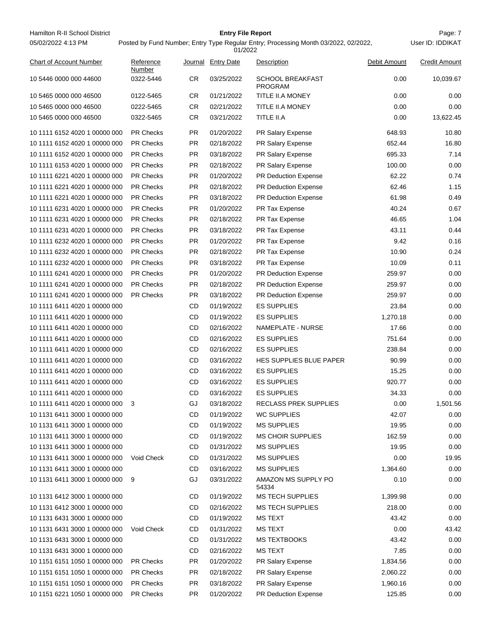| Hamilton R-II School District<br>05/02/2022 4:13 PM            |                     |           | <b>Entry File Report</b> | Posted by Fund Number; Entry Type Regular Entry; Processing Month 03/2022, 02/2022, |                  | Page: 7<br>User ID: IDDIKAT |
|----------------------------------------------------------------|---------------------|-----------|--------------------------|-------------------------------------------------------------------------------------|------------------|-----------------------------|
|                                                                |                     |           | 01/2022                  |                                                                                     |                  |                             |
| <b>Chart of Account Number</b>                                 | Reference<br>Number |           | Journal Entry Date       | Description                                                                         | Debit Amount     | <b>Credit Amount</b>        |
| 10 5446 0000 000 44600                                         | 0322-5446           | CR.       | 03/25/2022               | <b>SCHOOL BREAKFAST</b><br><b>PROGRAM</b>                                           | 0.00             | 10,039.67                   |
| 10 5465 0000 000 46500                                         | 0122-5465           | CR.       | 01/21/2022               | TITLE II.A MONEY                                                                    | 0.00             | 0.00                        |
| 10 5465 0000 000 46500                                         | 0222-5465           | <b>CR</b> | 02/21/2022               | TITLE II.A MONEY                                                                    | 0.00             | 0.00                        |
| 10 5465 0000 000 46500                                         | 0322-5465           | <b>CR</b> | 03/21/2022               | TITLE II.A                                                                          | 0.00             | 13,622.45                   |
| 10 1111 6152 4020 1 00000 000                                  | <b>PR Checks</b>    | <b>PR</b> | 01/20/2022               | PR Salary Expense                                                                   | 648.93           | 10.80                       |
| 10 1111 6152 4020 1 00000 000                                  | <b>PR Checks</b>    | <b>PR</b> | 02/18/2022               | PR Salary Expense                                                                   | 652.44           | 16.80                       |
| 10 1111 6152 4020 1 00000 000                                  | <b>PR Checks</b>    | PR.       | 03/18/2022               | PR Salary Expense                                                                   | 695.33           | 7.14                        |
| 10 1111 6153 4020 1 00000 000                                  | <b>PR Checks</b>    | <b>PR</b> | 02/18/2022               | PR Salary Expense                                                                   | 100.00           | 0.00                        |
| 10 1111 6221 4020 1 00000 000                                  | <b>PR Checks</b>    | PR.       | 01/20/2022               | PR Deduction Expense                                                                | 62.22            | 0.74                        |
| 10 1111 6221 4020 1 00000 000                                  | <b>PR Checks</b>    | <b>PR</b> | 02/18/2022               | <b>PR Deduction Expense</b>                                                         | 62.46            | 1.15                        |
| 10 1111 6221 4020 1 00000 000                                  | <b>PR Checks</b>    | <b>PR</b> | 03/18/2022               | <b>PR Deduction Expense</b>                                                         | 61.98            | 0.49                        |
| 10 1111 6231 4020 1 00000 000                                  | <b>PR Checks</b>    | <b>PR</b> | 01/20/2022               | PR Tax Expense                                                                      | 40.24            | 0.67                        |
| 10 1111 6231 4020 1 00000 000                                  | <b>PR Checks</b>    | <b>PR</b> | 02/18/2022               | PR Tax Expense                                                                      | 46.65            | 1.04                        |
| 10 1111 6231 4020 1 00000 000                                  | <b>PR Checks</b>    | <b>PR</b> | 03/18/2022               | PR Tax Expense                                                                      | 43.11            | 0.44                        |
| 10 1111 6232 4020 1 00000 000                                  | <b>PR Checks</b>    | PR.       | 01/20/2022               | PR Tax Expense                                                                      | 9.42             | 0.16                        |
| 10 1111 6232 4020 1 00000 000                                  | <b>PR Checks</b>    | <b>PR</b> | 02/18/2022               | PR Tax Expense                                                                      | 10.90            | 0.24                        |
| 10 1111 6232 4020 1 00000 000                                  | <b>PR Checks</b>    | PR.       | 03/18/2022               | PR Tax Expense                                                                      | 10.09            | 0.11                        |
| 10 1111 6241 4020 1 00000 000                                  | <b>PR Checks</b>    | <b>PR</b> | 01/20/2022               | <b>PR Deduction Expense</b>                                                         | 259.97           | 0.00                        |
| 10 1111 6241 4020 1 00000 000                                  | <b>PR Checks</b>    | <b>PR</b> | 02/18/2022               | <b>PR Deduction Expense</b>                                                         | 259.97           | 0.00                        |
| 10 1111 6241 4020 1 00000 000                                  | <b>PR Checks</b>    | <b>PR</b> | 03/18/2022               | <b>PR Deduction Expense</b>                                                         | 259.97           | 0.00                        |
| 10 1111 6411 4020 1 00000 000                                  |                     | CD        | 01/19/2022               | <b>ES SUPPLIES</b>                                                                  | 23.84            | 0.00                        |
| 10 1111 6411 4020 1 00000 000                                  |                     | CD        | 01/19/2022               | <b>ES SUPPLIES</b>                                                                  | 1,270.18         | 0.00                        |
| 10 1111 6411 4020 1 00000 000                                  |                     | CD        | 02/16/2022               | NAMEPLATE - NURSE                                                                   | 17.66            | 0.00                        |
| 10 1111 6411 4020 1 00000 000                                  |                     | CD        | 02/16/2022               | <b>ES SUPPLIES</b>                                                                  | 751.64           | 0.00                        |
| 10 1111 6411 4020 1 00000 000                                  |                     | CD        | 02/16/2022               | <b>ES SUPPLIES</b>                                                                  | 238.84           | 0.00                        |
| 10 1111 6411 4020 1 00000 000                                  |                     | CD        | 03/16/2022               | HES SUPPLIES BLUE PAPER                                                             | 90.99            | 0.00                        |
| 10 1111 6411 4020 1 00000 000                                  |                     | CD        | 03/16/2022               | <b>ES SUPPLIES</b>                                                                  | 15.25            | 0.00                        |
| 10 1111 6411 4020 1 00000 000                                  |                     | CD        | 03/16/2022               | <b>ES SUPPLIES</b>                                                                  | 920.77           | 0.00                        |
| 10 1111 6411 4020 1 00000 000                                  |                     | CD        | 03/16/2022               | <b>ES SUPPLIES</b>                                                                  | 34.33            | 0.00                        |
| 10 1111 6411 4020 1 00000 000                                  | 3                   | GJ        | 03/18/2022               | <b>RECLASS PREK SUPPLIES</b>                                                        | 0.00             | 1,501.56                    |
|                                                                |                     |           |                          |                                                                                     |                  |                             |
| 10 1131 6411 3000 1 00000 000                                  |                     | CD        | 01/19/2022               | WC SUPPLIES                                                                         | 42.07            | 0.00                        |
| 10 1131 6411 3000 1 00000 000                                  |                     | CD        | 01/19/2022               | <b>MS SUPPLIES</b>                                                                  | 19.95            | 0.00                        |
| 10 1131 6411 3000 1 00000 000                                  |                     | CD        | 01/19/2022               | <b>MS CHOIR SUPPLIES</b>                                                            | 162.59           | 0.00                        |
| 10 1131 6411 3000 1 00000 000                                  |                     | CD        | 01/31/2022               | <b>MS SUPPLIES</b>                                                                  | 19.95            | 0.00                        |
| 10 1131 6411 3000 1 00000 000                                  | <b>Void Check</b>   | CD        | 01/31/2022               | <b>MS SUPPLIES</b>                                                                  | 0.00             | 19.95                       |
| 10 1131 6411 3000 1 00000 000<br>10 1131 6411 3000 1 00000 000 | 9                   | CD<br>GJ  | 03/16/2022<br>03/31/2022 | <b>MS SUPPLIES</b><br>AMAZON MS SUPPLY PO                                           | 1,364.60<br>0.10 | 0.00<br>0.00                |
| 10 1131 6412 3000 1 00000 000                                  |                     | CD        | 01/19/2022               | 54334<br><b>MS TECH SUPPLIES</b>                                                    | 1,399.98         | 0.00                        |
| 10 1131 6412 3000 1 00000 000                                  |                     | CD        | 02/16/2022               |                                                                                     | 218.00           | 0.00                        |
| 10 1131 6431 3000 1 00000 000                                  |                     | CD        | 01/19/2022               | <b>MS TECH SUPPLIES</b>                                                             | 43.42            | 0.00                        |
|                                                                |                     |           |                          | MS TEXT                                                                             | 0.00             | 43.42                       |
| 10 1131 6431 3000 1 00000 000                                  | Void Check          | CD        | 01/31/2022               | <b>MS TEXT</b>                                                                      |                  |                             |
| 10 1131 6431 3000 1 00000 000                                  |                     | CD        | 01/31/2022               | <b>MS TEXTBOOKS</b>                                                                 | 43.42            | 0.00                        |
| 10 1131 6431 3000 1 00000 000                                  |                     | CD        | 02/16/2022               | MS TEXT                                                                             | 7.85             | 0.00                        |
| 10 1151 6151 1050 1 00000 000                                  | <b>PR Checks</b>    | <b>PR</b> | 01/20/2022               | PR Salary Expense                                                                   | 1,834.56         | 0.00                        |
| 10 1151 6151 1050 1 00000 000                                  | PR Checks           | PR.       | 02/18/2022               | PR Salary Expense                                                                   | 2,060.22         | 0.00                        |
| 10 1151 6151 1050 1 00000 000                                  | PR Checks           | <b>PR</b> | 03/18/2022               | PR Salary Expense                                                                   | 1,960.16         | 0.00                        |
| 10 1151 6221 1050 1 00000 000                                  | PR Checks           | <b>PR</b> | 01/20/2022               | PR Deduction Expense                                                                | 125.85           | 0.00                        |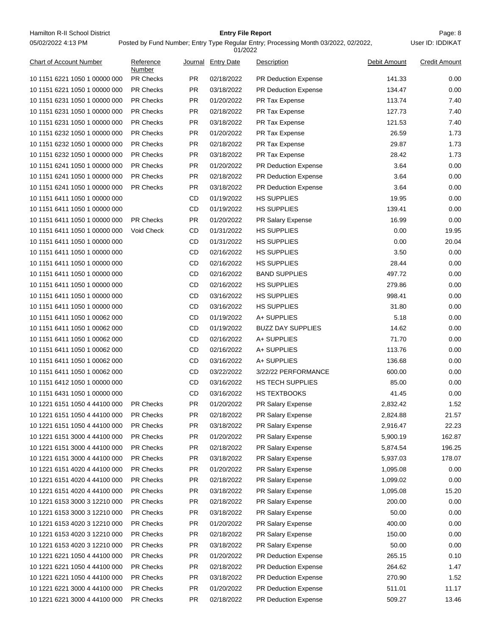Hamilton R-II School District **Entry File Report Entry File Report Page: 8** 05/02/2022 4:13 PM

#### **Entry File Report**

Posted by Fund Number; Entry Type Regular Entry; Processing Month 03/2022, 02/2022,

|                               |                     |           | 01/2022            |                             |              |                      |
|-------------------------------|---------------------|-----------|--------------------|-----------------------------|--------------|----------------------|
| Chart of Account Number       | Reference<br>Number |           | Journal Entry Date | Description                 | Debit Amount | <b>Credit Amount</b> |
| 10 1151 6221 1050 1 00000 000 | <b>PR Checks</b>    | PR.       | 02/18/2022         | <b>PR Deduction Expense</b> | 141.33       | 0.00                 |
| 10 1151 6221 1050 1 00000 000 | <b>PR Checks</b>    | <b>PR</b> | 03/18/2022         | <b>PR Deduction Expense</b> | 134.47       | 0.00                 |
| 10 1151 6231 1050 1 00000 000 | <b>PR Checks</b>    | PR.       | 01/20/2022         | PR Tax Expense              | 113.74       | 7.40                 |
| 10 1151 6231 1050 1 00000 000 | <b>PR Checks</b>    | PR.       | 02/18/2022         | PR Tax Expense              | 127.73       | 7.40                 |
| 10 1151 6231 1050 1 00000 000 | <b>PR Checks</b>    | PR.       | 03/18/2022         | PR Tax Expense              | 121.53       | 7.40                 |
| 10 1151 6232 1050 1 00000 000 | <b>PR Checks</b>    | <b>PR</b> | 01/20/2022         | PR Tax Expense              | 26.59        | 1.73                 |
| 10 1151 6232 1050 1 00000 000 | <b>PR Checks</b>    | <b>PR</b> | 02/18/2022         | PR Tax Expense              | 29.87        | 1.73                 |
| 10 1151 6232 1050 1 00000 000 | <b>PR Checks</b>    | <b>PR</b> | 03/18/2022         | PR Tax Expense              | 28.42        | 1.73                 |
| 10 1151 6241 1050 1 00000 000 | <b>PR Checks</b>    | <b>PR</b> | 01/20/2022         | PR Deduction Expense        | 3.64         | 0.00                 |
| 10 1151 6241 1050 1 00000 000 | <b>PR Checks</b>    | <b>PR</b> | 02/18/2022         | PR Deduction Expense        | 3.64         | 0.00                 |
| 10 1151 6241 1050 1 00000 000 | <b>PR Checks</b>    | PR.       | 03/18/2022         | PR Deduction Expense        | 3.64         | 0.00                 |
| 10 1151 6411 1050 1 00000 000 |                     | CD        | 01/19/2022         | <b>HS SUPPLIES</b>          | 19.95        | 0.00                 |
| 10 1151 6411 1050 1 00000 000 |                     | <b>CD</b> | 01/19/2022         | <b>HS SUPPLIES</b>          | 139.41       | 0.00                 |
| 10 1151 6411 1050 1 00000 000 | <b>PR Checks</b>    | <b>PR</b> | 01/20/2022         | PR Salary Expense           | 16.99        | 0.00                 |
| 10 1151 6411 1050 1 00000 000 | Void Check          | <b>CD</b> | 01/31/2022         | <b>HS SUPPLIES</b>          | 0.00         | 19.95                |
| 10 1151 6411 1050 1 00000 000 |                     | <b>CD</b> | 01/31/2022         | <b>HS SUPPLIES</b>          | 0.00         | 20.04                |
| 10 1151 6411 1050 1 00000 000 |                     | CD        | 02/16/2022         | <b>HS SUPPLIES</b>          | 3.50         | 0.00                 |
| 10 1151 6411 1050 1 00000 000 |                     | <b>CD</b> | 02/16/2022         | <b>HS SUPPLIES</b>          | 28.44        | 0.00                 |
| 10 1151 6411 1050 1 00000 000 |                     | CD        | 02/16/2022         | <b>BAND SUPPLIES</b>        | 497.72       | 0.00                 |
| 10 1151 6411 1050 1 00000 000 |                     | CD        | 02/16/2022         | <b>HS SUPPLIES</b>          | 279.86       | 0.00                 |
| 10 1151 6411 1050 1 00000 000 |                     | CD        | 03/16/2022         | <b>HS SUPPLIES</b>          | 998.41       | 0.00                 |
| 10 1151 6411 1050 1 00000 000 |                     | <b>CD</b> | 03/16/2022         | <b>HS SUPPLIES</b>          | 31.80        | 0.00                 |
| 10 1151 6411 1050 1 00062 000 |                     | <b>CD</b> | 01/19/2022         | A+ SUPPLIES                 | 5.18         | 0.00                 |
| 10 1151 6411 1050 1 00062 000 |                     | CD        | 01/19/2022         | <b>BUZZ DAY SUPPLIES</b>    | 14.62        | 0.00                 |
| 10 1151 6411 1050 1 00062 000 |                     | CD        | 02/16/2022         | A+ SUPPLIES                 | 71.70        | 0.00                 |
| 10 1151 6411 1050 1 00062 000 |                     | CD        | 02/16/2022         | A+ SUPPLIES                 | 113.76       | 0.00                 |
| 10 1151 6411 1050 1 00062 000 |                     | CD        | 03/16/2022         | A+ SUPPLIES                 | 136.68       | 0.00                 |
| 10 1151 6411 1050 1 00062 000 |                     | CD        | 03/22/2022         | 3/22/22 PERFORMANCE         | 600.00       | 0.00                 |
| 10 1151 6412 1050 1 00000 000 |                     | CD        | 03/16/2022         | HS TECH SUPPLIES            | 85.00        | 0.00                 |
| 10 1151 6431 1050 1 00000 000 |                     | <b>CD</b> | 03/16/2022         | <b>HS TEXTBOOKS</b>         | 41.45        | 0.00                 |
| 10 1221 6151 1050 4 44100 000 | <b>PR Checks</b>    | <b>PR</b> | 01/20/2022         | PR Salary Expense           | 2,832.42     | 1.52                 |
| 10 1221 6151 1050 4 44100 000 | PR Checks           | <b>PR</b> | 02/18/2022         | PR Salary Expense           | 2,824.88     | 21.57                |
| 10 1221 6151 1050 4 44100 000 | PR Checks           | <b>PR</b> | 03/18/2022         | PR Salary Expense           | 2,916.47     | 22.23                |
| 10 1221 6151 3000 4 44100 000 | PR Checks           | <b>PR</b> | 01/20/2022         | PR Salary Expense           | 5,900.19     | 162.87               |
| 10 1221 6151 3000 4 44100 000 | <b>PR Checks</b>    | <b>PR</b> | 02/18/2022         | PR Salary Expense           | 5,874.54     | 196.25               |
| 10 1221 6151 3000 4 44100 000 | PR Checks           | <b>PR</b> | 03/18/2022         | PR Salary Expense           | 5,937.03     | 178.07               |
| 10 1221 6151 4020 4 44100 000 | PR Checks           | <b>PR</b> | 01/20/2022         | PR Salary Expense           | 1,095.08     | 0.00                 |
| 10 1221 6151 4020 4 44100 000 | PR Checks           | <b>PR</b> | 02/18/2022         | PR Salary Expense           | 1,099.02     | 0.00                 |
| 10 1221 6151 4020 4 44100 000 | <b>PR Checks</b>    | PR        | 03/18/2022         | PR Salary Expense           | 1,095.08     | 15.20                |
| 10 1221 6153 3000 3 12210 000 | PR Checks           | <b>PR</b> | 02/18/2022         | PR Salary Expense           | 200.00       | 0.00                 |
| 10 1221 6153 3000 3 12210 000 | PR Checks           | <b>PR</b> | 03/18/2022         | PR Salary Expense           | 50.00        | 0.00                 |
| 10 1221 6153 4020 3 12210 000 | PR Checks           | <b>PR</b> | 01/20/2022         | PR Salary Expense           | 400.00       | 0.00                 |
| 10 1221 6153 4020 3 12210 000 | <b>PR Checks</b>    | <b>PR</b> | 02/18/2022         | PR Salary Expense           | 150.00       | 0.00                 |
| 10 1221 6153 4020 3 12210 000 | PR Checks           | <b>PR</b> | 03/18/2022         | PR Salary Expense           | 50.00        | 0.00                 |
| 10 1221 6221 1050 4 44100 000 | PR Checks           | <b>PR</b> | 01/20/2022         | PR Deduction Expense        | 265.15       | 0.10                 |
| 10 1221 6221 1050 4 44100 000 | PR Checks           | <b>PR</b> | 02/18/2022         | PR Deduction Expense        | 264.62       | 1.47                 |
| 10 1221 6221 1050 4 44100 000 | <b>PR Checks</b>    | <b>PR</b> | 03/18/2022         | PR Deduction Expense        | 270.90       | 1.52                 |
| 10 1221 6221 3000 4 44100 000 | PR Checks           | PR        | 01/20/2022         | PR Deduction Expense        | 511.01       | 11.17                |
|                               |                     |           |                    |                             |              |                      |
| 10 1221 6221 3000 4 44100 000 | PR Checks           | <b>PR</b> | 02/18/2022         | PR Deduction Expense        | 509.27       | 13.46                |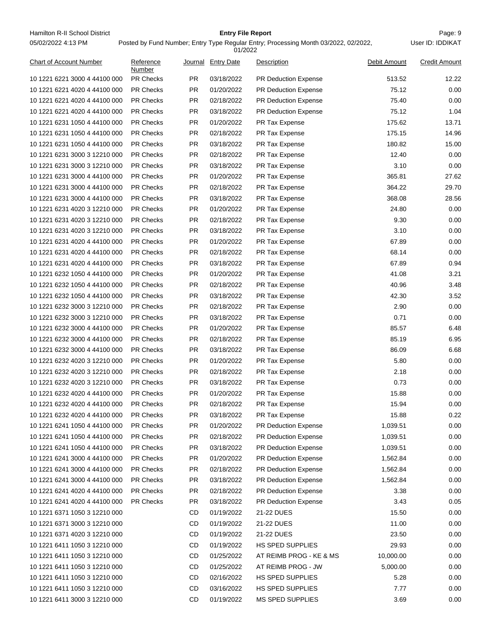Hamilton R-II School District **Entry File Report Entry File Report Page: 9** Page: 9 05/02/2022 4:13 PM

# **Entry File Report**

Posted by Fund Number; Entry Type Regular Entry; Processing Month 03/2022, 02/2022,

|                                |                     |           | 01/2022           |                             |              |                      |
|--------------------------------|---------------------|-----------|-------------------|-----------------------------|--------------|----------------------|
| <b>Chart of Account Number</b> | Reference<br>Number | Journal   | <b>Entry Date</b> | Description                 | Debit Amount | <b>Credit Amount</b> |
| 10 1221 6221 3000 4 44100 000  | <b>PR Checks</b>    | <b>PR</b> | 03/18/2022        | <b>PR Deduction Expense</b> | 513.52       | 12.22                |
| 10 1221 6221 4020 4 44100 000  | <b>PR Checks</b>    | <b>PR</b> | 01/20/2022        | <b>PR Deduction Expense</b> | 75.12        | 0.00                 |
| 10 1221 6221 4020 4 44100 000  | <b>PR Checks</b>    | PR.       | 02/18/2022        | PR Deduction Expense        | 75.40        | 0.00                 |
| 10 1221 6221 4020 4 44100 000  | <b>PR Checks</b>    | <b>PR</b> | 03/18/2022        | PR Deduction Expense        | 75.12        | 1.04                 |
| 10 1221 6231 1050 4 44100 000  | <b>PR Checks</b>    | PR.       | 01/20/2022        | PR Tax Expense              | 175.62       | 13.71                |
| 10 1221 6231 1050 4 44100 000  | <b>PR Checks</b>    | PR        | 02/18/2022        | PR Tax Expense              | 175.15       | 14.96                |
| 10 1221 6231 1050 4 44100 000  | PR Checks           | <b>PR</b> | 03/18/2022        | PR Tax Expense              | 180.82       | 15.00                |
| 10 1221 6231 3000 3 12210 000  | <b>PR Checks</b>    | <b>PR</b> | 02/18/2022        | PR Tax Expense              | 12.40        | 0.00                 |
| 10 1221 6231 3000 3 12210 000  | <b>PR Checks</b>    | PR        | 03/18/2022        | PR Tax Expense              | 3.10         | 0.00                 |
| 10 1221 6231 3000 4 44100 000  | <b>PR Checks</b>    | PR        | 01/20/2022        | PR Tax Expense              | 365.81       | 27.62                |
| 10 1221 6231 3000 4 44100 000  | PR Checks           | <b>PR</b> | 02/18/2022        | PR Tax Expense              | 364.22       | 29.70                |
| 10 1221 6231 3000 4 44100 000  | <b>PR Checks</b>    | PR.       | 03/18/2022        | PR Tax Expense              | 368.08       | 28.56                |
| 10 1221 6231 4020 3 12210 000  | <b>PR Checks</b>    | PR.       | 01/20/2022        | PR Tax Expense              | 24.80        | 0.00                 |
| 10 1221 6231 4020 3 12210 000  | <b>PR Checks</b>    | PR        | 02/18/2022        | PR Tax Expense              | 9.30         | 0.00                 |
| 10 1221 6231 4020 3 12210 000  | PR Checks           | <b>PR</b> | 03/18/2022        | PR Tax Expense              | 3.10         | 0.00                 |
| 10 1221 6231 4020 4 44100 000  | <b>PR Checks</b>    | <b>PR</b> | 01/20/2022        | PR Tax Expense              | 67.89        | 0.00                 |
| 10 1221 6231 4020 4 44100 000  | <b>PR Checks</b>    | PR        | 02/18/2022        | PR Tax Expense              | 68.14        | 0.00                 |
| 10 1221 6231 4020 4 44100 000  | <b>PR Checks</b>    | PR        | 03/18/2022        | PR Tax Expense              | 67.89        | 0.94                 |
| 10 1221 6232 1050 4 44100 000  | PR Checks           | <b>PR</b> | 01/20/2022        | PR Tax Expense              | 41.08        | 3.21                 |
| 10 1221 6232 1050 4 44100 000  | PR Checks           | PR.       | 02/18/2022        | PR Tax Expense              | 40.96        | 3.48                 |
| 10 1221 6232 1050 4 44100 000  | <b>PR Checks</b>    | <b>PR</b> | 03/18/2022        | PR Tax Expense              | 42.30        | 3.52                 |
| 10 1221 6232 3000 3 12210 000  | <b>PR Checks</b>    | PR        | 02/18/2022        | PR Tax Expense              | 2.90         | 0.00                 |
| 10 1221 6232 3000 3 12210 000  | PR Checks           | <b>PR</b> | 03/18/2022        | PR Tax Expense              | 0.71         | 0.00                 |
| 10 1221 6232 3000 4 44100 000  | <b>PR Checks</b>    | <b>PR</b> | 01/20/2022        | PR Tax Expense              | 85.57        | 6.48                 |
| 10 1221 6232 3000 4 44100 000  | <b>PR Checks</b>    | PR        | 02/18/2022        | PR Tax Expense              | 85.19        | 6.95                 |
| 10 1221 6232 3000 4 44100 000  | <b>PR Checks</b>    | PR        | 03/18/2022        | PR Tax Expense              | 86.09        | 6.68                 |
| 10 1221 6232 4020 3 12210 000  | PR Checks           | <b>PR</b> | 01/20/2022        | PR Tax Expense              | 5.80         | 0.00                 |
| 10 1221 6232 4020 3 12210 000  | PR Checks           | PR.       | 02/18/2022        | PR Tax Expense              | 2.18         | 0.00                 |
| 10 1221 6232 4020 3 12210 000  | <b>PR Checks</b>    | PR.       | 03/18/2022        | PR Tax Expense              | 0.73         | 0.00                 |
| 10 1221 6232 4020 4 44100 000  | <b>PR Checks</b>    | <b>PR</b> | 01/20/2022        | PR Tax Expense              | 15.88        | 0.00                 |
| 10 1221 6232 4020 4 44100 000  | PR Checks           | <b>PR</b> | 02/18/2022        | PR Tax Expense              | 15.94        | 0.00                 |
| 10 1221 6232 4020 4 44100 000  | <b>PR Checks</b>    | <b>PR</b> | 03/18/2022        | PR Tax Expense              | 15.88        | 0.22                 |
| 10 1221 6241 1050 4 44100 000  | PR Checks           | <b>PR</b> | 01/20/2022        | PR Deduction Expense        | 1,039.51     | 0.00                 |
| 10 1221 6241 1050 4 44100 000  | PR Checks           | <b>PR</b> | 02/18/2022        | PR Deduction Expense        | 1,039.51     | 0.00                 |
| 10 1221 6241 1050 4 44100 000  | <b>PR Checks</b>    | <b>PR</b> | 03/18/2022        | PR Deduction Expense        | 1,039.51     | 0.00                 |
| 10 1221 6241 3000 4 44100 000  | <b>PR Checks</b>    | <b>PR</b> | 01/20/2022        | PR Deduction Expense        | 1,562.84     | 0.00                 |
| 10 1221 6241 3000 4 44100 000  | PR Checks           | <b>PR</b> | 02/18/2022        | PR Deduction Expense        | 1,562.84     | 0.00                 |
| 10 1221 6241 3000 4 44100 000  | <b>PR Checks</b>    | <b>PR</b> | 03/18/2022        | PR Deduction Expense        | 1,562.84     | 0.00                 |
| 10 1221 6241 4020 4 44100 000  | <b>PR Checks</b>    | <b>PR</b> | 02/18/2022        | PR Deduction Expense        | 3.38         | 0.00                 |
| 10 1221 6241 4020 4 44100 000  | PR Checks           | <b>PR</b> | 03/18/2022        | PR Deduction Expense        | 3.43         | 0.05                 |
| 10 1221 6371 1050 3 12210 000  |                     | CD        | 01/19/2022        | 21-22 DUES                  | 15.50        | 0.00                 |
| 10 1221 6371 3000 3 12210 000  |                     | CD        | 01/19/2022        | 21-22 DUES                  | 11.00        | 0.00                 |
| 10 1221 6371 4020 3 12210 000  |                     | CD        | 01/19/2022        | 21-22 DUES                  | 23.50        | 0.00                 |
| 10 1221 6411 1050 3 12210 000  |                     | CD        | 01/19/2022        | HS SPED SUPPLIES            | 29.93        | 0.00                 |
| 10 1221 6411 1050 3 12210 000  |                     | CD        | 01/25/2022        | AT REIMB PROG - KE & MS     | 10,000.00    | 0.00                 |
| 10 1221 6411 1050 3 12210 000  |                     | CD        | 01/25/2022        | AT REIMB PROG - JW          | 5,000.00     | 0.00                 |
| 10 1221 6411 1050 3 12210 000  |                     | CD        | 02/16/2022        | HS SPED SUPPLIES            | 5.28         | 0.00                 |
| 10 1221 6411 1050 3 12210 000  |                     | CD        | 03/16/2022        | HS SPED SUPPLIES            | 7.77         | 0.00                 |
| 10 1221 6411 3000 3 12210 000  |                     | CD        | 01/19/2022        | <b>MS SPED SUPPLIES</b>     | 3.69         | 0.00                 |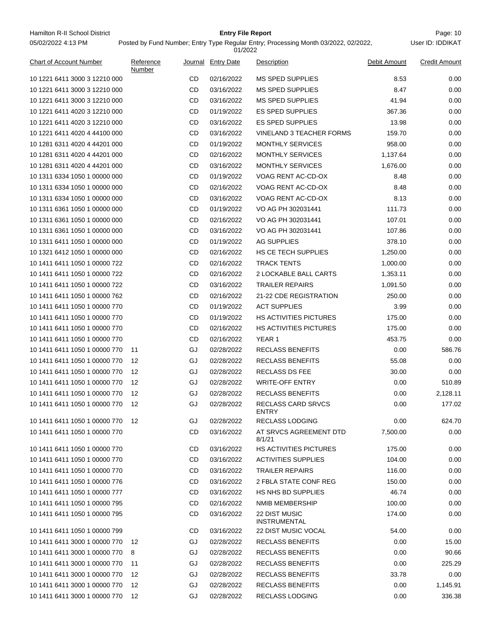Hamilton R-II School District **Entry File Report Entry File Report** Page: 10 05/02/2022 4:13 PM

# **Entry File Report**

User ID: IDDIKAT

| <b>Chart of Account Number</b> | Reference<br>Number |    | Journal Entry Date | Description                                 | Debit Amount | <b>Credit Amount</b> |
|--------------------------------|---------------------|----|--------------------|---------------------------------------------|--------------|----------------------|
| 10 1221 6411 3000 3 12210 000  |                     | CD | 02/16/2022         | <b>MS SPED SUPPLIES</b>                     | 8.53         | 0.00                 |
| 10 1221 6411 3000 3 12210 000  |                     | CD | 03/16/2022         | <b>MS SPED SUPPLIES</b>                     | 8.47         | 0.00                 |
| 10 1221 6411 3000 3 12210 000  |                     | CD | 03/16/2022         | <b>MS SPED SUPPLIES</b>                     | 41.94        | 0.00                 |
| 10 1221 6411 4020 3 12210 000  |                     | CD | 01/19/2022         | <b>ES SPED SUPPLIES</b>                     | 367.36       | 0.00                 |
| 10 1221 6411 4020 3 12210 000  |                     | CD | 03/16/2022         | <b>ES SPED SUPPLIES</b>                     | 13.98        | 0.00                 |
| 10 1221 6411 4020 4 44100 000  |                     | CD | 03/16/2022         | <b>VINELAND 3 TEACHER FORMS</b>             | 159.70       | 0.00                 |
| 10 1281 6311 4020 4 44201 000  |                     | CD | 01/19/2022         | <b>MONTHLY SERVICES</b>                     | 958.00       | 0.00                 |
| 10 1281 6311 4020 4 44201 000  |                     | CD | 02/16/2022         | <b>MONTHLY SERVICES</b>                     | 1,137.64     | 0.00                 |
| 10 1281 6311 4020 4 44201 000  |                     | CD | 03/16/2022         | <b>MONTHLY SERVICES</b>                     | 1,676.00     | 0.00                 |
| 10 1311 6334 1050 1 00000 000  |                     | CD | 01/19/2022         | VOAG RENT AC-CD-OX                          | 8.48         | 0.00                 |
| 10 1311 6334 1050 1 00000 000  |                     | CD | 02/16/2022         | VOAG RENT AC-CD-OX                          | 8.48         | 0.00                 |
| 10 1311 6334 1050 1 00000 000  |                     | CD | 03/16/2022         | VOAG RENT AC-CD-OX                          | 8.13         | 0.00                 |
| 10 1311 6361 1050 1 00000 000  |                     | CD | 01/19/2022         | VO AG PH 302031441                          | 111.73       | 0.00                 |
| 10 1311 6361 1050 1 00000 000  |                     | CD | 02/16/2022         | VO AG PH 302031441                          | 107.01       | 0.00                 |
| 10 1311 6361 1050 1 00000 000  |                     | CD | 03/16/2022         | VO AG PH 302031441                          | 107.86       | 0.00                 |
| 10 1311 6411 1050 1 00000 000  |                     | CD | 01/19/2022         | <b>AG SUPPLIES</b>                          | 378.10       | 0.00                 |
| 10 1321 6412 1050 1 00000 000  |                     | CD | 02/16/2022         | HS CE TECH SUPPLIES                         | 1,250.00     | 0.00                 |
| 10 1411 6411 1050 1 00000 722  |                     | CD | 02/16/2022         | <b>TRACK TENTS</b>                          | 1,000.00     | 0.00                 |
| 10 1411 6411 1050 1 00000 722  |                     | CD | 02/16/2022         | 2 LOCKABLE BALL CARTS                       | 1,353.11     | 0.00                 |
| 10 1411 6411 1050 1 00000 722  |                     | CD | 03/16/2022         | <b>TRAILER REPAIRS</b>                      | 1,091.50     | 0.00                 |
| 10 1411 6411 1050 1 00000 762  |                     | CD | 02/16/2022         | 21-22 CDE REGISTRATION                      | 250.00       | 0.00                 |
| 10 1411 6411 1050 1 00000 770  |                     | CD | 01/19/2022         | <b>ACT SUPPLIES</b>                         | 3.99         | 0.00                 |
| 10 1411 6411 1050 1 00000 770  |                     | CD | 01/19/2022         | <b>HS ACTIVITIES PICTURES</b>               | 175.00       | 0.00                 |
| 10 1411 6411 1050 1 00000 770  |                     | CD | 02/16/2022         | HS ACTIVITIES PICTURES                      | 175.00       | 0.00                 |
| 10 1411 6411 1050 1 00000 770  |                     | CD | 02/16/2022         | YEAR 1                                      | 453.75       | 0.00                 |
| 10 1411 6411 1050 1 00000 770  | 11                  | GJ | 02/28/2022         | <b>RECLASS BENEFITS</b>                     | 0.00         | 586.76               |
| 10 1411 6411 1050 1 00000 770  | 12                  | GJ | 02/28/2022         | <b>RECLASS BENEFITS</b>                     | 55.08        | 0.00                 |
| 10 1411 6411 1050 1 00000 770  | 12                  | GJ | 02/28/2022         | <b>RECLASS DS FEE</b>                       | 30.00        | 0.00                 |
| 10 1411 6411 1050 1 00000 770  | 12                  | GJ | 02/28/2022         | <b>WRITE-OFF ENTRY</b>                      | 0.00         | 510.89               |
| 10 1411 6411 1050 1 00000 770  | 12                  | GJ | 02/28/2022         | RECLASS BENEFITS                            | 0.00         | 2,128.11             |
| 10 1411 6411 1050 1 00000 770  | 12                  | GJ | 02/28/2022         | <b>RECLASS CARD SRVCS</b>                   | 0.00         | 177.02               |
| 10 1411 6411 1050 1 00000 770  | 12                  | GJ | 02/28/2022         | ENTRY<br><b>RECLASS LODGING</b>             | 0.00         | 624.70               |
| 10 1411 6411 1050 1 00000 770  |                     | CD | 03/16/2022         | AT SRVCS AGREEMENT DTD                      | 7,500.00     | 0.00                 |
| 10 1411 6411 1050 1 00000 770  |                     | CD | 03/16/2022         | 8/1/21<br><b>HS ACTIVITIES PICTURES</b>     | 175.00       | 0.00                 |
| 10 1411 6411 1050 1 00000 770  |                     | CD | 03/16/2022         | <b>ACTIVITIES SUPPLIES</b>                  | 104.00       | 0.00                 |
| 10 1411 6411 1050 1 00000 770  |                     | CD | 03/16/2022         | <b>TRAILER REPAIRS</b>                      | 116.00       | 0.00                 |
| 10 1411 6411 1050 1 00000 776  |                     | CD |                    | 2 FBLA STATE CONF REG                       |              |                      |
|                                |                     |    | 03/16/2022         |                                             | 150.00       | 0.00                 |
| 10 1411 6411 1050 1 00000 777  |                     | CD | 03/16/2022         | <b>HS NHS BD SUPPLIES</b>                   | 46.74        | 0.00                 |
| 10 1411 6411 1050 1 00000 795  |                     | CD | 02/16/2022         | NMIB MEMBERSHIP                             | 100.00       | 0.00                 |
| 10 1411 6411 1050 1 00000 795  |                     | CD | 03/16/2022         | <b>22 DIST MUSIC</b><br><b>INSTRUMENTAL</b> | 174.00       | 0.00                 |
| 10 1411 6411 1050 1 00000 799  |                     | CD | 03/16/2022         | <b>22 DIST MUSIC VOCAL</b>                  | 54.00        | 0.00                 |
| 10 1411 6411 3000 1 00000 770  | 12                  | GJ | 02/28/2022         | <b>RECLASS BENEFITS</b>                     | 0.00         | 15.00                |
| 10 1411 6411 3000 1 00000 770  | 8                   | GJ | 02/28/2022         | <b>RECLASS BENEFITS</b>                     | 0.00         | 90.66                |
| 10 1411 6411 3000 1 00000 770  | 11                  | GJ | 02/28/2022         | <b>RECLASS BENEFITS</b>                     | 0.00         | 225.29               |
| 10 1411 6411 3000 1 00000 770  | 12                  | GJ | 02/28/2022         | <b>RECLASS BENEFITS</b>                     | 33.78        | 0.00                 |
| 10 1411 6411 3000 1 00000 770  | 12                  | GJ | 02/28/2022         | <b>RECLASS BENEFITS</b>                     | 0.00         | 1,145.91             |
| 10 1411 6411 3000 1 00000 770  | 12                  | GJ | 02/28/2022         | <b>RECLASS LODGING</b>                      | 0.00         | 336.38               |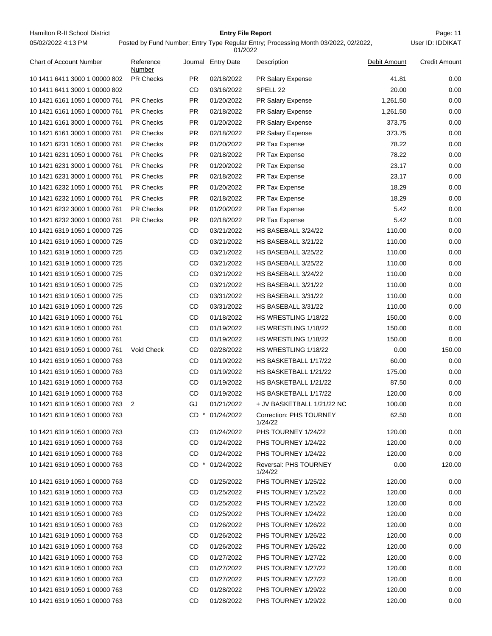Hamilton R-II School District **Example 20 Films Containers Containers Containers Containers Page: 11** Page: 11 05/02/2022 4:13 PM

# **Entry File Report**

Posted by Fund Number; Entry Type Regular Entry; Processing Month 03/2022, 02/2022,

|                                |                     |           | 01/2022            |                                    |              |                      |
|--------------------------------|---------------------|-----------|--------------------|------------------------------------|--------------|----------------------|
| <b>Chart of Account Number</b> | Reference<br>Number |           | Journal Entry Date | Description                        | Debit Amount | <b>Credit Amount</b> |
| 10 1411 6411 3000 1 00000 802  | <b>PR Checks</b>    | PR.       | 02/18/2022         | PR Salary Expense                  | 41.81        | 0.00                 |
| 10 1411 6411 3000 1 00000 802  |                     | CD        | 03/16/2022         | SPELL <sub>22</sub>                | 20.00        | 0.00                 |
| 10 1421 6161 1050 1 00000 761  | <b>PR Checks</b>    | PR.       | 01/20/2022         | PR Salary Expense                  | 1,261.50     | 0.00                 |
| 10 1421 6161 1050 1 00000 761  | <b>PR Checks</b>    | PR.       | 02/18/2022         | PR Salary Expense                  | 1,261.50     | 0.00                 |
| 10 1421 6161 3000 1 00000 761  | <b>PR Checks</b>    | PR.       | 01/20/2022         | <b>PR Salary Expense</b>           | 373.75       | 0.00                 |
| 10 1421 6161 3000 1 00000 761  | <b>PR Checks</b>    | PR.       | 02/18/2022         | PR Salary Expense                  | 373.75       | 0.00                 |
| 10 1421 6231 1050 1 00000 761  | <b>PR Checks</b>    | <b>PR</b> | 01/20/2022         | PR Tax Expense                     | 78.22        | 0.00                 |
| 10 1421 6231 1050 1 00000 761  | <b>PR Checks</b>    | PR.       | 02/18/2022         | PR Tax Expense                     | 78.22        | 0.00                 |
| 10 1421 6231 3000 1 00000 761  | <b>PR Checks</b>    | PR.       | 01/20/2022         | PR Tax Expense                     | 23.17        | 0.00                 |
| 10 1421 6231 3000 1 00000 761  | <b>PR Checks</b>    | <b>PR</b> | 02/18/2022         | PR Tax Expense                     | 23.17        | 0.00                 |
| 10 1421 6232 1050 1 00000 761  | <b>PR Checks</b>    | PR.       | 01/20/2022         | PR Tax Expense                     | 18.29        | 0.00                 |
| 10 1421 6232 1050 1 00000 761  | <b>PR Checks</b>    | PR.       | 02/18/2022         | PR Tax Expense                     | 18.29        | 0.00                 |
| 10 1421 6232 3000 1 00000 761  | <b>PR Checks</b>    | PR.       | 01/20/2022         | PR Tax Expense                     | 5.42         | 0.00                 |
| 10 1421 6232 3000 1 00000 761  | <b>PR Checks</b>    | PR.       | 02/18/2022         | PR Tax Expense                     | 5.42         | 0.00                 |
| 10 1421 6319 1050 1 00000 725  |                     | CD        | 03/21/2022         | HS BASEBALL 3/24/22                | 110.00       | 0.00                 |
| 10 1421 6319 1050 1 00000 725  |                     | CD        | 03/21/2022         | HS BASEBALL 3/21/22                | 110.00       | 0.00                 |
| 10 1421 6319 1050 1 00000 725  |                     | CD        | 03/21/2022         | HS BASEBALL 3/25/22                | 110.00       | 0.00                 |
| 10 1421 6319 1050 1 00000 725  |                     | <b>CD</b> | 03/21/2022         | HS BASEBALL 3/25/22                | 110.00       | 0.00                 |
| 10 1421 6319 1050 1 00000 725  |                     | CD        | 03/21/2022         | HS BASEBALL 3/24/22                | 110.00       | 0.00                 |
| 10 1421 6319 1050 1 00000 725  |                     | CD        | 03/21/2022         | HS BASEBALL 3/21/22                | 110.00       | 0.00                 |
| 10 1421 6319 1050 1 00000 725  |                     | CD        | 03/31/2022         | HS BASEBALL 3/31/22                | 110.00       | 0.00                 |
| 10 1421 6319 1050 1 00000 725  |                     | CD        | 03/31/2022         | HS BASEBALL 3/31/22                | 110.00       | 0.00                 |
| 10 1421 6319 1050 1 00000 761  |                     | CD        | 01/18/2022         | HS WRESTLING 1/18/22               | 150.00       | 0.00                 |
| 10 1421 6319 1050 1 00000 761  |                     | CD        | 01/19/2022         | HS WRESTLING 1/18/22               | 150.00       | 0.00                 |
| 10 1421 6319 1050 1 00000 761  |                     | CD        | 01/19/2022         | HS WRESTLING 1/18/22               | 150.00       | 0.00                 |
| 10 1421 6319 1050 1 00000 761  | Void Check          | CD        | 02/28/2022         | HS WRESTLING 1/18/22               | 0.00         | 150.00               |
| 10 1421 6319 1050 1 00000 763  |                     | CD        | 01/19/2022         | HS BASKETBALL 1/17/22              | 60.00        | 0.00                 |
| 10 1421 6319 1050 1 00000 763  |                     | CD        | 01/19/2022         | HS BASKETBALL 1/21/22              | 175.00       | 0.00                 |
| 10 1421 6319 1050 1 00000 763  |                     | CD        | 01/19/2022         | HS BASKETBALL 1/21/22              | 87.50        | 0.00                 |
| 10 1421 6319 1050 1 00000 763  |                     | CD        | 01/19/2022         | HS BASKETBALL 1/17/22              | 120.00       | 0.00                 |
| 10 1421 6319 1050 1 00000 763  | 2                   | GJ        | 01/21/2022         | + JV BASKETBALL 1/21/22 NC         | 100.00       | 0.00                 |
| 10 1421 6319 1050 1 00000 763  |                     |           | CD * 01/24/2022    | Correction: PHS TOURNEY<br>1/24/22 | 62.50        | 0.00                 |
| 10 1421 6319 1050 1 00000 763  |                     | CD        | 01/24/2022         | PHS TOURNEY 1/24/22                | 120.00       | 0.00                 |
| 10 1421 6319 1050 1 00000 763  |                     | CD        | 01/24/2022         | PHS TOURNEY 1/24/22                | 120.00       | 0.00                 |
| 10 1421 6319 1050 1 00000 763  |                     | CD        | 01/24/2022         | PHS TOURNEY 1/24/22                | 120.00       | 0.00                 |
| 10 1421 6319 1050 1 00000 763  |                     | CD *      | 01/24/2022         | Reversal: PHS TOURNEY<br>1/24/22   | 0.00         | 120.00               |
| 10 1421 6319 1050 1 00000 763  |                     | CD        | 01/25/2022         | PHS TOURNEY 1/25/22                | 120.00       | 0.00                 |
| 10 1421 6319 1050 1 00000 763  |                     | CD        | 01/25/2022         | PHS TOURNEY 1/25/22                | 120.00       | 0.00                 |
| 10 1421 6319 1050 1 00000 763  |                     | CD        | 01/25/2022         | PHS TOURNEY 1/25/22                | 120.00       | 0.00                 |
| 10 1421 6319 1050 1 00000 763  |                     | CD        | 01/25/2022         | PHS TOURNEY 1/24/22                | 120.00       | 0.00                 |
| 10 1421 6319 1050 1 00000 763  |                     | CD        | 01/26/2022         | PHS TOURNEY 1/26/22                | 120.00       | 0.00                 |
| 10 1421 6319 1050 1 00000 763  |                     | CD        | 01/26/2022         | PHS TOURNEY 1/26/22                | 120.00       | 0.00                 |
| 10 1421 6319 1050 1 00000 763  |                     | CD        | 01/26/2022         | PHS TOURNEY 1/26/22                | 120.00       | 0.00                 |
| 10 1421 6319 1050 1 00000 763  |                     | CD        | 01/27/2022         | PHS TOURNEY 1/27/22                | 120.00       | 0.00                 |
| 10 1421 6319 1050 1 00000 763  |                     | CD        | 01/27/2022         | PHS TOURNEY 1/27/22                | 120.00       | 0.00                 |
| 10 1421 6319 1050 1 00000 763  |                     | CD        | 01/27/2022         | PHS TOURNEY 1/27/22                | 120.00       | 0.00                 |
| 10 1421 6319 1050 1 00000 763  |                     | CD        | 01/28/2022         | PHS TOURNEY 1/29/22                | 120.00       | 0.00                 |
| 10 1421 6319 1050 1 00000 763  |                     | CD        | 01/28/2022         | PHS TOURNEY 1/29/22                | 120.00       | 0.00                 |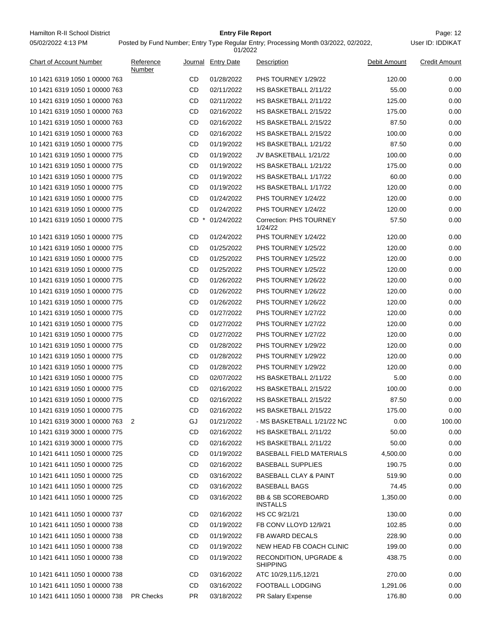# **Entry File Report**

|                                |                     |     | 01/2022            |                                                      |              |                      |
|--------------------------------|---------------------|-----|--------------------|------------------------------------------------------|--------------|----------------------|
| <b>Chart of Account Number</b> | Reference<br>Number |     | Journal Entry Date | Description                                          | Debit Amount | <b>Credit Amount</b> |
| 10 1421 6319 1050 1 00000 763  |                     | CD  | 01/28/2022         | PHS TOURNEY 1/29/22                                  | 120.00       | 0.00                 |
| 10 1421 6319 1050 1 00000 763  |                     | CD  | 02/11/2022         | HS BASKETBALL 2/11/22                                | 55.00        | 0.00                 |
| 10 1421 6319 1050 1 00000 763  |                     | CD  | 02/11/2022         | HS BASKETBALL 2/11/22                                | 125.00       | 0.00                 |
| 10 1421 6319 1050 1 00000 763  |                     | CD  | 02/16/2022         | HS BASKETBALL 2/15/22                                | 175.00       | 0.00                 |
| 10 1421 6319 1050 1 00000 763  |                     | CD  | 02/16/2022         | HS BASKETBALL 2/15/22                                | 87.50        | 0.00                 |
| 10 1421 6319 1050 1 00000 763  |                     | CD  | 02/16/2022         | HS BASKETBALL 2/15/22                                | 100.00       | 0.00                 |
| 10 1421 6319 1050 1 00000 775  |                     | CD  | 01/19/2022         | HS BASKETBALL 1/21/22                                | 87.50        | 0.00                 |
| 10 1421 6319 1050 1 00000 775  |                     | CD  | 01/19/2022         | JV BASKETBALL 1/21/22                                | 100.00       | 0.00                 |
| 10 1421 6319 1050 1 00000 775  |                     | CD  | 01/19/2022         | HS BASKETBALL 1/21/22                                | 175.00       | 0.00                 |
| 10 1421 6319 1050 1 00000 775  |                     | CD  | 01/19/2022         | HS BASKETBALL 1/17/22                                | 60.00        | 0.00                 |
| 10 1421 6319 1050 1 00000 775  |                     | CD  | 01/19/2022         | HS BASKETBALL 1/17/22                                | 120.00       | 0.00                 |
| 10 1421 6319 1050 1 00000 775  |                     | CD  | 01/24/2022         | PHS TOURNEY 1/24/22                                  | 120.00       | 0.00                 |
| 10 1421 6319 1050 1 00000 775  |                     | CD  | 01/24/2022         | PHS TOURNEY 1/24/22                                  | 120.00       | 0.00                 |
| 10 1421 6319 1050 1 00000 775  |                     | CD. | 01/24/2022         | <b>Correction: PHS TOURNEY</b><br>1/24/22            | 57.50        | 0.00                 |
| 10 1421 6319 1050 1 00000 775  |                     | CD  | 01/24/2022         | PHS TOURNEY 1/24/22                                  | 120.00       | 0.00                 |
| 10 1421 6319 1050 1 00000 775  |                     | CD  | 01/25/2022         | PHS TOURNEY 1/25/22                                  | 120.00       | 0.00                 |
| 10 1421 6319 1050 1 00000 775  |                     | CD  | 01/25/2022         | PHS TOURNEY 1/25/22                                  | 120.00       | 0.00                 |
| 10 1421 6319 1050 1 00000 775  |                     | CD  | 01/25/2022         | PHS TOURNEY 1/25/22                                  | 120.00       | 0.00                 |
| 10 1421 6319 1050 1 00000 775  |                     | CD  | 01/26/2022         | PHS TOURNEY 1/26/22                                  | 120.00       | 0.00                 |
| 10 1421 6319 1050 1 00000 775  |                     | CD  | 01/26/2022         | PHS TOURNEY 1/26/22                                  | 120.00       | 0.00                 |
| 10 1421 6319 1050 1 00000 775  |                     | CD  | 01/26/2022         | PHS TOURNEY 1/26/22                                  | 120.00       | 0.00                 |
| 10 1421 6319 1050 1 00000 775  |                     | CD  | 01/27/2022         | PHS TOURNEY 1/27/22                                  | 120.00       | 0.00                 |
| 10 1421 6319 1050 1 00000 775  |                     | CD  | 01/27/2022         | PHS TOURNEY 1/27/22                                  | 120.00       | 0.00                 |
| 10 1421 6319 1050 1 00000 775  |                     | CD  | 01/27/2022         | PHS TOURNEY 1/27/22                                  | 120.00       | 0.00                 |
| 10 1421 6319 1050 1 00000 775  |                     | CD  | 01/28/2022         | PHS TOURNEY 1/29/22                                  | 120.00       | 0.00                 |
| 10 1421 6319 1050 1 00000 775  |                     | CD  | 01/28/2022         | PHS TOURNEY 1/29/22                                  | 120.00       | 0.00                 |
| 10 1421 6319 1050 1 00000 775  |                     | CD  | 01/28/2022         | PHS TOURNEY 1/29/22                                  | 120.00       | 0.00                 |
| 10 1421 6319 1050 1 00000 775  |                     | CD  | 02/07/2022         | HS BASKETBALL 2/11/22                                | 5.00         | 0.00                 |
| 10 1421 6319 1050 1 00000 775  |                     | CD  | 02/16/2022         | HS BASKETBALL 2/15/22                                | 100.00       | 0.00                 |
| 10 1421 6319 1050 1 00000 775  |                     | CD  | 02/16/2022         | HS BASKETBALL 2/15/22                                | 87.50        | 0.00                 |
| 10 1421 6319 1050 1 00000 775  |                     | CD  | 02/16/2022         | HS BASKETBALL 2/15/22                                | 175.00       | 0.00                 |
| 10 1421 6319 3000 1 00000 763  | -2                  | GJ  | 01/21/2022         | - MS BASKETBALL 1/21/22 NC                           | 0.00         | 100.00               |
| 10 1421 6319 3000 1 00000 775  |                     | CD  | 02/16/2022         | HS BASKETBALL 2/11/22                                | 50.00        | 0.00                 |
| 10 1421 6319 3000 1 00000 775  |                     | CD  | 02/16/2022         | HS BASKETBALL 2/11/22                                | 50.00        | 0.00                 |
| 10 1421 6411 1050 1 00000 725  |                     | CD  | 01/19/2022         | <b>BASEBALL FIELD MATERIALS</b>                      | 4,500.00     | 0.00                 |
| 10 1421 6411 1050 1 00000 725  |                     | CD  | 02/16/2022         | <b>BASEBALL SUPPLIES</b>                             | 190.75       | 0.00                 |
| 10 1421 6411 1050 1 00000 725  |                     | CD  | 03/16/2022         | <b>BASEBALL CLAY &amp; PAINT</b>                     | 519.90       | 0.00                 |
| 10 1421 6411 1050 1 00000 725  |                     | CD  | 03/16/2022         | <b>BASEBALL BAGS</b>                                 | 74.45        | 0.00                 |
| 10 1421 6411 1050 1 00000 725  |                     | CD  | 03/16/2022         | <b>BB &amp; SB SCOREBOARD</b><br><b>INSTALLS</b>     | 1,350.00     | 0.00                 |
| 10 1421 6411 1050 1 00000 737  |                     | CD  | 02/16/2022         | HS CC 9/21/21                                        | 130.00       | 0.00                 |
| 10 1421 6411 1050 1 00000 738  |                     | CD  | 01/19/2022         | FB CONV LLOYD 12/9/21                                | 102.85       | 0.00                 |
| 10 1421 6411 1050 1 00000 738  |                     | CD  | 01/19/2022         | FB AWARD DECALS                                      | 228.90       | 0.00                 |
| 10 1421 6411 1050 1 00000 738  |                     | CD  | 01/19/2022         | NEW HEAD FB COACH CLINIC                             | 199.00       | 0.00                 |
| 10 1421 6411 1050 1 00000 738  |                     | CD  | 01/19/2022         | <b>RECONDITION, UPGRADE &amp;</b><br><b>SHIPPING</b> | 438.75       | 0.00                 |
| 10 1421 6411 1050 1 00000 738  |                     | CD  | 03/16/2022         | ATC 10/29,11/5,12/21                                 | 270.00       | 0.00                 |
| 10 1421 6411 1050 1 00000 738  |                     | CD  | 03/16/2022         | FOOTBALL LODGING                                     | 1,291.06     | 0.00                 |
| 10 1421 6411 1050 1 00000 738  | PR Checks           | PR. | 03/18/2022         | PR Salary Expense                                    | 176.80       | 0.00                 |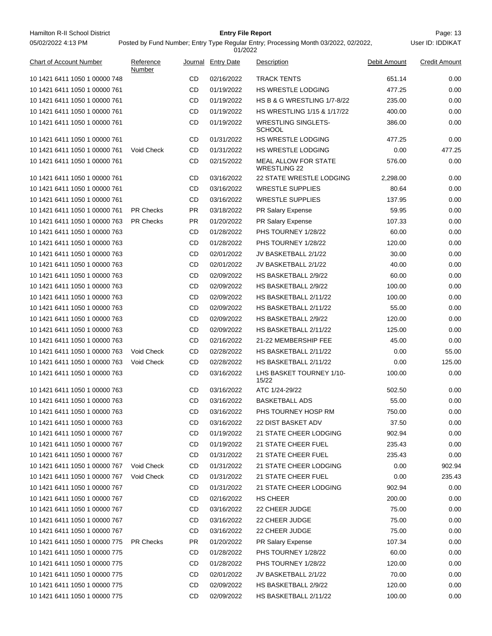Hamilton R-II School District **Entry File Report Entry File Report** Page: 13 05/02/2022 4:13 PM

# **Entry File Report**

User ID: IDDIKAT

| <b>Chart of Account Number</b> | Reference<br>Number |           | Journal Entry Date | Description                                        | Debit Amount | <b>Credit Amount</b> |
|--------------------------------|---------------------|-----------|--------------------|----------------------------------------------------|--------------|----------------------|
| 10 1421 6411 1050 1 00000 748  |                     | CD        | 02/16/2022         | <b>TRACK TENTS</b>                                 | 651.14       | 0.00                 |
| 10 1421 6411 1050 1 00000 761  |                     | CD        | 01/19/2022         | HS WRESTLE LODGING                                 | 477.25       | 0.00                 |
| 10 1421 6411 1050 1 00000 761  |                     | CD        | 01/19/2022         | <b>HS B &amp; G WRESTLING 1/7-8/22</b>             | 235.00       | 0.00                 |
| 10 1421 6411 1050 1 00000 761  |                     | CD        | 01/19/2022         | HS WRESTLING 1/15 & 1/17/22                        | 400.00       | 0.00                 |
| 10 1421 6411 1050 1 00000 761  |                     | CD        | 01/19/2022         | <b>WRESTLING SINGLETS-</b><br><b>SCHOOL</b>        | 386.00       | 0.00                 |
| 10 1421 6411 1050 1 00000 761  |                     | CD        | 01/31/2022         | HS WRESTLE LODGING                                 | 477.25       | 0.00                 |
| 10 1421 6411 1050 1 00000 761  | Void Check          | CD        | 01/31/2022         | HS WRESTLE LODGING                                 | 0.00         | 477.25               |
| 10 1421 6411 1050 1 00000 761  |                     | CD        | 02/15/2022         | <b>MEAL ALLOW FOR STATE</b><br><b>WRESTLING 22</b> | 576.00       | 0.00                 |
| 10 1421 6411 1050 1 00000 761  |                     | CD        | 03/16/2022         | <b>22 STATE WRESTLE LODGING</b>                    | 2,298.00     | 0.00                 |
| 10 1421 6411 1050 1 00000 761  |                     | CD        | 03/16/2022         | <b>WRESTLE SUPPLIES</b>                            | 80.64        | 0.00                 |
| 10 1421 6411 1050 1 00000 761  |                     | CD        | 03/16/2022         | <b>WRESTLE SUPPLIES</b>                            | 137.95       | 0.00                 |
| 10 1421 6411 1050 1 00000 761  | <b>PR Checks</b>    | PR.       | 03/18/2022         | PR Salary Expense                                  | 59.95        | $0.00\,$             |
| 10 1421 6411 1050 1 00000 763  | <b>PR Checks</b>    | PR.       | 01/20/2022         | PR Salary Expense                                  | 107.33       | 0.00                 |
| 10 1421 6411 1050 1 00000 763  |                     | CD        | 01/28/2022         | PHS TOURNEY 1/28/22                                | 60.00        | 0.00                 |
| 10 1421 6411 1050 1 00000 763  |                     | CD        | 01/28/2022         | PHS TOURNEY 1/28/22                                | 120.00       | 0.00                 |
| 10 1421 6411 1050 1 00000 763  |                     | CD        | 02/01/2022         | JV BASKETBALL 2/1/22                               | 30.00        | 0.00                 |
| 10 1421 6411 1050 1 00000 763  |                     | CD        | 02/01/2022         | JV BASKETBALL 2/1/22                               | 40.00        | 0.00                 |
| 10 1421 6411 1050 1 00000 763  |                     | CD        | 02/09/2022         | HS BASKETBALL 2/9/22                               | 60.00        | 0.00                 |
| 10 1421 6411 1050 1 00000 763  |                     | CD        | 02/09/2022         | HS BASKETBALL 2/9/22                               | 100.00       | 0.00                 |
| 10 1421 6411 1050 1 00000 763  |                     | CD        | 02/09/2022         | HS BASKETBALL 2/11/22                              | 100.00       | $0.00\,$             |
| 10 1421 6411 1050 1 00000 763  |                     | CD        | 02/09/2022         | HS BASKETBALL 2/11/22                              | 55.00        | 0.00                 |
| 10 1421 6411 1050 1 00000 763  |                     | CD        | 02/09/2022         | HS BASKETBALL 2/9/22                               | 120.00       | 0.00                 |
| 10 1421 6411 1050 1 00000 763  |                     | CD        | 02/09/2022         | HS BASKETBALL 2/11/22                              | 125.00       | 0.00                 |
| 10 1421 6411 1050 1 00000 763  |                     | CD        | 02/16/2022         | 21-22 MEMBERSHIP FEE                               | 45.00        | 0.00                 |
| 10 1421 6411 1050 1 00000 763  | <b>Void Check</b>   | CD        | 02/28/2022         | HS BASKETBALL 2/11/22                              | 0.00         | 55.00                |
| 10 1421 6411 1050 1 00000 763  | Void Check          | CD        | 02/28/2022         | HS BASKETBALL 2/11/22                              | 0.00         | 125.00               |
| 10 1421 6411 1050 1 00000 763  |                     | CD        | 03/16/2022         | LHS BASKET TOURNEY 1/10-<br>15/22                  | 100.00       | 0.00                 |
| 10 1421 6411 1050 1 00000 763  |                     | CD        | 03/16/2022         | ATC 1/24-29/22                                     | 502.50       | 0.00                 |
| 10 1421 6411 1050 1 00000 763  |                     | CD        | 03/16/2022         | <b>BASKETBALL ADS</b>                              | 55.00        | 0.00                 |
| 10 1421 6411 1050 1 00000 763  |                     | CD        | 03/16/2022         | PHS TOURNEY HOSP RM                                | 750.00       | 0.00                 |
| 10 1421 6411 1050 1 00000 763  |                     | CD        | 03/16/2022         | <b>22 DIST BASKET ADV</b>                          | 37.50        | 0.00                 |
| 10 1421 6411 1050 1 00000 767  |                     | CD        | 01/19/2022         | 21 STATE CHEER LODGING                             | 902.94       | 0.00                 |
| 10 1421 6411 1050 1 00000 767  |                     | CD        | 01/19/2022         | 21 STATE CHEER FUEL                                | 235.43       | 0.00                 |
| 10 1421 6411 1050 1 00000 767  |                     | CD        | 01/31/2022         | 21 STATE CHEER FUEL                                | 235.43       | 0.00                 |
| 10 1421 6411 1050 1 00000 767  | Void Check          | CD        | 01/31/2022         | 21 STATE CHEER LODGING                             | 0.00         | 902.94               |
| 10 1421 6411 1050 1 00000 767  | Void Check          | CD        | 01/31/2022         | 21 STATE CHEER FUEL                                | 0.00         | 235.43               |
| 10 1421 6411 1050 1 00000 767  |                     | CD        | 01/31/2022         | 21 STATE CHEER LODGING                             | 902.94       | 0.00                 |
| 10 1421 6411 1050 1 00000 767  |                     | CD        | 02/16/2022         | HS CHEER                                           | 200.00       | 0.00                 |
| 10 1421 6411 1050 1 00000 767  |                     | CD        | 03/16/2022         | 22 CHEER JUDGE                                     | 75.00        | 0.00                 |
| 10 1421 6411 1050 1 00000 767  |                     | CD        | 03/16/2022         | 22 CHEER JUDGE                                     | 75.00        | 0.00                 |
| 10 1421 6411 1050 1 00000 767  |                     | CD        | 03/16/2022         | 22 CHEER JUDGE                                     | 75.00        | 0.00                 |
| 10 1421 6411 1050 1 00000 775  | <b>PR Checks</b>    | <b>PR</b> | 01/20/2022         | PR Salary Expense                                  | 107.34       | 0.00                 |
| 10 1421 6411 1050 1 00000 775  |                     | CD        | 01/28/2022         | PHS TOURNEY 1/28/22                                | 60.00        | 0.00                 |
| 10 1421 6411 1050 1 00000 775  |                     | CD        |                    |                                                    |              | 0.00                 |
|                                |                     |           | 01/28/2022         | PHS TOURNEY 1/28/22                                | 120.00       |                      |
| 10 1421 6411 1050 1 00000 775  |                     | CD        | 02/01/2022         | JV BASKETBALL 2/1/22                               | 70.00        | 0.00                 |
| 10 1421 6411 1050 1 00000 775  |                     | CD        | 02/09/2022         | HS BASKETBALL 2/9/22                               | 120.00       | 0.00                 |
| 10 1421 6411 1050 1 00000 775  |                     | CD        | 02/09/2022         | HS BASKETBALL 2/11/22                              | 100.00       | 0.00                 |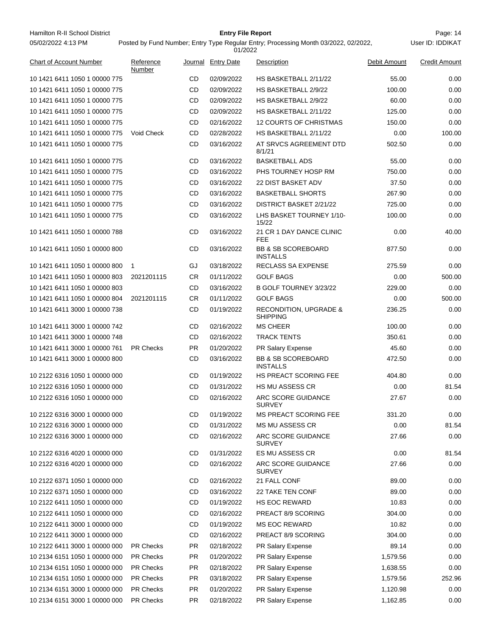Hamilton R-II School District **Entry File Report Entry File Report** Page: 14 05/02/2022 4:13 PM

# **Entry File Report**

User ID: IDDIKAT

| <b>Chart of Account Number</b> | Reference<br>Number |           | Journal Entry Date | Description                                      | Debit Amount | Credit Amount |
|--------------------------------|---------------------|-----------|--------------------|--------------------------------------------------|--------------|---------------|
| 10 1421 6411 1050 1 00000 775  |                     | CD        | 02/09/2022         | HS BASKETBALL 2/11/22                            | 55.00        | 0.00          |
| 10 1421 6411 1050 1 00000 775  |                     | CD        | 02/09/2022         | HS BASKETBALL 2/9/22                             | 100.00       | 0.00          |
| 10 1421 6411 1050 1 00000 775  |                     | CD        | 02/09/2022         | HS BASKETBALL 2/9/22                             | 60.00        | 0.00          |
| 10 1421 6411 1050 1 00000 775  |                     | CD        | 02/09/2022         | HS BASKETBALL 2/11/22                            | 125.00       | 0.00          |
| 10 1421 6411 1050 1 00000 775  |                     | CD        | 02/16/2022         | <b>12 COURTS OF CHRISTMAS</b>                    | 150.00       | 0.00          |
| 10 1421 6411 1050 1 00000 775  | Void Check          | CD        | 02/28/2022         | HS BASKETBALL 2/11/22                            | 0.00         | 100.00        |
| 10 1421 6411 1050 1 00000 775  |                     | CD        | 03/16/2022         | AT SRVCS AGREEMENT DTD<br>8/1/21                 | 502.50       | 0.00          |
| 10 1421 6411 1050 1 00000 775  |                     | CD        | 03/16/2022         | <b>BASKETBALL ADS</b>                            | 55.00        | 0.00          |
| 10 1421 6411 1050 1 00000 775  |                     | CD        | 03/16/2022         | PHS TOURNEY HOSP RM                              | 750.00       | 0.00          |
| 10 1421 6411 1050 1 00000 775  |                     | CD        | 03/16/2022         | <b>22 DIST BASKET ADV</b>                        | 37.50        | 0.00          |
| 10 1421 6411 1050 1 00000 775  |                     | CD        | 03/16/2022         | <b>BASKETBALL SHORTS</b>                         | 267.90       | 0.00          |
| 10 1421 6411 1050 1 00000 775  |                     | CD        | 03/16/2022         | DISTRICT BASKET 2/21/22                          | 725.00       | 0.00          |
| 10 1421 6411 1050 1 00000 775  |                     | CD        | 03/16/2022         | LHS BASKET TOURNEY 1/10-<br>15/22                | 100.00       | 0.00          |
| 10 1421 6411 1050 1 00000 788  |                     | CD        | 03/16/2022         | 21 CR 1 DAY DANCE CLINIC<br><b>FEE</b>           | 0.00         | 40.00         |
| 10 1421 6411 1050 1 00000 800  |                     | CD        | 03/16/2022         | <b>BB &amp; SB SCOREBOARD</b><br><b>INSTALLS</b> | 877.50       | 0.00          |
| 10 1421 6411 1050 1 00000 800  | $\mathbf{1}$        | GJ        | 03/18/2022         | RECLASS SA EXPENSE                               | 275.59       | 0.00          |
| 10 1421 6411 1050 1 00000 803  | 2021201115          | CR        | 01/11/2022         | <b>GOLF BAGS</b>                                 | 0.00         | 500.00        |
| 10 1421 6411 1050 1 00000 803  |                     | CD        | 03/16/2022         | B GOLF TOURNEY 3/23/22                           | 229.00       | 0.00          |
| 10 1421 6411 1050 1 00000 804  | 2021201115          | CR        | 01/11/2022         | <b>GOLF BAGS</b>                                 | 0.00         | 500.00        |
| 10 1421 6411 3000 1 00000 738  |                     | CD        | 01/19/2022         | RECONDITION, UPGRADE &<br><b>SHIPPING</b>        | 236.25       | 0.00          |
| 10 1421 6411 3000 1 00000 742  |                     | CD        | 02/16/2022         | <b>MS CHEER</b>                                  | 100.00       | 0.00          |
| 10 1421 6411 3000 1 00000 748  |                     | CD        | 02/16/2022         | <b>TRACK TENTS</b>                               | 350.61       | 0.00          |
| 10 1421 6411 3000 1 00000 761  | <b>PR Checks</b>    | PR.       | 01/20/2022         | PR Salary Expense                                | 45.60        | 0.00          |
| 10 1421 6411 3000 1 00000 800  |                     | CD        | 03/16/2022         | <b>BB &amp; SB SCOREBOARD</b><br><b>INSTALLS</b> | 472.50       | 0.00          |
| 10 2122 6316 1050 1 00000 000  |                     | CD        | 01/19/2022         | <b>HS PREACT SCORING FEE</b>                     | 404.80       | 0.00          |
| 10 2122 6316 1050 1 00000 000  |                     | CD        | 01/31/2022         | <b>HS MU ASSESS CR</b>                           | 0.00         | 81.54         |
| 10 2122 6316 1050 1 00000 000  |                     | CD        | 02/16/2022         | ARC SCORE GUIDANCE<br><b>SURVEY</b>              | 27.67        | 0.00          |
| 10 2122 6316 3000 1 00000 000  |                     | CD        | 01/19/2022         | MS PREACT SCORING FEE                            | 331.20       | 0.00          |
| 10 2122 6316 3000 1 00000 000  |                     | CD        | 01/31/2022         | MS MU ASSESS CR                                  | 0.00         | 81.54         |
| 10 2122 6316 3000 1 00000 000  |                     | CD        | 02/16/2022         | ARC SCORE GUIDANCE<br><b>SURVEY</b>              | 27.66        | 0.00          |
| 10 2122 6316 4020 1 00000 000  |                     | CD        | 01/31/2022         | ES MU ASSESS CR                                  | 0.00         | 81.54         |
| 10 2122 6316 4020 1 00000 000  |                     | CD        | 02/16/2022         | ARC SCORE GUIDANCE<br><b>SURVEY</b>              | 27.66        | 0.00          |
| 10 2122 6371 1050 1 00000 000  |                     | CD        | 02/16/2022         | 21 FALL CONF                                     | 89.00        | 0.00          |
| 10 2122 6371 1050 1 00000 000  |                     | CD        | 03/16/2022         | 22 TAKE TEN CONF                                 | 89.00        | 0.00          |
| 10 2122 6411 1050 1 00000 000  |                     | CD        | 01/19/2022         | <b>HS EOC REWARD</b>                             | 10.83        | 0.00          |
| 10 2122 6411 1050 1 00000 000  |                     | CD        | 02/16/2022         | PREACT 8/9 SCORING                               | 304.00       | 0.00          |
| 10 2122 6411 3000 1 00000 000  |                     | CD        | 01/19/2022         | <b>MS EOC REWARD</b>                             | 10.82        | 0.00          |
| 10 2122 6411 3000 1 00000 000  |                     | CD        | 02/16/2022         | PREACT 8/9 SCORING                               | 304.00       | 0.00          |
| 10 2122 6411 3000 1 00000 000  | <b>PR Checks</b>    | PR        | 02/18/2022         | PR Salary Expense                                | 89.14        | 0.00          |
| 10 2134 6151 1050 1 00000 000  | PR Checks           | PR        | 01/20/2022         | PR Salary Expense                                | 1,579.56     | 0.00          |
| 10 2134 6151 1050 1 00000 000  | <b>PR Checks</b>    | PR        | 02/18/2022         | PR Salary Expense                                | 1,638.55     | 0.00          |
| 10 2134 6151 1050 1 00000 000  | <b>PR Checks</b>    | PR        | 03/18/2022         | PR Salary Expense                                | 1,579.56     | 252.96        |
| 10 2134 6151 3000 1 00000 000  | PR Checks           | <b>PR</b> | 01/20/2022         | PR Salary Expense                                | 1,120.98     | 0.00          |
| 10 2134 6151 3000 1 00000 000  | PR Checks           | PR        | 02/18/2022         | PR Salary Expense                                | 1,162.85     | 0.00          |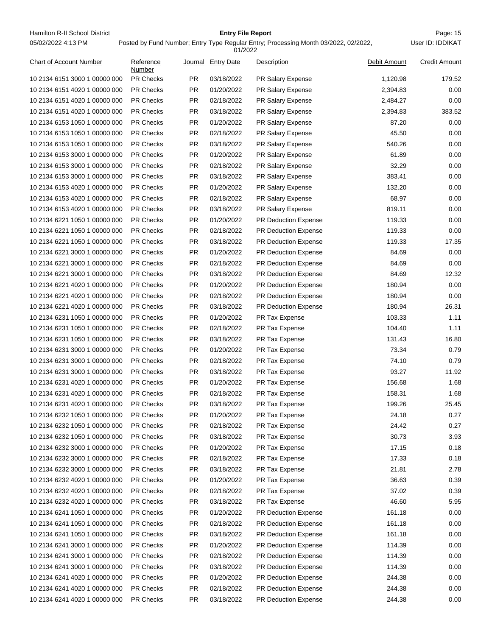Hamilton R-II School District **Entry File Report Entry File Report** Page: 15 05/02/2022 4:13 PM

# **Entry File Report**

Posted by Fund Number; Entry Type Regular Entry; Processing Month 03/2022, 02/2022,

|                                |                     |           | 01/2022            |                             |              |                      |
|--------------------------------|---------------------|-----------|--------------------|-----------------------------|--------------|----------------------|
| <b>Chart of Account Number</b> | Reference<br>Number |           | Journal Entry Date | Description                 | Debit Amount | <b>Credit Amount</b> |
| 10 2134 6151 3000 1 00000 000  | <b>PR Checks</b>    | PR.       | 03/18/2022         | PR Salary Expense           | 1,120.98     | 179.52               |
| 10 2134 6151 4020 1 00000 000  | <b>PR Checks</b>    | <b>PR</b> | 01/20/2022         | <b>PR Salary Expense</b>    | 2,394.83     | 0.00                 |
| 10 2134 6151 4020 1 00000 000  | <b>PR Checks</b>    | PR        | 02/18/2022         | PR Salary Expense           | 2,484.27     | 0.00                 |
| 10 2134 6151 4020 1 00000 000  | <b>PR Checks</b>    | PR.       | 03/18/2022         | PR Salary Expense           | 2,394.83     | 383.52               |
| 10 2134 6153 1050 1 00000 000  | <b>PR Checks</b>    | PR.       | 01/20/2022         | PR Salary Expense           | 87.20        | 0.00                 |
| 10 2134 6153 1050 1 00000 000  | <b>PR Checks</b>    | <b>PR</b> | 02/18/2022         | <b>PR Salary Expense</b>    | 45.50        | 0.00                 |
| 10 2134 6153 1050 1 00000 000  | PR Checks           | PR        | 03/18/2022         | PR Salary Expense           | 540.26       | 0.00                 |
| 10 2134 6153 3000 1 00000 000  | <b>PR Checks</b>    | PR        | 01/20/2022         | PR Salary Expense           | 61.89        | 0.00                 |
| 10 2134 6153 3000 1 00000 000  | <b>PR Checks</b>    | PR.       | 02/18/2022         | PR Salary Expense           | 32.29        | 0.00                 |
| 10 2134 6153 3000 1 00000 000  | <b>PR Checks</b>    | <b>PR</b> | 03/18/2022         | PR Salary Expense           | 383.41       | 0.00                 |
| 10 2134 6153 4020 1 00000 000  | <b>PR Checks</b>    | PR        | 01/20/2022         | PR Salary Expense           | 132.20       | 0.00                 |
| 10 2134 6153 4020 1 00000 000  | <b>PR Checks</b>    | PR.       | 02/18/2022         | PR Salary Expense           | 68.97        | 0.00                 |
| 10 2134 6153 4020 1 00000 000  | <b>PR Checks</b>    | PR.       | 03/18/2022         | <b>PR Salary Expense</b>    | 819.11       | 0.00                 |
| 10 2134 6221 1050 1 00000 000  | <b>PR Checks</b>    | PR.       | 01/20/2022         | <b>PR Deduction Expense</b> | 119.33       | 0.00                 |
| 10 2134 6221 1050 1 00000 000  | PR Checks           | PR        | 02/18/2022         | PR Deduction Expense        | 119.33       | 0.00                 |
| 10 2134 6221 1050 1 00000 000  | <b>PR Checks</b>    | PR        | 03/18/2022         | PR Deduction Expense        | 119.33       | 17.35                |
| 10 2134 6221 3000 1 00000 000  | <b>PR Checks</b>    | PR.       | 01/20/2022         | <b>PR Deduction Expense</b> | 84.69        | 0.00                 |
| 10 2134 6221 3000 1 00000 000  | <b>PR Checks</b>    | <b>PR</b> | 02/18/2022         | <b>PR Deduction Expense</b> | 84.69        | 0.00                 |
| 10 2134 6221 3000 1 00000 000  | <b>PR Checks</b>    | PR        | 03/18/2022         | PR Deduction Expense        | 84.69        | 12.32                |
| 10 2134 6221 4020 1 00000 000  | <b>PR Checks</b>    | PR.       | 01/20/2022         | PR Deduction Expense        | 180.94       | 0.00                 |
| 10 2134 6221 4020 1 00000 000  | <b>PR Checks</b>    | PR.       | 02/18/2022         | <b>PR Deduction Expense</b> | 180.94       | 0.00                 |
| 10 2134 6221 4020 1 00000 000  | <b>PR Checks</b>    | PR.       | 03/18/2022         | PR Deduction Expense        | 180.94       | 26.31                |
| 10 2134 6231 1050 1 00000 000  | PR Checks           | PR        | 01/20/2022         | PR Tax Expense              | 103.33       | 1.11                 |
| 10 2134 6231 1050 1 00000 000  | <b>PR Checks</b>    | PR        | 02/18/2022         | PR Tax Expense              | 104.40       | 1.11                 |
| 10 2134 6231 1050 1 00000 000  | <b>PR Checks</b>    | PR.       | 03/18/2022         | PR Tax Expense              | 131.43       | 16.80                |
| 10 2134 6231 3000 1 00000 000  | <b>PR Checks</b>    | <b>PR</b> | 01/20/2022         | PR Tax Expense              | 73.34        | 0.79                 |
| 10 2134 6231 3000 1 00000 000  | <b>PR Checks</b>    | PR        | 02/18/2022         | PR Tax Expense              | 74.10        | 0.79                 |
| 10 2134 6231 3000 1 00000 000  | <b>PR Checks</b>    | PR.       | 03/18/2022         | PR Tax Expense              | 93.27        | 11.92                |
| 10 2134 6231 4020 1 00000 000  | <b>PR Checks</b>    | PR.       | 01/20/2022         | PR Tax Expense              | 156.68       | 1.68                 |
| 10 2134 6231 4020 1 00000 000  | <b>PR Checks</b>    | <b>PR</b> | 02/18/2022         | PR Tax Expense              | 158.31       | 1.68                 |
| 10 2134 6231 4020 1 00000 000  | <b>PR Checks</b>    | <b>PR</b> | 03/18/2022         | PR Tax Expense              | 199.26       | 25.45                |
| 10 2134 6232 1050 1 00000 000  | PR Checks           | PR        | 01/20/2022         | PR Tax Expense              | 24.18        | 0.27                 |
| 10 2134 6232 1050 1 00000 000  | PR Checks           | PR        | 02/18/2022         | PR Tax Expense              | 24.42        | 0.27                 |
| 10 2134 6232 1050 1 00000 000  | PR Checks           | PR        | 03/18/2022         | PR Tax Expense              | 30.73        | 3.93                 |
| 10 2134 6232 3000 1 00000 000  | PR Checks           | <b>PR</b> | 01/20/2022         | PR Tax Expense              | 17.15        | 0.18                 |
| 10 2134 6232 3000 1 00000 000  | PR Checks           | PR        | 02/18/2022         | PR Tax Expense              | 17.33        | 0.18                 |
| 10 2134 6232 3000 1 00000 000  | PR Checks           | PR        | 03/18/2022         | PR Tax Expense              | 21.81        | 2.78                 |
| 10 2134 6232 4020 1 00000 000  | PR Checks           | PR        | 01/20/2022         | PR Tax Expense              | 36.63        | 0.39                 |
| 10 2134 6232 4020 1 00000 000  | PR Checks           | <b>PR</b> | 02/18/2022         | PR Tax Expense              | 37.02        | 0.39                 |
| 10 2134 6232 4020 1 00000 000  | PR Checks           | PR        | 03/18/2022         | PR Tax Expense              | 46.60        | 5.95                 |
| 10 2134 6241 1050 1 00000 000  | PR Checks           | PR        | 01/20/2022         | PR Deduction Expense        | 161.18       | 0.00                 |
| 10 2134 6241 1050 1 00000 000  | PR Checks           | PR        | 02/18/2022         | <b>PR Deduction Expense</b> | 161.18       | 0.00                 |
| 10 2134 6241 1050 1 00000 000  | PR Checks           | <b>PR</b> | 03/18/2022         | PR Deduction Expense        | 161.18       | 0.00                 |
| 10 2134 6241 3000 1 00000 000  | PR Checks           | PR        | 01/20/2022         | PR Deduction Expense        | 114.39       | 0.00                 |
| 10 2134 6241 3000 1 00000 000  | PR Checks           | PR        | 02/18/2022         | PR Deduction Expense        | 114.39       | 0.00                 |
| 10 2134 6241 3000 1 00000 000  | PR Checks           | PR        | 03/18/2022         | PR Deduction Expense        | 114.39       | 0.00                 |
| 10 2134 6241 4020 1 00000 000  | PR Checks           | <b>PR</b> | 01/20/2022         | PR Deduction Expense        | 244.38       | 0.00                 |
| 10 2134 6241 4020 1 00000 000  | PR Checks           | PR        | 02/18/2022         | PR Deduction Expense        | 244.38       | 0.00                 |
| 10 2134 6241 4020 1 00000 000  | PR Checks           | PR        | 03/18/2022         | PR Deduction Expense        | 244.38       | 0.00                 |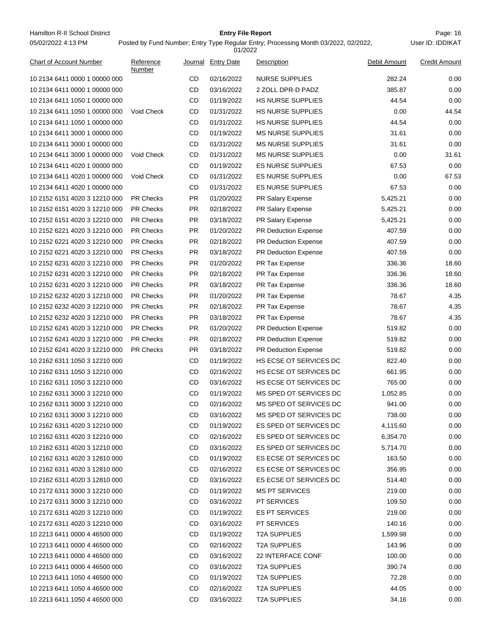Hamilton R-II School District **Entry File Report Entry File Report** Page: 16 05/02/2022 4:13 PM

# **Entry File Report**

|                                |                     |           | 01/2022            |                             |              |                      |
|--------------------------------|---------------------|-----------|--------------------|-----------------------------|--------------|----------------------|
| <b>Chart of Account Number</b> | Reference<br>Number |           | Journal Entry Date | Description                 | Debit Amount | <b>Credit Amount</b> |
| 10 2134 6411 0000 1 00000 000  |                     | CD        | 02/16/2022         | <b>NURSE SUPPLIES</b>       | 282.24       | 0.00                 |
| 10 2134 6411 0000 1 00000 000  |                     | <b>CD</b> | 03/16/2022         | 2 ZOLL DPR-D PADZ           | 385.87       | 0.00                 |
| 10 2134 6411 1050 1 00000 000  |                     | CD        | 01/19/2022         | <b>HS NURSE SUPPLIES</b>    | 44.54        | 0.00                 |
| 10 2134 6411 1050 1 00000 000  | Void Check          | CD        | 01/31/2022         | <b>HS NURSE SUPPLIES</b>    | 0.00         | 44.54                |
| 10 2134 6411 1050 1 00000 000  |                     | CD        | 01/31/2022         | <b>HS NURSE SUPPLIES</b>    | 44.54        | 0.00                 |
| 10 2134 6411 3000 1 00000 000  |                     | CD        | 01/19/2022         | <b>MS NURSE SUPPLIES</b>    | 31.61        | 0.00                 |
| 10 2134 6411 3000 1 00000 000  |                     | CD        | 01/31/2022         | <b>MS NURSE SUPPLIES</b>    | 31.61        | 0.00                 |
| 10 2134 6411 3000 1 00000 000  | Void Check          | CD        | 01/31/2022         | <b>MS NURSE SUPPLIES</b>    | 0.00         | 31.61                |
| 10 2134 6411 4020 1 00000 000  |                     | CD        | 01/19/2022         | <b>ES NURSE SUPPLIES</b>    | 67.53        | 0.00                 |
| 10 2134 6411 4020 1 00000 000  | Void Check          | CD        | 01/31/2022         | <b>ES NURSE SUPPLIES</b>    | 0.00         | 67.53                |
| 10 2134 6411 4020 1 00000 000  |                     | CD        | 01/31/2022         | <b>ES NURSE SUPPLIES</b>    | 67.53        | 0.00                 |
| 10 2152 6151 4020 3 12210 000  | <b>PR Checks</b>    | <b>PR</b> | 01/20/2022         | PR Salary Expense           | 5,425.21     | 0.00                 |
| 10 2152 6151 4020 3 12210 000  | <b>PR Checks</b>    | <b>PR</b> | 02/18/2022         | PR Salary Expense           | 5,425.21     | 0.00                 |
| 10 2152 6151 4020 3 12210 000  | <b>PR Checks</b>    | <b>PR</b> | 03/18/2022         | PR Salary Expense           | 5,425.21     | 0.00                 |
| 10 2152 6221 4020 3 12210 000  | <b>PR Checks</b>    | PR.       | 01/20/2022         | PR Deduction Expense        | 407.59       | 0.00                 |
| 10 2152 6221 4020 3 12210 000  | <b>PR Checks</b>    | PR.       | 02/18/2022         | <b>PR Deduction Expense</b> | 407.59       | 0.00                 |
| 10 2152 6221 4020 3 12210 000  | <b>PR Checks</b>    | <b>PR</b> | 03/18/2022         | PR Deduction Expense        | 407.59       | 0.00                 |
| 10 2152 6231 4020 3 12210 000  | <b>PR Checks</b>    | <b>PR</b> | 01/20/2022         | PR Tax Expense              | 336.36       | 18.60                |
| 10 2152 6231 4020 3 12210 000  | <b>PR Checks</b>    | PR.       | 02/18/2022         | PR Tax Expense              | 336.36       | 18.60                |
| 10 2152 6231 4020 3 12210 000  | <b>PR Checks</b>    | <b>PR</b> | 03/18/2022         | PR Tax Expense              | 336.36       | 18.60                |
| 10 2152 6232 4020 3 12210 000  | <b>PR Checks</b>    | PR.       | 01/20/2022         | PR Tax Expense              | 78.67        | 4.35                 |
| 10 2152 6232 4020 3 12210 000  | <b>PR Checks</b>    | <b>PR</b> | 02/18/2022         | PR Tax Expense              | 78.67        | 4.35                 |
| 10 2152 6232 4020 3 12210 000  | <b>PR Checks</b>    | PR.       | 03/18/2022         | PR Tax Expense              | 78.67        | 4.35                 |
| 10 2152 6241 4020 3 12210 000  | <b>PR Checks</b>    | PR.       | 01/20/2022         | <b>PR Deduction Expense</b> | 519.82       | 0.00                 |
| 10 2152 6241 4020 3 12210 000  | <b>PR Checks</b>    | <b>PR</b> | 02/18/2022         | PR Deduction Expense        | 519.82       | 0.00                 |
| 10 2152 6241 4020 3 12210 000  | <b>PR Checks</b>    | <b>PR</b> | 03/18/2022         | PR Deduction Expense        | 519.82       | 0.00                 |
| 10 2162 6311 1050 3 12210 000  |                     | CD        | 01/19/2022         | HS ECSE OT SERVICES DC      | 822.40       | 0.00                 |
| 10 2162 6311 1050 3 12210 000  |                     | CD        | 02/16/2022         | HS ECSE OT SERVICES DC      | 661.95       | 0.00                 |
| 10 2162 6311 1050 3 12210 000  |                     | CD        | 03/16/2022         | HS ECSE OT SERVICES DC      | 765.00       | 0.00                 |
| 10 2162 6311 3000 3 12210 000  |                     | <b>CD</b> | 01/19/2022         | MS SPED OT SERVICES DC      | 1,052.85     | 0.00                 |
| 10 2162 6311 3000 3 12210 000  |                     | <b>CD</b> | 02/16/2022         | MS SPED OT SERVICES DC      | 941.00       | 0.00                 |
| 10 2162 6311 3000 3 12210 000  |                     | CD        | 03/16/2022         | MS SPED OT SERVICES DC      | 738.00       | 0.00                 |
| 10 2162 6311 4020 3 12210 000  |                     | CD        | 01/19/2022         | ES SPED OT SERVICES DC      | 4,115.60     | 0.00                 |
| 10 2162 6311 4020 3 12210 000  |                     | CD        | 02/16/2022         | ES SPED OT SERVICES DC      | 6,354.70     | 0.00                 |
| 10 2162 6311 4020 3 12210 000  |                     | CD        | 03/16/2022         | ES SPED OT SERVICES DC      | 5,714.70     | 0.00                 |
| 10 2162 6311 4020 3 12810 000  |                     | CD        | 01/19/2022         | ES ECSE OT SERVICES DC      | 163.50       | 0.00                 |
| 10 2162 6311 4020 3 12810 000  |                     | CD        | 02/16/2022         | ES ECSE OT SERVICES DC      | 356.95       | 0.00                 |
| 10 2162 6311 4020 3 12810 000  |                     | CD        | 03/16/2022         | ES ECSE OT SERVICES DC      | 514.40       | 0.00                 |
| 10 2172 6311 3000 3 12210 000  |                     | CD        | 01/19/2022         | <b>MS PT SERVICES</b>       | 219.00       | 0.00                 |
| 10 2172 6311 3000 3 12210 000  |                     | CD        | 03/16/2022         | PT SERVICES                 | 109.50       | 0.00                 |
| 10 2172 6311 4020 3 12210 000  |                     | CD        | 01/19/2022         | <b>ES PT SERVICES</b>       | 219.00       | 0.00                 |
| 10 2172 6311 4020 3 12210 000  |                     | CD        | 03/16/2022         | <b>PT SERVICES</b>          | 140.16       | 0.00                 |
| 10 2213 6411 0000 4 46500 000  |                     | CD        | 01/19/2022         | <b>T2A SUPPLIES</b>         | 1,599.98     | 0.00                 |
| 10 2213 6411 0000 4 46500 000  |                     | CD        | 02/16/2022         | <b>T2A SUPPLIES</b>         | 143.96       | 0.00                 |
| 10 2213 6411 0000 4 46500 000  |                     | CD        | 03/16/2022         | 22 INTERFACE CONF           | 100.00       | 0.00                 |
| 10 2213 6411 0000 4 46500 000  |                     | CD        | 03/16/2022         | <b>T2A SUPPLIES</b>         | 390.74       | 0.00                 |
| 10 2213 6411 1050 4 46500 000  |                     | CD        | 01/19/2022         | <b>T2A SUPPLIES</b>         | 72.28        | 0.00                 |
| 10 2213 6411 1050 4 46500 000  |                     | CD        | 02/16/2022         | <b>T2A SUPPLIES</b>         | 44.05        | 0.00                 |
| 10 2213 6411 1050 4 46500 000  |                     | CD        | 03/16/2022         | <b>T2A SUPPLIES</b>         | 34.16        | 0.00                 |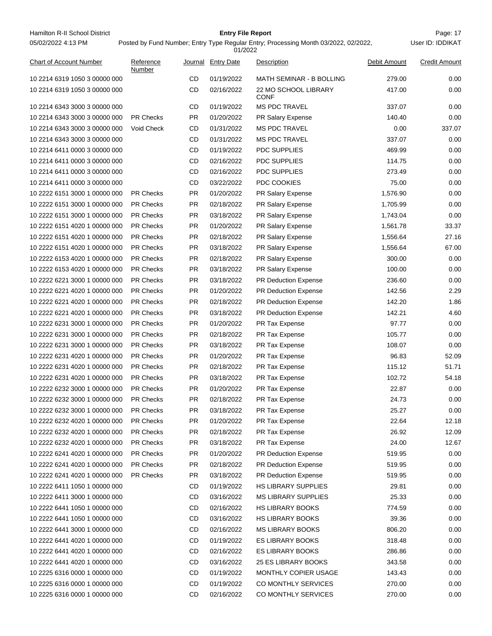| Hamilton R-II School District | <b>Entry File Report</b>                                                            | Page: 17         |
|-------------------------------|-------------------------------------------------------------------------------------|------------------|
| 05/02/2022 4:13 PM            | Posted by Fund Number; Entry Type Regular Entry; Processing Month 03/2022, 02/2022, | User ID: IDDIKAT |

| <b>Chart of Account Number</b> | Reference<br>Number |           | Journal Entry Date | Description                         | Debit Amount | <b>Credit Amount</b> |
|--------------------------------|---------------------|-----------|--------------------|-------------------------------------|--------------|----------------------|
| 10 2214 6319 1050 3 00000 000  |                     | CD        | 01/19/2022         | <b>MATH SEMINAR - B BOLLING</b>     | 279.00       | 0.00                 |
| 10 2214 6319 1050 3 00000 000  |                     | CD        | 02/16/2022         | 22 MO SCHOOL LIBRARY<br><b>CONF</b> | 417.00       | 0.00                 |
| 10 2214 6343 3000 3 00000 000  |                     | CD        | 01/19/2022         | <b>MS PDC TRAVEL</b>                | 337.07       | 0.00                 |
| 10 2214 6343 3000 3 00000 000  | <b>PR Checks</b>    | <b>PR</b> | 01/20/2022         | PR Salary Expense                   | 140.40       | 0.00                 |
| 10 2214 6343 3000 3 00000 000  | Void Check          | CD        | 01/31/2022         | <b>MS PDC TRAVEL</b>                | 0.00         | 337.07               |
| 10 2214 6343 3000 3 00000 000  |                     | CD        | 01/31/2022         | <b>MS PDC TRAVEL</b>                | 337.07       | 0.00                 |
| 10 2214 6411 0000 3 00000 000  |                     | CD        | 01/19/2022         | <b>PDC SUPPLIES</b>                 | 469.99       | 0.00                 |
| 10 2214 6411 0000 3 00000 000  |                     | CD        | 02/16/2022         | <b>PDC SUPPLIES</b>                 | 114.75       | 0.00                 |
| 10 2214 6411 0000 3 00000 000  |                     | CD        | 02/16/2022         | <b>PDC SUPPLIES</b>                 | 273.49       | 0.00                 |
| 10 2214 6411 0000 3 00000 000  |                     | <b>CD</b> | 03/22/2022         | PDC COOKIES                         | 75.00        | 0.00                 |
| 10 2222 6151 3000 1 00000 000  | <b>PR Checks</b>    | PR.       | 01/20/2022         | PR Salary Expense                   | 1,576.90     | 0.00                 |
| 10 2222 6151 3000 1 00000 000  | <b>PR Checks</b>    | PR.       | 02/18/2022         | PR Salary Expense                   | 1,705.99     | 0.00                 |
| 10 2222 6151 3000 1 00000 000  | <b>PR Checks</b>    | PR.       | 03/18/2022         | <b>PR Salary Expense</b>            | 1,743.04     | 0.00                 |
| 10 2222 6151 4020 1 00000 000  | <b>PR Checks</b>    | <b>PR</b> | 01/20/2022         | PR Salary Expense                   | 1,561.78     | 33.37                |
| 10 2222 6151 4020 1 00000 000  | <b>PR Checks</b>    | PR        | 02/18/2022         | <b>PR Salary Expense</b>            | 1,556.64     | 27.16                |
| 10 2222 6151 4020 1 00000 000  | <b>PR Checks</b>    | PR        | 03/18/2022         | PR Salary Expense                   | 1,556.64     | 67.00                |
| 10 2222 6153 4020 1 00000 000  | <b>PR Checks</b>    | PR.       | 02/18/2022         | PR Salary Expense                   | 300.00       | 0.00                 |
| 10 2222 6153 4020 1 00000 000  | <b>PR Checks</b>    | <b>PR</b> | 03/18/2022         | PR Salary Expense                   | 100.00       | 0.00                 |
| 10 2222 6221 3000 1 00000 000  | <b>PR Checks</b>    | PR.       | 03/18/2022         | <b>PR Deduction Expense</b>         | 236.60       | 0.00                 |
| 10 2222 6221 4020 1 00000 000  | <b>PR Checks</b>    | PR.       | 01/20/2022         | <b>PR Deduction Expense</b>         | 142.56       | 2.29                 |
| 10 2222 6221 4020 1 00000 000  | <b>PR Checks</b>    | PR.       | 02/18/2022         | <b>PR Deduction Expense</b>         | 142.20       | 1.86                 |
| 10 2222 6221 4020 1 00000 000  | <b>PR Checks</b>    | <b>PR</b> | 03/18/2022         | <b>PR Deduction Expense</b>         | 142.21       | 4.60                 |
| 10 2222 6231 3000 1 00000 000  | <b>PR Checks</b>    | PR        | 01/20/2022         | PR Tax Expense                      | 97.77        | 0.00                 |
| 10 2222 6231 3000 1 00000 000  | <b>PR Checks</b>    | PR        | 02/18/2022         | PR Tax Expense                      | 105.77       | 0.00                 |
| 10 2222 6231 3000 1 00000 000  | <b>PR Checks</b>    | <b>PR</b> | 03/18/2022         | PR Tax Expense                      | 108.07       | 0.00                 |
| 10 2222 6231 4020 1 00000 000  | <b>PR Checks</b>    | <b>PR</b> | 01/20/2022         | PR Tax Expense                      | 96.83        | 52.09                |
| 10 2222 6231 4020 1 00000 000  | <b>PR Checks</b>    | PR.       | 02/18/2022         | PR Tax Expense                      | 115.12       | 51.71                |
| 10 2222 6231 4020 1 00000 000  | <b>PR Checks</b>    | PR.       | 03/18/2022         | PR Tax Expense                      | 102.72       | 54.18                |
| 10 2222 6232 3000 1 00000 000  | <b>PR Checks</b>    | PR.       | 01/20/2022         | PR Tax Expense                      | 22.87        | 0.00                 |
| 10 2222 6232 3000 1 00000 000  | <b>PR Checks</b>    | <b>PR</b> | 02/18/2022         | PR Tax Expense                      | 24.73        | 0.00                 |
| 10 2222 6232 3000 1 00000 000  | <b>PR Checks</b>    | <b>PR</b> | 03/18/2022         | <b>PR Tax Expense</b>               | 25.27        | 0.00                 |
| 10 2222 6232 4020 1 00000 000  | <b>PR Checks</b>    | PR        | 01/20/2022         | PR Tax Expense                      | 22.64        | 12.18                |
| 10 2222 6232 4020 1 00000 000  | PR Checks           | PR        | 02/18/2022         | PR Tax Expense                      | 26.92        | 12.09                |
| 10 2222 6232 4020 1 00000 000  | PR Checks           | <b>PR</b> | 03/18/2022         | PR Tax Expense                      | 24.00        | 12.67                |
| 10 2222 6241 4020 1 00000 000  | <b>PR Checks</b>    | PR        | 01/20/2022         | PR Deduction Expense                | 519.95       | 0.00                 |
| 10 2222 6241 4020 1 00000 000  | <b>PR Checks</b>    | PR        | 02/18/2022         | <b>PR Deduction Expense</b>         | 519.95       | 0.00                 |
| 10 2222 6241 4020 1 00000 000  | <b>PR Checks</b>    | PR        | 03/18/2022         | PR Deduction Expense                | 519.95       | 0.00                 |
| 10 2222 6411 1050 1 00000 000  |                     | CD        | 01/19/2022         | <b>HS LIBRARY SUPPLIES</b>          | 29.81        | 0.00                 |
| 10 2222 6411 3000 1 00000 000  |                     | CD        | 03/16/2022         | <b>MS LIBRARY SUPPLIES</b>          | 25.33        | 0.00                 |
| 10 2222 6441 1050 1 00000 000  |                     | CD        | 02/16/2022         | <b>HS LIBRARY BOOKS</b>             | 774.59       | 0.00                 |
| 10 2222 6441 1050 1 00000 000  |                     | CD        | 03/16/2022         | HS LIBRARY BOOKS                    | 39.36        | 0.00                 |
| 10 2222 6441 3000 1 00000 000  |                     | CD        | 02/16/2022         | <b>MS LIBRARY BOOKS</b>             | 806.20       | 0.00                 |
| 10 2222 6441 4020 1 00000 000  |                     | CD        | 01/19/2022         | ES LIBRARY BOOKS                    | 318.48       | 0.00                 |
| 10 2222 6441 4020 1 00000 000  |                     | CD        | 02/16/2022         | <b>ES LIBRARY BOOKS</b>             | 286.86       | 0.00                 |
| 10 2222 6441 4020 1 00000 000  |                     | CD        | 03/16/2022         | 25 ES LIBRARY BOOKS                 | 343.58       | 0.00                 |
| 10 2225 6316 0000 1 00000 000  |                     | CD        | 01/19/2022         | MONTHLY COPIER USAGE                | 143.43       | 0.00                 |
| 10 2225 6316 0000 1 00000 000  |                     | CD        | 01/19/2022         | CO MONTHLY SERVICES                 | 270.00       | 0.00                 |
| 10 2225 6316 0000 1 00000 000  |                     | CD        | 02/16/2022         | CO MONTHLY SERVICES                 | 270.00       | 0.00                 |
|                                |                     |           |                    |                                     |              |                      |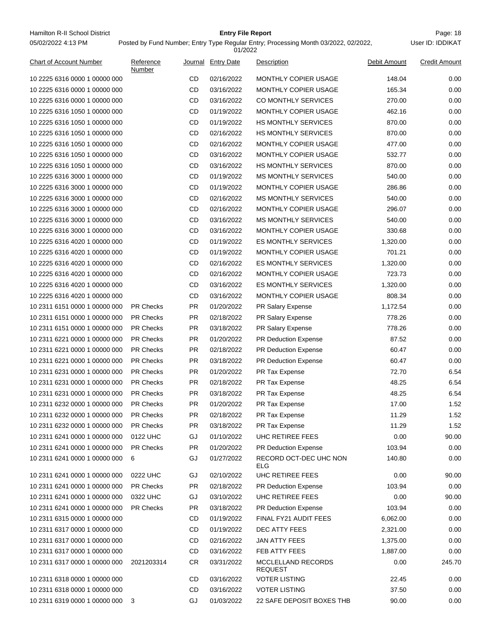Hamilton R-II School District **Entry File Report Entry File Report** Page: 18 05/02/2022 4:13 PM

# **Entry File Report**

Posted by Fund Number; Entry Type Regular Entry; Processing Month 03/2022, 02/2022,

|                                                                |                     |           | 01/2022            |                                      |              |                      |
|----------------------------------------------------------------|---------------------|-----------|--------------------|--------------------------------------|--------------|----------------------|
| <b>Chart of Account Number</b>                                 | Reference<br>Number |           | Journal Entry Date | Description                          | Debit Amount | <b>Credit Amount</b> |
| 10 2225 6316 0000 1 00000 000                                  |                     | CD        | 02/16/2022         | MONTHLY COPIER USAGE                 | 148.04       | 0.00                 |
| 10 2225 6316 0000 1 00000 000                                  |                     | CD        | 03/16/2022         | MONTHLY COPIER USAGE                 | 165.34       | 0.00                 |
| 10 2225 6316 0000 1 00000 000                                  |                     | CD        | 03/16/2022         | CO MONTHLY SERVICES                  | 270.00       | 0.00                 |
| 10 2225 6316 1050 1 00000 000                                  |                     | CD        | 01/19/2022         | MONTHLY COPIER USAGE                 | 462.16       | 0.00                 |
| 10 2225 6316 1050 1 00000 000                                  |                     | CD        | 01/19/2022         | <b>HS MONTHLY SERVICES</b>           | 870.00       | 0.00                 |
| 10 2225 6316 1050 1 00000 000                                  |                     | CD        | 02/16/2022         | <b>HS MONTHLY SERVICES</b>           | 870.00       | 0.00                 |
| 10 2225 6316 1050 1 00000 000                                  |                     | CD        | 02/16/2022         | MONTHLY COPIER USAGE                 | 477.00       | 0.00                 |
| 10 2225 6316 1050 1 00000 000                                  |                     | CD        | 03/16/2022         | MONTHLY COPIER USAGE                 | 532.77       | 0.00                 |
| 10 2225 6316 1050 1 00000 000                                  |                     | CD        | 03/16/2022         | <b>HS MONTHLY SERVICES</b>           | 870.00       | 0.00                 |
| 10 2225 6316 3000 1 00000 000                                  |                     | CD        | 01/19/2022         | <b>MS MONTHLY SERVICES</b>           | 540.00       | 0.00                 |
| 10 2225 6316 3000 1 00000 000                                  |                     | CD        | 01/19/2022         | MONTHLY COPIER USAGE                 | 286.86       | 0.00                 |
| 10 2225 6316 3000 1 00000 000                                  |                     | CD        | 02/16/2022         | <b>MS MONTHLY SERVICES</b>           | 540.00       | 0.00                 |
| 10 2225 6316 3000 1 00000 000                                  |                     | CD        | 02/16/2022         | MONTHLY COPIER USAGE                 | 296.07       | 0.00                 |
| 10 2225 6316 3000 1 00000 000                                  |                     | CD        | 03/16/2022         | <b>MS MONTHLY SERVICES</b>           | 540.00       | 0.00                 |
| 10 2225 6316 3000 1 00000 000                                  |                     | CD        | 03/16/2022         | MONTHLY COPIER USAGE                 | 330.68       | 0.00                 |
| 10 2225 6316 4020 1 00000 000                                  |                     | CD        | 01/19/2022         | <b>ES MONTHLY SERVICES</b>           | 1,320.00     | 0.00                 |
| 10 2225 6316 4020 1 00000 000                                  |                     | CD        | 01/19/2022         | MONTHLY COPIER USAGE                 | 701.21       | 0.00                 |
| 10 2225 6316 4020 1 00000 000                                  |                     | CD        | 02/16/2022         | <b>ES MONTHLY SERVICES</b>           | 1,320.00     | 0.00                 |
| 10 2225 6316 4020 1 00000 000                                  |                     | CD        | 02/16/2022         | MONTHLY COPIER USAGE                 | 723.73       | 0.00                 |
| 10 2225 6316 4020 1 00000 000                                  |                     | CD        | 03/16/2022         | <b>ES MONTHLY SERVICES</b>           | 1,320.00     | 0.00                 |
| 10 2225 6316 4020 1 00000 000                                  |                     | CD        | 03/16/2022         | MONTHLY COPIER USAGE                 | 808.34       | 0.00                 |
| 10 2311 6151 0000 1 00000 000                                  | <b>PR Checks</b>    | <b>PR</b> | 01/20/2022         | PR Salary Expense                    | 1,172.54     | 0.00                 |
|                                                                | <b>PR Checks</b>    |           | 02/18/2022         |                                      | 778.26       | 0.00                 |
| 10 2311 6151 0000 1 00000 000<br>10 2311 6151 0000 1 00000 000 | <b>PR Checks</b>    | PR<br>PR  | 03/18/2022         | PR Salary Expense                    | 778.26       | 0.00                 |
| 10 2311 6221 0000 1 00000 000                                  | <b>PR Checks</b>    | PR.       | 01/20/2022         | PR Salary Expense                    | 87.52        | 0.00                 |
|                                                                |                     | <b>PR</b> |                    | PR Deduction Expense                 |              |                      |
| 10 2311 6221 0000 1 00000 000                                  | <b>PR Checks</b>    |           | 02/18/2022         | PR Deduction Expense                 | 60.47        | 0.00                 |
| 10 2311 6221 0000 1 00000 000                                  | <b>PR Checks</b>    | PR.       | 03/18/2022         | PR Deduction Expense                 | 60.47        | 0.00                 |
| 10 2311 6231 0000 1 00000 000                                  | <b>PR Checks</b>    | PR.       | 01/20/2022         | PR Tax Expense                       | 72.70        | 6.54                 |
| 10 2311 6231 0000 1 00000 000                                  | <b>PR Checks</b>    | PR.       | 02/18/2022         | PR Tax Expense                       | 48.25        | 6.54                 |
| 10 2311 6231 0000 1 00000 000                                  | <b>PR Checks</b>    | <b>PR</b> | 03/18/2022         | <b>PR Tax Expense</b>                | 48.25        | 6.54                 |
| 10 2311 6232 0000 1 00000 000                                  | <b>PR Checks</b>    | PR        | 01/20/2022         | PR Tax Expense                       | 17.00        | 1.52                 |
| 10 2311 6232 0000 1 00000 000                                  | <b>PR Checks</b>    | PR        | 02/18/2022         | <b>PR Tax Expense</b>                | 11.29        | 1.52                 |
| 10 2311 6232 0000 1 00000 000                                  | <b>PR Checks</b>    | PR.       | 03/18/2022         | PR Tax Expense                       | 11.29        | 1.52                 |
| 10 2311 6241 0000 1 00000 000                                  | 0122 UHC            | GJ        | 01/10/2022         | UHC RETIREE FEES                     | 0.00         | 90.00                |
| 10 2311 6241 0000 1 00000 000                                  | PR Checks           | PR        | 01/20/2022         | <b>PR Deduction Expense</b>          | 103.94       | 0.00                 |
| 10 2311 6241 0000 1 00000 000                                  | 6                   | GJ        | 01/27/2022         | RECORD OCT-DEC UHC NON<br>ELG        | 140.80       | 0.00                 |
| 10 2311 6241 0000 1 00000 000                                  | 0222 UHC            | GJ        | 02/10/2022         | UHC RETIREE FEES                     | 0.00         | 90.00                |
| 10 2311 6241 0000 1 00000 000                                  | PR Checks           | <b>PR</b> | 02/18/2022         | <b>PR Deduction Expense</b>          | 103.94       | 0.00                 |
| 10 2311 6241 0000 1 00000 000                                  | 0322 UHC            | GJ        | 03/10/2022         | UHC RETIREE FEES                     | 0.00         | 90.00                |
| 10 2311 6241 0000 1 00000 000                                  | <b>PR Checks</b>    | PR        | 03/18/2022         | PR Deduction Expense                 | 103.94       | 0.00                 |
| 10 2311 6315 0000 1 00000 000                                  |                     | CD        | 01/19/2022         | FINAL FY21 AUDIT FEES                | 6,062.00     | 0.00                 |
| 10 2311 6317 0000 1 00000 000                                  |                     | CD        | 01/19/2022         | DEC ATTY FEES                        | 2,321.00     | 0.00                 |
| 10 2311 6317 0000 1 00000 000                                  |                     | CD        | 02/16/2022         | JAN ATTY FEES                        | 1,375.00     | 0.00                 |
| 10 2311 6317 0000 1 00000 000                                  |                     | CD        | 03/16/2022         | FEB ATTY FEES                        | 1,887.00     | 0.00                 |
| 10 2311 6317 0000 1 00000 000                                  | 2021203314          | <b>CR</b> | 03/31/2022         | MCCLELLAND RECORDS<br><b>REQUEST</b> | 0.00         | 245.70               |
| 10 2311 6318 0000 1 00000 000                                  |                     | CD        | 03/16/2022         | <b>VOTER LISTING</b>                 | 22.45        | 0.00                 |
| 10 2311 6318 0000 1 00000 000                                  |                     | CD        | 03/16/2022         | <b>VOTER LISTING</b>                 | 37.50        | 0.00                 |
| 10 2311 6319 0000 1 00000 000                                  | 3                   | GJ        | 01/03/2022         | 22 SAFE DEPOSIT BOXES THB            | 90.00        | 0.00                 |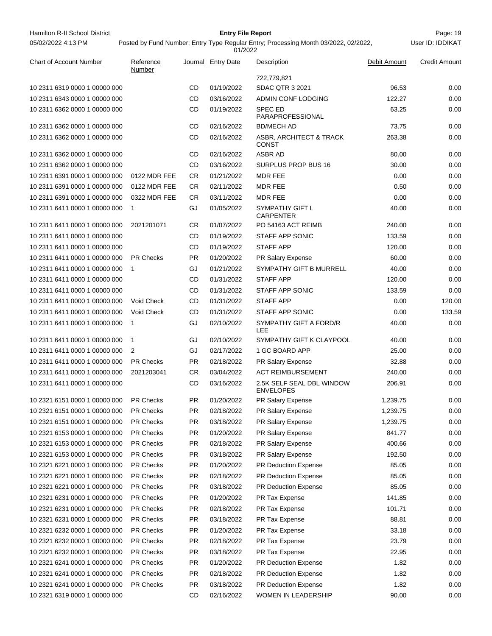Hamilton R-II School District **Entry File Report Entry File Report** Page: 19 05/02/2022 4:13 PM

# **Entry File Report**

User ID: IDDIKAT

| <b>Chart of Account Number</b> | Reference<br>Number |           | Journal Entry Date | Description                                   | Debit Amount | Credit Amount |
|--------------------------------|---------------------|-----------|--------------------|-----------------------------------------------|--------------|---------------|
|                                |                     |           |                    | 722,779,821                                   |              |               |
| 10 2311 6319 0000 1 00000 000  |                     | CD        | 01/19/2022         | <b>SDAC QTR 3 2021</b>                        | 96.53        | 0.00          |
| 10 2311 6343 0000 1 00000 000  |                     | CD        | 03/16/2022         | <b>ADMIN CONF LODGING</b>                     | 122.27       | 0.00          |
| 10 2311 6362 0000 1 00000 000  |                     | CD        | 01/19/2022         | <b>SPEC ED</b><br>PARAPROFESSIONAL            | 63.25        | 0.00          |
| 10 2311 6362 0000 1 00000 000  |                     | CD        | 02/16/2022         | <b>BD/MECH AD</b>                             | 73.75        | 0.00          |
| 10 2311 6362 0000 1 00000 000  |                     | CD        | 02/16/2022         | ASBR, ARCHITECT & TRACK<br><b>CONST</b>       | 263.38       | 0.00          |
| 10 2311 6362 0000 1 00000 000  |                     | CD        | 02/16/2022         | ASBR AD                                       | 80.00        | 0.00          |
| 10 2311 6362 0000 1 00000 000  |                     | CD        | 03/16/2022         | SURPLUS PROP BUS 16                           | 30.00        | 0.00          |
| 10 2311 6391 0000 1 00000 000  | 0122 MDR FEE        | CR        | 01/21/2022         | MDR FEE                                       | 0.00         | 0.00          |
| 10 2311 6391 0000 1 00000 000  | 0122 MDR FEE        | CR        | 02/11/2022         | <b>MDR FEE</b>                                | 0.50         | 0.00          |
| 10 2311 6391 0000 1 00000 000  | 0322 MDR FEE        | CR        | 03/11/2022         | MDR FEE                                       | 0.00         | 0.00          |
| 10 2311 6411 0000 1 00000 000  | $\mathbf{1}$        | GJ        | 01/05/2022         | SYMPATHY GIFT L<br><b>CARPENTER</b>           | 40.00        | 0.00          |
| 10 2311 6411 0000 1 00000 000  | 2021201071          | CR        | 01/07/2022         | PO 54163 ACT REIMB                            | 240.00       | 0.00          |
| 10 2311 6411 0000 1 00000 000  |                     | CD        | 01/19/2022         | <b>STAFF APP SONIC</b>                        | 133.59       | 0.00          |
| 10 2311 6411 0000 1 00000 000  |                     | CD        | 01/19/2022         | <b>STAFF APP</b>                              | 120.00       | 0.00          |
| 10 2311 6411 0000 1 00000 000  | <b>PR Checks</b>    | <b>PR</b> | 01/20/2022         | PR Salary Expense                             | 60.00        | 0.00          |
| 10 2311 6411 0000 1 00000 000  | $\mathbf{1}$        | GJ        | 01/21/2022         | SYMPATHY GIFT B MURRELL                       | 40.00        | 0.00          |
| 10 2311 6411 0000 1 00000 000  |                     | CD        | 01/31/2022         | <b>STAFF APP</b>                              | 120.00       | 0.00          |
| 10 2311 6411 0000 1 00000 000  |                     | CD        | 01/31/2022         | STAFF APP SONIC                               | 133.59       | 0.00          |
| 10 2311 6411 0000 1 00000 000  | Void Check          | CD        | 01/31/2022         | <b>STAFF APP</b>                              | 0.00         | 120.00        |
| 10 2311 6411 0000 1 00000 000  | Void Check          | CD        | 01/31/2022         | STAFF APP SONIC                               | 0.00         | 133.59        |
| 10 2311 6411 0000 1 00000 000  | $\mathbf{1}$        | GJ        | 02/10/2022         | SYMPATHY GIFT A FORD/R<br>LEE                 | 40.00        | 0.00          |
| 10 2311 6411 0000 1 00000 000  | $\mathbf{1}$        | GJ        | 02/10/2022         | SYMPATHY GIFT K CLAYPOOL                      | 40.00        | 0.00          |
| 10 2311 6411 0000 1 00000 000  | 2                   | GJ        | 02/17/2022         | 1 GC BOARD APP                                | 25.00        | 0.00          |
| 10 2311 6411 0000 1 00000 000  | <b>PR Checks</b>    | <b>PR</b> | 02/18/2022         | PR Salary Expense                             | 32.88        | 0.00          |
| 10 2311 6411 0000 1 00000 000  | 2021203041          | CR        | 03/04/2022         | <b>ACT REIMBURSEMENT</b>                      | 240.00       | 0.00          |
| 10 2311 6411 0000 1 00000 000  |                     | CD        | 03/16/2022         | 2.5K SELF SEAL DBL WINDOW<br><b>ENVELOPES</b> | 206.91       | 0.00          |
| 10 2321 6151 0000 1 00000 000  | <b>PR Checks</b>    | PR.       | 01/20/2022         | PR Salary Expense                             | 1,239.75     | 0.00          |
| 10 2321 6151 0000 1 00000 000  | <b>PR Checks</b>    | <b>PR</b> | 02/18/2022         | <b>PR Salary Expense</b>                      | 1,239.75     | 0.00          |
| 10 2321 6151 0000 1 00000 000  | PR Checks           | <b>PR</b> | 03/18/2022         | PR Salary Expense                             | 1,239.75     | 0.00          |
| 10 2321 6153 0000 1 00000 000  | PR Checks           | <b>PR</b> | 01/20/2022         | PR Salary Expense                             | 841.77       | 0.00          |
| 10 2321 6153 0000 1 00000 000  | PR Checks           | <b>PR</b> | 02/18/2022         | PR Salary Expense                             | 400.66       | 0.00          |
| 10 2321 6153 0000 1 00000 000  | PR Checks           | <b>PR</b> | 03/18/2022         | PR Salary Expense                             | 192.50       | 0.00          |
| 10 2321 6221 0000 1 00000 000  | <b>PR Checks</b>    | <b>PR</b> | 01/20/2022         | PR Deduction Expense                          | 85.05        | 0.00          |
| 10 2321 6221 0000 1 00000 000  | PR Checks           | <b>PR</b> | 02/18/2022         | PR Deduction Expense                          | 85.05        | 0.00          |
| 10 2321 6221 0000 1 00000 000  | PR Checks           | <b>PR</b> | 03/18/2022         | PR Deduction Expense                          | 85.05        | 0.00          |
| 10 2321 6231 0000 1 00000 000  | PR Checks           | PR        | 01/20/2022         | PR Tax Expense                                | 141.85       | 0.00          |
| 10 2321 6231 0000 1 00000 000  | PR Checks           | <b>PR</b> | 02/18/2022         | PR Tax Expense                                | 101.71       | 0.00          |
| 10 2321 6231 0000 1 00000 000  | PR Checks           | <b>PR</b> | 03/18/2022         | PR Tax Expense                                | 88.81        | 0.00          |
| 10 2321 6232 0000 1 00000 000  | PR Checks           | PR.       | 01/20/2022         | PR Tax Expense                                | 33.18        | 0.00          |
| 10 2321 6232 0000 1 00000 000  | PR Checks           | <b>PR</b> | 02/18/2022         | PR Tax Expense                                | 23.79        | 0.00          |
| 10 2321 6232 0000 1 00000 000  | PR Checks           | <b>PR</b> | 03/18/2022         | PR Tax Expense                                | 22.95        | 0.00          |
| 10 2321 6241 0000 1 00000 000  | PR Checks           | <b>PR</b> | 01/20/2022         | PR Deduction Expense                          | 1.82         | 0.00          |
| 10 2321 6241 0000 1 00000 000  | PR Checks           | <b>PR</b> | 02/18/2022         | PR Deduction Expense                          | 1.82         | 0.00          |
| 10 2321 6241 0000 1 00000 000  | PR Checks           | <b>PR</b> | 03/18/2022         | PR Deduction Expense                          | 1.82         | 0.00          |
| 10 2321 6319 0000 1 00000 000  |                     | CD        | 02/16/2022         | WOMEN IN LEADERSHIP                           | 90.00        | 0.00          |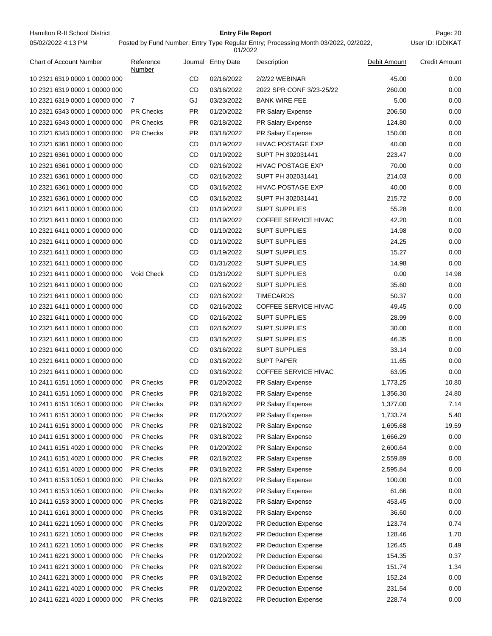Hamilton R-II School District **Entry File Report Entry File Report** Page: 20 05/02/2022 4:13 PM

# **Entry File Report**

| <b>Chart of Account Number</b> | Reference<br>Number |           | Journal Entry Date | Description                 | Debit Amount | <b>Credit Amount</b> |
|--------------------------------|---------------------|-----------|--------------------|-----------------------------|--------------|----------------------|
| 10 2321 6319 0000 1 00000 000  |                     | <b>CD</b> | 02/16/2022         | 2/2/22 WEBINAR              | 45.00        | 0.00                 |
| 10 2321 6319 0000 1 00000 000  |                     | <b>CD</b> | 03/16/2022         | 2022 SPR CONF 3/23-25/22    | 260.00       | 0.00                 |
| 10 2321 6319 0000 1 00000 000  | -7                  | GJ        | 03/23/2022         | <b>BANK WIRE FEE</b>        | 5.00         | 0.00                 |
| 10 2321 6343 0000 1 00000 000  | <b>PR Checks</b>    | <b>PR</b> | 01/20/2022         | PR Salary Expense           | 206.50       | 0.00                 |
| 10 2321 6343 0000 1 00000 000  | <b>PR Checks</b>    | <b>PR</b> | 02/18/2022         | PR Salary Expense           | 124.80       | 0.00                 |
| 10 2321 6343 0000 1 00000 000  | <b>PR Checks</b>    | <b>PR</b> | 03/18/2022         | PR Salary Expense           | 150.00       | 0.00                 |
| 10 2321 6361 0000 1 00000 000  |                     | <b>CD</b> | 01/19/2022         | <b>HIVAC POSTAGE EXP</b>    | 40.00        | 0.00                 |
| 10 2321 6361 0000 1 00000 000  |                     | CD        | 01/19/2022         | SUPT PH 302031441           | 223.47       | 0.00                 |
| 10 2321 6361 0000 1 00000 000  |                     | CD        | 02/16/2022         | HIVAC POSTAGE EXP           | 70.00        | 0.00                 |
| 10 2321 6361 0000 1 00000 000  |                     | CD        | 02/16/2022         | SUPT PH 302031441           | 214.03       | 0.00                 |
| 10 2321 6361 0000 1 00000 000  |                     | <b>CD</b> | 03/16/2022         | HIVAC POSTAGE EXP           | 40.00        | 0.00                 |
| 10 2321 6361 0000 1 00000 000  |                     | <b>CD</b> | 03/16/2022         | SUPT PH 302031441           | 215.72       | 0.00                 |
| 10 2321 6411 0000 1 00000 000  |                     | CD        | 01/19/2022         | <b>SUPT SUPPLIES</b>        | 55.28        | 0.00                 |
| 10 2321 6411 0000 1 00000 000  |                     | CD        | 01/19/2022         | COFFEE SERVICE HIVAC        | 42.20        | 0.00                 |
| 10 2321 6411 0000 1 00000 000  |                     | CD        | 01/19/2022         | <b>SUPT SUPPLIES</b>        | 14.98        | 0.00                 |
| 10 2321 6411 0000 1 00000 000  |                     | CD        | 01/19/2022         | <b>SUPT SUPPLIES</b>        | 24.25        | 0.00                 |
| 10 2321 6411 0000 1 00000 000  |                     | CD        | 01/19/2022         | <b>SUPT SUPPLIES</b>        | 15.27        | 0.00                 |
| 10 2321 6411 0000 1 00000 000  |                     | CD        | 01/31/2022         | <b>SUPT SUPPLIES</b>        | 14.98        | 0.00                 |
| 10 2321 6411 0000 1 00000 000  | Void Check          | CD        | 01/31/2022         | <b>SUPT SUPPLIES</b>        | 0.00         | 14.98                |
| 10 2321 6411 0000 1 00000 000  |                     | CD        | 02/16/2022         | <b>SUPT SUPPLIES</b>        | 35.60        | 0.00                 |
| 10 2321 6411 0000 1 00000 000  |                     | CD        | 02/16/2022         | <b>TIMECARDS</b>            | 50.37        | 0.00                 |
| 10 2321 6411 0000 1 00000 000  |                     | CD        | 02/16/2022         | COFFEE SERVICE HIVAC        | 49.45        | 0.00                 |
| 10 2321 6411 0000 1 00000 000  |                     | CD        | 02/16/2022         | <b>SUPT SUPPLIES</b>        | 28.99        | 0.00                 |
| 10 2321 6411 0000 1 00000 000  |                     | CD        | 02/16/2022         | <b>SUPT SUPPLIES</b>        | 30.00        | 0.00                 |
| 10 2321 6411 0000 1 00000 000  |                     | CD        | 03/16/2022         | <b>SUPT SUPPLIES</b>        | 46.35        | 0.00                 |
| 10 2321 6411 0000 1 00000 000  |                     | CD        | 03/16/2022         | <b>SUPT SUPPLIES</b>        | 33.14        | 0.00                 |
| 10 2321 6411 0000 1 00000 000  |                     | <b>CD</b> | 03/16/2022         | <b>SUPT PAPER</b>           | 11.65        | 0.00                 |
| 10 2321 6411 0000 1 00000 000  |                     | CD        | 03/16/2022         | <b>COFFEE SERVICE HIVAC</b> | 63.95        | 0.00                 |
| 10 2411 6151 1050 1 00000 000  | <b>PR Checks</b>    | <b>PR</b> | 01/20/2022         | PR Salary Expense           | 1,773.25     | 10.80                |
| 10 2411 6151 1050 1 00000 000  | <b>PR Checks</b>    | <b>PR</b> | 02/18/2022         | PR Salary Expense           | 1,356.30     | 24.80                |
| 10 2411 6151 1050 1 00000 000  | <b>PR Checks</b>    | <b>PR</b> | 03/18/2022         | <b>PR Salary Expense</b>    | 1,377.00     | 7.14                 |
| 10 2411 6151 3000 1 00000 000  | PR Checks           | <b>PR</b> | 01/20/2022         | PR Salary Expense           | 1,733.74     | 5.40                 |
| 10 2411 6151 3000 1 00000 000  | PR Checks           | <b>PR</b> | 02/18/2022         | PR Salary Expense           | 1,695.68     | 19.59                |
| 10 2411 6151 3000 1 00000 000  | PR Checks           | <b>PR</b> | 03/18/2022         | PR Salary Expense           | 1,666.29     | 0.00                 |
| 10 2411 6151 4020 1 00000 000  | PR Checks           | <b>PR</b> | 01/20/2022         | PR Salary Expense           | 2,600.64     | 0.00                 |
| 10 2411 6151 4020 1 00000 000  | <b>PR Checks</b>    | <b>PR</b> | 02/18/2022         | PR Salary Expense           | 2,559.89     | 0.00                 |
| 10 2411 6151 4020 1 00000 000  | PR Checks           | <b>PR</b> | 03/18/2022         | PR Salary Expense           | 2,595.84     | 0.00                 |
| 10 2411 6153 1050 1 00000 000  | PR Checks           | <b>PR</b> | 02/18/2022         | PR Salary Expense           | 100.00       | 0.00                 |
| 10 2411 6153 1050 1 00000 000  | PR Checks           | <b>PR</b> | 03/18/2022         | PR Salary Expense           | 61.66        | 0.00                 |
| 10 2411 6153 3000 1 00000 000  | <b>PR Checks</b>    | <b>PR</b> | 02/18/2022         | PR Salary Expense           | 453.45       | 0.00                 |
| 10 2411 6161 3000 1 00000 000  | <b>PR Checks</b>    | <b>PR</b> | 03/18/2022         | PR Salary Expense           | 36.60        | 0.00                 |
| 10 2411 6221 1050 1 00000 000  | PR Checks           | <b>PR</b> | 01/20/2022         | <b>PR Deduction Expense</b> | 123.74       | 0.74                 |
| 10 2411 6221 1050 1 00000 000  | PR Checks           | <b>PR</b> | 02/18/2022         | <b>PR Deduction Expense</b> | 128.46       | 1.70                 |
| 10 2411 6221 1050 1 00000 000  | <b>PR Checks</b>    | <b>PR</b> | 03/18/2022         | PR Deduction Expense        | 126.45       | 0.49                 |
| 10 2411 6221 3000 1 00000 000  | PR Checks           | <b>PR</b> | 01/20/2022         | PR Deduction Expense        | 154.35       | 0.37                 |
| 10 2411 6221 3000 1 00000 000  | PR Checks           | <b>PR</b> | 02/18/2022         | <b>PR Deduction Expense</b> | 151.74       | 1.34                 |
| 10 2411 6221 3000 1 00000 000  | PR Checks           | <b>PR</b> | 03/18/2022         | <b>PR Deduction Expense</b> | 152.24       | 0.00                 |
| 10 2411 6221 4020 1 00000 000  | <b>PR Checks</b>    | <b>PR</b> | 01/20/2022         | <b>PR Deduction Expense</b> | 231.54       | 0.00                 |
| 10 2411 6221 4020 1 00000 000  | PR Checks           | <b>PR</b> | 02/18/2022         | PR Deduction Expense        | 228.74       | 0.00                 |
|                                |                     |           |                    |                             |              |                      |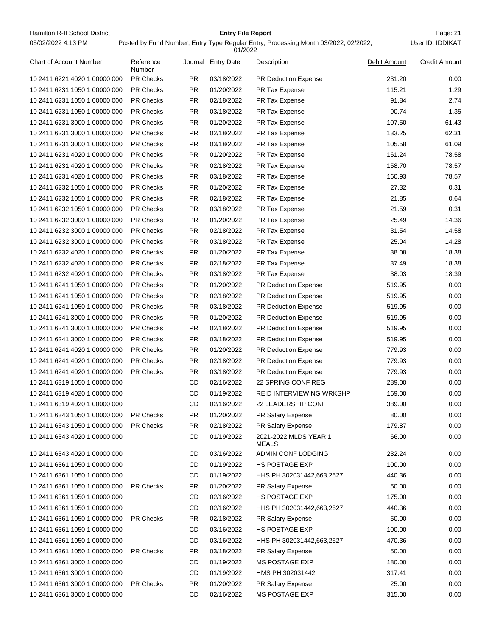Hamilton R-II School District **Entry File Report Entry File Report** Page: 21 05/02/2022 4:13 PM

#### **Entry File Report**

|                               |                     |           | 01/2022            |                                |              |                      |
|-------------------------------|---------------------|-----------|--------------------|--------------------------------|--------------|----------------------|
| Chart of Account Number       | Reference<br>Number |           | Journal Entry Date | Description                    | Debit Amount | <b>Credit Amount</b> |
| 10 2411 6221 4020 1 00000 000 | <b>PR Checks</b>    | <b>PR</b> | 03/18/2022         | <b>PR Deduction Expense</b>    | 231.20       | 0.00                 |
| 10 2411 6231 1050 1 00000 000 | <b>PR Checks</b>    | <b>PR</b> | 01/20/2022         | PR Tax Expense                 | 115.21       | 1.29                 |
| 10 2411 6231 1050 1 00000 000 | <b>PR Checks</b>    | PR.       | 02/18/2022         | PR Tax Expense                 | 91.84        | 2.74                 |
| 10 2411 6231 1050 1 00000 000 | <b>PR Checks</b>    | <b>PR</b> | 03/18/2022         | PR Tax Expense                 | 90.74        | 1.35                 |
| 10 2411 6231 3000 1 00000 000 | <b>PR Checks</b>    | <b>PR</b> | 01/20/2022         | PR Tax Expense                 | 107.50       | 61.43                |
| 10 2411 6231 3000 1 00000 000 | <b>PR Checks</b>    | <b>PR</b> | 02/18/2022         | PR Tax Expense                 | 133.25       | 62.31                |
| 10 2411 6231 3000 1 00000 000 | <b>PR Checks</b>    | <b>PR</b> | 03/18/2022         | PR Tax Expense                 | 105.58       | 61.09                |
| 10 2411 6231 4020 1 00000 000 | <b>PR Checks</b>    | PR.       | 01/20/2022         | PR Tax Expense                 | 161.24       | 78.58                |
| 10 2411 6231 4020 1 00000 000 | <b>PR Checks</b>    | <b>PR</b> | 02/18/2022         | PR Tax Expense                 | 158.70       | 78.57                |
| 10 2411 6231 4020 1 00000 000 | <b>PR Checks</b>    | <b>PR</b> | 03/18/2022         | PR Tax Expense                 | 160.93       | 78.57                |
| 10 2411 6232 1050 1 00000 000 | <b>PR Checks</b>    | <b>PR</b> | 01/20/2022         | PR Tax Expense                 | 27.32        | 0.31                 |
| 10 2411 6232 1050 1 00000 000 | <b>PR Checks</b>    | <b>PR</b> | 02/18/2022         | PR Tax Expense                 | 21.85        | 0.64                 |
| 10 2411 6232 1050 1 00000 000 | <b>PR Checks</b>    | <b>PR</b> | 03/18/2022         | PR Tax Expense                 | 21.59        | 0.31                 |
| 10 2411 6232 3000 1 00000 000 | <b>PR Checks</b>    | <b>PR</b> | 01/20/2022         | PR Tax Expense                 | 25.49        | 14.36                |
| 10 2411 6232 3000 1 00000 000 | PR Checks           | <b>PR</b> | 02/18/2022         | PR Tax Expense                 | 31.54        | 14.58                |
| 10 2411 6232 3000 1 00000 000 | <b>PR Checks</b>    | PR.       | 03/18/2022         | PR Tax Expense                 | 25.04        | 14.28                |
| 10 2411 6232 4020 1 00000 000 | <b>PR Checks</b>    | <b>PR</b> | 01/20/2022         | PR Tax Expense                 | 38.08        | 18.38                |
| 10 2411 6232 4020 1 00000 000 | <b>PR Checks</b>    | <b>PR</b> | 02/18/2022         | PR Tax Expense                 | 37.49        | 18.38                |
| 10 2411 6232 4020 1 00000 000 | <b>PR Checks</b>    | PR.       | 03/18/2022         | PR Tax Expense                 | 38.03        | 18.39                |
| 10 2411 6241 1050 1 00000 000 | <b>PR Checks</b>    | <b>PR</b> | 01/20/2022         | PR Deduction Expense           | 519.95       | 0.00                 |
| 10 2411 6241 1050 1 00000 000 | <b>PR Checks</b>    | <b>PR</b> | 02/18/2022         | <b>PR Deduction Expense</b>    | 519.95       | 0.00                 |
| 10 2411 6241 1050 1 00000 000 | <b>PR Checks</b>    | <b>PR</b> | 03/18/2022         | <b>PR Deduction Expense</b>    | 519.95       | 0.00                 |
| 10 2411 6241 3000 1 00000 000 | <b>PR Checks</b>    | <b>PR</b> | 01/20/2022         | PR Deduction Expense           | 519.95       | 0.00                 |
| 10 2411 6241 3000 1 00000 000 | <b>PR Checks</b>    | <b>PR</b> | 02/18/2022         | PR Deduction Expense           | 519.95       | 0.00                 |
| 10 2411 6241 3000 1 00000 000 | <b>PR Checks</b>    | <b>PR</b> | 03/18/2022         | PR Deduction Expense           | 519.95       | 0.00                 |
| 10 2411 6241 4020 1 00000 000 | <b>PR Checks</b>    | <b>PR</b> | 01/20/2022         | PR Deduction Expense           | 779.93       | 0.00                 |
| 10 2411 6241 4020 1 00000 000 | <b>PR Checks</b>    | PR.       | 02/18/2022         | PR Deduction Expense           | 779.93       | 0.00                 |
| 10 2411 6241 4020 1 00000 000 | <b>PR Checks</b>    | PR.       | 03/18/2022         | PR Deduction Expense           | 779.93       | 0.00                 |
| 10 2411 6319 1050 1 00000 000 |                     | CD        | 02/16/2022         | 22 SPRING CONF REG             | 289.00       | 0.00                 |
| 10 2411 6319 4020 1 00000 000 |                     | <b>CD</b> | 01/19/2022         | REID INTERVIEWING WRKSHP       | 169.00       | 0.00                 |
| 10 2411 6319 4020 1 00000 000 |                     | <b>CD</b> | 02/16/2022         | <b>22 LEADERSHIP CONF</b>      | 389.00       | 0.00                 |
| 10 2411 6343 1050 1 00000 000 | <b>PR Checks</b>    | PR        | 01/20/2022         | PR Salary Expense              | 80.00        | 0.00                 |
| 10 2411 6343 1050 1 00000 000 | PR Checks           | <b>PR</b> | 02/18/2022         | PR Salary Expense              | 179.87       | 0.00                 |
| 10 2411 6343 4020 1 00000 000 |                     | CD        | 01/19/2022         | 2021-2022 MLDS YEAR 1<br>MEALS | 66.00        | 0.00                 |
| 10 2411 6343 4020 1 00000 000 |                     | CD        | 03/16/2022         | ADMIN CONF LODGING             | 232.24       | 0.00                 |
| 10 2411 6361 1050 1 00000 000 |                     | CD        | 01/19/2022         | <b>HS POSTAGE EXP</b>          | 100.00       | 0.00                 |
| 10 2411 6361 1050 1 00000 000 |                     | CD        | 01/19/2022         | HHS PH 302031442,663,2527      | 440.36       | 0.00                 |
| 10 2411 6361 1050 1 00000 000 | <b>PR Checks</b>    | <b>PR</b> | 01/20/2022         | PR Salary Expense              | 50.00        | 0.00                 |
| 10 2411 6361 1050 1 00000 000 |                     | CD        | 02/16/2022         | <b>HS POSTAGE EXP</b>          | 175.00       | 0.00                 |
| 10 2411 6361 1050 1 00000 000 |                     | CD        | 02/16/2022         | HHS PH 302031442,663,2527      | 440.36       | 0.00                 |
| 10 2411 6361 1050 1 00000 000 | <b>PR Checks</b>    | <b>PR</b> | 02/18/2022         | PR Salary Expense              | 50.00        | 0.00                 |
| 10 2411 6361 1050 1 00000 000 |                     | CD        | 03/16/2022         | <b>HS POSTAGE EXP</b>          | 100.00       | 0.00                 |
| 10 2411 6361 1050 1 00000 000 |                     | CD        | 03/16/2022         | HHS PH 302031442,663,2527      | 470.36       | 0.00                 |
| 10 2411 6361 1050 1 00000 000 | <b>PR Checks</b>    | <b>PR</b> | 03/18/2022         | PR Salary Expense              | 50.00        | 0.00                 |
| 10 2411 6361 3000 1 00000 000 |                     | CD        | 01/19/2022         | MS POSTAGE EXP                 | 180.00       | 0.00                 |
| 10 2411 6361 3000 1 00000 000 |                     | CD        | 01/19/2022         | HMS PH 302031442               | 317.41       | 0.00                 |
| 10 2411 6361 3000 1 00000 000 | <b>PR Checks</b>    | <b>PR</b> | 01/20/2022         | PR Salary Expense              | 25.00        | 0.00                 |
| 10 2411 6361 3000 1 00000 000 |                     | CD        | 02/16/2022         | MS POSTAGE EXP                 | 315.00       | 0.00                 |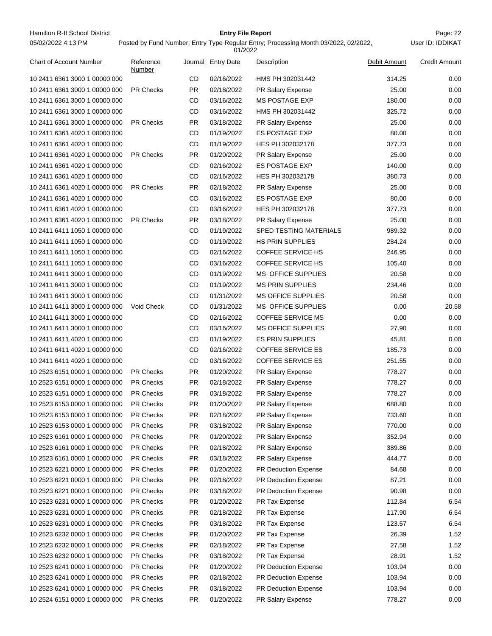Hamilton R-II School District **Entry File Report Entry File Report** Page: 22 05/02/2022 4:13 PM

# **Entry File Report**

User ID: IDDIKAT

| <b>Chart of Account Number</b>                                 | Reference<br>Number           |           | Journal Entry Date       | <b>Description</b>               | Debit Amount   | <b>Credit Amount</b> |
|----------------------------------------------------------------|-------------------------------|-----------|--------------------------|----------------------------------|----------------|----------------------|
| 10 2411 6361 3000 1 00000 000                                  |                               | <b>CD</b> | 02/16/2022               | HMS PH 302031442                 | 314.25         | 0.00                 |
| 10 2411 6361 3000 1 00000 000                                  | <b>PR Checks</b>              | <b>PR</b> | 02/18/2022               | PR Salary Expense                | 25.00          | 0.00                 |
| 10 2411 6361 3000 1 00000 000                                  |                               | <b>CD</b> | 03/16/2022               | <b>MS POSTAGE EXP</b>            | 180.00         | 0.00                 |
| 10 2411 6361 3000 1 00000 000                                  |                               | CD        | 03/16/2022               | HMS PH 302031442                 | 325.72         | 0.00                 |
| 10 2411 6361 3000 1 00000 000                                  | <b>PR Checks</b>              | PR        | 03/18/2022               | PR Salary Expense                | 25.00          | 0.00                 |
| 10 2411 6361 4020 1 00000 000                                  |                               | CD        | 01/19/2022               | <b>ES POSTAGE EXP</b>            | 80.00          | 0.00                 |
| 10 2411 6361 4020 1 00000 000                                  |                               | <b>CD</b> | 01/19/2022               | HES PH 302032178                 | 377.73         | 0.00                 |
| 10 2411 6361 4020 1 00000 000                                  | <b>PR Checks</b>              | PR        | 01/20/2022               | PR Salary Expense                | 25.00          | 0.00                 |
| 10 2411 6361 4020 1 00000 000                                  |                               | CD        | 02/16/2022               | <b>ES POSTAGE EXP</b>            | 140.00         | 0.00                 |
| 10 2411 6361 4020 1 00000 000                                  |                               | CD        | 02/16/2022               | HES PH 302032178                 | 380.73         | 0.00                 |
| 10 2411 6361 4020 1 00000 000                                  | <b>PR Checks</b>              | PR        | 02/18/2022               | PR Salary Expense                | 25.00          | 0.00                 |
| 10 2411 6361 4020 1 00000 000                                  |                               | <b>CD</b> | 03/16/2022               | <b>ES POSTAGE EXP</b>            | 80.00          | 0.00                 |
| 10 2411 6361 4020 1 00000 000                                  |                               | CD        | 03/16/2022               | HES PH 302032178                 | 377.73         | 0.00                 |
| 10 2411 6361 4020 1 00000 000                                  | <b>PR Checks</b>              | <b>PR</b> | 03/18/2022               | PR Salary Expense                | 25.00          | 0.00                 |
| 10 2411 6411 1050 1 00000 000                                  |                               | CD        | 01/19/2022               | SPED TESTING MATERIALS           | 989.32         | 0.00                 |
| 10 2411 6411 1050 1 00000 000                                  |                               | CD        | 01/19/2022               | <b>HS PRIN SUPPLIES</b>          | 284.24         | 0.00                 |
| 10 2411 6411 1050 1 00000 000                                  |                               | CD        | 02/16/2022               | <b>COFFEE SERVICE HS</b>         | 246.95         | 0.00                 |
| 10 2411 6411 1050 1 00000 000                                  |                               | CD        | 03/16/2022               | <b>COFFEE SERVICE HS</b>         | 105.40         | 0.00                 |
| 10 2411 6411 3000 1 00000 000                                  |                               | CD        | 01/19/2022               | <b>MS OFFICE SUPPLIES</b>        | 20.58          | 0.00                 |
| 10 2411 6411 3000 1 00000 000                                  |                               | CD        | 01/19/2022               | <b>MS PRIN SUPPLIES</b>          | 234.46         | 0.00                 |
| 10 2411 6411 3000 1 00000 000                                  |                               | CD        | 01/31/2022               | <b>MS OFFICE SUPPLIES</b>        | 20.58          | 0.00                 |
| 10 2411 6411 3000 1 00000 000                                  | Void Check                    | <b>CD</b> | 01/31/2022               | <b>MS OFFICE SUPPLIES</b>        | 0.00           | 20.58                |
| 10 2411 6411 3000 1 00000 000                                  |                               | CD        | 02/16/2022               | <b>COFFEE SERVICE MS</b>         | 0.00           | 0.00                 |
| 10 2411 6411 3000 1 00000 000                                  |                               | CD        | 03/16/2022               | <b>MS OFFICE SUPPLIES</b>        | 27.90          | 0.00                 |
| 10 2411 6411 4020 1 00000 000                                  |                               | CD        | 01/19/2022               | <b>ES PRIN SUPPLIES</b>          | 45.81          | 0.00                 |
| 10 2411 6411 4020 1 00000 000                                  |                               | CD        | 02/16/2022               | <b>COFFEE SERVICE ES</b>         | 185.73         | 0.00                 |
| 10 2411 6411 4020 1 00000 000                                  |                               | CD        | 03/16/2022               | <b>COFFEE SERVICE ES</b>         | 251.55         | 0.00                 |
| 10 2523 6151 0000 1 00000 000                                  | <b>PR Checks</b>              | <b>PR</b> | 01/20/2022               | PR Salary Expense                | 778.27         | 0.00                 |
| 10 2523 6151 0000 1 00000 000                                  | <b>PR Checks</b>              | PR        | 02/18/2022               | PR Salary Expense                | 778.27         | 0.00                 |
| 10 2523 6151 0000 1 00000 000                                  | PR Checks                     | <b>PR</b> | 03/18/2022               | PR Salary Expense                | 778.27         | 0.00                 |
| 10 2523 6153 0000 1 00000 000                                  | PR Checks                     | PR        | 01/20/2022               | PR Salary Expense                | 688.80         | 0.00                 |
| 10 2523 6153 0000 1 00000 000                                  | <b>PR Checks</b>              | PR.       | 02/18/2022               | PR Salary Expense                | 733.60         | 0.00                 |
| 10 2523 6153 0000 1 00000 000                                  | PR Checks                     | <b>PR</b> | 03/18/2022               | <b>PR Salary Expense</b>         | 770.00         | 0.00                 |
| 10 2523 6161 0000 1 00000 000                                  | PR Checks                     | <b>PR</b> | 01/20/2022               | PR Salary Expense                | 352.94         | 0.00                 |
| 10 2523 6161 0000 1 00000 000                                  | PR Checks                     | <b>PR</b> | 02/18/2022               | PR Salary Expense                | 389.86         | 0.00                 |
| 10 2523 6161 0000 1 00000 000                                  | PR Checks                     | <b>PR</b> | 03/18/2022               | PR Salary Expense                | 444.77         | 0.00                 |
| 10 2523 6221 0000 1 00000 000                                  | PR Checks                     | PR        | 01/20/2022               | <b>PR Deduction Expense</b>      | 84.68          | 0.00                 |
| 10 2523 6221 0000 1 00000 000                                  | <b>PR Checks</b>              | PR        | 02/18/2022               | PR Deduction Expense             | 87.21          | 0.00                 |
| 10 2523 6221 0000 1 00000 000                                  | PR Checks                     | PR        | 03/18/2022               | PR Deduction Expense             | 90.98          | 0.00                 |
| 10 2523 6231 0000 1 00000 000                                  | PR Checks                     | <b>PR</b> | 01/20/2022               | PR Tax Expense                   | 112.84         | 6.54                 |
| 10 2523 6231 0000 1 00000 000                                  | PR Checks                     | PR        | 02/18/2022               | PR Tax Expense                   | 117.90         | 6.54                 |
| 10 2523 6231 0000 1 00000 000                                  | <b>PR Checks</b>              | <b>PR</b> | 03/18/2022               | PR Tax Expense                   | 123.57         | 6.54                 |
| 10 2523 6232 0000 1 00000 000                                  | <b>PR Checks</b>              | <b>PR</b> | 01/20/2022               | PR Tax Expense                   | 26.39          | 1.52                 |
|                                                                | PR Checks                     | <b>PR</b> |                          |                                  |                |                      |
| 10 2523 6232 0000 1 00000 000<br>10 2523 6232 0000 1 00000 000 | PR Checks                     | <b>PR</b> | 02/18/2022<br>03/18/2022 | PR Tax Expense<br>PR Tax Expense | 27.58<br>28.91 | 1.52<br>1.52         |
|                                                                |                               |           |                          |                                  |                |                      |
| 10 2523 6241 0000 1 00000 000                                  | <b>PR Checks</b><br>PR Checks | <b>PR</b> | 01/20/2022               | PR Deduction Expense             | 103.94         | 0.00                 |
| 10 2523 6241 0000 1 00000 000                                  |                               | PR        | 02/18/2022               | PR Deduction Expense             | 103.94         | 0.00                 |
| 10 2523 6241 0000 1 00000 000                                  | PR Checks                     | PR        | 03/18/2022               | PR Deduction Expense             | 103.94         | 0.00                 |
| 10 2524 6151 0000 1 00000 000                                  | PR Checks                     | PR        | 01/20/2022               | PR Salary Expense                | 778.27         | 0.00                 |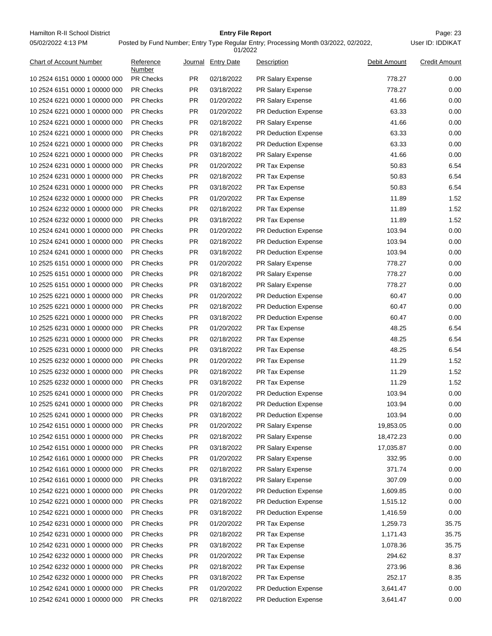Hamilton R-II School District **Entry File Report Entry File Report** Page: 23 05/02/2022 4:13 PM

# **Entry File Report**

Posted by Fund Number; Entry Type Regular Entry; Processing Month 03/2022, 02/2022,

|                                |                     |           | 01/2022            |                             |              |                      |
|--------------------------------|---------------------|-----------|--------------------|-----------------------------|--------------|----------------------|
| <b>Chart of Account Number</b> | Reference<br>Number |           | Journal Entry Date | Description                 | Debit Amount | <b>Credit Amount</b> |
| 10 2524 6151 0000 1 00000 000  | <b>PR Checks</b>    | PR        | 02/18/2022         | PR Salary Expense           | 778.27       | 0.00                 |
| 10 2524 6151 0000 1 00000 000  | <b>PR Checks</b>    | <b>PR</b> | 03/18/2022         | PR Salary Expense           | 778.27       | 0.00                 |
| 10 2524 6221 0000 1 00000 000  | <b>PR Checks</b>    | PR        | 01/20/2022         | PR Salary Expense           | 41.66        | 0.00                 |
| 10 2524 6221 0000 1 00000 000  | <b>PR Checks</b>    | PR        | 01/20/2022         | <b>PR Deduction Expense</b> | 63.33        | 0.00                 |
| 10 2524 6221 0000 1 00000 000  | <b>PR Checks</b>    | PR        | 02/18/2022         | PR Salary Expense           | 41.66        | 0.00                 |
| 10 2524 6221 0000 1 00000 000  | <b>PR Checks</b>    | <b>PR</b> | 02/18/2022         | <b>PR Deduction Expense</b> | 63.33        | 0.00                 |
| 10 2524 6221 0000 1 00000 000  | <b>PR Checks</b>    | <b>PR</b> | 03/18/2022         | PR Deduction Expense        | 63.33        | 0.00                 |
| 10 2524 6221 0000 1 00000 000  | <b>PR Checks</b>    | PR        | 03/18/2022         | PR Salary Expense           | 41.66        | 0.00                 |
| 10 2524 6231 0000 1 00000 000  | <b>PR Checks</b>    | PR        | 01/20/2022         | PR Tax Expense              | 50.83        | 6.54                 |
| 10 2524 6231 0000 1 00000 000  | <b>PR Checks</b>    | <b>PR</b> | 02/18/2022         | PR Tax Expense              | 50.83        | 6.54                 |
| 10 2524 6231 0000 1 00000 000  | <b>PR Checks</b>    | PR        | 03/18/2022         | PR Tax Expense              | 50.83        | 6.54                 |
| 10 2524 6232 0000 1 00000 000  | <b>PR Checks</b>    | PR        | 01/20/2022         | PR Tax Expense              | 11.89        | 1.52                 |
| 10 2524 6232 0000 1 00000 000  | <b>PR Checks</b>    | PR        | 02/18/2022         | PR Tax Expense              | 11.89        | 1.52                 |
| 10 2524 6232 0000 1 00000 000  | <b>PR Checks</b>    | PR        | 03/18/2022         | PR Tax Expense              | 11.89        | 1.52                 |
| 10 2524 6241 0000 1 00000 000  | <b>PR Checks</b>    | PR        | 01/20/2022         | PR Deduction Expense        | 103.94       | 0.00                 |
| 10 2524 6241 0000 1 00000 000  | <b>PR Checks</b>    | PR        | 02/18/2022         | <b>PR Deduction Expense</b> | 103.94       | 0.00                 |
| 10 2524 6241 0000 1 00000 000  | <b>PR Checks</b>    | PR        | 03/18/2022         | PR Deduction Expense        | 103.94       | 0.00                 |
| 10 2525 6151 0000 1 00000 000  | <b>PR Checks</b>    | <b>PR</b> | 01/20/2022         | PR Salary Expense           | 778.27       | 0.00                 |
| 10 2525 6151 0000 1 00000 000  | <b>PR Checks</b>    | PR        | 02/18/2022         | PR Salary Expense           | 778.27       | 0.00                 |
| 10 2525 6151 0000 1 00000 000  | <b>PR Checks</b>    | PR        | 03/18/2022         | PR Salary Expense           | 778.27       | 0.00                 |
| 10 2525 6221 0000 1 00000 000  | <b>PR Checks</b>    | PR        | 01/20/2022         | <b>PR Deduction Expense</b> | 60.47        | 0.00                 |
| 10 2525 6221 0000 1 00000 000  | <b>PR Checks</b>    | PR        | 02/18/2022         | <b>PR Deduction Expense</b> | 60.47        | 0.00                 |
| 10 2525 6221 0000 1 00000 000  | <b>PR Checks</b>    | <b>PR</b> | 03/18/2022         | PR Deduction Expense        | 60.47        | 0.00                 |
| 10 2525 6231 0000 1 00000 000  | <b>PR Checks</b>    | PR        | 01/20/2022         | PR Tax Expense              | 48.25        | 6.54                 |
| 10 2525 6231 0000 1 00000 000  | <b>PR Checks</b>    | PR        | 02/18/2022         | PR Tax Expense              | 48.25        | 6.54                 |
| 10 2525 6231 0000 1 00000 000  | <b>PR Checks</b>    | <b>PR</b> | 03/18/2022         | PR Tax Expense              | 48.25        | 6.54                 |
| 10 2525 6232 0000 1 00000 000  | <b>PR Checks</b>    | PR        | 01/20/2022         | PR Tax Expense              | 11.29        | 1.52                 |
| 10 2525 6232 0000 1 00000 000  | <b>PR Checks</b>    | PR        | 02/18/2022         | <b>PR Tax Expense</b>       | 11.29        | 1.52                 |
| 10 2525 6232 0000 1 00000 000  | <b>PR Checks</b>    | PR        | 03/18/2022         | <b>PR Tax Expense</b>       | 11.29        | 1.52                 |
| 10 2525 6241 0000 1 00000 000  | <b>PR Checks</b>    | <b>PR</b> | 01/20/2022         | <b>PR Deduction Expense</b> | 103.94       | 0.00                 |
| 10 2525 6241 0000 1 00000 000  | <b>PR Checks</b>    | PR        | 02/18/2022         | PR Deduction Expense        | 103.94       | 0.00                 |
| 10 2525 6241 0000 1 00000 000  | PR Checks           | <b>PR</b> | 03/18/2022         | PR Deduction Expense        | 103.94       | 0.00                 |
| 10 2542 6151 0000 1 00000 000  | PR Checks           | <b>PR</b> | 01/20/2022         | PR Salary Expense           | 19,853.05    | 0.00                 |
| 10 2542 6151 0000 1 00000 000  | PR Checks           | <b>PR</b> | 02/18/2022         | PR Salary Expense           | 18,472.23    | 0.00                 |
| 10 2542 6151 0000 1 00000 000  | PR Checks           | <b>PR</b> | 03/18/2022         | PR Salary Expense           | 17,035.87    | 0.00                 |
| 10 2542 6161 0000 1 00000 000  | PR Checks           | <b>PR</b> | 01/20/2022         | PR Salary Expense           | 332.95       | 0.00                 |
| 10 2542 6161 0000 1 00000 000  | PR Checks           | <b>PR</b> | 02/18/2022         | PR Salary Expense           | 371.74       | 0.00                 |
| 10 2542 6161 0000 1 00000 000  | PR Checks           | PR        | 03/18/2022         | PR Salary Expense           | 307.09       | 0.00                 |
| 10 2542 6221 0000 1 00000 000  | PR Checks           | PR        | 01/20/2022         | PR Deduction Expense        | 1,609.85     | 0.00                 |
| 10 2542 6221 0000 1 00000 000  | PR Checks           | <b>PR</b> | 02/18/2022         | PR Deduction Expense        | 1,515.12     | 0.00                 |
| 10 2542 6221 0000 1 00000 000  | PR Checks           | <b>PR</b> | 03/18/2022         | PR Deduction Expense        | 1,416.59     | 0.00                 |
| 10 2542 6231 0000 1 00000 000  | PR Checks           | <b>PR</b> | 01/20/2022         | PR Tax Expense              | 1,259.73     | 35.75                |
| 10 2542 6231 0000 1 00000 000  | PR Checks           | <b>PR</b> | 02/18/2022         | PR Tax Expense              | 1,171.43     | 35.75                |
| 10 2542 6231 0000 1 00000 000  | PR Checks           | <b>PR</b> | 03/18/2022         | PR Tax Expense              | 1,078.36     | 35.75                |
| 10 2542 6232 0000 1 00000 000  | PR Checks           | <b>PR</b> | 01/20/2022         | PR Tax Expense              | 294.62       | 8.37                 |
| 10 2542 6232 0000 1 00000 000  | PR Checks           | PR        | 02/18/2022         | PR Tax Expense              | 273.96       | 8.36                 |
| 10 2542 6232 0000 1 00000 000  | PR Checks           | PR        | 03/18/2022         | PR Tax Expense              | 252.17       | 8.35                 |
| 10 2542 6241 0000 1 00000 000  | PR Checks           | <b>PR</b> | 01/20/2022         | PR Deduction Expense        | 3,641.47     | 0.00                 |
| 10 2542 6241 0000 1 00000 000  | PR Checks           | <b>PR</b> | 02/18/2022         | PR Deduction Expense        | 3,641.47     | 0.00                 |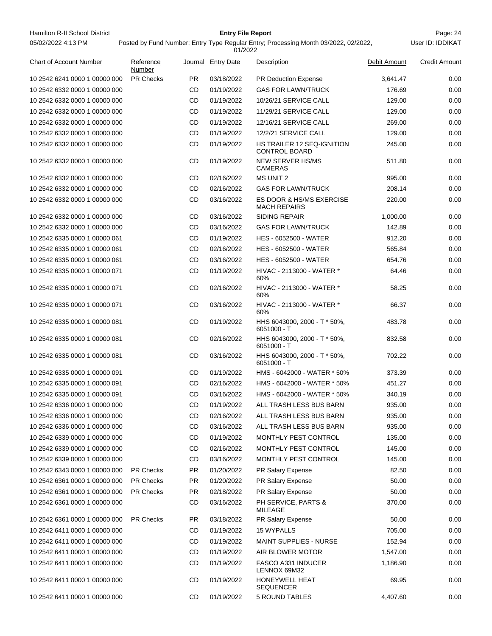Hamilton R-II School District **Entry File Report Entry File Report** Page: 24 05/02/2022 4:13 PM

# **Entry File Report**

User ID: IDDIKAT

| <b>Chart of Account Number</b> | Reference<br>Number |           | Journal Entry Date | Description                                               | Debit Amount | <b>Credit Amount</b> |
|--------------------------------|---------------------|-----------|--------------------|-----------------------------------------------------------|--------------|----------------------|
| 10 2542 6241 0000 1 00000 000  | <b>PR Checks</b>    | <b>PR</b> | 03/18/2022         | <b>PR Deduction Expense</b>                               | 3,641.47     | 0.00                 |
| 10 2542 6332 0000 1 00000 000  |                     | CD        | 01/19/2022         | <b>GAS FOR LAWN/TRUCK</b>                                 | 176.69       | 0.00                 |
| 10 2542 6332 0000 1 00000 000  |                     | CD        | 01/19/2022         | 10/26/21 SERVICE CALL                                     | 129.00       | 0.00                 |
| 10 2542 6332 0000 1 00000 000  |                     | CD        | 01/19/2022         | 11/29/21 SERVICE CALL                                     | 129.00       | 0.00                 |
| 10 2542 6332 0000 1 00000 000  |                     | CD        | 01/19/2022         | 12/16/21 SERVICE CALL                                     | 269.00       | 0.00                 |
| 10 2542 6332 0000 1 00000 000  |                     | CD        | 01/19/2022         | 12/2/21 SERVICE CALL                                      | 129.00       | 0.00                 |
| 10 2542 6332 0000 1 00000 000  |                     | CD        | 01/19/2022         | <b>HS TRAILER 12 SEQ-IGNITION</b><br><b>CONTROL BOARD</b> | 245.00       | 0.00                 |
| 10 2542 6332 0000 1 00000 000  |                     | CD        | 01/19/2022         | <b>NEW SERVER HS/MS</b><br><b>CAMERAS</b>                 | 511.80       | 0.00                 |
| 10 2542 6332 0000 1 00000 000  |                     | CD        | 02/16/2022         | <b>MS UNIT 2</b>                                          | 995.00       | 0.00                 |
| 10 2542 6332 0000 1 00000 000  |                     | CD        | 02/16/2022         | <b>GAS FOR LAWN/TRUCK</b>                                 | 208.14       | 0.00                 |
| 10 2542 6332 0000 1 00000 000  |                     | CD        | 03/16/2022         | ES DOOR & HS/MS EXERCISE<br><b>MACH REPAIRS</b>           | 220.00       | 0.00                 |
| 10 2542 6332 0000 1 00000 000  |                     | CD        | 03/16/2022         | <b>SIDING REPAIR</b>                                      | 1,000.00     | 0.00                 |
| 10 2542 6332 0000 1 00000 000  |                     | CD        | 03/16/2022         | <b>GAS FOR LAWN/TRUCK</b>                                 | 142.89       | 0.00                 |
| 10 2542 6335 0000 1 00000 061  |                     | CD        | 01/19/2022         | <b>HES - 6052500 - WATER</b>                              | 912.20       | 0.00                 |
| 10 2542 6335 0000 1 00000 061  |                     | <b>CD</b> | 02/16/2022         | <b>HES - 6052500 - WATER</b>                              | 565.84       | 0.00                 |
| 10 2542 6335 0000 1 00000 061  |                     | CD        | 03/16/2022         | <b>HES - 6052500 - WATER</b>                              | 654.76       | 0.00                 |
| 10 2542 6335 0000 1 00000 071  |                     | CD        | 01/19/2022         | HIVAC - 2113000 - WATER *<br>60%                          | 64.46        | 0.00                 |
| 10 2542 6335 0000 1 00000 071  |                     | CD        | 02/16/2022         | HIVAC - 2113000 - WATER *<br>60%                          | 58.25        | 0.00                 |
| 10 2542 6335 0000 1 00000 071  |                     | CD        | 03/16/2022         | HIVAC - 2113000 - WATER *<br>60%                          | 66.37        | 0.00                 |
| 10 2542 6335 0000 1 00000 081  |                     | CD        | 01/19/2022         | HHS 6043000, 2000 - T * 50%,<br>6051000 - T               | 483.78       | 0.00                 |
| 10 2542 6335 0000 1 00000 081  |                     | CD        | 02/16/2022         | HHS 6043000, 2000 - T * 50%,<br>6051000 - T               | 832.58       | 0.00                 |
| 10 2542 6335 0000 1 00000 081  |                     | CD        | 03/16/2022         | HHS 6043000, 2000 - T * 50%,<br>6051000 - T               | 702.22       | 0.00                 |
| 10 2542 6335 0000 1 00000 091  |                     | CD        | 01/19/2022         | HMS - 6042000 - WATER * 50%                               | 373.39       | 0.00                 |
| 10 2542 6335 0000 1 00000 091  |                     | CD        | 02/16/2022         | HMS - 6042000 - WATER * 50%                               | 451.27       | 0.00                 |
| 10 2542 6335 0000 1 00000 091  |                     | CD        | 03/16/2022         | HMS - 6042000 - WATER * 50%                               | 340.19       | 0.00                 |
| 10 2542 6336 0000 1 00000 000  |                     | CD        | 01/19/2022         | ALL TRASH LESS BUS BARN                                   | 935.00       | 0.00                 |
| 10 2542 6336 0000 1 00000 000  |                     | CD        | 02/16/2022         | ALL TRASH LESS BUS BARN                                   | 935.00       | 0.00                 |
| 10 2542 6336 0000 1 00000 000  |                     | CD        | 03/16/2022         | ALL TRASH LESS BUS BARN                                   | 935.00       | 0.00                 |
| 10 2542 6339 0000 1 00000 000  |                     | CD        | 01/19/2022         | MONTHLY PEST CONTROL                                      | 135.00       | 0.00                 |
| 10 2542 6339 0000 1 00000 000  |                     | CD        | 02/16/2022         | MONTHLY PEST CONTROL                                      | 145.00       | 0.00                 |
| 10 2542 6339 0000 1 00000 000  |                     | CD        | 03/16/2022         | MONTHLY PEST CONTROL                                      | 145.00       | 0.00                 |
| 10 2542 6343 0000 1 00000 000  | <b>PR Checks</b>    | PR.       | 01/20/2022         | PR Salary Expense                                         | 82.50        | 0.00                 |
| 10 2542 6361 0000 1 00000 000  | <b>PR Checks</b>    | PR.       | 01/20/2022         | PR Salary Expense                                         | 50.00        | 0.00                 |
| 10 2542 6361 0000 1 00000 000  | <b>PR Checks</b>    | PR.       | 02/18/2022         | PR Salary Expense                                         | 50.00        | 0.00                 |
| 10 2542 6361 0000 1 00000 000  |                     | CD        | 03/16/2022         | PH SERVICE, PARTS &<br>MILEAGE                            | 370.00       | 0.00                 |
| 10 2542 6361 0000 1 00000 000  | <b>PR Checks</b>    | PR.       | 03/18/2022         | PR Salary Expense                                         | 50.00        | 0.00                 |
| 10 2542 6411 0000 1 00000 000  |                     | CD        | 01/19/2022         | 15 WYPALLS                                                | 705.00       | 0.00                 |
| 10 2542 6411 0000 1 00000 000  |                     | CD        | 01/19/2022         | <b>MAINT SUPPLIES - NURSE</b>                             | 152.94       | 0.00                 |
| 10 2542 6411 0000 1 00000 000  |                     | CD        | 01/19/2022         | AIR BLOWER MOTOR                                          | 1,547.00     | 0.00                 |
| 10 2542 6411 0000 1 00000 000  |                     | CD        | 01/19/2022         | <b>FASCO A331 INDUCER</b><br>LENNOX 69M32                 | 1,186.90     | 0.00                 |
| 10 2542 6411 0000 1 00000 000  |                     | CD        | 01/19/2022         | <b>HONEYWELL HEAT</b><br><b>SEQUENCER</b>                 | 69.95        | 0.00                 |
| 10 2542 6411 0000 1 00000 000  |                     | CD        | 01/19/2022         | 5 ROUND TABLES                                            | 4,407.60     | 0.00                 |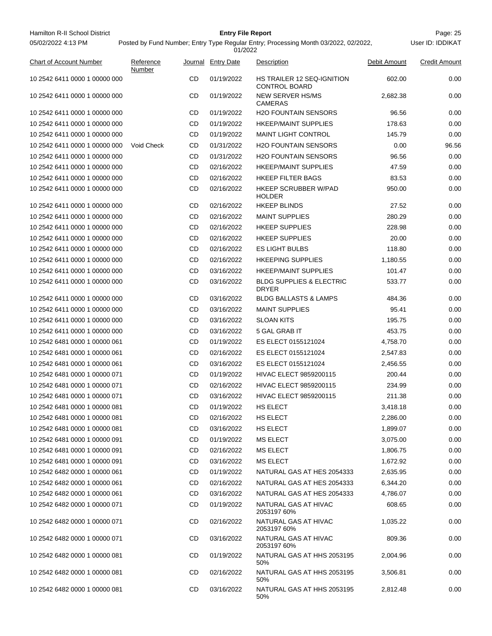| Hamilton R-II School District  |                                                                                     |           | <b>Entry File Report</b> |                                                     |              | Page: 25             |
|--------------------------------|-------------------------------------------------------------------------------------|-----------|--------------------------|-----------------------------------------------------|--------------|----------------------|
| 05/02/2022 4:13 PM             | Posted by Fund Number; Entry Type Regular Entry; Processing Month 03/2022, 02/2022, |           | User ID: IDDIKAT         |                                                     |              |                      |
| <b>Chart of Account Number</b> | Reference<br>Number                                                                 |           | Journal Entry Date       | Description                                         | Debit Amount | <b>Credit Amount</b> |
| 10 2542 6411 0000 1 00000 000  |                                                                                     | CD        | 01/19/2022               | HS TRAILER 12 SEQ-IGNITION<br><b>CONTROL BOARD</b>  | 602.00       | 0.00                 |
| 10 2542 6411 0000 1 00000 000  |                                                                                     | CD        | 01/19/2022               | <b>NEW SERVER HS/MS</b><br><b>CAMERAS</b>           | 2,682.38     | 0.00                 |
| 10 2542 6411 0000 1 00000 000  |                                                                                     | CD        | 01/19/2022               | <b>H2O FOUNTAIN SENSORS</b>                         | 96.56        | 0.00                 |
| 10 2542 6411 0000 1 00000 000  |                                                                                     | CD        | 01/19/2022               | <b>HKEEP/MAINT SUPPLIES</b>                         | 178.63       | 0.00                 |
| 10 2542 6411 0000 1 00000 000  |                                                                                     | CD        | 01/19/2022               | <b>MAINT LIGHT CONTROL</b>                          | 145.79       | 0.00                 |
| 10 2542 6411 0000 1 00000 000  | Void Check                                                                          | CD        | 01/31/2022               | <b>H2O FOUNTAIN SENSORS</b>                         | 0.00         | 96.56                |
| 10 2542 6411 0000 1 00000 000  |                                                                                     | CD        | 01/31/2022               | <b>H2O FOUNTAIN SENSORS</b>                         | 96.56        | 0.00                 |
| 10 2542 6411 0000 1 00000 000  |                                                                                     | CD        | 02/16/2022               | <b>HKEEP/MAINT SUPPLIES</b>                         | 47.59        | 0.00                 |
| 10 2542 6411 0000 1 00000 000  |                                                                                     | CD        | 02/16/2022               | <b>HKEEP FILTER BAGS</b>                            | 83.53        | 0.00                 |
| 10 2542 6411 0000 1 00000 000  |                                                                                     | CD        | 02/16/2022               | <b>HKEEP SCRUBBER W/PAD</b><br><b>HOLDER</b>        | 950.00       | 0.00                 |
| 10 2542 6411 0000 1 00000 000  |                                                                                     | CD        | 02/16/2022               | <b>HKEEP BLINDS</b>                                 | 27.52        | 0.00                 |
| 10 2542 6411 0000 1 00000 000  |                                                                                     | CD        | 02/16/2022               | <b>MAINT SUPPLIES</b>                               | 280.29       | 0.00                 |
| 10 2542 6411 0000 1 00000 000  |                                                                                     | CD        | 02/16/2022               | <b>HKEEP SUPPLIES</b>                               | 228.98       | 0.00                 |
| 10 2542 6411 0000 1 00000 000  |                                                                                     | CD        | 02/16/2022               | <b>HKEEP SUPPLIES</b>                               | 20.00        | 0.00                 |
| 10 2542 6411 0000 1 00000 000  |                                                                                     | CD        | 02/16/2022               | <b>ES LIGHT BULBS</b>                               | 118.80       | 0.00                 |
| 10 2542 6411 0000 1 00000 000  |                                                                                     | CD        | 02/16/2022               | <b>HKEEPING SUPPLIES</b>                            | 1,180.55     | 0.00                 |
| 10 2542 6411 0000 1 00000 000  |                                                                                     | CD        | 03/16/2022               | <b>HKEEP/MAINT SUPPLIES</b>                         | 101.47       | 0.00                 |
| 10 2542 6411 0000 1 00000 000  |                                                                                     | CD        | 03/16/2022               | <b>BLDG SUPPLIES &amp; ELECTRIC</b><br><b>DRYER</b> | 533.77       | 0.00                 |
| 10 2542 6411 0000 1 00000 000  |                                                                                     | CD        | 03/16/2022               | <b>BLDG BALLASTS &amp; LAMPS</b>                    | 484.36       | 0.00                 |
| 10 2542 6411 0000 1 00000 000  |                                                                                     | CD        | 03/16/2022               | <b>MAINT SUPPLIES</b>                               | 95.41        | 0.00                 |
| 10 2542 6411 0000 1 00000 000  |                                                                                     | CD        | 03/16/2022               | <b>SLOAN KITS</b>                                   | 195.75       | 0.00                 |
| 10 2542 6411 0000 1 00000 000  |                                                                                     | CD        | 03/16/2022               | 5 GAL GRAB IT                                       | 453.75       | 0.00                 |
| 10 2542 6481 0000 1 00000 061  |                                                                                     | CD        | 01/19/2022               | ES ELECT 0155121024                                 | 4,758.70     | 0.00                 |
| 10 2542 6481 0000 1 00000 061  |                                                                                     | CD        | 02/16/2022               | ES ELECT 0155121024                                 | 2,547.83     | 0.00                 |
| 10 2542 6481 0000 1 00000 061  |                                                                                     | CD        | 03/16/2022               | ES ELECT 0155121024                                 | 2,456.55     | 0.00                 |
| 10 2542 6481 0000 1 00000 071  |                                                                                     | CD        | 01/19/2022               | <b>HIVAC ELECT 9859200115</b>                       | 200.44       | 0.00                 |
| 10 2542 6481 0000 1 00000 071  |                                                                                     | <b>CD</b> | 02/16/2022               | <b>HIVAC ELECT 9859200115</b>                       | 234.99       | 0.00                 |
| 10 2542 6481 0000 1 00000 071  |                                                                                     | CD        | 03/16/2022               | <b>HIVAC ELECT 9859200115</b>                       | 211.38       | 0.00                 |
| 10 2542 6481 0000 1 00000 081  |                                                                                     | CD        | 01/19/2022               | HS ELECT                                            | 3,418.18     | 0.00                 |
| 10 2542 6481 0000 1 00000 081  |                                                                                     | CD        | 02/16/2022               | HS ELECT                                            | 2,286.00     | 0.00                 |
| 10 2542 6481 0000 1 00000 081  |                                                                                     | CD        | 03/16/2022               | HS ELECT                                            | 1,899.07     | 0.00                 |
| 10 2542 6481 0000 1 00000 091  |                                                                                     | CD        | 01/19/2022               | <b>MS ELECT</b>                                     | 3,075.00     | 0.00                 |
| 10 2542 6481 0000 1 00000 091  |                                                                                     | CD        | 02/16/2022               | <b>MS ELECT</b>                                     | 1,806.75     | 0.00                 |
| 10 2542 6481 0000 1 00000 091  |                                                                                     | CD        | 03/16/2022               | <b>MS ELECT</b>                                     | 1,672.92     | 0.00                 |
| 10 2542 6482 0000 1 00000 061  |                                                                                     | CD        | 01/19/2022               | NATURAL GAS AT HES 2054333                          | 2,635.95     | 0.00                 |
| 10 2542 6482 0000 1 00000 061  |                                                                                     | CD        | 02/16/2022               | NATURAL GAS AT HES 2054333                          | 6,344.20     | 0.00                 |
| 10 2542 6482 0000 1 00000 061  |                                                                                     | CD        | 03/16/2022               | NATURAL GAS AT HES 2054333                          | 4,786.07     | 0.00                 |
| 10 2542 6482 0000 1 00000 071  |                                                                                     | CD        | 01/19/2022               | NATURAL GAS AT HIVAC<br>2053197 60%                 | 608.65       | 0.00                 |
| 10 2542 6482 0000 1 00000 071  |                                                                                     | CD        | 02/16/2022               | NATURAL GAS AT HIVAC<br>2053197 60%                 | 1,035.22     | 0.00                 |
| 10 2542 6482 0000 1 00000 071  |                                                                                     | CD        | 03/16/2022               | NATURAL GAS AT HIVAC<br>2053197 60%                 | 809.36       | 0.00                 |
| 10 2542 6482 0000 1 00000 081  |                                                                                     | CD        | 01/19/2022               | NATURAL GAS AT HHS 2053195<br>50%                   | 2,004.96     | 0.00                 |
| 10 2542 6482 0000 1 00000 081  |                                                                                     | CD        | 02/16/2022               | NATURAL GAS AT HHS 2053195<br>50%                   | 3,506.81     | 0.00                 |
| 10 2542 6482 0000 1 00000 081  |                                                                                     | CD        | 03/16/2022               | NATURAL GAS AT HHS 2053195<br>50%                   | 2,812.48     | 0.00                 |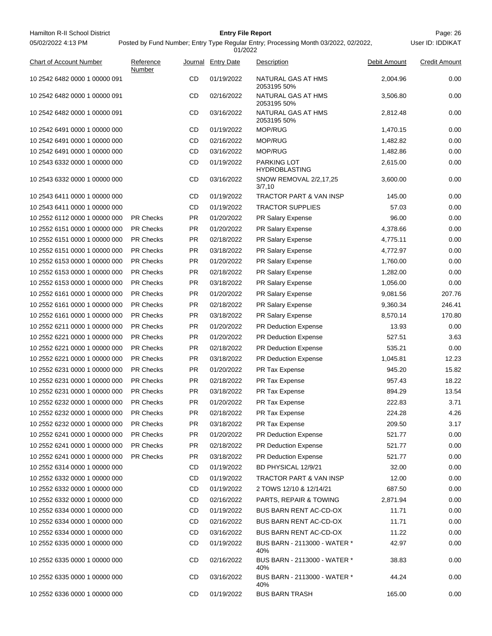| Hamilton R-II School District<br>05/02/2022 4:13 PM |                     |           | <b>Entry File Report</b> | Posted by Fund Number; Entry Type Regular Entry; Processing Month 03/2022, 02/2022, |              | Page: 26<br>User ID: IDDIKAT |
|-----------------------------------------------------|---------------------|-----------|--------------------------|-------------------------------------------------------------------------------------|--------------|------------------------------|
|                                                     |                     |           | 01/2022                  |                                                                                     |              |                              |
| <b>Chart of Account Number</b>                      | Reference<br>Number |           | Journal Entry Date       | Description                                                                         | Debit Amount | <b>Credit Amount</b>         |
| 10 2542 6482 0000 1 00000 091                       |                     | CD        | 01/19/2022               | NATURAL GAS AT HMS<br>2053195 50%                                                   | 2,004.96     | 0.00                         |
| 10 2542 6482 0000 1 00000 091                       |                     | CD        | 02/16/2022               | NATURAL GAS AT HMS<br>2053195 50%                                                   | 3,506.80     | 0.00                         |
| 10 2542 6482 0000 1 00000 091                       |                     | CD        | 03/16/2022               | NATURAL GAS AT HMS<br>2053195 50%                                                   | 2,812.48     | 0.00                         |
| 10 2542 6491 0000 1 00000 000                       |                     | CD        | 01/19/2022               | <b>MOP/RUG</b>                                                                      | 1,470.15     | 0.00                         |
| 10 2542 6491 0000 1 00000 000                       |                     | CD        | 02/16/2022               | MOP/RUG                                                                             | 1,482.82     | 0.00                         |
| 10 2542 6491 0000 1 00000 000                       |                     | CD        | 03/16/2022               | MOP/RUG                                                                             | 1,482.86     | 0.00                         |
| 10 2543 6332 0000 1 00000 000                       |                     | CD        | 01/19/2022               | PARKING LOT<br>HYDROBLASTING                                                        | 2,615.00     | 0.00                         |
| 10 2543 6332 0000 1 00000 000                       |                     | <b>CD</b> | 03/16/2022               | SNOW REMOVAL 2/2,17,25<br>3/7,10                                                    | 3,600.00     | 0.00                         |
| 10 2543 6411 0000 1 00000 000                       |                     | CD        | 01/19/2022               | TRACTOR PART & VAN INSP                                                             | 145.00       | 0.00                         |
| 10 2543 6411 0000 1 00000 000                       |                     | CD        | 01/19/2022               | <b>TRACTOR SUPPLIES</b>                                                             | 57.03        | 0.00                         |
| 10 2552 6112 0000 1 00000 000                       | <b>PR Checks</b>    | PR.       | 01/20/2022               | PR Salary Expense                                                                   | 96.00        | 0.00                         |
| 10 2552 6151 0000 1 00000 000                       | <b>PR Checks</b>    | PR.       | 01/20/2022               | PR Salary Expense                                                                   | 4,378.66     | 0.00                         |
| 10 2552 6151 0000 1 00000 000                       | <b>PR Checks</b>    | PR.       | 02/18/2022               | PR Salary Expense                                                                   | 4,775.11     | 0.00                         |
| 10 2552 6151 0000 1 00000 000                       | <b>PR Checks</b>    | PR.       | 03/18/2022               | <b>PR Salary Expense</b>                                                            | 4,772.97     | 0.00                         |
| 10 2552 6153 0000 1 00000 000                       | <b>PR Checks</b>    | PR.       | 01/20/2022               | PR Salary Expense                                                                   | 1,760.00     | 0.00                         |
| 10 2552 6153 0000 1 00000 000                       | <b>PR Checks</b>    | PR.       | 02/18/2022               | PR Salary Expense                                                                   | 1,282.00     | 0.00                         |
| 10 2552 6153 0000 1 00000 000                       | <b>PR Checks</b>    | PR.       | 03/18/2022               | PR Salary Expense                                                                   | 1,056.00     | 0.00                         |
| 10 2552 6161 0000 1 00000 000                       | <b>PR Checks</b>    | PR.       | 01/20/2022               | <b>PR Salary Expense</b>                                                            | 9,081.56     | 207.76                       |
| 10 2552 6161 0000 1 00000 000                       | <b>PR Checks</b>    | PR.       | 02/18/2022               | PR Salary Expense                                                                   | 9,360.34     | 246.41                       |
| 10 2552 6161 0000 1 00000 000                       | <b>PR Checks</b>    | PR.       | 03/18/2022               | PR Salary Expense                                                                   | 8,570.14     | 170.80                       |
| 10 2552 6211 0000 1 00000 000                       | <b>PR Checks</b>    | PR.       | 01/20/2022               | PR Deduction Expense                                                                | 13.93        | 0.00                         |
| 10 2552 6221 0000 1 00000 000                       | <b>PR Checks</b>    | PR.       | 01/20/2022               | PR Deduction Expense                                                                | 527.51       | 3.63                         |
| 10 2552 6221 0000 1 00000 000                       | <b>PR Checks</b>    | PR.       | 02/18/2022               | PR Deduction Expense                                                                | 535.21       | 0.00                         |
| 10 2552 6221 0000 1 00000 000                       | <b>PR Checks</b>    | PR.       | 03/18/2022               | PR Deduction Expense                                                                | 1,045.81     | 12.23                        |
| 10 2552 6231 0000 1 00000 000                       | <b>PR Checks</b>    | PR.       | 01/20/2022               | PR Tax Expense                                                                      | 945.20       | 15.82                        |
| 10 2552 6231 0000 1 00000 000                       | <b>PR Checks</b>    | PR.       | 02/18/2022               | PR Tax Expense                                                                      | 957.43       | 18.22                        |
| 10 2552 6231 0000 1 00000 000                       | <b>PR Checks</b>    | PR        | 03/18/2022               | PR Tax Expense                                                                      | 894.29       | 13.54                        |
| 10 2552 6232 0000 1 00000 000                       | <b>PR Checks</b>    | PR        | 01/20/2022               | PR Tax Expense                                                                      | 222.83       | 3.71                         |
| 10 2552 6232 0000 1 00000 000                       | <b>PR Checks</b>    | PR.       | 02/18/2022               | PR Tax Expense                                                                      | 224.28       | 4.26                         |
| 10 2552 6232 0000 1 00000 000                       | <b>PR Checks</b>    | PR.       | 03/18/2022               | PR Tax Expense                                                                      | 209.50       | 3.17                         |
| 10 2552 6241 0000 1 00000 000                       | <b>PR Checks</b>    | PR        | 01/20/2022               | <b>PR Deduction Expense</b>                                                         | 521.77       | 0.00                         |
| 10 2552 6241 0000 1 00000 000                       | <b>PR Checks</b>    | PR        | 02/18/2022               | <b>PR Deduction Expense</b>                                                         | 521.77       | 0.00                         |
| 10 2552 6241 0000 1 00000 000                       | <b>PR Checks</b>    | PR        | 03/18/2022               | <b>PR Deduction Expense</b>                                                         | 521.77       | 0.00                         |
| 10 2552 6314 0000 1 00000 000                       |                     | CD        | 01/19/2022               | BD PHYSICAL 12/9/21                                                                 | 32.00        | 0.00                         |
| 10 2552 6332 0000 1 00000 000                       |                     | CD        | 01/19/2022               | TRACTOR PART & VAN INSP                                                             | 12.00        | 0.00                         |
| 10 2552 6332 0000 1 00000 000                       |                     | CD        | 01/19/2022               | 2 TOWS 12/10 & 12/14/21                                                             | 687.50       | 0.00                         |
| 10 2552 6332 0000 1 00000 000                       |                     | CD        | 02/16/2022               | PARTS, REPAIR & TOWING                                                              | 2,871.94     | 0.00                         |
| 10 2552 6334 0000 1 00000 000                       |                     | CD        | 01/19/2022               | BUS BARN RENT AC-CD-OX                                                              | 11.71        | 0.00                         |
| 10 2552 6334 0000 1 00000 000                       |                     | CD        | 02/16/2022               | BUS BARN RENT AC-CD-OX                                                              | 11.71        | 0.00                         |
| 10 2552 6334 0000 1 00000 000                       |                     | CD        | 03/16/2022               | BUS BARN RENT AC-CD-OX                                                              | 11.22        | 0.00                         |
| 10 2552 6335 0000 1 00000 000                       |                     | CD        | 01/19/2022               | BUS BARN - 2113000 - WATER *                                                        | 42.97        | 0.00                         |
| 10 2552 6335 0000 1 00000 000                       |                     | CD        | 02/16/2022               | 40%<br>BUS BARN - 2113000 - WATER *                                                 | 38.83        | 0.00                         |
| 10 2552 6335 0000 1 00000 000                       |                     | <b>CD</b> | 03/16/2022               | 40%<br>BUS BARN - 2113000 - WATER *                                                 | 44.24        | 0.00                         |
| 10 2552 6336 0000 1 00000 000                       |                     | CD        | 01/19/2022               | 40%<br><b>BUS BARN TRASH</b>                                                        | 165.00       | 0.00                         |
|                                                     |                     |           |                          |                                                                                     |              |                              |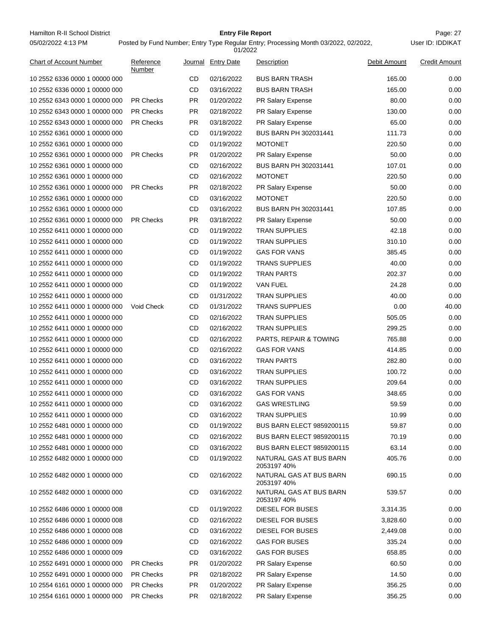Hamilton R-II School District **Entry File Report Entry File Report** Page: 27 05/02/2022 4:13 PM

# **Entry File Report**

|                                |                     |           | 01/2022            |                                        |              |                      |
|--------------------------------|---------------------|-----------|--------------------|----------------------------------------|--------------|----------------------|
| <b>Chart of Account Number</b> | Reference<br>Number |           | Journal Entry Date | Description                            | Debit Amount | <b>Credit Amount</b> |
| 10 2552 6336 0000 1 00000 000  |                     | CD        | 02/16/2022         | <b>BUS BARN TRASH</b>                  | 165.00       | 0.00                 |
| 10 2552 6336 0000 1 00000 000  |                     | CD        | 03/16/2022         | <b>BUS BARN TRASH</b>                  | 165.00       | 0.00                 |
| 10 2552 6343 0000 1 00000 000  | <b>PR Checks</b>    | PR.       | 01/20/2022         | PR Salary Expense                      | 80.00        | 0.00                 |
| 10 2552 6343 0000 1 00000 000  | <b>PR Checks</b>    | <b>PR</b> | 02/18/2022         | PR Salary Expense                      | 130.00       | 0.00                 |
| 10 2552 6343 0000 1 00000 000  | <b>PR Checks</b>    | PR.       | 03/18/2022         | PR Salary Expense                      | 65.00        | 0.00                 |
| 10 2552 6361 0000 1 00000 000  |                     | CD        | 01/19/2022         | BUS BARN PH 302031441                  | 111.73       | 0.00                 |
| 10 2552 6361 0000 1 00000 000  |                     | CD        | 01/19/2022         | <b>MOTONET</b>                         | 220.50       | 0.00                 |
| 10 2552 6361 0000 1 00000 000  | <b>PR Checks</b>    | PR.       | 01/20/2022         | PR Salary Expense                      | 50.00        | 0.00                 |
| 10 2552 6361 0000 1 00000 000  |                     | CD        | 02/16/2022         | BUS BARN PH 302031441                  | 107.01       | 0.00                 |
| 10 2552 6361 0000 1 00000 000  |                     | CD        | 02/16/2022         | <b>MOTONET</b>                         | 220.50       | 0.00                 |
| 10 2552 6361 0000 1 00000 000  | <b>PR Checks</b>    | PR        | 02/18/2022         | PR Salary Expense                      | 50.00        | 0.00                 |
| 10 2552 6361 0000 1 00000 000  |                     | CD        | 03/16/2022         | <b>MOTONET</b>                         | 220.50       | 0.00                 |
| 10 2552 6361 0000 1 00000 000  |                     | CD        | 03/16/2022         | BUS BARN PH 302031441                  | 107.85       | 0.00                 |
| 10 2552 6361 0000 1 00000 000  | <b>PR Checks</b>    | <b>PR</b> | 03/18/2022         | PR Salary Expense                      | 50.00        | 0.00                 |
| 10 2552 6411 0000 1 00000 000  |                     | CD        | 01/19/2022         | <b>TRAN SUPPLIES</b>                   | 42.18        | 0.00                 |
| 10 2552 6411 0000 1 00000 000  |                     | CD        | 01/19/2022         | <b>TRAN SUPPLIES</b>                   | 310.10       | 0.00                 |
| 10 2552 6411 0000 1 00000 000  |                     | CD        | 01/19/2022         | <b>GAS FOR VANS</b>                    | 385.45       | 0.00                 |
| 10 2552 6411 0000 1 00000 000  |                     | CD        | 01/19/2022         | <b>TRANS SUPPLIES</b>                  | 40.00        | 0.00                 |
| 10 2552 6411 0000 1 00000 000  |                     | CD        | 01/19/2022         | <b>TRAN PARTS</b>                      | 202.37       | 0.00                 |
| 10 2552 6411 0000 1 00000 000  |                     | CD        | 01/19/2022         | <b>VAN FUEL</b>                        | 24.28        | 0.00                 |
| 10 2552 6411 0000 1 00000 000  |                     | CD        | 01/31/2022         | <b>TRAN SUPPLIES</b>                   | 40.00        | 0.00                 |
| 10 2552 6411 0000 1 00000 000  | Void Check          | CD        | 01/31/2022         | <b>TRANS SUPPLIES</b>                  | 0.00         | 40.00                |
| 10 2552 6411 0000 1 00000 000  |                     | CD        | 02/16/2022         | <b>TRAN SUPPLIES</b>                   | 505.05       | 0.00                 |
| 10 2552 6411 0000 1 00000 000  |                     | CD        | 02/16/2022         | <b>TRAN SUPPLIES</b>                   | 299.25       | 0.00                 |
| 10 2552 6411 0000 1 00000 000  |                     | CD        | 02/16/2022         | PARTS, REPAIR & TOWING                 | 765.88       | 0.00                 |
| 10 2552 6411 0000 1 00000 000  |                     | CD        | 02/16/2022         | <b>GAS FOR VANS</b>                    | 414.85       | 0.00                 |
| 10 2552 6411 0000 1 00000 000  |                     | CD        | 03/16/2022         | <b>TRAN PARTS</b>                      | 282.80       | 0.00                 |
| 10 2552 6411 0000 1 00000 000  |                     | CD        | 03/16/2022         | <b>TRAN SUPPLIES</b>                   | 100.72       | 0.00                 |
| 10 2552 6411 0000 1 00000 000  |                     | CD        | 03/16/2022         | TRAN SUPPLIES                          | 209.64       | 0.00                 |
| 10 2552 6411 0000 1 00000 000  |                     | CD        | 03/16/2022         | <b>GAS FOR VANS</b>                    | 348.65       | 0.00                 |
| 10 2552 6411 0000 1 00000 000  |                     | <b>CD</b> | 03/16/2022         | <b>GAS WRESTLING</b>                   | 59.59        | 0.00                 |
| 10 2552 6411 0000 1 00000 000  |                     | CD        | 03/16/2022         | <b>TRAN SUPPLIES</b>                   | 10.99        | 0.00                 |
| 10 2552 6481 0000 1 00000 000  |                     | CD        | 01/19/2022         | <b>BUS BARN ELECT 9859200115</b>       | 59.87        | 0.00                 |
| 10 2552 6481 0000 1 00000 000  |                     | CD        | 02/16/2022         | <b>BUS BARN ELECT 9859200115</b>       | 70.19        | 0.00                 |
| 10 2552 6481 0000 1 00000 000  |                     | CD        | 03/16/2022         | <b>BUS BARN ELECT 9859200115</b>       | 63.14        | 0.00                 |
| 10 2552 6482 0000 1 00000 000  |                     | CD        | 01/19/2022         | NATURAL GAS AT BUS BARN<br>2053197 40% | 405.76       | 0.00                 |
| 10 2552 6482 0000 1 00000 000  |                     | CD        | 02/16/2022         | NATURAL GAS AT BUS BARN<br>2053197 40% | 690.15       | 0.00                 |
| 10 2552 6482 0000 1 00000 000  |                     | CD        | 03/16/2022         | NATURAL GAS AT BUS BARN<br>2053197 40% | 539.57       | 0.00                 |
| 10 2552 6486 0000 1 00000 008  |                     | CD        | 01/19/2022         | DIESEL FOR BUSES                       | 3,314.35     | 0.00                 |
| 10 2552 6486 0000 1 00000 008  |                     | CD        | 02/16/2022         | DIESEL FOR BUSES                       | 3,828.60     | 0.00                 |
| 10 2552 6486 0000 1 00000 008  |                     | CD        | 03/16/2022         | DIESEL FOR BUSES                       | 2,449.08     | 0.00                 |
| 10 2552 6486 0000 1 00000 009  |                     | CD        | 02/16/2022         | <b>GAS FOR BUSES</b>                   | 335.24       | 0.00                 |
| 10 2552 6486 0000 1 00000 009  |                     | CD        | 03/16/2022         | <b>GAS FOR BUSES</b>                   | 658.85       | 0.00                 |
| 10 2552 6491 0000 1 00000 000  | <b>PR Checks</b>    | PR.       | 01/20/2022         | PR Salary Expense                      | 60.50        | 0.00                 |
| 10 2552 6491 0000 1 00000 000  | <b>PR Checks</b>    | PR.       | 02/18/2022         | PR Salary Expense                      | 14.50        | 0.00                 |
| 10 2554 6161 0000 1 00000 000  | <b>PR Checks</b>    | <b>PR</b> | 01/20/2022         | PR Salary Expense                      | 356.25       | 0.00                 |
| 10 2554 6161 0000 1 00000 000  | PR Checks           | PR.       | 02/18/2022         | PR Salary Expense                      | 356.25       | 0.00                 |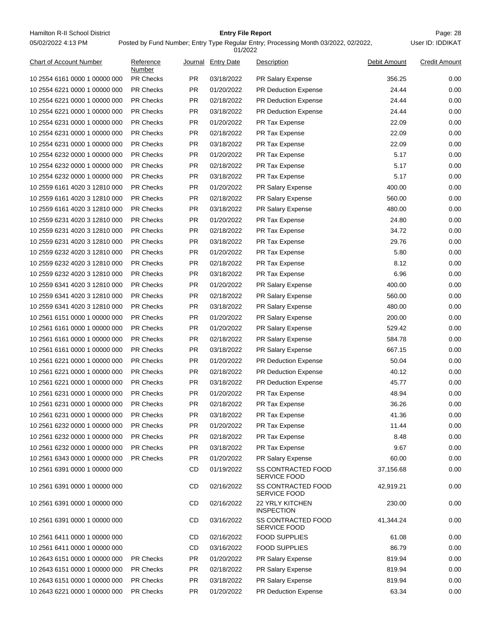Hamilton R-II School District **Entry File Report Entry File Report** Page: 28 05/02/2022 4:13 PM

# **Entry File Report**

Posted by Fund Number; Entry Type Regular Entry; Processing Month 03/2022, 02/2022,

01/2022

| <b>Chart of Account Number</b> | Reference<br>Number |           | Journal Entry Date | <b>Description</b>                        | Debit Amount | <b>Credit Amount</b> |
|--------------------------------|---------------------|-----------|--------------------|-------------------------------------------|--------------|----------------------|
| 10 2554 6161 0000 1 00000 000  | <b>PR Checks</b>    | PR        | 03/18/2022         | PR Salary Expense                         | 356.25       | 0.00                 |
| 10 2554 6221 0000 1 00000 000  | <b>PR Checks</b>    | <b>PR</b> | 01/20/2022         | <b>PR Deduction Expense</b>               | 24.44        | 0.00                 |
| 10 2554 6221 0000 1 00000 000  | <b>PR Checks</b>    | <b>PR</b> | 02/18/2022         | <b>PR Deduction Expense</b>               | 24.44        | 0.00                 |
| 10 2554 6221 0000 1 00000 000  | <b>PR Checks</b>    | PR        | 03/18/2022         | PR Deduction Expense                      | 24.44        | 0.00                 |
| 10 2554 6231 0000 1 00000 000  | <b>PR Checks</b>    | PR        | 01/20/2022         | PR Tax Expense                            | 22.09        | 0.00                 |
| 10 2554 6231 0000 1 00000 000  | <b>PR Checks</b>    | <b>PR</b> | 02/18/2022         | PR Tax Expense                            | 22.09        | 0.00                 |
| 10 2554 6231 0000 1 00000 000  | <b>PR Checks</b>    | PR        | 03/18/2022         | PR Tax Expense                            | 22.09        | 0.00                 |
| 10 2554 6232 0000 1 00000 000  | <b>PR Checks</b>    | PR        | 01/20/2022         | PR Tax Expense                            | 5.17         | 0.00                 |
| 10 2554 6232 0000 1 00000 000  | <b>PR Checks</b>    | PR        | 02/18/2022         | PR Tax Expense                            | 5.17         | 0.00                 |
| 10 2554 6232 0000 1 00000 000  | <b>PR Checks</b>    | <b>PR</b> | 03/18/2022         | PR Tax Expense                            | 5.17         | 0.00                 |
| 10 2559 6161 4020 3 12810 000  | <b>PR Checks</b>    | <b>PR</b> | 01/20/2022         | PR Salary Expense                         | 400.00       | 0.00                 |
| 10 2559 6161 4020 3 12810 000  | <b>PR Checks</b>    | PR        | 02/18/2022         | PR Salary Expense                         | 560.00       | 0.00                 |
| 10 2559 6161 4020 3 12810 000  | <b>PR Checks</b>    | PR        | 03/18/2022         | PR Salary Expense                         | 480.00       | 0.00                 |
| 10 2559 6231 4020 3 12810 000  | <b>PR Checks</b>    | <b>PR</b> | 01/20/2022         | PR Tax Expense                            | 24.80        | 0.00                 |
| 10 2559 6231 4020 3 12810 000  | <b>PR Checks</b>    | <b>PR</b> | 02/18/2022         | PR Tax Expense                            | 34.72        | 0.00                 |
| 10 2559 6231 4020 3 12810 000  | <b>PR Checks</b>    | PR        | 03/18/2022         | <b>PR Tax Expense</b>                     | 29.76        | 0.00                 |
| 10 2559 6232 4020 3 12810 000  | <b>PR Checks</b>    | PR        | 01/20/2022         | PR Tax Expense                            | 5.80         | 0.00                 |
| 10 2559 6232 4020 3 12810 000  | <b>PR Checks</b>    | <b>PR</b> | 02/18/2022         | <b>PR Tax Expense</b>                     | 8.12         | 0.00                 |
| 10 2559 6232 4020 3 12810 000  | <b>PR Checks</b>    | <b>PR</b> | 03/18/2022         | PR Tax Expense                            | 6.96         | 0.00                 |
| 10 2559 6341 4020 3 12810 000  | <b>PR Checks</b>    | <b>PR</b> | 01/20/2022         | PR Salary Expense                         | 400.00       | 0.00                 |
| 10 2559 6341 4020 3 12810 000  | <b>PR Checks</b>    | PR        | 02/18/2022         | PR Salary Expense                         | 560.00       | 0.00                 |
| 10 2559 6341 4020 3 12810 000  | <b>PR Checks</b>    | PR        | 03/18/2022         | PR Salary Expense                         | 480.00       | 0.00                 |
| 10 2561 6151 0000 1 00000 000  | <b>PR Checks</b>    | PR        | 01/20/2022         | PR Salary Expense                         | 200.00       | 0.00                 |
| 10 2561 6161 0000 1 00000 000  | <b>PR Checks</b>    | PR        | 01/20/2022         | PR Salary Expense                         | 529.42       | 0.00                 |
| 10 2561 6161 0000 1 00000 000  | <b>PR Checks</b>    | <b>PR</b> | 02/18/2022         | PR Salary Expense                         | 584.78       | 0.00                 |
| 10 2561 6161 0000 1 00000 000  | <b>PR Checks</b>    | <b>PR</b> | 03/18/2022         | PR Salary Expense                         | 667.15       | 0.00                 |
| 10 2561 6221 0000 1 00000 000  | <b>PR Checks</b>    | <b>PR</b> | 01/20/2022         | PR Deduction Expense                      | 50.04        | 0.00                 |
| 10 2561 6221 0000 1 00000 000  | <b>PR Checks</b>    | PR        | 02/18/2022         | PR Deduction Expense                      | 40.12        | 0.00                 |
| 10 2561 6221 0000 1 00000 000  | <b>PR Checks</b>    | <b>PR</b> | 03/18/2022         | PR Deduction Expense                      | 45.77        | 0.00                 |
| 10 2561 6231 0000 1 00000 000  | <b>PR Checks</b>    | PR.       | 01/20/2022         | PR Tax Expense                            | 48.94        | 0.00                 |
| 10 2561 6231 0000 1 00000 000  | <b>PR Checks</b>    | PR        | 02/18/2022         | PR Tax Expense                            | 36.26        | 0.00                 |
| 10 2561 6231 0000 1 00000 000  | <b>PR Checks</b>    | PR        | 03/18/2022         | PR Tax Expense                            | 41.36        | 0.00                 |
| 10 2561 6232 0000 1 00000 000  | <b>PR Checks</b>    | <b>PR</b> | 01/20/2022         | PR Tax Expense                            | 11.44        | 0.00                 |
| 10 2561 6232 0000 1 00000 000  | <b>PR Checks</b>    | <b>PR</b> | 02/18/2022         | PR Tax Expense                            | 8.48         | 0.00                 |
| 10 2561 6232 0000 1 00000 000  | <b>PR Checks</b>    | PR        | 03/18/2022         | PR Tax Expense                            | 9.67         | 0.00                 |
| 10 2561 6343 0000 1 00000 000  | <b>PR Checks</b>    | PR        | 01/20/2022         | PR Salary Expense                         | 60.00        | 0.00                 |
| 10 2561 6391 0000 1 00000 000  |                     | <b>CD</b> | 01/19/2022         | <b>SS CONTRACTED FOOD</b><br>SERVICE FOOD | 37,156.68    | 0.00                 |
| 10 2561 6391 0000 1 00000 000  |                     | CD        | 02/16/2022         | <b>SS CONTRACTED FOOD</b><br>SERVICE FOOD | 42,919.21    | 0.00                 |
| 10 2561 6391 0000 1 00000 000  |                     | <b>CD</b> | 02/16/2022         | 22 YRLY KITCHEN<br><b>INSPECTION</b>      | 230.00       | 0.00                 |
| 10 2561 6391 0000 1 00000 000  |                     | CD        | 03/16/2022         | SS CONTRACTED FOOD<br>SERVICE FOOD        | 41,344.24    | 0.00                 |
| 10 2561 6411 0000 1 00000 000  |                     | CD        | 02/16/2022         | <b>FOOD SUPPLIES</b>                      | 61.08        | 0.00                 |
| 10 2561 6411 0000 1 00000 000  |                     | <b>CD</b> | 03/16/2022         | <b>FOOD SUPPLIES</b>                      | 86.79        | 0.00                 |
| 10 2643 6151 0000 1 00000 000  | <b>PR Checks</b>    | <b>PR</b> | 01/20/2022         | PR Salary Expense                         | 819.94       | 0.00                 |
| 10 2643 6151 0000 1 00000 000  | <b>PR Checks</b>    | <b>PR</b> | 02/18/2022         | PR Salary Expense                         | 819.94       | 0.00                 |
| 10 2643 6151 0000 1 00000 000  | PR Checks           | <b>PR</b> | 03/18/2022         | PR Salary Expense                         | 819.94       | 0.00                 |
| 10 2643 6221 0000 1 00000 000  | <b>PR Checks</b>    | <b>PR</b> | 01/20/2022         | PR Deduction Expense                      | 63.34        | 0.00                 |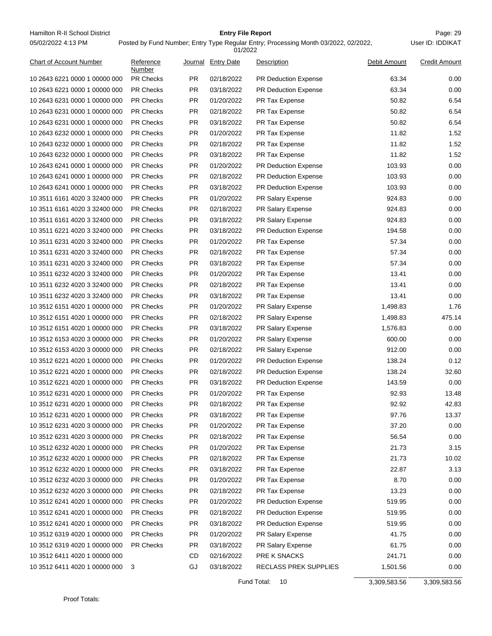Hamilton R-II School District **Entry File Report Entry File Report** Page: 29 05/02/2022 4:13 PM

#### **Entry File Report**

User ID: IDDIKAT

#### Posted by Fund Number; Entry Type Regular Entry; Processing Month 03/2022, 02/2022, 01/2022

| <b>Chart of Account Number</b> | Reference<br>Number |           | Journal Entry Date | Description                 | Debit Amount | <b>Credit Amount</b> |
|--------------------------------|---------------------|-----------|--------------------|-----------------------------|--------------|----------------------|
| 10 2643 6221 0000 1 00000 000  | PR Checks           | <b>PR</b> | 02/18/2022         | <b>PR Deduction Expense</b> | 63.34        | 0.00                 |
| 10 2643 6221 0000 1 00000 000  | <b>PR Checks</b>    | <b>PR</b> | 03/18/2022         | PR Deduction Expense        | 63.34        | 0.00                 |
| 10 2643 6231 0000 1 00000 000  | PR Checks           | <b>PR</b> | 01/20/2022         | PR Tax Expense              | 50.82        | 6.54                 |
| 10 2643 6231 0000 1 00000 000  | <b>PR Checks</b>    | <b>PR</b> | 02/18/2022         | PR Tax Expense              | 50.82        | 6.54                 |
| 10 2643 6231 0000 1 00000 000  | PR Checks           | <b>PR</b> | 03/18/2022         | PR Tax Expense              | 50.82        | 6.54                 |
| 10 2643 6232 0000 1 00000 000  | PR Checks           | <b>PR</b> | 01/20/2022         | PR Tax Expense              | 11.82        | 1.52                 |
| 10 2643 6232 0000 1 00000 000  | PR Checks           | <b>PR</b> | 02/18/2022         | PR Tax Expense              | 11.82        | 1.52                 |
| 10 2643 6232 0000 1 00000 000  | <b>PR Checks</b>    | <b>PR</b> | 03/18/2022         | PR Tax Expense              | 11.82        | 1.52                 |
| 10 2643 6241 0000 1 00000 000  | PR Checks           | <b>PR</b> | 01/20/2022         | PR Deduction Expense        | 103.93       | 0.00                 |
| 10 2643 6241 0000 1 00000 000  | <b>PR Checks</b>    | <b>PR</b> | 02/18/2022         | PR Deduction Expense        | 103.93       | 0.00                 |
| 10 2643 6241 0000 1 00000 000  | PR Checks           | <b>PR</b> | 03/18/2022         | PR Deduction Expense        | 103.93       | 0.00                 |
| 10 3511 6161 4020 3 32400 000  | PR Checks           | <b>PR</b> | 01/20/2022         | PR Salary Expense           | 924.83       | 0.00                 |
| 10 3511 6161 4020 3 32400 000  | PR Checks           | <b>PR</b> | 02/18/2022         | PR Salary Expense           | 924.83       | 0.00                 |
| 10 3511 6161 4020 3 32400 000  | PR Checks           | <b>PR</b> | 03/18/2022         | PR Salary Expense           | 924.83       | 0.00                 |
| 10 3511 6221 4020 3 32400 000  | <b>PR Checks</b>    | <b>PR</b> | 03/18/2022         | PR Deduction Expense        | 194.58       | 0.00                 |
| 10 3511 6231 4020 3 32400 000  | <b>PR Checks</b>    | <b>PR</b> | 01/20/2022         | PR Tax Expense              | 57.34        | 0.00                 |
| 10 3511 6231 4020 3 32400 000  | PR Checks           | <b>PR</b> | 02/18/2022         | PR Tax Expense              | 57.34        | 0.00                 |
| 10 3511 6231 4020 3 32400 000  | <b>PR Checks</b>    | <b>PR</b> | 03/18/2022         | PR Tax Expense              | 57.34        | 0.00                 |
| 10 3511 6232 4020 3 32400 000  | PR Checks           | <b>PR</b> | 01/20/2022         | PR Tax Expense              | 13.41        | 0.00                 |
| 10 3511 6232 4020 3 32400 000  | PR Checks           | <b>PR</b> | 02/18/2022         | PR Tax Expense              | 13.41        | 0.00                 |
| 10 3511 6232 4020 3 32400 000  | PR Checks           | <b>PR</b> | 03/18/2022         | PR Tax Expense              | 13.41        | 0.00                 |
| 10 3512 6151 4020 1 00000 000  | <b>PR Checks</b>    | <b>PR</b> | 01/20/2022         | PR Salary Expense           | 1,498.83     | 1.76                 |
| 10 3512 6151 4020 1 00000 000  | <b>PR Checks</b>    | <b>PR</b> | 02/18/2022         | PR Salary Expense           | 1,498.83     | 475.14               |
| 10 3512 6151 4020 1 00000 000  | <b>PR Checks</b>    | <b>PR</b> | 03/18/2022         | PR Salary Expense           | 1,576.83     | 0.00                 |
| 10 3512 6153 4020 3 00000 000  | PR Checks           | <b>PR</b> | 01/20/2022         | PR Salary Expense           | 600.00       | 0.00                 |
| 10 3512 6153 4020 3 00000 000  | PR Checks           | <b>PR</b> | 02/18/2022         | PR Salary Expense           | 912.00       | 0.00                 |
| 10 3512 6221 4020 1 00000 000  | PR Checks           | <b>PR</b> | 01/20/2022         | PR Deduction Expense        | 138.24       | 0.12                 |
| 10 3512 6221 4020 1 00000 000  | PR Checks           | <b>PR</b> | 02/18/2022         | <b>PR Deduction Expense</b> | 138.24       | 32.60                |
| 10 3512 6221 4020 1 00000 000  | PR Checks           | <b>PR</b> | 03/18/2022         | PR Deduction Expense        | 143.59       | 0.00                 |
| 10 3512 6231 4020 1 00000 000  | PR Checks           | <b>PR</b> | 01/20/2022         | PR Tax Expense              | 92.93        | 13.48                |
| 10 3512 6231 4020 1 00000 000  | PR Checks           | <b>PR</b> | 02/18/2022         | PR Tax Expense              | 92.92        | 42.83                |
| 10 3512 6231 4020 1 00000 000  | PR Checks           | <b>PR</b> | 03/18/2022         | PR Tax Expense              | 97.76        | 13.37                |
| 10 3512 6231 4020 3 00000 000  | <b>PR Checks</b>    | PR.       | 01/20/2022         | PR Tax Expense              | 37.20        | 0.00                 |
| 10 3512 6231 4020 3 00000 000  | PR Checks           | <b>PR</b> | 02/18/2022         | PR Tax Expense              | 56.54        | 0.00                 |
| 10 3512 6232 4020 1 00000 000  | PR Checks           | <b>PR</b> | 01/20/2022         | PR Tax Expense              | 21.73        | 3.15                 |
| 10 3512 6232 4020 1 00000 000  | PR Checks           | <b>PR</b> | 02/18/2022         | PR Tax Expense              | 21.73        | 10.02                |
| 10 3512 6232 4020 1 00000 000  | PR Checks           | <b>PR</b> | 03/18/2022         | PR Tax Expense              | 22.87        | 3.13                 |
| 10 3512 6232 4020 3 00000 000  | PR Checks           | <b>PR</b> | 01/20/2022         | PR Tax Expense              | 8.70         | 0.00                 |
| 10 3512 6232 4020 3 00000 000  | PR Checks           | <b>PR</b> | 02/18/2022         | PR Tax Expense              | 13.23        | 0.00                 |
| 10 3512 6241 4020 1 00000 000  | PR Checks           | <b>PR</b> | 01/20/2022         | PR Deduction Expense        | 519.95       | 0.00                 |
| 10 3512 6241 4020 1 00000 000  | PR Checks           | <b>PR</b> | 02/18/2022         | PR Deduction Expense        | 519.95       | 0.00                 |
| 10 3512 6241 4020 1 00000 000  | PR Checks           | <b>PR</b> | 03/18/2022         | PR Deduction Expense        | 519.95       | 0.00                 |
| 10 3512 6319 4020 1 00000 000  | PR Checks           | <b>PR</b> | 01/20/2022         | PR Salary Expense           | 41.75        | 0.00                 |
| 10 3512 6319 4020 1 00000 000  | PR Checks           | <b>PR</b> | 03/18/2022         | PR Salary Expense           | 61.75        | 0.00                 |
| 10 3512 6411 4020 1 00000 000  |                     | CD        | 02/16/2022         | PRE K SNACKS                | 241.71       | 0.00                 |
| 10 3512 6411 4020 1 00000 000  | 3                   | GJ        | 03/18/2022         | RECLASS PREK SUPPLIES       | 1,501.56     | 0.00                 |
|                                |                     |           |                    |                             |              |                      |

Fund Total: 10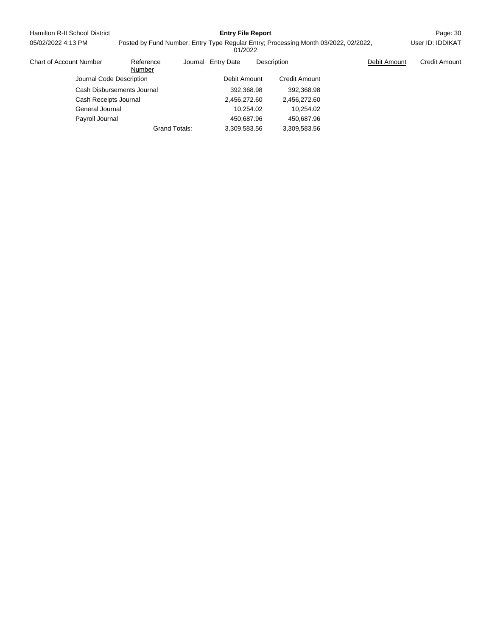| Hamilton R-II School District  |                            |                                                                                                | <b>Entry File Report</b> |           |                      |  |              | Page: 30             |
|--------------------------------|----------------------------|------------------------------------------------------------------------------------------------|--------------------------|-----------|----------------------|--|--------------|----------------------|
| 05/02/2022 4:13 PM             |                            | Posted by Fund Number; Entry Type Regular Entry; Processing Month 03/2022, 02/2022,<br>01/2022 |                          |           |                      |  |              | User ID: IDDIKAT     |
| <b>Chart of Account Number</b> | Reference<br>Number        | Journal                                                                                        | <b>Entry Date</b>        |           | Description          |  | Debit Amount | <b>Credit Amount</b> |
| Journal Code Description       |                            |                                                                                                | Debit Amount             |           | <b>Credit Amount</b> |  |              |                      |
|                                | Cash Disbursements Journal |                                                                                                | 392.368.98               |           | 392.368.98           |  |              |                      |
| Cash Receipts Journal          |                            |                                                                                                | 2,456,272.60             |           | 2,456,272.60         |  |              |                      |
| General Journal                |                            |                                                                                                |                          | 10.254.02 | 10.254.02            |  |              |                      |
| Payroll Journal                |                            |                                                                                                | 450.687.96               |           | 450.687.96           |  |              |                      |

Grand Totals: 3,309,583.56 3,309,583.56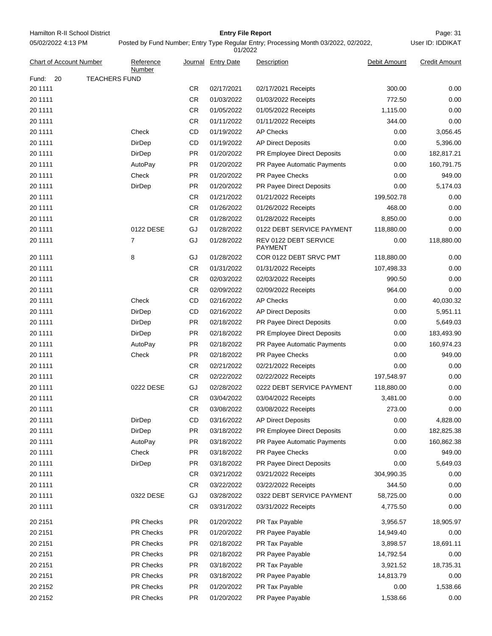Hamilton R-II School District **Entry File Report Entry File Report** Page: 31 05/02/2022 4:13 PM

# **Entry File Report**

User ID: IDDIKAT

| <b>Chart of Account Number</b>      | Reference<br>Number |           | Journal Entry Date | <b>Description</b>                      | Debit Amount | <b>Credit Amount</b> |
|-------------------------------------|---------------------|-----------|--------------------|-----------------------------------------|--------------|----------------------|
| Fund:<br>20<br><b>TEACHERS FUND</b> |                     |           |                    |                                         |              |                      |
| 20 1111                             |                     | CR        | 02/17/2021         | 02/17/2021 Receipts                     | 300.00       | 0.00                 |
| 20 1111                             |                     | <b>CR</b> | 01/03/2022         | 01/03/2022 Receipts                     | 772.50       | 0.00                 |
| 20 1111                             |                     | <b>CR</b> | 01/05/2022         | 01/05/2022 Receipts                     | 1,115.00     | 0.00                 |
| 20 1111                             |                     | <b>CR</b> | 01/11/2022         | 01/11/2022 Receipts                     | 344.00       | 0.00                 |
| 20 1111                             | Check               | CD        | 01/19/2022         | <b>AP Checks</b>                        | 0.00         | 3,056.45             |
| 20 1111                             | DirDep              | CD        | 01/19/2022         | <b>AP Direct Deposits</b>               | 0.00         | 5,396.00             |
| 20 1111                             | DirDep              | <b>PR</b> | 01/20/2022         | PR Employee Direct Deposits             | 0.00         | 182,817.21           |
| 20 1111                             | AutoPay             | <b>PR</b> | 01/20/2022         | <b>PR Payee Automatic Payments</b>      | 0.00         | 160,791.75           |
| 20 1111                             | Check               | <b>PR</b> | 01/20/2022         | PR Payee Checks                         | 0.00         | 949.00               |
| 20 1111                             | DirDep              | PR.       | 01/20/2022         | PR Payee Direct Deposits                | 0.00         | 5,174.03             |
| 20 1111                             |                     | <b>CR</b> | 01/21/2022         | 01/21/2022 Receipts                     | 199,502.78   | 0.00                 |
| 20 1111                             |                     | <b>CR</b> | 01/26/2022         | 01/26/2022 Receipts                     | 468.00       | 0.00                 |
| 20 1111                             |                     | CR        | 01/28/2022         | 01/28/2022 Receipts                     | 8,850.00     | 0.00                 |
| 20 1111                             | 0122 DESE           | GJ        | 01/28/2022         | 0122 DEBT SERVICE PAYMENT               | 118,880.00   | 0.00                 |
| 20 1111                             | 7                   | GJ        | 01/28/2022         | REV 0122 DEBT SERVICE<br><b>PAYMENT</b> | 0.00         | 118,880.00           |
| 20 1111                             | 8                   | GJ        | 01/28/2022         | COR 0122 DEBT SRVC PMT                  | 118,880.00   | 0.00                 |
| 20 1111                             |                     | <b>CR</b> | 01/31/2022         | 01/31/2022 Receipts                     | 107,498.33   | 0.00                 |
| 20 1111                             |                     | <b>CR</b> | 02/03/2022         | 02/03/2022 Receipts                     | 990.50       | 0.00                 |
| 20 1111                             |                     | <b>CR</b> | 02/09/2022         | 02/09/2022 Receipts                     | 964.00       | 0.00                 |
| 20 1111                             | Check               | CD        | 02/16/2022         | <b>AP Checks</b>                        | 0.00         | 40,030.32            |
| 20 1111                             | DirDep              | CD        | 02/16/2022         | <b>AP Direct Deposits</b>               | 0.00         | 5,951.11             |
| 20 1111                             | DirDep              | <b>PR</b> | 02/18/2022         | PR Payee Direct Deposits                | 0.00         | 5,649.03             |
| 20 1111                             | DirDep              | <b>PR</b> | 02/18/2022         | PR Employee Direct Deposits             | 0.00         | 183,493.90           |
| 20 1111                             | AutoPay             | <b>PR</b> | 02/18/2022         | PR Payee Automatic Payments             | 0.00         | 160,974.23           |
| 20 1111                             | Check               | <b>PR</b> | 02/18/2022         | PR Payee Checks                         | 0.00         | 949.00               |
| 20 1111                             |                     | CR        | 02/21/2022         | 02/21/2022 Receipts                     | 0.00         | 0.00                 |
| 20 1111                             |                     | CR        | 02/22/2022         | 02/22/2022 Receipts                     | 197,548.97   | 0.00                 |
| 20 1111                             | 0222 DESE           | GJ        | 02/28/2022         | 0222 DEBT SERVICE PAYMENT               | 118,880.00   | 0.00                 |
| 20 1111                             |                     | CR        | 03/04/2022         | 03/04/2022 Receipts                     | 3,481.00     | 0.00                 |
| 20 1111                             |                     | CR        | 03/08/2022         | 03/08/2022 Receipts                     | 273.00       | 0.00                 |
| 20 1111                             | <b>DirDep</b>       | CD        | 03/16/2022         | <b>AP Direct Deposits</b>               | 0.00         | 4,828.00             |
| 20 1111                             | DirDep              | <b>PR</b> | 03/18/2022         | PR Employee Direct Deposits             | 0.00         | 182,825.38           |
| 20 1111                             | AutoPay             | <b>PR</b> | 03/18/2022         | PR Payee Automatic Payments             | 0.00         | 160,862.38           |
| 20 1111                             | Check               | <b>PR</b> | 03/18/2022         | PR Payee Checks                         | 0.00         | 949.00               |
| 20 1111                             | DirDep              | <b>PR</b> | 03/18/2022         | PR Payee Direct Deposits                | 0.00         | 5,649.03             |
| 20 1111                             |                     | <b>CR</b> | 03/21/2022         | 03/21/2022 Receipts                     | 304,990.35   | 0.00                 |
| 20 1111                             |                     | CR        | 03/22/2022         | 03/22/2022 Receipts                     | 344.50       | 0.00                 |
| 20 1111                             | 0322 DESE           | GJ        | 03/28/2022         | 0322 DEBT SERVICE PAYMENT               | 58,725.00    | 0.00                 |
| 20 1111                             |                     | <b>CR</b> | 03/31/2022         | 03/31/2022 Receipts                     | 4,775.50     | 0.00                 |
| 20 2151                             | PR Checks           | <b>PR</b> | 01/20/2022         | PR Tax Payable                          | 3,956.57     | 18,905.97            |
| 20 2151                             | PR Checks           | <b>PR</b> | 01/20/2022         | PR Payee Payable                        | 14,949.40    | 0.00                 |
| 20 2151                             | PR Checks           | <b>PR</b> | 02/18/2022         | PR Tax Payable                          | 3,898.57     | 18,691.11            |
| 20 2151                             | PR Checks           | PR        | 02/18/2022         | PR Payee Payable                        | 14,792.54    | 0.00                 |
| 20 2151                             | PR Checks           | <b>PR</b> | 03/18/2022         | PR Tax Payable                          | 3,921.52     | 18,735.31            |
| 20 2151                             | PR Checks           | <b>PR</b> | 03/18/2022         | PR Payee Payable                        | 14,813.79    | 0.00                 |
| 20 2152                             | PR Checks           | <b>PR</b> | 01/20/2022         | PR Tax Payable                          | 0.00         | 1,538.66             |
| 20 2152                             | PR Checks           | PR        | 01/20/2022         | PR Payee Payable                        | 1,538.66     | 0.00                 |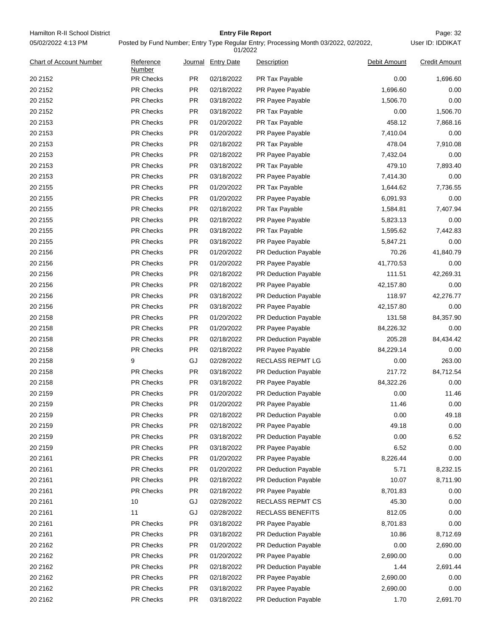| Hamilton R-II School District<br><b>Entry File Report</b><br>User ID: IDDIKAT<br>05/02/2022 4:13 PM<br>Posted by Fund Number; Entry Type Regular Entry; Processing Month 03/2022, 02/2022,<br>01/2022 |                     |           |                          |                         |              |                      |
|-------------------------------------------------------------------------------------------------------------------------------------------------------------------------------------------------------|---------------------|-----------|--------------------------|-------------------------|--------------|----------------------|
| <b>Chart of Account Number</b>                                                                                                                                                                        | Reference<br>Number |           | Journal Entry Date       | Description             | Debit Amount | <b>Credit Amount</b> |
| 20 2152                                                                                                                                                                                               | PR Checks           | PR        | 02/18/2022               | PR Tax Payable          | 0.00         | 1,696.60             |
| 20 2152                                                                                                                                                                                               | PR Checks           | PR        | 02/18/2022               | PR Payee Payable        | 1,696.60     | 0.00                 |
| 20 2152                                                                                                                                                                                               | PR Checks           | <b>PR</b> | 03/18/2022               | PR Payee Payable        | 1,506.70     | 0.00                 |
| 20 2152                                                                                                                                                                                               | PR Checks           | PR        | 03/18/2022               | PR Tax Payable          | 0.00         | 1,506.70             |
| 20 2153                                                                                                                                                                                               | PR Checks           | <b>PR</b> | 01/20/2022               | PR Tax Payable          | 458.12       | 7,868.16             |
| 20 2153                                                                                                                                                                                               | PR Checks           | PR        | 01/20/2022               | PR Payee Payable        | 7,410.04     | 0.00                 |
| 20 2153                                                                                                                                                                                               | <b>PR Checks</b>    | PR        | 02/18/2022               | PR Tax Payable          | 478.04       | 7,910.08             |
| 20 2153                                                                                                                                                                                               | <b>PR Checks</b>    | PR        | 02/18/2022               | PR Payee Payable        | 7,432.04     | 0.00                 |
| 20 2153                                                                                                                                                                                               | PR Checks           | <b>PR</b> | 03/18/2022               | PR Tax Payable          | 479.10       | 7,893.40             |
| 20 2153                                                                                                                                                                                               | PR Checks           | PR        | 03/18/2022               | PR Payee Payable        | 7,414.30     | 0.00                 |
| 20 2155                                                                                                                                                                                               | PR Checks           | PR        | 01/20/2022               | PR Tax Payable          | 1,644.62     | 7,736.55             |
| 20 2155                                                                                                                                                                                               | PR Checks           | PR        | 01/20/2022               | PR Payee Payable        | 6,091.93     | 0.00                 |
| 20 2155                                                                                                                                                                                               | PR Checks           | <b>PR</b> | 02/18/2022               | PR Tax Payable          | 1,584.81     | 7,407.94             |
| 20 2155                                                                                                                                                                                               | PR Checks           | PR        | 02/18/2022               | PR Payee Payable        | 5,823.13     | 0.00                 |
| 20 2155                                                                                                                                                                                               | PR Checks           | PR        | 03/18/2022               | PR Tax Payable          | 1,595.62     | 7,442.83             |
| 20 2155                                                                                                                                                                                               | <b>PR Checks</b>    | PR        | 03/18/2022               | PR Payee Payable        | 5,847.21     | 0.00                 |
| 20 2156                                                                                                                                                                                               | PR Checks           | <b>PR</b> | 01/20/2022               | PR Deduction Payable    | 70.26        | 41,840.79            |
| 20 2156                                                                                                                                                                                               | PR Checks           | PR        | 01/20/2022               | PR Payee Payable        | 41,770.53    | 0.00                 |
| 20 2156                                                                                                                                                                                               | PR Checks           | PR        | 02/18/2022               | PR Deduction Payable    | 111.51       | 42,269.31            |
| 20 2156                                                                                                                                                                                               | PR Checks           | PR        | 02/18/2022               | PR Payee Payable        | 42,157.80    | 0.00                 |
|                                                                                                                                                                                                       | PR Checks           | <b>PR</b> |                          |                         |              |                      |
| 20 2156<br>20 2156                                                                                                                                                                                    | PR Checks           | PR        | 03/18/2022<br>03/18/2022 | PR Deduction Payable    | 118.97       | 42,276.77<br>0.00    |
|                                                                                                                                                                                                       |                     |           |                          | PR Payee Payable        | 42,157.80    |                      |
| 20 2158                                                                                                                                                                                               | PR Checks           | PR        | 01/20/2022               | PR Deduction Payable    | 131.58       | 84,357.90            |
| 20 2158                                                                                                                                                                                               | <b>PR Checks</b>    | PR        | 01/20/2022               | PR Payee Payable        | 84,226.32    | 0.00                 |
| 20 2158                                                                                                                                                                                               | PR Checks           | <b>PR</b> | 02/18/2022               | PR Deduction Payable    | 205.28       | 84,434.42            |
| 20 2158                                                                                                                                                                                               | PR Checks           | PR        | 02/18/2022               | PR Payee Payable        | 84,229.14    | 0.00                 |
| 20 2158                                                                                                                                                                                               | 9                   | GJ        | 02/28/2022               | <b>RECLASS REPMT LG</b> | 0.00         | 263.00               |
| 20 2158                                                                                                                                                                                               | <b>PR Checks</b>    | PR        | 03/18/2022               | PR Deduction Payable    | 217.72       | 84,712.54            |
| 20 2158                                                                                                                                                                                               | PR Checks           | <b>PR</b> | 03/18/2022               | PR Payee Payable        | 84,322.26    | 0.00                 |
| 20 2159                                                                                                                                                                                               | <b>PR Checks</b>    | PR        | 01/20/2022               | PR Deduction Payable    | 0.00         | 11.46                |
| 20 2159                                                                                                                                                                                               | PR Checks           | PR        | 01/20/2022               | PR Payee Payable        | 11.46        | 0.00                 |
| 20 2159                                                                                                                                                                                               | PR Checks           | PR        | 02/18/2022               | PR Deduction Payable    | 0.00         | 49.18                |
| 20 2159                                                                                                                                                                                               | PR Checks           | <b>PR</b> | 02/18/2022               | PR Payee Payable        | 49.18        | 0.00                 |
| 20 2159                                                                                                                                                                                               | PR Checks           | PR        | 03/18/2022               | PR Deduction Payable    | 0.00         | 6.52                 |
| 20 2159                                                                                                                                                                                               | PR Checks           | PR        | 03/18/2022               | PR Payee Payable        | 6.52         | 0.00                 |
| 20 21 61                                                                                                                                                                                              | PR Checks           | PR        | 01/20/2022               | PR Payee Payable        | 8,226.44     | 0.00                 |
| 20 21 61                                                                                                                                                                                              | PR Checks           | <b>PR</b> | 01/20/2022               | PR Deduction Payable    | 5.71         | 8,232.15             |
| 20 21 61                                                                                                                                                                                              | PR Checks           | PR        | 02/18/2022               | PR Deduction Payable    | 10.07        | 8,711.90             |
| 20 21 61                                                                                                                                                                                              | PR Checks           | <b>PR</b> | 02/18/2022               | PR Payee Payable        | 8,701.83     | 0.00                 |
| 20 21 61                                                                                                                                                                                              | 10                  | GJ        | 02/28/2022               | <b>RECLASS REPMT CS</b> | 45.30        | 0.00                 |
| 20 21 61                                                                                                                                                                                              | 11                  | GJ        | 02/28/2022               | <b>RECLASS BENEFITS</b> | 812.05       | 0.00                 |
| 20 21 61                                                                                                                                                                                              | PR Checks           | PR        | 03/18/2022               | PR Payee Payable        | 8,701.83     | 0.00                 |
| 20 21 61                                                                                                                                                                                              | PR Checks           | PR        | 03/18/2022               | PR Deduction Payable    | 10.86        | 8,712.69             |
| 20 21 62                                                                                                                                                                                              | PR Checks           | PR        | 01/20/2022               | PR Deduction Payable    | 0.00         | 2,690.00             |
| 20 21 62                                                                                                                                                                                              | PR Checks           | <b>PR</b> | 01/20/2022               | PR Payee Payable        | 2,690.00     | 0.00                 |
| 20 21 62                                                                                                                                                                                              | PR Checks           | PR        | 02/18/2022               | PR Deduction Payable    | 1.44         | 2,691.44             |
| 20 21 62                                                                                                                                                                                              | PR Checks           | <b>PR</b> | 02/18/2022               | PR Payee Payable        | 2,690.00     | 0.00                 |
| 20 21 62                                                                                                                                                                                              | PR Checks           | PR        | 03/18/2022               | PR Payee Payable        | 2,690.00     | 0.00                 |
| 20 21 62                                                                                                                                                                                              | PR Checks           | PR        | 03/18/2022               | PR Deduction Payable    | 1.70         | 2,691.70             |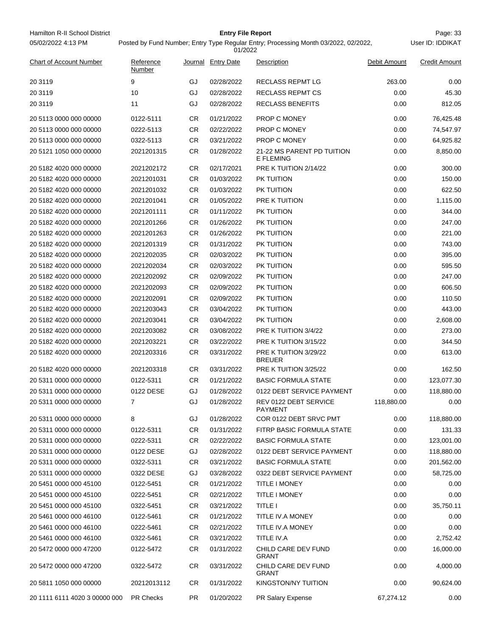| Hamilton R-II School District  |                     |           | <b>Entry File Report</b> |                                                                                     |              | Page: 33             |
|--------------------------------|---------------------|-----------|--------------------------|-------------------------------------------------------------------------------------|--------------|----------------------|
| 05/02/2022 4:13 PM             |                     |           | 01/2022                  | Posted by Fund Number; Entry Type Regular Entry; Processing Month 03/2022, 02/2022, |              | User ID: IDDIKAT     |
| <b>Chart of Account Number</b> | Reference<br>Number | Journal   | <b>Entry Date</b>        | Description                                                                         | Debit Amount | <b>Credit Amount</b> |
| 20 31 19                       | 9                   | GJ        | 02/28/2022               | <b>RECLASS REPMT LG</b>                                                             | 263.00       | 0.00                 |
| 20 3119                        | 10                  | GJ        | 02/28/2022               | <b>RECLASS REPMT CS</b>                                                             | 0.00         | 45.30                |
| 20 3119                        | 11                  | GJ        | 02/28/2022               | <b>RECLASS BENEFITS</b>                                                             | 0.00         | 812.05               |
| 20 5113 0000 000 00000         | 0122-5111           | <b>CR</b> | 01/21/2022               | <b>PROP C MONEY</b>                                                                 | 0.00         | 76,425.48            |
| 20 5113 0000 000 00000         | 0222-5113           | CR        | 02/22/2022               | PROP C MONEY                                                                        | 0.00         | 74,547.97            |
| 20 5113 0000 000 00000         | 0322-5113           | <b>CR</b> | 03/21/2022               | <b>PROP C MONEY</b>                                                                 | 0.00         | 64,925.82            |
| 20 5121 1050 000 00000         | 2021201315          | CR        | 01/28/2022               | 21-22 MS PARENT PD TUITION<br><b>E FLEMING</b>                                      | 0.00         | 8,850.00             |
| 20 5182 4020 000 00000         | 2021202172          | <b>CR</b> | 02/17/2021               | PRE K TUITION 2/14/22                                                               | 0.00         | 300.00               |
| 20 5182 4020 000 00000         | 2021201031          | <b>CR</b> | 01/03/2022               | PK TUITION                                                                          | 0.00         | 150.00               |
| 20 5182 4020 000 00000         | 2021201032          | <b>CR</b> | 01/03/2022               | PK TUITION                                                                          | 0.00         | 622.50               |
| 20 5182 4020 000 00000         | 2021201041          | CR.       | 01/05/2022               | PRE K TUITION                                                                       | 0.00         | 1,115.00             |
| 20 5182 4020 000 00000         | 2021201111          | CR        | 01/11/2022               | PK TUITION                                                                          | 0.00         | 344.00               |
| 20 5182 4020 000 00000         | 2021201266          | <b>CR</b> | 01/26/2022               | PK TUITION                                                                          | 0.00         | 247.00               |
| 20 5182 4020 000 00000         | 2021201263          | <b>CR</b> | 01/26/2022               | PK TUITION                                                                          | 0.00         | 221.00               |
| 20 5182 4020 000 00000         | 2021201319          | <b>CR</b> | 01/31/2022               | PK TUITION                                                                          | 0.00         | 743.00               |
| 20 5182 4020 000 00000         | 2021202035          | CR        | 02/03/2022               | PK TUITION                                                                          | 0.00         | 395.00               |
| 20 5182 4020 000 00000         | 2021202034          | <b>CR</b> | 02/03/2022               | PK TUITION                                                                          | 0.00         | 595.50               |
| 20 5182 4020 000 00000         | 2021202092          | <b>CR</b> | 02/09/2022               | PK TUITION                                                                          | 0.00         | 247.00               |
| 20 5182 4020 000 00000         | 2021202093          | <b>CR</b> | 02/09/2022               | PK TUITION                                                                          | 0.00         | 606.50               |
| 20 5182 4020 000 00000         | 2021202091          | CR        | 02/09/2022               | PK TUITION                                                                          | 0.00         | 110.50               |
| 20 5182 4020 000 00000         | 2021203043          | <b>CR</b> | 03/04/2022               | PK TUITION                                                                          | 0.00         | 443.00               |
| 20 5182 4020 000 00000         | 2021203041          | <b>CR</b> | 03/04/2022               | PK TUITION                                                                          | 0.00         | 2,608.00             |
| 20 5182 4020 000 00000         | 2021203082          | <b>CR</b> | 03/08/2022               | PRE K TUITION 3/4/22                                                                | 0.00         | 273.00               |
| 20 5182 4020 000 00000         | 2021203221          | CR        | 03/22/2022               | PRE K TUITION 3/15/22                                                               | 0.00         | 344.50               |
| 20 5182 4020 000 00000         | 2021203316          | <b>CR</b> | 03/31/2022               | PRE K TUITION 3/29/22<br><b>BREUER</b>                                              | 0.00         | 613.00               |
| 20 5182 4020 000 00000         | 2021203318          | CR.       | 03/31/2022               | PRE K TUITION 3/25/22                                                               | 0.00         | 162.50               |
| 20 5311 0000 000 00000         | 0122-5311           | CR.       | 01/21/2022               | <b>BASIC FORMULA STATE</b>                                                          | 0.00         | 123,077.30           |
| 20 5311 0000 000 00000         | 0122 DESE           | GJ        | 01/28/2022               | 0122 DEBT SERVICE PAYMENT                                                           | 0.00         | 118,880.00           |
| 20 5311 0000 000 00000         | 7                   | GJ        | 01/28/2022               | REV 0122 DEBT SERVICE<br><b>PAYMENT</b>                                             | 118,880.00   | 0.00                 |
| 20 5311 0000 000 00000         | 8                   | GJ        | 01/28/2022               | COR 0122 DEBT SRVC PMT                                                              | 0.00         | 118,880.00           |
| 20 5311 0000 000 00000         | 0122-5311           | CR        | 01/31/2022               | FITRP BASIC FORMULA STATE                                                           | 0.00         | 131.33               |
| 20 5311 0000 000 00000         | 0222-5311           | CR.       | 02/22/2022               | <b>BASIC FORMULA STATE</b>                                                          | 0.00         | 123,001.00           |
| 20 5311 0000 000 00000         | 0122 DESE           | GJ        | 02/28/2022               | 0122 DEBT SERVICE PAYMENT                                                           | 0.00         | 118,880.00           |
| 20 5311 0000 000 00000         | 0322-5311           | <b>CR</b> | 03/21/2022               | <b>BASIC FORMULA STATE</b>                                                          | 0.00         | 201,562.00           |
| 20 5311 0000 000 00000         | 0322 DESE           | GJ        | 03/28/2022               | 0322 DEBT SERVICE PAYMENT                                                           | 0.00         | 58,725.00            |
| 20 5451 0000 000 45100         | 0122-5451           | CR.       | 01/21/2022               | <b>TITLE I MONEY</b>                                                                | 0.00         | 0.00                 |
| 20 5451 0000 000 45100         | 0222-5451           | CR.       | 02/21/2022               | <b>TITLE I MONEY</b>                                                                | 0.00         | 0.00                 |
| 20 5451 0000 000 45100         | 0322-5451           | CR        | 03/21/2022               | <b>TITLE I</b>                                                                      | 0.00         | 35,750.11            |
| 20 5461 0000 000 46100         | 0122-5461           | CR        | 01/21/2022               | TITLE IV.A MONEY                                                                    | 0.00         | 0.00                 |
| 20 5461 0000 000 46100         | 0222-5461           | CR.       | 02/21/2022               | TITLE IV.A MONEY                                                                    | 0.00         | 0.00                 |
| 20 5461 0000 000 46100         | 0322-5461           | CR.       | 03/21/2022               | TITLE IV.A                                                                          | 0.00         | 2,752.42             |
| 20 5472 0000 000 47200         | 0122-5472           | CR.       | 01/31/2022               | CHILD CARE DEV FUND<br><b>GRANT</b>                                                 | 0.00         | 16,000.00            |
| 20 5472 0000 000 47200         | 0322-5472           | CR.       | 03/31/2022               | CHILD CARE DEV FUND<br><b>GRANT</b>                                                 | 0.00         | 4,000.00             |
| 20 5811 1050 000 00000         | 20212013112         | CR.       | 01/31/2022               | <b>KINGSTON/NY TUITION</b>                                                          | 0.00         | 90,624.00            |
| 20 1111 6111 4020 3 00000 000  | <b>PR Checks</b>    | <b>PR</b> | 01/20/2022               | PR Salary Expense                                                                   | 67,274.12    | 0.00                 |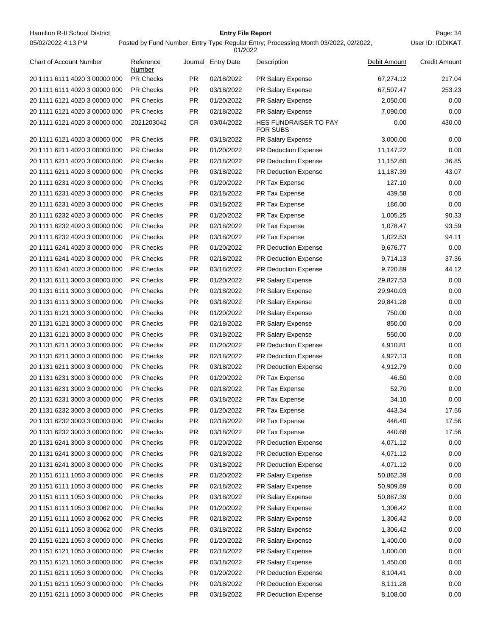Hamilton R-II School District **Entry File Report Entry File Report** Page: 34 05/02/2022 4:13 PM

# **Entry File Report**

Posted by Fund Number; Entry Type Regular Entry; Processing Month 03/2022, 02/2022,

|                                |                     |           | 01/2022            |                                                 |              |                      |
|--------------------------------|---------------------|-----------|--------------------|-------------------------------------------------|--------------|----------------------|
| <b>Chart of Account Number</b> | Reference<br>Number |           | Journal Entry Date | Description                                     | Debit Amount | <b>Credit Amount</b> |
| 20 1111 6111 4020 3 00000 000  | <b>PR Checks</b>    | PR.       | 02/18/2022         | PR Salary Expense                               | 67,274.12    | 217.04               |
| 20 1111 6111 4020 3 00000 000  | <b>PR Checks</b>    | <b>PR</b> | 03/18/2022         | <b>PR Salary Expense</b>                        | 67,507.47    | 253.23               |
| 20 1111 6121 4020 3 00000 000  | <b>PR Checks</b>    | <b>PR</b> | 01/20/2022         | PR Salary Expense                               | 2,050.00     | 0.00                 |
| 20 1111 6121 4020 3 00000 000  | <b>PR Checks</b>    | PR.       | 02/18/2022         | PR Salary Expense                               | 7,090.00     | 0.00                 |
| 20 1111 6121 4020 3 00000 000  | 2021203042          | <b>CR</b> | 03/04/2022         | <b>HES FUNDRAISER TO PAY</b><br><b>FOR SUBS</b> | 0.00         | 430.00               |
| 20 1111 6121 4020 3 00000 000  | <b>PR Checks</b>    | <b>PR</b> | 03/18/2022         | PR Salary Expense                               | 3,000.00     | 0.00                 |
| 20 1111 6211 4020 3 00000 000  | <b>PR Checks</b>    | PR.       | 01/20/2022         | <b>PR Deduction Expense</b>                     | 11,147.22    | 0.00                 |
| 20 1111 6211 4020 3 00000 000  | <b>PR Checks</b>    | PR.       | 02/18/2022         | <b>PR Deduction Expense</b>                     | 11,152.60    | 36.85                |
| 20 1111 6211 4020 3 00000 000  | <b>PR Checks</b>    | PR.       | 03/18/2022         | <b>PR Deduction Expense</b>                     | 11,187.39    | 43.07                |
| 20 1111 6231 4020 3 00000 000  | <b>PR Checks</b>    | <b>PR</b> | 01/20/2022         | PR Tax Expense                                  | 127.10       | 0.00                 |
| 20 1111 6231 4020 3 00000 000  | <b>PR Checks</b>    | PR.       | 02/18/2022         | PR Tax Expense                                  | 439.58       | 0.00                 |
| 20 1111 6231 4020 3 00000 000  | <b>PR Checks</b>    | <b>PR</b> | 03/18/2022         | PR Tax Expense                                  | 186.00       | 0.00                 |
| 20 1111 6232 4020 3 00000 000  | <b>PR Checks</b>    | <b>PR</b> | 01/20/2022         | PR Tax Expense                                  | 1,005.25     | 90.33                |
| 20 1111 6232 4020 3 00000 000  | <b>PR Checks</b>    | PR.       | 02/18/2022         | PR Tax Expense                                  | 1,078.47     | 93.59                |
| 20 1111 6232 4020 3 00000 000  | <b>PR Checks</b>    | PR.       | 03/18/2022         | PR Tax Expense                                  | 1,022.53     | 94.11                |
| 20 1111 6241 4020 3 00000 000  | <b>PR Checks</b>    | PR.       | 01/20/2022         | <b>PR Deduction Expense</b>                     | 9,676.77     | 0.00                 |
| 20 1111 6241 4020 3 00000 000  | <b>PR Checks</b>    | PR.       | 02/18/2022         | <b>PR Deduction Expense</b>                     | 9,714.13     | 37.36                |
| 20 1111 6241 4020 3 00000 000  | <b>PR Checks</b>    | <b>PR</b> | 03/18/2022         | PR Deduction Expense                            | 9,720.89     | 44.12                |
| 20 1131 6111 3000 3 00000 000  | <b>PR Checks</b>    | PR.       | 01/20/2022         | PR Salary Expense                               | 29,827.53    | 0.00                 |
| 20 1131 6111 3000 3 00000 000  | <b>PR Checks</b>    | <b>PR</b> | 02/18/2022         | PR Salary Expense                               | 29,940.03    | 0.00                 |
| 20 1131 6111 3000 3 00000 000  | <b>PR Checks</b>    | <b>PR</b> | 03/18/2022         | <b>PR Salary Expense</b>                        | 29,841.28    | 0.00                 |
| 20 1131 6121 3000 3 00000 000  | <b>PR Checks</b>    | PR.       | 01/20/2022         | PR Salary Expense                               | 750.00       | 0.00                 |
| 20 1131 6121 3000 3 00000 000  | <b>PR Checks</b>    | PR.       | 02/18/2022         | PR Salary Expense                               | 850.00       | 0.00                 |
| 20 1131 6121 3000 3 00000 000  | <b>PR Checks</b>    | PR.       | 03/18/2022         | PR Salary Expense                               | 550.00       | 0.00                 |
| 20 1131 6211 3000 3 00000 000  | <b>PR Checks</b>    | PR.       | 01/20/2022         | <b>PR Deduction Expense</b>                     | 4,910.81     | 0.00                 |
| 20 1131 6211 3000 3 00000 000  | <b>PR Checks</b>    | <b>PR</b> | 02/18/2022         | <b>PR Deduction Expense</b>                     | 4,927.13     | 0.00                 |
| 20 1131 6211 3000 3 00000 000  | <b>PR Checks</b>    | PR.       | 03/18/2022         | PR Deduction Expense                            | 4,912.79     | 0.00                 |
| 20 1131 6231 3000 3 00000 000  | <b>PR Checks</b>    | <b>PR</b> | 01/20/2022         | PR Tax Expense                                  | 46.50        | 0.00                 |
| 20 1131 6231 3000 3 00000 000  | <b>PR Checks</b>    | <b>PR</b> | 02/18/2022         | PR Tax Expense                                  | 52.70        | 0.00                 |
| 20 1131 6231 3000 3 00000 000  | <b>PR Checks</b>    | <b>PR</b> | 03/18/2022         | PR Tax Expense                                  | 34.10        | 0.00                 |
| 20 1131 6232 3000 3 00000 000  | <b>PR Checks</b>    | PR.       | 01/20/2022         | PR Tax Expense                                  | 443.34       | 17.56                |
| 20 1131 6232 3000 3 00000 000  | <b>PR Checks</b>    | <b>PR</b> | 02/18/2022         | PR Tax Expense                                  | 446.40       | 17.56                |
| 20 1131 6232 3000 3 00000 000  | PR Checks           | PR        | 03/18/2022         | PR Tax Expense                                  | 440.68       | 17.56                |
| 20 1131 6241 3000 3 00000 000  | PR Checks           | <b>PR</b> | 01/20/2022         | PR Deduction Expense                            | 4,071.12     | 0.00                 |
| 20 1131 6241 3000 3 00000 000  | PR Checks           | <b>PR</b> | 02/18/2022         | PR Deduction Expense                            | 4,071.12     | 0.00                 |
| 20 1131 6241 3000 3 00000 000  | PR Checks           | <b>PR</b> | 03/18/2022         | PR Deduction Expense                            | 4,071.12     | 0.00                 |
| 20 1151 6111 1050 3 00000 000  | PR Checks           | <b>PR</b> | 01/20/2022         | PR Salary Expense                               | 50,862.39    | 0.00                 |
| 20 1151 6111 1050 3 00000 000  | <b>PR Checks</b>    | <b>PR</b> | 02/18/2022         | PR Salary Expense                               | 50,909.89    | 0.00                 |
| 20 1151 6111 1050 3 00000 000  | PR Checks           | <b>PR</b> | 03/18/2022         | PR Salary Expense                               | 50,887.39    | 0.00                 |
| 20 1151 6111 1050 3 00062 000  | <b>PR Checks</b>    | <b>PR</b> | 01/20/2022         | PR Salary Expense                               | 1,306.42     | 0.00                 |
| 20 1151 6111 1050 3 00062 000  | PR Checks           | <b>PR</b> | 02/18/2022         | PR Salary Expense                               | 1,306.42     | 0.00                 |
| 20 1151 6111 1050 3 00062 000  | PR Checks           | PR.       | 03/18/2022         | PR Salary Expense                               | 1,306.42     | 0.00                 |
| 20 1151 6121 1050 3 00000 000  | PR Checks           | <b>PR</b> | 01/20/2022         | PR Salary Expense                               | 1,400.00     | 0.00                 |
| 20 1151 6121 1050 3 00000 000  | PR Checks           | <b>PR</b> | 02/18/2022         | PR Salary Expense                               | 1,000.00     | 0.00                 |
| 20 1151 6121 1050 3 00000 000  | PR Checks           | <b>PR</b> | 03/18/2022         | PR Salary Expense                               | 1,450.00     | 0.00                 |
| 20 1151 6211 1050 3 00000 000  | <b>PR Checks</b>    | <b>PR</b> | 01/20/2022         | PR Deduction Expense                            | 8,104.41     | 0.00                 |
| 20 1151 6211 1050 3 00000 000  | PR Checks           | <b>PR</b> | 02/18/2022         | PR Deduction Expense                            | 8,111.28     | 0.00                 |
| 20 1151 6211 1050 3 00000 000  | PR Checks           | <b>PR</b> | 03/18/2022         | PR Deduction Expense                            | 8,108.00     | 0.00                 |
|                                |                     |           |                    |                                                 |              |                      |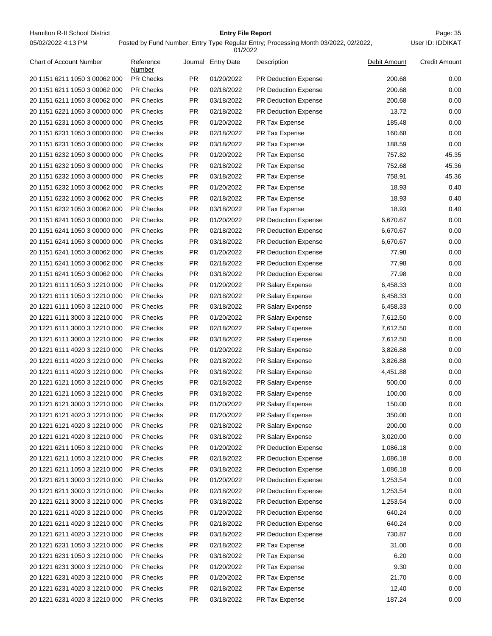Hamilton R-II School District **Entry File Report Entry File Report** Page: 35 05/02/2022 4:13 PM

# **Entry File Report**

User ID: IDDIKAT

| Chart of Account Number       | Reference<br>Number | Journal   | <b>Entry Date</b> | <b>Description</b>          | Debit Amount | <b>Credit Amount</b> |
|-------------------------------|---------------------|-----------|-------------------|-----------------------------|--------------|----------------------|
| 20 1151 6211 1050 3 00062 000 | <b>PR Checks</b>    | PR.       | 01/20/2022        | <b>PR Deduction Expense</b> | 200.68       | 0.00                 |
| 20 1151 6211 1050 3 00062 000 | <b>PR Checks</b>    | PR.       | 02/18/2022        | <b>PR Deduction Expense</b> | 200.68       | 0.00                 |
| 20 1151 6211 1050 3 00062 000 | <b>PR Checks</b>    | PR        | 03/18/2022        | PR Deduction Expense        | 200.68       | 0.00                 |
| 20 1151 6221 1050 3 00000 000 | PR Checks           | <b>PR</b> | 02/18/2022        | PR Deduction Expense        | 13.72        | 0.00                 |
| 20 1151 6231 1050 3 00000 000 | PR Checks           | <b>PR</b> | 01/20/2022        | PR Tax Expense              | 185.48       | 0.00                 |
| 20 1151 6231 1050 3 00000 000 | <b>PR Checks</b>    | <b>PR</b> | 02/18/2022        | PR Tax Expense              | 160.68       | 0.00                 |
| 20 1151 6231 1050 3 00000 000 | <b>PR Checks</b>    | <b>PR</b> | 03/18/2022        | PR Tax Expense              | 188.59       | 0.00                 |
| 20 1151 6232 1050 3 00000 000 | <b>PR Checks</b>    | <b>PR</b> | 01/20/2022        | PR Tax Expense              | 757.82       | 45.35                |
| 20 1151 6232 1050 3 00000 000 | <b>PR Checks</b>    | <b>PR</b> | 02/18/2022        | PR Tax Expense              | 752.68       | 45.36                |
| 20 1151 6232 1050 3 00000 000 | <b>PR Checks</b>    | <b>PR</b> | 03/18/2022        | PR Tax Expense              | 758.91       | 45.36                |
| 20 1151 6232 1050 3 00062 000 | <b>PR Checks</b>    | PR        | 01/20/2022        | PR Tax Expense              | 18.93        | 0.40                 |
| 20 1151 6232 1050 3 00062 000 | PR Checks           | <b>PR</b> | 02/18/2022        | PR Tax Expense              | 18.93        | 0.40                 |
| 20 1151 6232 1050 3 00062 000 | <b>PR Checks</b>    | <b>PR</b> | 03/18/2022        | PR Tax Expense              | 18.93        | 0.40                 |
| 20 1151 6241 1050 3 00000 000 | <b>PR Checks</b>    | <b>PR</b> | 01/20/2022        | PR Deduction Expense        | 6,670.67     | 0.00                 |
| 20 1151 6241 1050 3 00000 000 | <b>PR Checks</b>    | <b>PR</b> | 02/18/2022        | PR Deduction Expense        | 6,670.67     | 0.00                 |
| 20 1151 6241 1050 3 00000 000 | <b>PR Checks</b>    | <b>PR</b> | 03/18/2022        | PR Deduction Expense        | 6,670.67     | 0.00                 |
| 20 1151 6241 1050 3 00062 000 | <b>PR Checks</b>    | <b>PR</b> | 01/20/2022        | PR Deduction Expense        | 77.98        | 0.00                 |
| 20 1151 6241 1050 3 00062 000 | <b>PR Checks</b>    | <b>PR</b> | 02/18/2022        | PR Deduction Expense        | 77.98        | 0.00                 |
| 20 1151 6241 1050 3 00062 000 | <b>PR Checks</b>    | <b>PR</b> | 03/18/2022        | PR Deduction Expense        | 77.98        | 0.00                 |
| 20 1221 6111 1050 3 12210 000 | PR Checks           | <b>PR</b> | 01/20/2022        | PR Salary Expense           | 6,458.33     | 0.00                 |
| 20 1221 6111 1050 3 12210 000 | <b>PR Checks</b>    | <b>PR</b> | 02/18/2022        | PR Salary Expense           | 6,458.33     | 0.00                 |
| 20 1221 6111 1050 3 12210 000 | <b>PR Checks</b>    | <b>PR</b> | 03/18/2022        | PR Salary Expense           | 6,458.33     | 0.00                 |
| 20 1221 6111 3000 3 12210 000 | <b>PR Checks</b>    | <b>PR</b> | 01/20/2022        | PR Salary Expense           | 7,612.50     | 0.00                 |
| 20 1221 6111 3000 3 12210 000 | PR Checks           | <b>PR</b> | 02/18/2022        | PR Salary Expense           | 7,612.50     | 0.00                 |
| 20 1221 6111 3000 3 12210 000 | <b>PR Checks</b>    | <b>PR</b> | 03/18/2022        | PR Salary Expense           | 7,612.50     | 0.00                 |
| 20 1221 6111 4020 3 12210 000 | <b>PR Checks</b>    | <b>PR</b> | 01/20/2022        | PR Salary Expense           | 3,826.88     | 0.00                 |
| 20 1221 6111 4020 3 12210 000 |                     | PR.       |                   |                             |              | 0.00                 |
|                               | <b>PR Checks</b>    |           | 02/18/2022        | PR Salary Expense           | 3,826.88     |                      |
| 20 1221 6111 4020 3 12210 000 | PR Checks           | PR.       | 03/18/2022        | PR Salary Expense           | 4,451.88     | 0.00                 |
| 20 1221 6121 1050 3 12210 000 | PR Checks           | <b>PR</b> | 02/18/2022        | PR Salary Expense           | 500.00       | 0.00                 |
| 20 1221 6121 1050 3 12210 000 | <b>PR Checks</b>    | <b>PR</b> | 03/18/2022        | PR Salary Expense           | 100.00       | 0.00                 |
| 20 1221 6121 3000 3 12210 000 | <b>PR Checks</b>    | PR        | 01/20/2022        | PR Salary Expense           | 150.00       | 0.00                 |
| 20 1221 6121 4020 3 12210 000 | <b>PR Checks</b>    | PR        | 01/20/2022        | PR Salary Expense           | 350.00       | 0.00                 |
| 20 1221 6121 4020 3 12210 000 | <b>PR Checks</b>    | <b>PR</b> | 02/18/2022        | PR Salary Expense           | 200.00       | 0.00                 |
| 20 1221 6121 4020 3 12210 000 | PR Checks           | PR        | 03/18/2022        | PR Salary Expense           | 3,020.00     | 0.00                 |
| 20 1221 6211 1050 3 12210 000 | <b>PR Checks</b>    | <b>PR</b> | 01/20/2022        | PR Deduction Expense        | 1,086.18     | 0.00                 |
| 20 1221 6211 1050 3 12210 000 | <b>PR Checks</b>    | <b>PR</b> | 02/18/2022        | PR Deduction Expense        | 1,086.18     | 0.00                 |
| 20 1221 6211 1050 3 12210 000 | PR Checks           | PR        | 03/18/2022        | PR Deduction Expense        | 1,086.18     | 0.00                 |
| 20 1221 6211 3000 3 12210 000 | <b>PR Checks</b>    | PR        | 01/20/2022        | PR Deduction Expense        | 1,253.54     | 0.00                 |
| 20 1221 6211 3000 3 12210 000 | <b>PR Checks</b>    | PR        | 02/18/2022        | PR Deduction Expense        | 1,253.54     | 0.00                 |
| 20 1221 6211 3000 3 12210 000 | <b>PR Checks</b>    | PR        | 03/18/2022        | PR Deduction Expense        | 1,253.54     | 0.00                 |
| 20 1221 6211 4020 3 12210 000 | PR Checks           | PR        | 01/20/2022        | <b>PR Deduction Expense</b> | 640.24       | 0.00                 |
| 20 1221 6211 4020 3 12210 000 | <b>PR Checks</b>    | PR        | 02/18/2022        | PR Deduction Expense        | 640.24       | 0.00                 |
| 20 1221 6211 4020 3 12210 000 | <b>PR Checks</b>    | <b>PR</b> | 03/18/2022        | PR Deduction Expense        | 730.87       | 0.00                 |
| 20 1221 6231 1050 3 12210 000 | <b>PR Checks</b>    | <b>PR</b> | 02/18/2022        | PR Tax Expense              | 31.00        | 0.00                 |
| 20 1221 6231 1050 3 12210 000 | <b>PR Checks</b>    | PR        | 03/18/2022        | PR Tax Expense              | 6.20         | 0.00                 |
| 20 1221 6231 3000 3 12210 000 | <b>PR Checks</b>    | PR        | 01/20/2022        | PR Tax Expense              | 9.30         | 0.00                 |
| 20 1221 6231 4020 3 12210 000 | <b>PR Checks</b>    | PR        | 01/20/2022        | PR Tax Expense              | 21.70        | 0.00                 |
| 20 1221 6231 4020 3 12210 000 | PR Checks           | PR        | 02/18/2022        | PR Tax Expense              | 12.40        | 0.00                 |
| 20 1221 6231 4020 3 12210 000 | PR Checks           | PR        | 03/18/2022        | PR Tax Expense              | 187.24       | 0.00                 |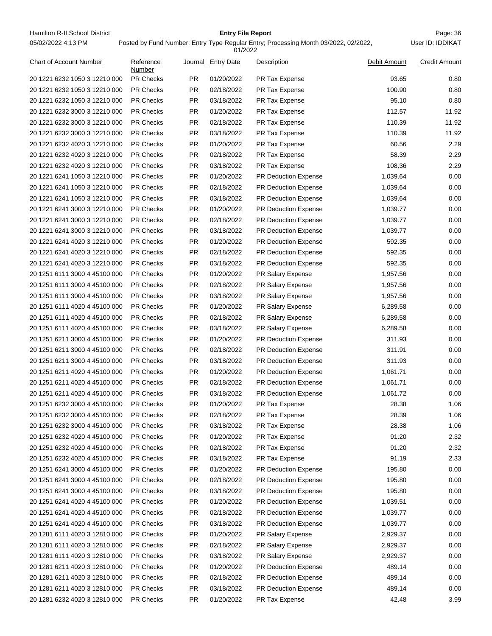Hamilton R-II School District **Entry File Report Entry File Report** Page: 36 05/02/2022 4:13 PM

# **Entry File Report**

Posted by Fund Number; Entry Type Regular Entry; Processing Month 03/2022, 02/2022,

|                                |                     |           | 01/2022            |                             |              |                      |
|--------------------------------|---------------------|-----------|--------------------|-----------------------------|--------------|----------------------|
| <b>Chart of Account Number</b> | Reference<br>Number |           | Journal Entry Date | Description                 | Debit Amount | <b>Credit Amount</b> |
| 20 1221 6232 1050 3 12210 000  | <b>PR Checks</b>    | PR.       | 01/20/2022         | PR Tax Expense              | 93.65        | 0.80                 |
| 20 1221 6232 1050 3 12210 000  | <b>PR Checks</b>    | <b>PR</b> | 02/18/2022         | PR Tax Expense              | 100.90       | 0.80                 |
| 20 1221 6232 1050 3 12210 000  | <b>PR Checks</b>    | <b>PR</b> | 03/18/2022         | PR Tax Expense              | 95.10        | 0.80                 |
| 20 1221 6232 3000 3 12210 000  | <b>PR Checks</b>    | <b>PR</b> | 01/20/2022         | PR Tax Expense              | 112.57       | 11.92                |
| 20 1221 6232 3000 3 12210 000  | <b>PR Checks</b>    | <b>PR</b> | 02/18/2022         | PR Tax Expense              | 110.39       | 11.92                |
| 20 1221 6232 3000 3 12210 000  | <b>PR Checks</b>    | <b>PR</b> | 03/18/2022         | PR Tax Expense              | 110.39       | 11.92                |
| 20 1221 6232 4020 3 12210 000  | <b>PR Checks</b>    | <b>PR</b> | 01/20/2022         | PR Tax Expense              | 60.56        | 2.29                 |
| 20 1221 6232 4020 3 12210 000  | <b>PR Checks</b>    | <b>PR</b> | 02/18/2022         | PR Tax Expense              | 58.39        | 2.29                 |
| 20 1221 6232 4020 3 12210 000  | <b>PR Checks</b>    | <b>PR</b> | 03/18/2022         | PR Tax Expense              | 108.36       | 2.29                 |
| 20 1221 6241 1050 3 12210 000  | <b>PR Checks</b>    | <b>PR</b> | 01/20/2022         | <b>PR Deduction Expense</b> | 1,039.64     | 0.00                 |
| 20 1221 6241 1050 3 12210 000  | <b>PR Checks</b>    | <b>PR</b> | 02/18/2022         | PR Deduction Expense        | 1,039.64     | 0.00                 |
| 20 1221 6241 1050 3 12210 000  | <b>PR Checks</b>    | <b>PR</b> | 03/18/2022         | PR Deduction Expense        | 1,039.64     | 0.00                 |
| 20 1221 6241 3000 3 12210 000  | <b>PR Checks</b>    | <b>PR</b> | 01/20/2022         | <b>PR Deduction Expense</b> | 1,039.77     | 0.00                 |
| 20 1221 6241 3000 3 12210 000  | <b>PR Checks</b>    | <b>PR</b> | 02/18/2022         | <b>PR Deduction Expense</b> | 1,039.77     | 0.00                 |
| 20 1221 6241 3000 3 12210 000  | <b>PR Checks</b>    | <b>PR</b> | 03/18/2022         | PR Deduction Expense        | 1,039.77     | 0.00                 |
| 20 1221 6241 4020 3 12210 000  | <b>PR Checks</b>    | <b>PR</b> | 01/20/2022         | <b>PR Deduction Expense</b> | 592.35       | 0.00                 |
| 20 1221 6241 4020 3 12210 000  | <b>PR Checks</b>    | <b>PR</b> | 02/18/2022         | PR Deduction Expense        | 592.35       | 0.00                 |
| 20 1221 6241 4020 3 12210 000  | <b>PR Checks</b>    | <b>PR</b> | 03/18/2022         | <b>PR Deduction Expense</b> | 592.35       | 0.00                 |
| 20 1251 6111 3000 4 45100 000  | <b>PR Checks</b>    | <b>PR</b> | 01/20/2022         | PR Salary Expense           | 1,957.56     | 0.00                 |
| 20 1251 6111 3000 4 45100 000  | <b>PR Checks</b>    | <b>PR</b> | 02/18/2022         | PR Salary Expense           | 1,957.56     | 0.00                 |
| 20 1251 6111 3000 4 45100 000  | <b>PR Checks</b>    | <b>PR</b> | 03/18/2022         | PR Salary Expense           | 1,957.56     | 0.00                 |
| 20 1251 6111 4020 4 45100 000  | <b>PR Checks</b>    | <b>PR</b> | 01/20/2022         | <b>PR Salary Expense</b>    | 6,289.58     | 0.00                 |
| 20 1251 6111 4020 4 45100 000  | <b>PR Checks</b>    | <b>PR</b> | 02/18/2022         | PR Salary Expense           | 6,289.58     | 0.00                 |
| 20 1251 6111 4020 4 45100 000  | <b>PR Checks</b>    | <b>PR</b> | 03/18/2022         | PR Salary Expense           | 6,289.58     | 0.00                 |
| 20 1251 6211 3000 4 45100 000  | <b>PR Checks</b>    | <b>PR</b> | 01/20/2022         | PR Deduction Expense        | 311.93       | 0.00                 |
| 20 1251 6211 3000 4 45100 000  | <b>PR Checks</b>    | <b>PR</b> | 02/18/2022         | <b>PR Deduction Expense</b> | 311.91       | 0.00                 |
| 20 1251 6211 3000 4 45100 000  | <b>PR Checks</b>    | <b>PR</b> | 03/18/2022         | <b>PR Deduction Expense</b> | 311.93       | 0.00                 |
| 20 1251 6211 4020 4 45100 000  | <b>PR Checks</b>    | <b>PR</b> | 01/20/2022         | PR Deduction Expense        | 1,061.71     | 0.00                 |
| 20 1251 6211 4020 4 45100 000  | <b>PR Checks</b>    | <b>PR</b> | 02/18/2022         | PR Deduction Expense        | 1,061.71     | 0.00                 |
| 20 1251 6211 4020 4 45100 000  | <b>PR Checks</b>    | <b>PR</b> | 03/18/2022         | PR Deduction Expense        | 1,061.72     | 0.00                 |
| 20 1251 6232 3000 4 45100 000  | PR Checks           | PR.       | 01/20/2022         | PR Tax Expense              | 28.38        | 1.06                 |
| 20 1251 6232 3000 4 45100 000  | PR Checks           | PR.       | 02/18/2022         | PR Tax Expense              | 28.39        | 1.06                 |
| 20 1251 6232 3000 4 45100 000  | PR Checks           | <b>PR</b> | 03/18/2022         | PR Tax Expense              | 28.38        | 1.06                 |
| 20 1251 6232 4020 4 45100 000  | PR Checks           | <b>PR</b> | 01/20/2022         | PR Tax Expense              | 91.20        | 2.32                 |
| 20 1251 6232 4020 4 45100 000  | PR Checks           | <b>PR</b> | 02/18/2022         | PR Tax Expense              | 91.20        | 2.32                 |
| 20 1251 6232 4020 4 45100 000  | PR Checks           | <b>PR</b> |                    | PR Tax Expense              |              |                      |
|                                | PR Checks           | <b>PR</b> | 03/18/2022         |                             | 91.19        | 2.33<br>0.00         |
| 20 1251 6241 3000 4 45100 000  |                     |           | 01/20/2022         | <b>PR Deduction Expense</b> | 195.80       |                      |
| 20 1251 6241 3000 4 45100 000  | PR Checks           | <b>PR</b> | 02/18/2022         | PR Deduction Expense        | 195.80       | 0.00                 |
| 20 1251 6241 3000 4 45100 000  | PR Checks           | <b>PR</b> | 03/18/2022         | PR Deduction Expense        | 195.80       | 0.00                 |
| 20 1251 6241 4020 4 45100 000  | PR Checks           | <b>PR</b> | 01/20/2022         | PR Deduction Expense        | 1,039.51     | 0.00                 |
| 20 1251 6241 4020 4 45100 000  | PR Checks           | <b>PR</b> | 02/18/2022         | PR Deduction Expense        | 1,039.77     | 0.00                 |
| 20 1251 6241 4020 4 45100 000  | PR Checks           | <b>PR</b> | 03/18/2022         | PR Deduction Expense        | 1,039.77     | 0.00                 |
| 20 1281 6111 4020 3 12810 000  | PR Checks           | <b>PR</b> | 01/20/2022         | PR Salary Expense           | 2,929.37     | 0.00                 |
| 20 1281 6111 4020 3 12810 000  | PR Checks           | <b>PR</b> | 02/18/2022         | PR Salary Expense           | 2,929.37     | 0.00                 |
| 20 1281 6111 4020 3 12810 000  | PR Checks           | <b>PR</b> | 03/18/2022         | PR Salary Expense           | 2,929.37     | 0.00                 |
| 20 1281 6211 4020 3 12810 000  | PR Checks           | <b>PR</b> | 01/20/2022         | PR Deduction Expense        | 489.14       | 0.00                 |
| 20 1281 6211 4020 3 12810 000  | PR Checks           | <b>PR</b> | 02/18/2022         | PR Deduction Expense        | 489.14       | 0.00                 |
| 20 1281 6211 4020 3 12810 000  | PR Checks           | <b>PR</b> | 03/18/2022         | PR Deduction Expense        | 489.14       | 0.00                 |
| 20 1281 6232 4020 3 12810 000  | PR Checks           | <b>PR</b> | 01/20/2022         | PR Tax Expense              | 42.48        | 3.99                 |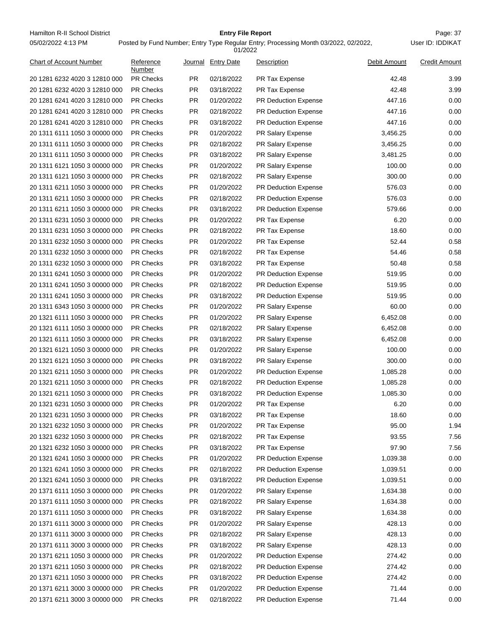Hamilton R-II School District **Entry File Report Entry File Report** Page: 37 05/02/2022 4:13 PM

# **Entry File Report**

Posted by Fund Number; Entry Type Regular Entry; Processing Month 03/2022, 02/2022,

|                                |                     |           | 01/2022            |                             |              |                      |
|--------------------------------|---------------------|-----------|--------------------|-----------------------------|--------------|----------------------|
| <b>Chart of Account Number</b> | Reference<br>Number |           | Journal Entry Date | Description                 | Debit Amount | <b>Credit Amount</b> |
| 20 1281 6232 4020 3 12810 000  | <b>PR Checks</b>    | PR.       | 02/18/2022         | <b>PR Tax Expense</b>       | 42.48        | 3.99                 |
| 20 1281 6232 4020 3 12810 000  | <b>PR Checks</b>    | <b>PR</b> | 03/18/2022         | <b>PR Tax Expense</b>       | 42.48        | 3.99                 |
| 20 1281 6241 4020 3 12810 000  | <b>PR Checks</b>    | <b>PR</b> | 01/20/2022         | PR Deduction Expense        | 447.16       | 0.00                 |
| 20 1281 6241 4020 3 12810 000  | <b>PR Checks</b>    | PR.       | 02/18/2022         | <b>PR Deduction Expense</b> | 447.16       | 0.00                 |
| 20 1281 6241 4020 3 12810 000  | <b>PR Checks</b>    | <b>PR</b> | 03/18/2022         | <b>PR Deduction Expense</b> | 447.16       | 0.00                 |
| 20 1311 6111 1050 3 00000 000  | <b>PR Checks</b>    | <b>PR</b> | 01/20/2022         | PR Salary Expense           | 3,456.25     | 0.00                 |
| 20 1311 6111 1050 3 00000 000  | <b>PR Checks</b>    | <b>PR</b> | 02/18/2022         | PR Salary Expense           | 3,456.25     | 0.00                 |
| 20 1311 6111 1050 3 00000 000  | <b>PR Checks</b>    | <b>PR</b> | 03/18/2022         | PR Salary Expense           | 3,481.25     | 0.00                 |
| 20 1311 6121 1050 3 00000 000  | <b>PR Checks</b>    | <b>PR</b> | 01/20/2022         | PR Salary Expense           | 100.00       | 0.00                 |
| 20 1311 6121 1050 3 00000 000  | <b>PR Checks</b>    | <b>PR</b> | 02/18/2022         | PR Salary Expense           | 300.00       | 0.00                 |
| 20 1311 6211 1050 3 00000 000  | <b>PR Checks</b>    | <b>PR</b> | 01/20/2022         | PR Deduction Expense        | 576.03       | 0.00                 |
| 20 1311 6211 1050 3 00000 000  | <b>PR Checks</b>    | <b>PR</b> | 02/18/2022         | PR Deduction Expense        | 576.03       | 0.00                 |
| 20 1311 6211 1050 3 00000 000  | <b>PR Checks</b>    | <b>PR</b> | 03/18/2022         | PR Deduction Expense        | 579.66       | 0.00                 |
| 20 1311 6231 1050 3 00000 000  | <b>PR Checks</b>    | <b>PR</b> | 01/20/2022         | PR Tax Expense              | 6.20         | 0.00                 |
| 20 1311 6231 1050 3 00000 000  | <b>PR Checks</b>    | <b>PR</b> | 02/18/2022         | PR Tax Expense              | 18.60        | 0.00                 |
| 20 1311 6232 1050 3 00000 000  | <b>PR Checks</b>    | <b>PR</b> | 01/20/2022         | PR Tax Expense              | 52.44        | 0.58                 |
| 20 1311 6232 1050 3 00000 000  | <b>PR Checks</b>    | <b>PR</b> | 02/18/2022         | <b>PR Tax Expense</b>       | 54.46        | 0.58                 |
| 20 1311 6232 1050 3 00000 000  | <b>PR Checks</b>    | <b>PR</b> | 03/18/2022         | PR Tax Expense              | 50.48        | 0.58                 |
| 20 1311 6241 1050 3 00000 000  | <b>PR Checks</b>    | <b>PR</b> | 01/20/2022         | PR Deduction Expense        | 519.95       | 0.00                 |
| 20 1311 6241 1050 3 00000 000  | <b>PR Checks</b>    | <b>PR</b> | 02/18/2022         | <b>PR Deduction Expense</b> | 519.95       | 0.00                 |
| 20 1311 6241 1050 3 00000 000  | <b>PR Checks</b>    | <b>PR</b> | 03/18/2022         | <b>PR Deduction Expense</b> | 519.95       | 0.00                 |
| 20 1311 6343 1050 3 00000 000  | <b>PR Checks</b>    | <b>PR</b> | 01/20/2022         | PR Salary Expense           | 60.00        | 0.00                 |
| 20 1321 6111 1050 3 00000 000  | <b>PR Checks</b>    | <b>PR</b> | 01/20/2022         | PR Salary Expense           | 6,452.08     | 0.00                 |
| 20 1321 6111 1050 3 00000 000  | <b>PR Checks</b>    | <b>PR</b> | 02/18/2022         | PR Salary Expense           | 6,452.08     | 0.00                 |
| 20 1321 6111 1050 3 00000 000  | <b>PR Checks</b>    | <b>PR</b> | 03/18/2022         | PR Salary Expense           | 6,452.08     | 0.00                 |
| 20 1321 6121 1050 3 00000 000  | <b>PR Checks</b>    | <b>PR</b> | 01/20/2022         | PR Salary Expense           | 100.00       | 0.00                 |
| 20 1321 6121 1050 3 00000 000  | <b>PR Checks</b>    | PR.       | 03/18/2022         | PR Salary Expense           | 300.00       | 0.00                 |
| 20 1321 6211 1050 3 00000 000  | <b>PR Checks</b>    | <b>PR</b> | 01/20/2022         | PR Deduction Expense        | 1,085.28     | 0.00                 |
| 20 1321 6211 1050 3 00000 000  | <b>PR Checks</b>    | <b>PR</b> | 02/18/2022         | PR Deduction Expense        | 1,085.28     | 0.00                 |
| 20 1321 6211 1050 3 00000 000  | <b>PR Checks</b>    | <b>PR</b> | 03/18/2022         | PR Deduction Expense        | 1,085.30     | 0.00                 |
| 20 1321 6231 1050 3 00000 000  | <b>PR Checks</b>    | <b>PR</b> | 01/20/2022         | PR Tax Expense              | 6.20         | 0.00                 |
| 20 1321 6231 1050 3 00000 000  | <b>PR Checks</b>    | <b>PR</b> | 03/18/2022         | PR Tax Expense              | 18.60        | 0.00                 |
| 20 1321 6232 1050 3 00000 000  | PR Checks           | <b>PR</b> | 01/20/2022         | PR Tax Expense              | 95.00        | 1.94                 |
| 20 1321 6232 1050 3 00000 000  | PR Checks           | <b>PR</b> | 02/18/2022         | PR Tax Expense              | 93.55        | 7.56                 |
| 20 1321 6232 1050 3 00000 000  | <b>PR Checks</b>    | <b>PR</b> | 03/18/2022         | PR Tax Expense              | 97.90        | 7.56                 |
| 20 1321 6241 1050 3 00000 000  | PR Checks           | <b>PR</b> | 01/20/2022         | PR Deduction Expense        | 1,039.38     | 0.00                 |
| 20 1321 6241 1050 3 00000 000  | PR Checks           | <b>PR</b> | 02/18/2022         | PR Deduction Expense        | 1,039.51     | 0.00                 |
| 20 1321 6241 1050 3 00000 000  | PR Checks           | <b>PR</b> | 03/18/2022         | PR Deduction Expense        | 1,039.51     | 0.00                 |
| 20 1371 6111 1050 3 00000 000  | <b>PR Checks</b>    | PR.       | 01/20/2022         | PR Salary Expense           | 1,634.38     | 0.00                 |
| 20 1371 6111 1050 3 00000 000  | PR Checks           | <b>PR</b> | 02/18/2022         | PR Salary Expense           | 1,634.38     | 0.00                 |
| 20 1371 6111 1050 3 00000 000  | PR Checks           | <b>PR</b> | 03/18/2022         | PR Salary Expense           | 1,634.38     | 0.00                 |
| 20 1371 6111 3000 3 00000 000  | PR Checks           | <b>PR</b> | 01/20/2022         | PR Salary Expense           | 428.13       | 0.00                 |
| 20 1371 6111 3000 3 00000 000  | <b>PR Checks</b>    | <b>PR</b> | 02/18/2022         | PR Salary Expense           | 428.13       | 0.00                 |
|                                | PR Checks           | <b>PR</b> |                    |                             |              | 0.00                 |
| 20 1371 6111 3000 3 00000 000  | PR Checks           | <b>PR</b> | 03/18/2022         | PR Salary Expense           | 428.13       | 0.00                 |
| 20 1371 6211 1050 3 00000 000  |                     | <b>PR</b> | 01/20/2022         | PR Deduction Expense        | 274.42       | 0.00                 |
| 20 1371 6211 1050 3 00000 000  | <b>PR Checks</b>    |           | 02/18/2022         | PR Deduction Expense        | 274.42       |                      |
| 20 1371 6211 1050 3 00000 000  | <b>PR Checks</b>    | <b>PR</b> | 03/18/2022         | PR Deduction Expense        | 274.42       | 0.00                 |
| 20 1371 6211 3000 3 00000 000  | PR Checks           | <b>PR</b> | 01/20/2022         | PR Deduction Expense        | 71.44        | 0.00                 |
| 20 1371 6211 3000 3 00000 000  | PR Checks           | <b>PR</b> | 02/18/2022         | PR Deduction Expense        | 71.44        | 0.00                 |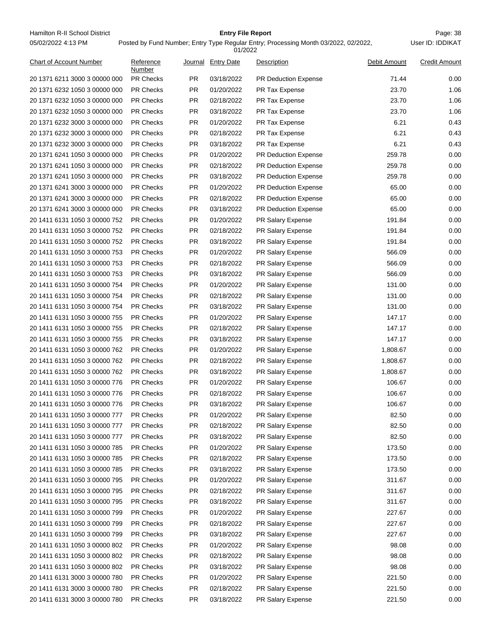Hamilton R-II School District **Entry File Report Entry File Report** Page: 38 05/02/2022 4:13 PM

# **Entry File Report**

|                                |                     |           | 01/2022            |                             |              |                      |
|--------------------------------|---------------------|-----------|--------------------|-----------------------------|--------------|----------------------|
| <b>Chart of Account Number</b> | Reference<br>Number |           | Journal Entry Date | Description                 | Debit Amount | <b>Credit Amount</b> |
| 20 1371 6211 3000 3 00000 000  | <b>PR Checks</b>    | PR.       | 03/18/2022         | <b>PR Deduction Expense</b> | 71.44        | 0.00                 |
| 20 1371 6232 1050 3 00000 000  | <b>PR Checks</b>    | <b>PR</b> | 01/20/2022         | PR Tax Expense              | 23.70        | 1.06                 |
| 20 1371 6232 1050 3 00000 000  | <b>PR Checks</b>    | PR.       | 02/18/2022         | PR Tax Expense              | 23.70        | 1.06                 |
| 20 1371 6232 1050 3 00000 000  | <b>PR Checks</b>    | PR.       | 03/18/2022         | PR Tax Expense              | 23.70        | 1.06                 |
| 20 1371 6232 3000 3 00000 000  | <b>PR Checks</b>    | PR.       | 01/20/2022         | PR Tax Expense              | 6.21         | 0.43                 |
| 20 1371 6232 3000 3 00000 000  | <b>PR Checks</b>    | PR.       | 02/18/2022         | PR Tax Expense              | 6.21         | 0.43                 |
| 20 1371 6232 3000 3 00000 000  | <b>PR Checks</b>    | <b>PR</b> | 03/18/2022         | PR Tax Expense              | 6.21         | 0.43                 |
| 20 1371 6241 1050 3 00000 000  | <b>PR Checks</b>    | PR.       | 01/20/2022         | PR Deduction Expense        | 259.78       | 0.00                 |
| 20 1371 6241 1050 3 00000 000  | <b>PR Checks</b>    | PR.       | 02/18/2022         | <b>PR Deduction Expense</b> | 259.78       | 0.00                 |
| 20 1371 6241 1050 3 00000 000  | <b>PR Checks</b>    | <b>PR</b> | 03/18/2022         | <b>PR Deduction Expense</b> | 259.78       | 0.00                 |
| 20 1371 6241 3000 3 00000 000  | <b>PR Checks</b>    | PR.       | 01/20/2022         | PR Deduction Expense        | 65.00        | 0.00                 |
| 20 1371 6241 3000 3 00000 000  | <b>PR Checks</b>    | PR.       | 02/18/2022         | PR Deduction Expense        | 65.00        | 0.00                 |
| 20 1371 6241 3000 3 00000 000  | <b>PR Checks</b>    | PR.       | 03/18/2022         | <b>PR Deduction Expense</b> | 65.00        | 0.00                 |
| 20 1411 6131 1050 3 00000 752  | <b>PR Checks</b>    | PR.       | 01/20/2022         | PR Salary Expense           | 191.84       | 0.00                 |
| 20 1411 6131 1050 3 00000 752  | <b>PR Checks</b>    | <b>PR</b> | 02/18/2022         | PR Salary Expense           | 191.84       | 0.00                 |
| 20 1411 6131 1050 3 00000 752  | <b>PR Checks</b>    | <b>PR</b> | 03/18/2022         | PR Salary Expense           | 191.84       | 0.00                 |
| 20 1411 6131 1050 3 00000 753  | <b>PR Checks</b>    | PR.       | 01/20/2022         | PR Salary Expense           | 566.09       | 0.00                 |
| 20 1411 6131 1050 3 00000 753  | <b>PR Checks</b>    | <b>PR</b> | 02/18/2022         | PR Salary Expense           | 566.09       | 0.00                 |
| 20 1411 6131 1050 3 00000 753  | <b>PR Checks</b>    | PR.       | 03/18/2022         | PR Salary Expense           | 566.09       | 0.00                 |
| 20 1411 6131 1050 3 00000 754  | <b>PR Checks</b>    | PR.       | 01/20/2022         | PR Salary Expense           | 131.00       | 0.00                 |
| 20 1411 6131 1050 3 00000 754  | <b>PR Checks</b>    | PR.       | 02/18/2022         | PR Salary Expense           | 131.00       | 0.00                 |
| 20 1411 6131 1050 3 00000 754  | <b>PR Checks</b>    | PR.       | 03/18/2022         | <b>PR Salary Expense</b>    | 131.00       | 0.00                 |
| 20 1411 6131 1050 3 00000 755  | <b>PR Checks</b>    | <b>PR</b> | 01/20/2022         | PR Salary Expense           | 147.17       | 0.00                 |
| 20 1411 6131 1050 3 00000 755  | <b>PR Checks</b>    | PR.       | 02/18/2022         | PR Salary Expense           | 147.17       | 0.00                 |
| 20 1411 6131 1050 3 00000 755  | <b>PR Checks</b>    | PR.       | 03/18/2022         | PR Salary Expense           | 147.17       | 0.00                 |
| 20 1411 6131 1050 3 00000 762  | <b>PR Checks</b>    | <b>PR</b> | 01/20/2022         | PR Salary Expense           | 1,808.67     | 0.00                 |
| 20 1411 6131 1050 3 00000 762  | <b>PR Checks</b>    | <b>PR</b> | 02/18/2022         | PR Salary Expense           | 1,808.67     | 0.00                 |
| 20 1411 6131 1050 3 00000 762  | <b>PR Checks</b>    | PR.       | 03/18/2022         | PR Salary Expense           | 1,808.67     | 0.00                 |
| 20 1411 6131 1050 3 00000 776  | <b>PR Checks</b>    | PR.       | 01/20/2022         | PR Salary Expense           | 106.67       | 0.00                 |
| 20 1411 6131 1050 3 00000 776  | <b>PR Checks</b>    | PR.       | 02/18/2022         | PR Salary Expense           | 106.67       | 0.00                 |
| 20 1411 6131 1050 3 00000 776  | <b>PR Checks</b>    | PR.       | 03/18/2022         | PR Salary Expense           | 106.67       | 0.00                 |
| 20 1411 6131 1050 3 00000 777  | PR Checks           | PR.       | 01/20/2022         | PR Salary Expense           | 82.50        | 0.00                 |
| 20 1411 6131 1050 3 00000 777  | PR Checks           | PR        | 02/18/2022         | PR Salary Expense           | 82.50        | 0.00                 |
| 20 1411 6131 1050 3 00000 777  | PR Checks           | PR        | 03/18/2022         | PR Salary Expense           | 82.50        | 0.00                 |
| 20 1411 6131 1050 3 00000 785  | <b>PR Checks</b>    | PR        | 01/20/2022         | PR Salary Expense           | 173.50       | 0.00                 |
| 20 1411 6131 1050 3 00000 785  | PR Checks           | <b>PR</b> | 02/18/2022         | PR Salary Expense           | 173.50       | 0.00                 |
| 20 1411 6131 1050 3 00000 785  | PR Checks           | <b>PR</b> | 03/18/2022         | PR Salary Expense           | 173.50       | 0.00                 |
| 20 1411 6131 1050 3 00000 795  | PR Checks           | <b>PR</b> | 01/20/2022         | PR Salary Expense           | 311.67       | 0.00                 |
| 20 1411 6131 1050 3 00000 795  | <b>PR Checks</b>    | PR        | 02/18/2022         | PR Salary Expense           | 311.67       | 0.00                 |
| 20 1411 6131 1050 3 00000 795  | PR Checks           | PR        | 03/18/2022         | PR Salary Expense           | 311.67       | 0.00                 |
| 20 1411 6131 1050 3 00000 799  | PR Checks           | <b>PR</b> | 01/20/2022         | PR Salary Expense           | 227.67       | 0.00                 |
| 20 1411 6131 1050 3 00000 799  | PR Checks           | <b>PR</b> | 02/18/2022         | PR Salary Expense           | 227.67       | 0.00                 |
| 20 1411 6131 1050 3 00000 799  | <b>PR Checks</b>    | <b>PR</b> | 03/18/2022         | PR Salary Expense           | 227.67       | 0.00                 |
|                                |                     |           |                    |                             |              |                      |
| 20 1411 6131 1050 3 00000 802  | PR Checks           | <b>PR</b> | 01/20/2022         | PR Salary Expense           | 98.08        | 0.00                 |
| 20 1411 6131 1050 3 00000 802  | PR Checks           | <b>PR</b> | 02/18/2022         | PR Salary Expense           | 98.08        | 0.00                 |
| 20 1411 6131 1050 3 00000 802  | PR Checks           | <b>PR</b> | 03/18/2022         | PR Salary Expense           | 98.08        | 0.00                 |
| 20 1411 6131 3000 3 00000 780  | <b>PR Checks</b>    | PR        | 01/20/2022         | PR Salary Expense           | 221.50       | 0.00                 |
| 20 1411 6131 3000 3 00000 780  | PR Checks           | <b>PR</b> | 02/18/2022         | PR Salary Expense           | 221.50       | 0.00                 |
| 20 1411 6131 3000 3 00000 780  | PR Checks           | <b>PR</b> | 03/18/2022         | PR Salary Expense           | 221.50       | 0.00                 |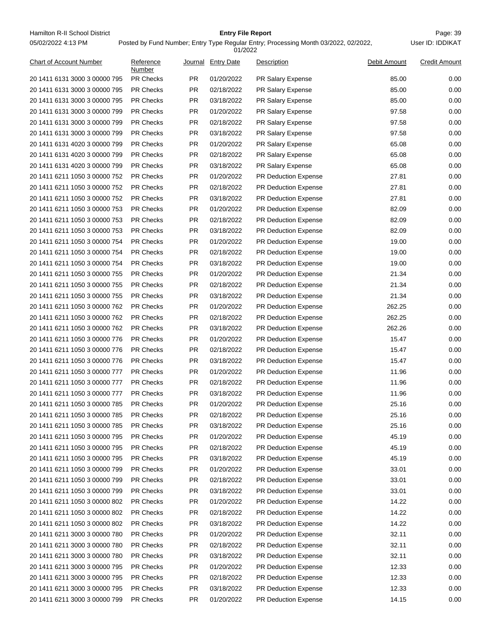Hamilton R-II School District **Entry File Report Entry File Report** Page: 39 05/02/2022 4:13 PM

# **Entry File Report**

Posted by Fund Number; Entry Type Regular Entry; Processing Month 03/2022, 02/2022,

|                                |                     |           | 01/2022            |                                              |              |                      |
|--------------------------------|---------------------|-----------|--------------------|----------------------------------------------|--------------|----------------------|
| <b>Chart of Account Number</b> | Reference<br>Number |           | Journal Entry Date | Description                                  | Debit Amount | <b>Credit Amount</b> |
| 20 1411 6131 3000 3 00000 795  | <b>PR Checks</b>    | PR.       | 01/20/2022         | PR Salary Expense                            | 85.00        | 0.00                 |
| 20 1411 6131 3000 3 00000 795  | <b>PR Checks</b>    | <b>PR</b> | 02/18/2022         | PR Salary Expense                            | 85.00        | 0.00                 |
| 20 1411 6131 3000 3 00000 795  | <b>PR Checks</b>    | PR.       | 03/18/2022         | PR Salary Expense                            | 85.00        | 0.00                 |
| 20 1411 6131 3000 3 00000 799  | <b>PR Checks</b>    | PR.       | 01/20/2022         | PR Salary Expense                            | 97.58        | 0.00                 |
| 20 1411 6131 3000 3 00000 799  | <b>PR Checks</b>    | PR.       | 02/18/2022         | PR Salary Expense                            | 97.58        | 0.00                 |
| 20 1411 6131 3000 3 00000 799  | <b>PR Checks</b>    | PR.       | 03/18/2022         | <b>PR Salary Expense</b>                     | 97.58        | 0.00                 |
| 20 1411 6131 4020 3 00000 799  | <b>PR Checks</b>    | <b>PR</b> | 01/20/2022         | <b>PR Salary Expense</b>                     | 65.08        | 0.00                 |
| 20 1411 6131 4020 3 00000 799  | <b>PR Checks</b>    | PR.       | 02/18/2022         | PR Salary Expense                            | 65.08        | 0.00                 |
| 20 1411 6131 4020 3 00000 799  | <b>PR Checks</b>    | PR.       | 03/18/2022         | PR Salary Expense                            | 65.08        | 0.00                 |
| 20 1411 6211 1050 3 00000 752  | <b>PR Checks</b>    | <b>PR</b> | 01/20/2022         | <b>PR Deduction Expense</b>                  | 27.81        | 0.00                 |
| 20 1411 6211 1050 3 00000 752  | <b>PR Checks</b>    | PR.       | 02/18/2022         | PR Deduction Expense                         | 27.81        | 0.00                 |
| 20 1411 6211 1050 3 00000 752  | <b>PR Checks</b>    | PR.       | 03/18/2022         | PR Deduction Expense                         | 27.81        | 0.00                 |
| 20 1411 6211 1050 3 00000 753  | <b>PR Checks</b>    | PR.       | 01/20/2022         | <b>PR Deduction Expense</b>                  | 82.09        | 0.00                 |
| 20 1411 6211 1050 3 00000 753  | <b>PR Checks</b>    | PR.       | 02/18/2022         | <b>PR Deduction Expense</b>                  | 82.09        | 0.00                 |
| 20 1411 6211 1050 3 00000 753  | <b>PR Checks</b>    | <b>PR</b> | 03/18/2022         | <b>PR Deduction Expense</b>                  | 82.09        | 0.00                 |
| 20 1411 6211 1050 3 00000 754  | <b>PR Checks</b>    | <b>PR</b> | 01/20/2022         | PR Deduction Expense                         | 19.00        | 0.00                 |
| 20 1411 6211 1050 3 00000 754  | <b>PR Checks</b>    | PR.       | 02/18/2022         | PR Deduction Expense                         | 19.00        | 0.00                 |
| 20 1411 6211 1050 3 00000 754  | <b>PR Checks</b>    | <b>PR</b> | 03/18/2022         | <b>PR Deduction Expense</b>                  | 19.00        | 0.00                 |
| 20 1411 6211 1050 3 00000 755  | <b>PR Checks</b>    | PR.       | 01/20/2022         | <b>PR Deduction Expense</b>                  | 21.34        | 0.00                 |
| 20 1411 6211 1050 3 00000 755  | <b>PR Checks</b>    | PR.       | 02/18/2022         | PR Deduction Expense                         | 21.34        | 0.00                 |
| 20 1411 6211 1050 3 00000 755  | <b>PR Checks</b>    | PR.       | 03/18/2022         | <b>PR Deduction Expense</b>                  | 21.34        | 0.00                 |
| 20 1411 6211 1050 3 00000 762  | <b>PR Checks</b>    | PR.       | 01/20/2022         | <b>PR Deduction Expense</b>                  | 262.25       | 0.00                 |
| 20 1411 6211 1050 3 00000 762  | <b>PR Checks</b>    | <b>PR</b> | 02/18/2022         | <b>PR Deduction Expense</b>                  | 262.25       | 0.00                 |
| 20 1411 6211 1050 3 00000 762  | <b>PR Checks</b>    | PR.       | 03/18/2022         | PR Deduction Expense                         | 262.26       | 0.00                 |
| 20 1411 6211 1050 3 00000 776  | <b>PR Checks</b>    | PR.       | 01/20/2022         | PR Deduction Expense                         | 15.47        | 0.00                 |
| 20 1411 6211 1050 3 00000 776  | <b>PR Checks</b>    | <b>PR</b> | 02/18/2022         | PR Deduction Expense                         | 15.47        | 0.00                 |
| 20 1411 6211 1050 3 00000 776  | <b>PR Checks</b>    | <b>PR</b> | 03/18/2022         | <b>PR Deduction Expense</b>                  | 15.47        | 0.00                 |
| 20 1411 6211 1050 3 00000 777  | <b>PR Checks</b>    | PR.       | 01/20/2022         | <b>PR Deduction Expense</b>                  | 11.96        | 0.00                 |
| 20 1411 6211 1050 3 00000 777  | <b>PR Checks</b>    | PR.       | 02/18/2022         | PR Deduction Expense                         | 11.96        | 0.00                 |
| 20 1411 6211 1050 3 00000 777  | <b>PR Checks</b>    | PR.       | 03/18/2022         | PR Deduction Expense                         | 11.96        | 0.00                 |
| 20 1411 6211 1050 3 00000 785  | <b>PR Checks</b>    | PR.       | 01/20/2022         | PR Deduction Expense                         | 25.16        | 0.00                 |
| 20 1411 6211 1050 3 00000 785  | PR Checks           | PR        | 02/18/2022         | PR Deduction Expense                         | 25.16        | 0.00                 |
| 20 1411 6211 1050 3 00000 785  | PR Checks           | PR        | 03/18/2022         | <b>PR Deduction Expense</b>                  | 25.16        | 0.00                 |
| 20 1411 6211 1050 3 00000 795  | PR Checks           | PR        | 01/20/2022         | <b>PR Deduction Expense</b>                  | 45.19        | 0.00                 |
| 20 1411 6211 1050 3 00000 795  | <b>PR Checks</b>    | PR        | 02/18/2022         | PR Deduction Expense                         | 45.19        | 0.00                 |
|                                | PR Checks           | PR        |                    |                                              | 45.19        | 0.00                 |
| 20 1411 6211 1050 3 00000 795  | PR Checks           | PR        | 03/18/2022         | PR Deduction Expense<br>PR Deduction Expense | 33.01        | 0.00                 |
| 20 1411 6211 1050 3 00000 799  | PR Checks           | PR        | 01/20/2022         |                                              | 33.01        | 0.00                 |
| 20 1411 6211 1050 3 00000 799  |                     |           | 02/18/2022         | PR Deduction Expense                         |              |                      |
| 20 1411 6211 1050 3 00000 799  | <b>PR Checks</b>    | PR        | 03/18/2022         | PR Deduction Expense                         | 33.01        | 0.00                 |
| 20 1411 6211 1050 3 00000 802  | PR Checks           | PR        | 01/20/2022         | PR Deduction Expense                         | 14.22        | 0.00                 |
| 20 1411 6211 1050 3 00000 802  | PR Checks           | PR        | 02/18/2022         | PR Deduction Expense                         | 14.22        | 0.00                 |
| 20 1411 6211 1050 3 00000 802  | PR Checks           | <b>PR</b> | 03/18/2022         | PR Deduction Expense                         | 14.22        | 0.00                 |
| 20 1411 6211 3000 3 00000 780  | <b>PR Checks</b>    | <b>PR</b> | 01/20/2022         | PR Deduction Expense                         | 32.11        | 0.00                 |
| 20 1411 6211 3000 3 00000 780  | PR Checks           | <b>PR</b> | 02/18/2022         | PR Deduction Expense                         | 32.11        | 0.00                 |
| 20 1411 6211 3000 3 00000 780  | PR Checks           | PR        | 03/18/2022         | PR Deduction Expense                         | 32.11        | 0.00                 |
| 20 1411 6211 3000 3 00000 795  | PR Checks           | <b>PR</b> | 01/20/2022         | PR Deduction Expense                         | 12.33        | 0.00                 |
| 20 1411 6211 3000 3 00000 795  | <b>PR Checks</b>    | PR        | 02/18/2022         | PR Deduction Expense                         | 12.33        | 0.00                 |
| 20 1411 6211 3000 3 00000 795  | PR Checks           | PR        | 03/18/2022         | PR Deduction Expense                         | 12.33        | 0.00                 |
| 20 1411 6211 3000 3 00000 799  | PR Checks           | PR        | 01/20/2022         | PR Deduction Expense                         | 14.15        | 0.00                 |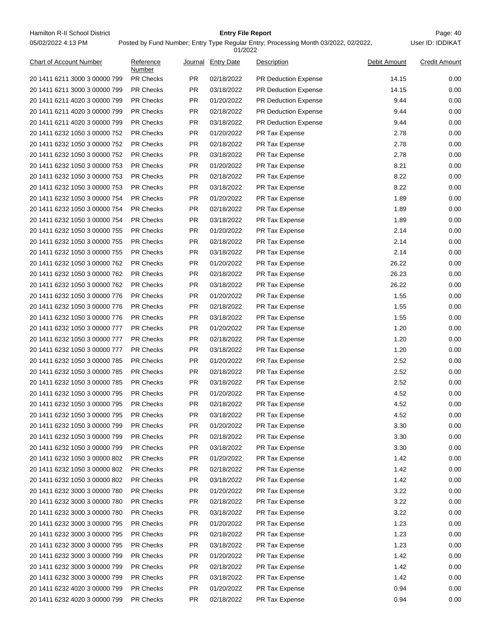Hamilton R-II School District **Entry File Report Entry File Report** Page: 40 05/02/2022 4:13 PM

# **Entry File Report**

User ID: IDDIKAT

| Chart of Account Number       | Reference<br>Number | Journal   | <b>Entry Date</b> | <b>Description</b>          | Debit Amount | <b>Credit Amount</b> |
|-------------------------------|---------------------|-----------|-------------------|-----------------------------|--------------|----------------------|
| 20 1411 6211 3000 3 00000 799 | PR Checks           | PR        | 02/18/2022        | PR Deduction Expense        | 14.15        | 0.00                 |
| 20 1411 6211 3000 3 00000 799 | <b>PR Checks</b>    | <b>PR</b> | 03/18/2022        | <b>PR Deduction Expense</b> | 14.15        | 0.00                 |
| 20 1411 6211 4020 3 00000 799 | PR Checks           | <b>PR</b> | 01/20/2022        | PR Deduction Expense        | 9.44         | 0.00                 |
| 20 1411 6211 4020 3 00000 799 | PR Checks           | <b>PR</b> | 02/18/2022        | PR Deduction Expense        | 9.44         | 0.00                 |
| 20 1411 6211 4020 3 00000 799 | PR Checks           | PR        | 03/18/2022        | PR Deduction Expense        | 9.44         | 0.00                 |
| 20 1411 6232 1050 3 00000 752 | PR Checks           | <b>PR</b> | 01/20/2022        | PR Tax Expense              | 2.78         | 0.00                 |
| 20 1411 6232 1050 3 00000 752 | PR Checks           | <b>PR</b> | 02/18/2022        | PR Tax Expense              | 2.78         | 0.00                 |
| 20 1411 6232 1050 3 00000 752 | PR Checks           | <b>PR</b> | 03/18/2022        | PR Tax Expense              | 2.78         | 0.00                 |
| 20 1411 6232 1050 3 00000 753 | PR Checks           | PR        | 01/20/2022        | PR Tax Expense              | 8.21         | 0.00                 |
| 20 1411 6232 1050 3 00000 753 | PR Checks           | <b>PR</b> | 02/18/2022        | PR Tax Expense              | 8.22         | 0.00                 |
| 20 1411 6232 1050 3 00000 753 | PR Checks           | <b>PR</b> | 03/18/2022        | PR Tax Expense              | 8.22         | 0.00                 |
| 20 1411 6232 1050 3 00000 754 | PR Checks           | <b>PR</b> | 01/20/2022        | PR Tax Expense              | 1.89         | 0.00                 |
| 20 1411 6232 1050 3 00000 754 | PR Checks           | PR        | 02/18/2022        | PR Tax Expense              | 1.89         | 0.00                 |
| 20 1411 6232 1050 3 00000 754 | <b>PR Checks</b>    | <b>PR</b> | 03/18/2022        | PR Tax Expense              | 1.89         | 0.00                 |
| 20 1411 6232 1050 3 00000 755 | PR Checks           | <b>PR</b> | 01/20/2022        | PR Tax Expense              | 2.14         | 0.00                 |
| 20 1411 6232 1050 3 00000 755 | PR Checks           | <b>PR</b> | 02/18/2022        | PR Tax Expense              | 2.14         | 0.00                 |
| 20 1411 6232 1050 3 00000 755 | PR Checks           | PR        | 03/18/2022        | PR Tax Expense              | 2.14         | 0.00                 |
| 20 1411 6232 1050 3 00000 762 | PR Checks           | <b>PR</b> | 01/20/2022        | PR Tax Expense              | 26.22        | 0.00                 |
| 20 1411 6232 1050 3 00000 762 | PR Checks           | <b>PR</b> | 02/18/2022        | PR Tax Expense              | 26.23        | 0.00                 |
| 20 1411 6232 1050 3 00000 762 | PR Checks           | <b>PR</b> | 03/18/2022        | PR Tax Expense              | 26.22        | 0.00                 |
| 20 1411 6232 1050 3 00000 776 | PR Checks           | PR        | 01/20/2022        | PR Tax Expense              | 1.55         | 0.00                 |
| 20 1411 6232 1050 3 00000 776 | PR Checks           | <b>PR</b> | 02/18/2022        | PR Tax Expense              | 1.55         | 0.00                 |
| 20 1411 6232 1050 3 00000 776 | PR Checks           | PR        | 03/18/2022        | PR Tax Expense              | 1.55         | 0.00                 |
| 20 1411 6232 1050 3 00000 777 | PR Checks           | <b>PR</b> | 01/20/2022        | PR Tax Expense              | 1.20         | 0.00                 |
| 20 1411 6232 1050 3 00000 777 | PR Checks           | PR        | 02/18/2022        | PR Tax Expense              | 1.20         | 0.00                 |
| 20 1411 6232 1050 3 00000 777 | PR Checks           | <b>PR</b> | 03/18/2022        | PR Tax Expense              | 1.20         | 0.00                 |
| 20 1411 6232 1050 3 00000 785 | PR Checks           | <b>PR</b> |                   |                             | 2.52         | 0.00                 |
|                               |                     |           | 01/20/2022        | PR Tax Expense              |              |                      |
| 20 1411 6232 1050 3 00000 785 | PR Checks           | <b>PR</b> | 02/18/2022        | PR Tax Expense              | 2.52         | 0.00                 |
| 20 1411 6232 1050 3 00000 785 | PR Checks           | <b>PR</b> | 03/18/2022        | PR Tax Expense              | 2.52         | 0.00                 |
| 20 1411 6232 1050 3 00000 795 | PR Checks           | <b>PR</b> | 01/20/2022        | PR Tax Expense              | 4.52         | 0.00                 |
| 20 1411 6232 1050 3 00000 795 | PR Checks           | <b>PR</b> | 02/18/2022        | PR Tax Expense              | 4.52         | 0.00                 |
| 20 1411 6232 1050 3 00000 795 | <b>PR Checks</b>    | <b>PR</b> | 03/18/2022        | PR Tax Expense              | 4.52         | 0.00                 |
| 20 1411 6232 1050 3 00000 799 | <b>PR Checks</b>    | <b>PR</b> | 01/20/2022        | PR Tax Expense              | 3.30         | 0.00                 |
| 20 1411 6232 1050 3 00000 799 | PR Checks           | <b>PR</b> | 02/18/2022        | PR Tax Expense              | 3.30         | 0.00                 |
| 20 1411 6232 1050 3 00000 799 | PR Checks           | <b>PR</b> | 03/18/2022        | PR Tax Expense              | 3.30         | 0.00                 |
| 20 1411 6232 1050 3 00000 802 | <b>PR Checks</b>    | <b>PR</b> | 01/20/2022        | PR Tax Expense              | 1.42         | 0.00                 |
| 20 1411 6232 1050 3 00000 802 | PR Checks           | PR        | 02/18/2022        | PR Tax Expense              | 1.42         | 0.00                 |
| 20 1411 6232 1050 3 00000 802 | <b>PR Checks</b>    | <b>PR</b> | 03/18/2022        | PR Tax Expense              | 1.42         | 0.00                 |
| 20 1411 6232 3000 3 00000 780 | PR Checks           | <b>PR</b> | 01/20/2022        | PR Tax Expense              | 3.22         | 0.00                 |
| 20 1411 6232 3000 3 00000 780 | PR Checks           | <b>PR</b> | 02/18/2022        | PR Tax Expense              | 3.22         | 0.00                 |
| 20 1411 6232 3000 3 00000 780 | PR Checks           | <b>PR</b> | 03/18/2022        | PR Tax Expense              | 3.22         | 0.00                 |
| 20 1411 6232 3000 3 00000 795 | PR Checks           | <b>PR</b> | 01/20/2022        | PR Tax Expense              | 1.23         | 0.00                 |
| 20 1411 6232 3000 3 00000 795 | PR Checks           | <b>PR</b> | 02/18/2022        | PR Tax Expense              | 1.23         | 0.00                 |
| 20 1411 6232 3000 3 00000 795 | <b>PR Checks</b>    | <b>PR</b> | 03/18/2022        | PR Tax Expense              | 1.23         | 0.00                 |
| 20 1411 6232 3000 3 00000 799 | PR Checks           | PR        | 01/20/2022        | PR Tax Expense              | 1.42         | 0.00                 |
| 20 1411 6232 3000 3 00000 799 | PR Checks           | <b>PR</b> | 02/18/2022        | PR Tax Expense              | 1.42         | 0.00                 |
| 20 1411 6232 3000 3 00000 799 | PR Checks           | <b>PR</b> | 03/18/2022        | PR Tax Expense              | 1.42         | 0.00                 |
| 20 1411 6232 4020 3 00000 799 | PR Checks           | PR.       | 01/20/2022        | PR Tax Expense              | 0.94         | 0.00                 |
| 20 1411 6232 4020 3 00000 799 | PR Checks           | PR        | 02/18/2022        | PR Tax Expense              | 0.94         | $0.00\,$             |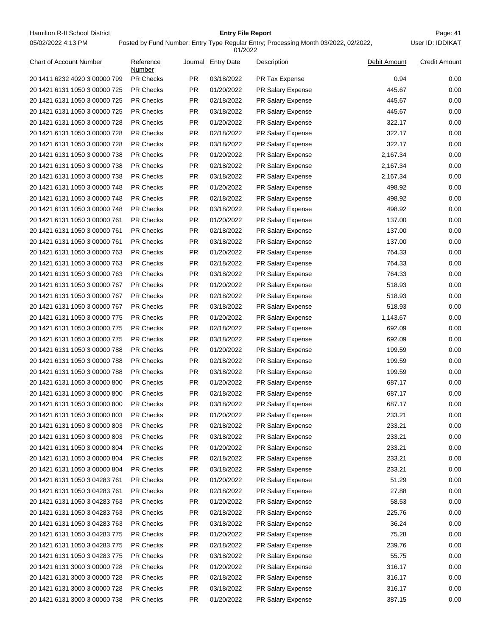Hamilton R-II School District **Entry File Report Entry File Report** Page: 41 05/02/2022 4:13 PM

# **Entry File Report**

Posted by Fund Number; Entry Type Regular Entry; Processing Month 03/2022, 02/2022,

|                               |                     |                  | 01/2022            |                       |                 |                      |
|-------------------------------|---------------------|------------------|--------------------|-----------------------|-----------------|----------------------|
| Chart of Account Number       | Reference<br>Number |                  | Journal Entry Date | Description           | Debit Amount    | <b>Credit Amount</b> |
| 20 1411 6232 4020 3 00000 799 | <b>PR Checks</b>    | <b>PR</b>        | 03/18/2022         | <b>PR Tax Expense</b> | 0.94            | 0.00                 |
| 20 1421 6131 1050 3 00000 725 | <b>PR Checks</b>    | <b>PR</b>        | 01/20/2022         | PR Salary Expense     | 445.67          | 0.00                 |
| 20 1421 6131 1050 3 00000 725 | <b>PR Checks</b>    | <b>PR</b>        | 02/18/2022         | PR Salary Expense     | 445.67          | 0.00                 |
| 20 1421 6131 1050 3 00000 725 | <b>PR Checks</b>    | <b>PR</b>        | 03/18/2022         | PR Salary Expense     | 445.67          | 0.00                 |
| 20 1421 6131 1050 3 00000 728 | <b>PR Checks</b>    | <b>PR</b>        | 01/20/2022         | PR Salary Expense     | 322.17          | 0.00                 |
| 20 1421 6131 1050 3 00000 728 | <b>PR Checks</b>    | <b>PR</b>        | 02/18/2022         | PR Salary Expense     | 322.17          | 0.00                 |
| 20 1421 6131 1050 3 00000 728 | PR Checks           | PR.              | 03/18/2022         | PR Salary Expense     | 322.17          | 0.00                 |
| 20 1421 6131 1050 3 00000 738 | <b>PR Checks</b>    | <b>PR</b>        | 01/20/2022         | PR Salary Expense     | 2,167.34        | 0.00                 |
| 20 1421 6131 1050 3 00000 738 | <b>PR Checks</b>    | <b>PR</b>        | 02/18/2022         | PR Salary Expense     | 2,167.34        | 0.00                 |
| 20 1421 6131 1050 3 00000 738 | <b>PR Checks</b>    | <b>PR</b>        | 03/18/2022         | PR Salary Expense     | 2,167.34        | 0.00                 |
| 20 1421 6131 1050 3 00000 748 | <b>PR Checks</b>    | <b>PR</b>        | 01/20/2022         | PR Salary Expense     | 498.92          | 0.00                 |
| 20 1421 6131 1050 3 00000 748 | <b>PR Checks</b>    | <b>PR</b>        | 02/18/2022         | PR Salary Expense     | 498.92          | 0.00                 |
| 20 1421 6131 1050 3 00000 748 | <b>PR Checks</b>    | <b>PR</b>        | 03/18/2022         | PR Salary Expense     | 498.92          | 0.00                 |
| 20 1421 6131 1050 3 00000 761 | <b>PR Checks</b>    | <b>PR</b>        | 01/20/2022         | PR Salary Expense     | 137.00          | 0.00                 |
| 20 1421 6131 1050 3 00000 761 | PR Checks           | PR.              | 02/18/2022         | PR Salary Expense     | 137.00          | 0.00                 |
| 20 1421 6131 1050 3 00000 761 | <b>PR Checks</b>    | <b>PR</b>        | 03/18/2022         | PR Salary Expense     | 137.00          | 0.00                 |
| 20 1421 6131 1050 3 00000 763 | <b>PR Checks</b>    | <b>PR</b>        | 01/20/2022         | PR Salary Expense     | 764.33          | 0.00                 |
| 20 1421 6131 1050 3 00000 763 | <b>PR Checks</b>    | <b>PR</b>        | 02/18/2022         | PR Salary Expense     | 764.33          | 0.00                 |
| 20 1421 6131 1050 3 00000 763 | <b>PR Checks</b>    | PR.              | 03/18/2022         | PR Salary Expense     | 764.33          | 0.00                 |
| 20 1421 6131 1050 3 00000 767 | <b>PR Checks</b>    | <b>PR</b>        | 01/20/2022         | PR Salary Expense     | 518.93          | 0.00                 |
| 20 1421 6131 1050 3 00000 767 | <b>PR Checks</b>    | <b>PR</b>        | 02/18/2022         | PR Salary Expense     | 518.93          | 0.00                 |
| 20 1421 6131 1050 3 00000 767 | <b>PR Checks</b>    | <b>PR</b>        | 03/18/2022         | PR Salary Expense     | 518.93          | 0.00                 |
| 20 1421 6131 1050 3 00000 775 | <b>PR Checks</b>    | PR.              | 01/20/2022         | PR Salary Expense     | 1,143.67        | 0.00                 |
| 20 1421 6131 1050 3 00000 775 | <b>PR Checks</b>    | <b>PR</b>        | 02/18/2022         | PR Salary Expense     | 692.09          | 0.00                 |
| 20 1421 6131 1050 3 00000 775 | <b>PR Checks</b>    | <b>PR</b>        | 03/18/2022         | PR Salary Expense     | 692.09          | 0.00                 |
| 20 1421 6131 1050 3 00000 788 | <b>PR Checks</b>    | <b>PR</b>        | 01/20/2022         | PR Salary Expense     | 199.59          | 0.00                 |
| 20 1421 6131 1050 3 00000 788 | <b>PR Checks</b>    | PR.              | 02/18/2022         | PR Salary Expense     | 199.59          | 0.00                 |
| 20 1421 6131 1050 3 00000 788 | <b>PR Checks</b>    | <b>PR</b>        | 03/18/2022         | PR Salary Expense     | 199.59          | 0.00                 |
| 20 1421 6131 1050 3 00000 800 | <b>PR Checks</b>    | PR.              | 01/20/2022         | PR Salary Expense     | 687.17          | 0.00                 |
| 20 1421 6131 1050 3 00000 800 | <b>PR Checks</b>    | <b>PR</b>        | 02/18/2022         | PR Salary Expense     | 687.17          | 0.00                 |
| 20 1421 6131 1050 3 00000 800 | <b>PR Checks</b>    | <b>PR</b>        | 03/18/2022         | PR Salary Expense     | 687.17          | 0.00                 |
| 20 1421 6131 1050 3 00000 803 | PR Checks           | PR               | 01/20/2022         | PR Salary Expense     | 233.21          | 0.00                 |
| 20 1421 6131 1050 3 00000 803 | PR Checks           | <b>PR</b>        | 02/18/2022         | PR Salary Expense     | 233.21          | 0.00                 |
| 20 1421 6131 1050 3 00000 803 | PR Checks           | <b>PR</b>        | 03/18/2022         | PR Salary Expense     | 233.21          | 0.00                 |
| 20 1421 6131 1050 3 00000 804 | PR Checks           | <b>PR</b>        | 01/20/2022         | PR Salary Expense     | 233.21          | 0.00                 |
| 20 1421 6131 1050 3 00000 804 | PR Checks           | <b>PR</b>        | 02/18/2022         | PR Salary Expense     | 233.21          | 0.00                 |
| 20 1421 6131 1050 3 00000 804 | PR Checks           | <b>PR</b>        | 03/18/2022         | PR Salary Expense     | 233.21          | 0.00                 |
| 20 1421 6131 1050 3 04283 761 | PR Checks           | <b>PR</b>        | 01/20/2022         | PR Salary Expense     | 51.29           | 0.00                 |
| 20 1421 6131 1050 3 04283 761 | PR Checks           | <b>PR</b>        | 02/18/2022         | PR Salary Expense     | 27.88           | 0.00                 |
| 20 1421 6131 1050 3 04283 763 | PR Checks           | <b>PR</b>        | 01/20/2022         | PR Salary Expense     | 58.53           | 0.00                 |
|                               | PR Checks           |                  |                    |                       |                 | 0.00                 |
| 20 1421 6131 1050 3 04283 763 | PR Checks           | PR.<br><b>PR</b> | 02/18/2022         | PR Salary Expense     | 225.76<br>36.24 |                      |
| 20 1421 6131 1050 3 04283 763 |                     |                  | 03/18/2022         | PR Salary Expense     |                 | 0.00                 |
| 20 1421 6131 1050 3 04283 775 | PR Checks           | <b>PR</b>        | 01/20/2022         | PR Salary Expense     | 75.28           | 0.00                 |
| 20 1421 6131 1050 3 04283 775 | PR Checks           | <b>PR</b>        | 02/18/2022         | PR Salary Expense     | 239.76          | 0.00                 |
| 20 1421 6131 1050 3 04283 775 | PR Checks           | <b>PR</b>        | 03/18/2022         | PR Salary Expense     | 55.75           | 0.00                 |
| 20 1421 6131 3000 3 00000 728 | PR Checks           | <b>PR</b>        | 01/20/2022         | PR Salary Expense     | 316.17          | 0.00                 |
| 20 1421 6131 3000 3 00000 728 | PR Checks           | <b>PR</b>        | 02/18/2022         | PR Salary Expense     | 316.17          | 0.00                 |
| 20 1421 6131 3000 3 00000 728 | PR Checks           | <b>PR</b>        | 03/18/2022         | PR Salary Expense     | 316.17          | 0.00                 |
| 20 1421 6131 3000 3 00000 738 | PR Checks           | PR.              | 01/20/2022         | PR Salary Expense     | 387.15          | 0.00                 |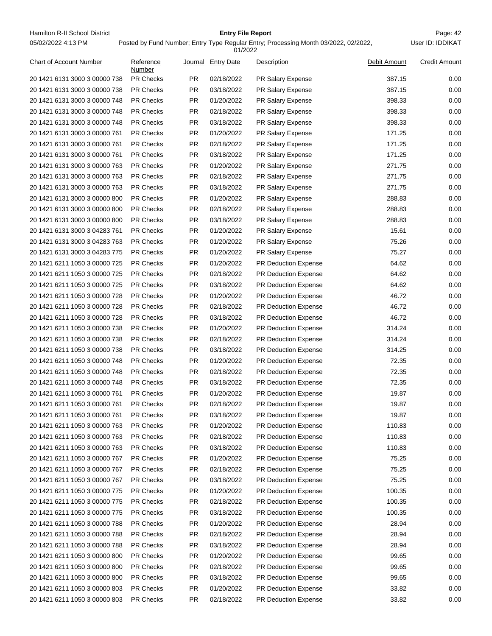Hamilton R-II School District **Entry File Report Entry File Report** Page: 42 05/02/2022 4:13 PM

# **Entry File Report**

Posted by Fund Number; Entry Type Regular Entry; Processing Month 03/2022, 02/2022,

|                                |                     |           | 01/2022            |                             |              |                      |
|--------------------------------|---------------------|-----------|--------------------|-----------------------------|--------------|----------------------|
| <b>Chart of Account Number</b> | Reference<br>Number |           | Journal Entry Date | Description                 | Debit Amount | <b>Credit Amount</b> |
| 20 1421 6131 3000 3 00000 738  | <b>PR Checks</b>    | PR.       | 02/18/2022         | PR Salary Expense           | 387.15       | 0.00                 |
| 20 1421 6131 3000 3 00000 738  | <b>PR Checks</b>    | <b>PR</b> | 03/18/2022         | <b>PR Salary Expense</b>    | 387.15       | 0.00                 |
| 20 1421 6131 3000 3 00000 748  | <b>PR Checks</b>    | PR.       | 01/20/2022         | <b>PR Salary Expense</b>    | 398.33       | 0.00                 |
| 20 1421 6131 3000 3 00000 748  | <b>PR Checks</b>    | PR.       | 02/18/2022         | PR Salary Expense           | 398.33       | 0.00                 |
| 20 1421 6131 3000 3 00000 748  | <b>PR Checks</b>    | PR.       | 03/18/2022         | PR Salary Expense           | 398.33       | 0.00                 |
| 20 1421 6131 3000 3 00000 761  | <b>PR Checks</b>    | PR.       | 01/20/2022         | <b>PR Salary Expense</b>    | 171.25       | 0.00                 |
| 20 1421 6131 3000 3 00000 761  | <b>PR Checks</b>    | <b>PR</b> | 02/18/2022         | <b>PR Salary Expense</b>    | 171.25       | 0.00                 |
| 20 1421 6131 3000 3 00000 761  | <b>PR Checks</b>    | PR.       | 03/18/2022         | PR Salary Expense           | 171.25       | 0.00                 |
| 20 1421 6131 3000 3 00000 763  | <b>PR Checks</b>    | PR.       | 01/20/2022         | PR Salary Expense           | 271.75       | 0.00                 |
| 20 1421 6131 3000 3 00000 763  | <b>PR Checks</b>    | <b>PR</b> | 02/18/2022         | PR Salary Expense           | 271.75       | 0.00                 |
| 20 1421 6131 3000 3 00000 763  | <b>PR Checks</b>    | PR.       | 03/18/2022         | PR Salary Expense           | 271.75       | 0.00                 |
| 20 1421 6131 3000 3 00000 800  | <b>PR Checks</b>    | PR.       | 01/20/2022         | PR Salary Expense           | 288.83       | 0.00                 |
| 20 1421 6131 3000 3 00000 800  | <b>PR Checks</b>    | PR.       | 02/18/2022         | PR Salary Expense           | 288.83       | 0.00                 |
| 20 1421 6131 3000 3 00000 800  | <b>PR Checks</b>    | PR.       | 03/18/2022         | PR Salary Expense           | 288.83       | 0.00                 |
| 20 1421 6131 3000 3 04283 761  | <b>PR Checks</b>    | <b>PR</b> | 01/20/2022         | PR Salary Expense           | 15.61        | 0.00                 |
| 20 1421 6131 3000 3 04283 763  | <b>PR Checks</b>    | PR.       | 01/20/2022         | PR Salary Expense           | 75.26        | 0.00                 |
| 20 1421 6131 3000 3 04283 775  | <b>PR Checks</b>    | PR.       | 01/20/2022         | PR Salary Expense           | 75.27        | 0.00                 |
| 20 1421 6211 1050 3 00000 725  | <b>PR Checks</b>    | <b>PR</b> | 01/20/2022         | <b>PR Deduction Expense</b> | 64.62        | 0.00                 |
| 20 1421 6211 1050 3 00000 725  | <b>PR Checks</b>    | PR.       | 02/18/2022         | PR Deduction Expense        | 64.62        | 0.00                 |
| 20 1421 6211 1050 3 00000 725  | <b>PR Checks</b>    | PR.       | 03/18/2022         | PR Deduction Expense        | 64.62        | 0.00                 |
| 20 1421 6211 1050 3 00000 728  | <b>PR Checks</b>    | PR.       | 01/20/2022         | <b>PR Deduction Expense</b> | 46.72        | 0.00                 |
| 20 1421 6211 1050 3 00000 728  | <b>PR Checks</b>    | PR.       | 02/18/2022         | <b>PR Deduction Expense</b> | 46.72        | 0.00                 |
| 20 1421 6211 1050 3 00000 728  | <b>PR Checks</b>    | <b>PR</b> | 03/18/2022         | <b>PR Deduction Expense</b> | 46.72        | 0.00                 |
| 20 1421 6211 1050 3 00000 738  | <b>PR Checks</b>    | PR.       | 01/20/2022         | PR Deduction Expense        | 314.24       | 0.00                 |
| 20 1421 6211 1050 3 00000 738  | <b>PR Checks</b>    | PR.       | 02/18/2022         | PR Deduction Expense        | 314.24       | 0.00                 |
| 20 1421 6211 1050 3 00000 738  | <b>PR Checks</b>    | <b>PR</b> | 03/18/2022         | PR Deduction Expense        | 314.25       | 0.00                 |
| 20 1421 6211 1050 3 00000 748  | <b>PR Checks</b>    | PR.       | 01/20/2022         | <b>PR Deduction Expense</b> | 72.35        | 0.00                 |
| 20 1421 6211 1050 3 00000 748  | <b>PR Checks</b>    | PR.       | 02/18/2022         | PR Deduction Expense        | 72.35        | 0.00                 |
| 20 1421 6211 1050 3 00000 748  | <b>PR Checks</b>    | PR.       | 03/18/2022         | PR Deduction Expense        | 72.35        | 0.00                 |
| 20 1421 6211 1050 3 00000 761  | <b>PR Checks</b>    | PR.       | 01/20/2022         | PR Deduction Expense        | 19.87        | 0.00                 |
| 20 1421 6211 1050 3 00000 761  | <b>PR Checks</b>    | PR.       | 02/18/2022         | PR Deduction Expense        | 19.87        | 0.00                 |
| 20 1421 6211 1050 3 00000 761  | PR Checks           | PR.       | 03/18/2022         | PR Deduction Expense        | 19.87        | 0.00                 |
| 20 1421 6211 1050 3 00000 763  | PR Checks           | PR        | 01/20/2022         | <b>PR Deduction Expense</b> | 110.83       | 0.00                 |
|                                | PR Checks           | PR        |                    |                             | 110.83       | 0.00                 |
| 20 1421 6211 1050 3 00000 763  |                     |           | 02/18/2022         | <b>PR Deduction Expense</b> |              |                      |
| 20 1421 6211 1050 3 00000 763  | <b>PR Checks</b>    | PR        | 03/18/2022         | PR Deduction Expense        | 110.83       | 0.00                 |
| 20 1421 6211 1050 3 00000 767  | PR Checks           | PR        | 01/20/2022         | PR Deduction Expense        | 75.25        | 0.00                 |
| 20 1421 6211 1050 3 00000 767  | PR Checks           | PR        | 02/18/2022         | PR Deduction Expense        | 75.25        | 0.00                 |
| 20 1421 6211 1050 3 00000 767  | PR Checks           | <b>PR</b> | 03/18/2022         | PR Deduction Expense        | 75.25        | 0.00                 |
| 20 1421 6211 1050 3 00000 775  | <b>PR Checks</b>    | PR        | 01/20/2022         | PR Deduction Expense        | 100.35       | 0.00                 |
| 20 1421 6211 1050 3 00000 775  | PR Checks           | PR        | 02/18/2022         | PR Deduction Expense        | 100.35       | 0.00                 |
| 20 1421 6211 1050 3 00000 775  | PR Checks           | PR        | 03/18/2022         | PR Deduction Expense        | 100.35       | 0.00                 |
| 20 1421 6211 1050 3 00000 788  | PR Checks           | <b>PR</b> | 01/20/2022         | PR Deduction Expense        | 28.94        | 0.00                 |
| 20 1421 6211 1050 3 00000 788  | <b>PR Checks</b>    | <b>PR</b> | 02/18/2022         | PR Deduction Expense        | 28.94        | 0.00                 |
| 20 1421 6211 1050 3 00000 788  | PR Checks           | <b>PR</b> | 03/18/2022         | PR Deduction Expense        | 28.94        | 0.00                 |
| 20 1421 6211 1050 3 00000 800  | PR Checks           | <b>PR</b> | 01/20/2022         | PR Deduction Expense        | 99.65        | 0.00                 |
| 20 1421 6211 1050 3 00000 800  | PR Checks           | <b>PR</b> | 02/18/2022         | PR Deduction Expense        | 99.65        | 0.00                 |
| 20 1421 6211 1050 3 00000 800  | <b>PR Checks</b>    | PR        | 03/18/2022         | PR Deduction Expense        | 99.65        | 0.00                 |
| 20 1421 6211 1050 3 00000 803  | PR Checks           | PR        | 01/20/2022         | PR Deduction Expense        | 33.82        | 0.00                 |
| 20 1421 6211 1050 3 00000 803  | PR Checks           | PR        | 02/18/2022         | PR Deduction Expense        | 33.82        | 0.00                 |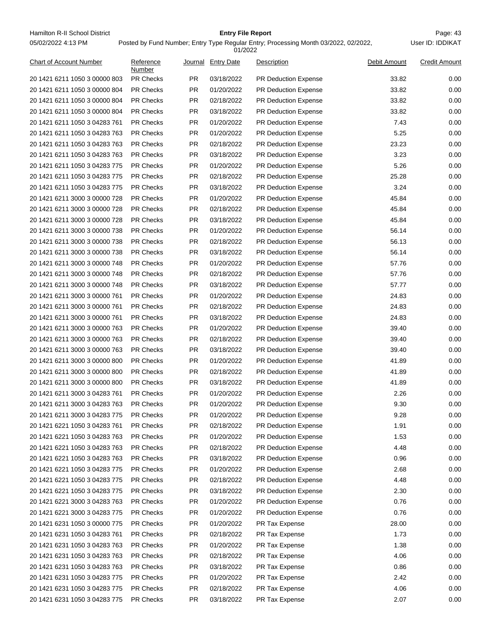For Entry File Report File Report Page: 43<br>Page: 43 Detail by Fund Number Fate: Tune Beauler Fate: Presenting Marth 03/0009-09/0009-00-1449 Det ID: IDDIKAT 05/02/2022 4:13 PM

#### **Entry File Report**

**ID: IDDIKAT** 

|                                |                     |           | 01/2022            |                             |              |                      |
|--------------------------------|---------------------|-----------|--------------------|-----------------------------|--------------|----------------------|
| <b>Chart of Account Number</b> | Reference<br>Number |           | Journal Entry Date | Description                 | Debit Amount | <b>Credit Amount</b> |
| 20 1421 6211 1050 3 00000 803  | PR Checks           | <b>PR</b> | 03/18/2022         | <b>PR Deduction Expense</b> | 33.82        | 0.00                 |
| 20 1421 6211 1050 3 00000 804  | PR Checks           | PR.       | 01/20/2022         | <b>PR Deduction Expense</b> | 33.82        | 0.00                 |
| 20 1421 6211 1050 3 00000 804  | <b>PR Checks</b>    | PR        | 02/18/2022         | <b>PR Deduction Expense</b> | 33.82        | 0.00                 |
| 20 1421 6211 1050 3 00000 804  | <b>PR Checks</b>    | PR        | 03/18/2022         | <b>PR Deduction Expense</b> | 33.82        | 0.00                 |
| 20 1421 6211 1050 3 04283 761  | <b>PR Checks</b>    | PR.       | 01/20/2022         | PR Deduction Expense        | 7.43         | 0.00                 |
| 20 1421 6211 1050 3 04283 763  | <b>PR Checks</b>    | PR        | 01/20/2022         | <b>PR Deduction Expense</b> | 5.25         | 0.00                 |
| 20 1421 6211 1050 3 04283 763  | <b>PR Checks</b>    | PR        | 02/18/2022         | <b>PR Deduction Expense</b> | 23.23        | 0.00                 |
| 20 1421 6211 1050 3 04283 763  | <b>PR Checks</b>    | PR        | 03/18/2022         | <b>PR Deduction Expense</b> | 3.23         | 0.00                 |
| 20 1421 6211 1050 3 04283 775  | PR Checks           | PR        | 01/20/2022         | <b>PR Deduction Expense</b> | 5.26         | 0.00                 |
| 20 1421 6211 1050 3 04283 775  | <b>PR Checks</b>    | PR.       | 02/18/2022         | <b>PR Deduction Expense</b> | 25.28        | 0.00                 |
| 20 1421 6211 1050 3 04283 775  | <b>PR Checks</b>    | PR        | 03/18/2022         | <b>PR Deduction Expense</b> | 3.24         | 0.00                 |
| 20 1421 6211 3000 3 00000 728  | <b>PR Checks</b>    | PR        | 01/20/2022         | <b>PR Deduction Expense</b> | 45.84        | 0.00                 |
| 20 1421 6211 3000 3 00000 728  | <b>PR Checks</b>    | PR        | 02/18/2022         | PR Deduction Expense        | 45.84        | 0.00                 |
| 20 1421 6211 3000 3 00000 728  | <b>PR Checks</b>    | PR        | 03/18/2022         | <b>PR Deduction Expense</b> | 45.84        | 0.00                 |
| 20 1421 6211 3000 3 00000 738  | <b>PR Checks</b>    | PR        | 01/20/2022         | <b>PR Deduction Expense</b> | 56.14        | 0.00                 |
| 20 1421 6211 3000 3 00000 738  | <b>PR Checks</b>    | PR        | 02/18/2022         | <b>PR Deduction Expense</b> | 56.13        | 0.00                 |
| 20 1421 6211 3000 3 00000 738  | PR Checks           | PR        | 03/18/2022         | PR Deduction Expense        | 56.14        | 0.00                 |
| 20 1421 6211 3000 3 00000 748  | <b>PR Checks</b>    | PR.       | 01/20/2022         | <b>PR Deduction Expense</b> | 57.76        | 0.00                 |
| 20 1421 6211 3000 3 00000 748  | <b>PR Checks</b>    | PR        | 02/18/2022         | <b>PR Deduction Expense</b> | 57.76        | 0.00                 |
| 20 1421 6211 3000 3 00000 748  | <b>PR Checks</b>    | PR        | 03/18/2022         | <b>PR Deduction Expense</b> | 57.77        | 0.00                 |
| 20 1421 6211 3000 3 00000 761  | <b>PR Checks</b>    | PR.       | 01/20/2022         | PR Deduction Expense        | 24.83        | 0.00                 |
| 20 1421 6211 3000 3 00000 761  | <b>PR Checks</b>    | PR        | 02/18/2022         | <b>PR Deduction Expense</b> | 24.83        | 0.00                 |
| 20 1421 6211 3000 3 00000 761  | <b>PR Checks</b>    | PR        | 03/18/2022         | <b>PR Deduction Expense</b> | 24.83        | 0.00                 |
| 20 1421 6211 3000 3 00000 763  | <b>PR Checks</b>    | PR        | 01/20/2022         | <b>PR Deduction Expense</b> | 39.40        | 0.00                 |
| 20 1421 6211 3000 3 00000 763  | PR Checks           | PR        | 02/18/2022         | PR Deduction Expense        | 39.40        | 0.00                 |
| 20 1421 6211 3000 3 00000 763  | <b>PR Checks</b>    | PR.       | 03/18/2022         | <b>PR Deduction Expense</b> | 39.40        | 0.00                 |
| 20 1421 6211 3000 3 00000 800  | <b>PR Checks</b>    | PR        | 01/20/2022         | PR Deduction Expense        | 41.89        | 0.00                 |
| 20 1421 6211 3000 3 00000 800  | <b>PR Checks</b>    | PR        | 02/18/2022         | PR Deduction Expense        | 41.89        | 0.00                 |
| 20 1421 6211 3000 3 00000 800  | <b>PR Checks</b>    | <b>PR</b> | 03/18/2022         | PR Deduction Expense        | 41.89        | 0.00                 |
| 20 1421 6211 3000 3 04283 761  | PR Checks           | PR.       | 01/20/2022         | PR Deduction Expense        | 2.26         | 0.00                 |
| 20 1421 6211 3000 3 04283 763  | PR Checks           | PR        | 01/20/2022         | PR Deduction Expense        | 9.30         | 0.00                 |
| 20 1421 6211 3000 3 04283 775  | <b>PR Checks</b>    | PR        | 01/20/2022         | <b>PR Deduction Expense</b> | 9.28         | 0.00                 |
| 20 1421 6221 1050 3 04283 761  | PR Checks           | PR        | 02/18/2022         | PR Deduction Expense        | 1.91         | 0.00                 |
| 20 1421 6221 1050 3 04283 763  | PR Checks           | PR        | 01/20/2022         | PR Deduction Expense        | 1.53         | 0.00                 |
| 20 1421 6221 1050 3 04283 763  | PR Checks           | <b>PR</b> | 02/18/2022         | PR Deduction Expense        | 4.48         | 0.00                 |
| 20 1421 6221 1050 3 04283 763  | PR Checks           | <b>PR</b> | 03/18/2022         | <b>PR Deduction Expense</b> | 0.96         | 0.00                 |
| 20 1421 6221 1050 3 04283 775  | PR Checks           | PR        | 01/20/2022         | PR Deduction Expense        | 2.68         | 0.00                 |
| 20 1421 6221 1050 3 04283 775  | PR Checks           | PR        | 02/18/2022         | PR Deduction Expense        | 4.48         | 0.00                 |
| 20 1421 6221 1050 3 04283 775  | PR Checks           | <b>PR</b> | 03/18/2022         | PR Deduction Expense        | 2.30         | 0.00                 |
| 20 1421 6221 3000 3 04283 763  | PR Checks           | <b>PR</b> | 01/20/2022         | PR Deduction Expense        | 0.76         | 0.00                 |
| 20 1421 6221 3000 3 04283 775  | PR Checks           | PR        | 01/20/2022         | PR Deduction Expense        | 0.76         | 0.00                 |
| 20 1421 6231 1050 3 00000 775  | PR Checks           | PR        | 01/20/2022         | PR Tax Expense              | 28.00        | 0.00                 |
| 20 1421 6231 1050 3 04283 761  | PR Checks           | <b>PR</b> | 02/18/2022         | PR Tax Expense              | 1.73         | 0.00                 |
| 20 1421 6231 1050 3 04283 763  | PR Checks           | <b>PR</b> | 01/20/2022         | PR Tax Expense              | 1.38         | 0.00                 |
| 20 1421 6231 1050 3 04283 763  | PR Checks           | PR        | 02/18/2022         | PR Tax Expense              | 4.06         | 0.00                 |
| 20 1421 6231 1050 3 04283 763  | PR Checks           | PR        | 03/18/2022         | PR Tax Expense              | 0.86         | 0.00                 |
| 20 1421 6231 1050 3 04283 775  | PR Checks           | <b>PR</b> | 01/20/2022         | PR Tax Expense              | 2.42         | 0.00                 |
|                                |                     |           |                    |                             |              |                      |
| 20 1421 6231 1050 3 04283 775  | <b>PR Checks</b>    | <b>PR</b> | 02/18/2022         | PR Tax Expense              | 4.06         | 0.00                 |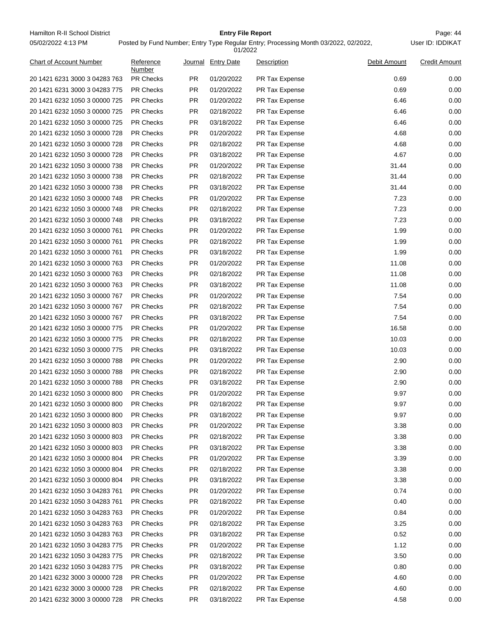Hamilton R-II School District **Entry File Report Entry File Report** Page: 44 05/02/2022 4:13 PM

# **Entry File Report**

|                                |                     |           | 01/2022            |                |              |                      |
|--------------------------------|---------------------|-----------|--------------------|----------------|--------------|----------------------|
| <b>Chart of Account Number</b> | Reference<br>Number |           | Journal Entry Date | Description    | Debit Amount | <b>Credit Amount</b> |
| 20 1421 6231 3000 3 04283 763  | <b>PR Checks</b>    | PR.       | 01/20/2022         | PR Tax Expense | 0.69         | 0.00                 |
| 20 1421 6231 3000 3 04283 775  | <b>PR Checks</b>    | <b>PR</b> | 01/20/2022         | PR Tax Expense | 0.69         | 0.00                 |
| 20 1421 6232 1050 3 00000 725  | <b>PR Checks</b>    | PR.       | 01/20/2022         | PR Tax Expense | 6.46         | 0.00                 |
| 20 1421 6232 1050 3 00000 725  | <b>PR Checks</b>    | <b>PR</b> | 02/18/2022         | PR Tax Expense | 6.46         | 0.00                 |
| 20 1421 6232 1050 3 00000 725  | <b>PR Checks</b>    | PR.       | 03/18/2022         | PR Tax Expense | 6.46         | 0.00                 |
| 20 1421 6232 1050 3 00000 728  | <b>PR Checks</b>    | <b>PR</b> | 01/20/2022         | PR Tax Expense | 4.68         | 0.00                 |
| 20 1421 6232 1050 3 00000 728  | PR Checks           | PR.       | 02/18/2022         | PR Tax Expense | 4.68         | 0.00                 |
| 20 1421 6232 1050 3 00000 728  | <b>PR Checks</b>    | <b>PR</b> | 03/18/2022         | PR Tax Expense | 4.67         | 0.00                 |
| 20 1421 6232 1050 3 00000 738  | <b>PR Checks</b>    | <b>PR</b> | 01/20/2022         | PR Tax Expense | 31.44        | 0.00                 |
| 20 1421 6232 1050 3 00000 738  | <b>PR Checks</b>    | <b>PR</b> | 02/18/2022         | PR Tax Expense | 31.44        | 0.00                 |
| 20 1421 6232 1050 3 00000 738  | <b>PR Checks</b>    | <b>PR</b> | 03/18/2022         | PR Tax Expense | 31.44        | 0.00                 |
| 20 1421 6232 1050 3 00000 748  | <b>PR Checks</b>    | <b>PR</b> | 01/20/2022         | PR Tax Expense | 7.23         | 0.00                 |
| 20 1421 6232 1050 3 00000 748  | <b>PR Checks</b>    | <b>PR</b> | 02/18/2022         | PR Tax Expense | 7.23         | 0.00                 |
| 20 1421 6232 1050 3 00000 748  | <b>PR Checks</b>    | <b>PR</b> | 03/18/2022         | PR Tax Expense | 7.23         | 0.00                 |
| 20 1421 6232 1050 3 00000 761  | PR Checks           | PR.       | 01/20/2022         | PR Tax Expense | 1.99         | 0.00                 |
| 20 1421 6232 1050 3 00000 761  | <b>PR Checks</b>    | <b>PR</b> | 02/18/2022         | PR Tax Expense | 1.99         | 0.00                 |
| 20 1421 6232 1050 3 00000 761  | <b>PR Checks</b>    | <b>PR</b> | 03/18/2022         | PR Tax Expense | 1.99         | 0.00                 |
| 20 1421 6232 1050 3 00000 763  | <b>PR Checks</b>    | <b>PR</b> | 01/20/2022         | PR Tax Expense | 11.08        | 0.00                 |
| 20 1421 6232 1050 3 00000 763  | <b>PR Checks</b>    | <b>PR</b> | 02/18/2022         | PR Tax Expense | 11.08        | 0.00                 |
| 20 1421 6232 1050 3 00000 763  | <b>PR Checks</b>    | <b>PR</b> | 03/18/2022         | PR Tax Expense | 11.08        | 0.00                 |
| 20 1421 6232 1050 3 00000 767  | <b>PR Checks</b>    | <b>PR</b> | 01/20/2022         | PR Tax Expense | 7.54         | 0.00                 |
| 20 1421 6232 1050 3 00000 767  | <b>PR Checks</b>    | <b>PR</b> | 02/18/2022         | PR Tax Expense | 7.54         | 0.00                 |
| 20 1421 6232 1050 3 00000 767  | PR Checks           | <b>PR</b> | 03/18/2022         | PR Tax Expense | 7.54         | 0.00                 |
| 20 1421 6232 1050 3 00000 775  | <b>PR Checks</b>    | <b>PR</b> | 01/20/2022         | PR Tax Expense | 16.58        | 0.00                 |
| 20 1421 6232 1050 3 00000 775  | <b>PR Checks</b>    | <b>PR</b> | 02/18/2022         | PR Tax Expense | 10.03        | 0.00                 |
| 20 1421 6232 1050 3 00000 775  | <b>PR Checks</b>    | <b>PR</b> | 03/18/2022         | PR Tax Expense | 10.03        | 0.00                 |
| 20 1421 6232 1050 3 00000 788  | <b>PR Checks</b>    | <b>PR</b> | 01/20/2022         | PR Tax Expense | 2.90         | 0.00                 |
| 20 1421 6232 1050 3 00000 788  | <b>PR Checks</b>    | <b>PR</b> | 02/18/2022         | PR Tax Expense | 2.90         | 0.00                 |
| 20 1421 6232 1050 3 00000 788  | <b>PR Checks</b>    | <b>PR</b> | 03/18/2022         | PR Tax Expense | 2.90         | 0.00                 |
| 20 1421 6232 1050 3 00000 800  | <b>PR Checks</b>    | <b>PR</b> | 01/20/2022         | PR Tax Expense | 9.97         | 0.00                 |
|                                | <b>PR Checks</b>    | PR.       | 02/18/2022         |                | 9.97         | 0.00                 |
| 20 1421 6232 1050 3 00000 800  | PR Checks           | <b>PR</b> | 03/18/2022         | PR Tax Expense | 9.97         | 0.00                 |
| 20 1421 6232 1050 3 00000 800  |                     |           |                    | PR Tax Expense |              |                      |
| 20 1421 6232 1050 3 00000 803  | PR Checks           | <b>PR</b> | 01/20/2022         | PR Tax Expense | 3.38         | 0.00                 |
| 20 1421 6232 1050 3 00000 803  | PR Checks           | <b>PR</b> | 02/18/2022         | PR Tax Expense | 3.38         | 0.00                 |
| 20 1421 6232 1050 3 00000 803  | PR Checks           | <b>PR</b> | 03/18/2022         | PR Tax Expense | 3.38         | 0.00                 |
| 20 1421 6232 1050 3 00000 804  | PR Checks           | <b>PR</b> | 01/20/2022         | PR Tax Expense | 3.39         | 0.00                 |
| 20 1421 6232 1050 3 00000 804  | PR Checks           | <b>PR</b> | 02/18/2022         | PR Tax Expense | 3.38         | 0.00                 |
| 20 1421 6232 1050 3 00000 804  | PR Checks           | <b>PR</b> | 03/18/2022         | PR Tax Expense | 3.38         | 0.00                 |
| 20 1421 6232 1050 3 04283 761  | PR Checks           | <b>PR</b> | 01/20/2022         | PR Tax Expense | 0.74         | 0.00                 |
| 20 1421 6232 1050 3 04283 761  | PR Checks           | <b>PR</b> | 02/18/2022         | PR Tax Expense | 0.40         | 0.00                 |
| 20 1421 6232 1050 3 04283 763  | PR Checks           | <b>PR</b> | 01/20/2022         | PR Tax Expense | 0.84         | 0.00                 |
| 20 1421 6232 1050 3 04283 763  | PR Checks           | <b>PR</b> | 02/18/2022         | PR Tax Expense | 3.25         | 0.00                 |
| 20 1421 6232 1050 3 04283 763  | PR Checks           | <b>PR</b> | 03/18/2022         | PR Tax Expense | 0.52         | 0.00                 |
| 20 1421 6232 1050 3 04283 775  | PR Checks           | <b>PR</b> | 01/20/2022         | PR Tax Expense | 1.12         | 0.00                 |
| 20 1421 6232 1050 3 04283 775  | PR Checks           | <b>PR</b> | 02/18/2022         | PR Tax Expense | 3.50         | 0.00                 |
| 20 1421 6232 1050 3 04283 775  | PR Checks           | <b>PR</b> | 03/18/2022         | PR Tax Expense | 0.80         | 0.00                 |
| 20 1421 6232 3000 3 00000 728  | PR Checks           | <b>PR</b> | 01/20/2022         | PR Tax Expense | 4.60         | 0.00                 |
| 20 1421 6232 3000 3 00000 728  | PR Checks           | <b>PR</b> | 02/18/2022         | PR Tax Expense | 4.60         | 0.00                 |
| 20 1421 6232 3000 3 00000 728  | PR Checks           | <b>PR</b> | 03/18/2022         | PR Tax Expense | 4.58         | 0.00                 |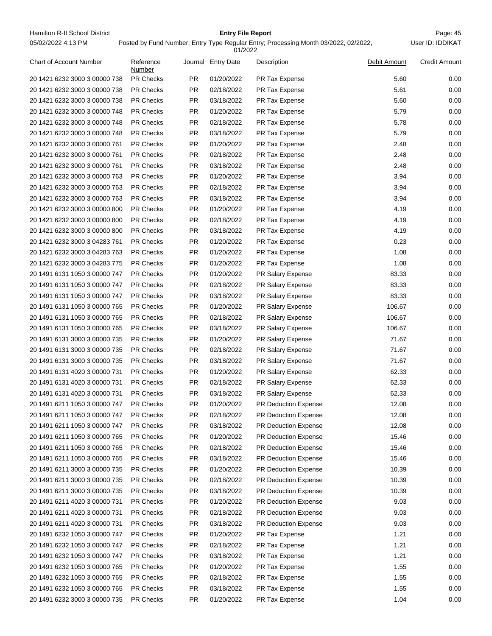Hamilton R-II School District **Entry File Report Entry File Report** Page: 45 05/02/2022 4:13 PM

# **Entry File Report**

|                                |                     |           | 01/2022            |                      |              |                      |
|--------------------------------|---------------------|-----------|--------------------|----------------------|--------------|----------------------|
| <b>Chart of Account Number</b> | Reference<br>Number |           | Journal Entry Date | Description          | Debit Amount | <b>Credit Amount</b> |
| 20 1421 6232 3000 3 00000 738  | <b>PR Checks</b>    | PR.       | 01/20/2022         | PR Tax Expense       | 5.60         | 0.00                 |
| 20 1421 6232 3000 3 00000 738  | <b>PR Checks</b>    | <b>PR</b> | 02/18/2022         | PR Tax Expense       | 5.61         | 0.00                 |
| 20 1421 6232 3000 3 00000 738  | <b>PR Checks</b>    | PR.       | 03/18/2022         | PR Tax Expense       | 5.60         | 0.00                 |
| 20 1421 6232 3000 3 00000 748  | <b>PR Checks</b>    | PR.       | 01/20/2022         | PR Tax Expense       | 5.79         | 0.00                 |
| 20 1421 6232 3000 3 00000 748  | <b>PR Checks</b>    | PR.       | 02/18/2022         | PR Tax Expense       | 5.78         | 0.00                 |
| 20 1421 6232 3000 3 00000 748  | <b>PR Checks</b>    | PR.       | 03/18/2022         | PR Tax Expense       | 5.79         | 0.00                 |
| 20 1421 6232 3000 3 00000 761  | <b>PR Checks</b>    | <b>PR</b> | 01/20/2022         | PR Tax Expense       | 2.48         | 0.00                 |
| 20 1421 6232 3000 3 00000 761  | <b>PR Checks</b>    | PR.       | 02/18/2022         | PR Tax Expense       | 2.48         | 0.00                 |
| 20 1421 6232 3000 3 00000 761  | <b>PR Checks</b>    | <b>PR</b> | 03/18/2022         | PR Tax Expense       | 2.48         | 0.00                 |
| 20 1421 6232 3000 3 00000 763  | <b>PR Checks</b>    | <b>PR</b> | 01/20/2022         | PR Tax Expense       | 3.94         | 0.00                 |
| 20 1421 6232 3000 3 00000 763  | <b>PR Checks</b>    | PR.       | 02/18/2022         | PR Tax Expense       | 3.94         | 0.00                 |
| 20 1421 6232 3000 3 00000 763  | <b>PR Checks</b>    | PR.       | 03/18/2022         | PR Tax Expense       | 3.94         | 0.00                 |
| 20 1421 6232 3000 3 00000 800  | <b>PR Checks</b>    | PR.       | 01/20/2022         | PR Tax Expense       | 4.19         | 0.00                 |
| 20 1421 6232 3000 3 00000 800  | <b>PR Checks</b>    | PR.       | 02/18/2022         | PR Tax Expense       | 4.19         | 0.00                 |
| 20 1421 6232 3000 3 00000 800  | <b>PR Checks</b>    | <b>PR</b> | 03/18/2022         | PR Tax Expense       | 4.19         | 0.00                 |
| 20 1421 6232 3000 3 04283 761  | <b>PR Checks</b>    | <b>PR</b> | 01/20/2022         | PR Tax Expense       | 0.23         | 0.00                 |
| 20 1421 6232 3000 3 04283 763  | <b>PR Checks</b>    | PR.       | 01/20/2022         | PR Tax Expense       | 1.08         | 0.00                 |
| 20 1421 6232 3000 3 04283 775  | <b>PR Checks</b>    | <b>PR</b> | 01/20/2022         | PR Tax Expense       | 1.08         | 0.00                 |
| 20 1491 6131 1050 3 00000 747  | <b>PR Checks</b>    | PR.       | 01/20/2022         | PR Salary Expense    | 83.33        | 0.00                 |
| 20 1491 6131 1050 3 00000 747  | <b>PR Checks</b>    | PR.       | 02/18/2022         | PR Salary Expense    | 83.33        | 0.00                 |
| 20 1491 6131 1050 3 00000 747  | <b>PR Checks</b>    | PR.       | 03/18/2022         | PR Salary Expense    | 83.33        | 0.00                 |
| 20 1491 6131 1050 3 00000 765  | <b>PR Checks</b>    | PR.       | 01/20/2022         | PR Salary Expense    | 106.67       | 0.00                 |
| 20 1491 6131 1050 3 00000 765  | <b>PR Checks</b>    | <b>PR</b> | 02/18/2022         | PR Salary Expense    | 106.67       | 0.00                 |
| 20 1491 6131 1050 3 00000 765  | <b>PR Checks</b>    | PR.       | 03/18/2022         | PR Salary Expense    | 106.67       | 0.00                 |
| 20 1491 6131 3000 3 00000 735  | <b>PR Checks</b>    | PR.       | 01/20/2022         | PR Salary Expense    | 71.67        | 0.00                 |
| 20 1491 6131 3000 3 00000 735  | <b>PR Checks</b>    | <b>PR</b> | 02/18/2022         | PR Salary Expense    | 71.67        | 0.00                 |
| 20 1491 6131 3000 3 00000 735  | <b>PR Checks</b>    | <b>PR</b> | 03/18/2022         | PR Salary Expense    | 71.67        | 0.00                 |
| 20 1491 6131 4020 3 00000 731  | <b>PR Checks</b>    | PR.       | 01/20/2022         | PR Salary Expense    | 62.33        | 0.00                 |
| 20 1491 6131 4020 3 00000 731  | <b>PR Checks</b>    | PR.       | 02/18/2022         | PR Salary Expense    | 62.33        | 0.00                 |
| 20 1491 6131 4020 3 00000 731  | <b>PR Checks</b>    | <b>PR</b> | 03/18/2022         | PR Salary Expense    | 62.33        | 0.00                 |
| 20 1491 6211 1050 3 00000 747  | PR Checks           | <b>PR</b> | 01/20/2022         | PR Deduction Expense | 12.08        | 0.00                 |
| 20 1491 6211 1050 3 00000 747  | <b>PR Checks</b>    | PR.       | 02/18/2022         | PR Deduction Expense | 12.08        | 0.00                 |
| 20 1491 6211 1050 3 00000 747  | PR Checks           | <b>PR</b> | 03/18/2022         | PR Deduction Expense | 12.08        | 0.00                 |
| 20 1491 6211 1050 3 00000 765  | PR Checks           | <b>PR</b> | 01/20/2022         | PR Deduction Expense | 15.46        | 0.00                 |
| 20 1491 6211 1050 3 00000 765  | <b>PR Checks</b>    | <b>PR</b> | 02/18/2022         | PR Deduction Expense | 15.46        | 0.00                 |
| 20 1491 6211 1050 3 00000 765  | PR Checks           | <b>PR</b> | 03/18/2022         | PR Deduction Expense | 15.46        | 0.00                 |
| 20 1491 6211 3000 3 00000 735  | PR Checks           | <b>PR</b> | 01/20/2022         | PR Deduction Expense | 10.39        | 0.00                 |
| 20 1491 6211 3000 3 00000 735  | PR Checks           | <b>PR</b> | 02/18/2022         | PR Deduction Expense | 10.39        | 0.00                 |
| 20 1491 6211 3000 3 00000 735  | <b>PR Checks</b>    | <b>PR</b> | 03/18/2022         | PR Deduction Expense | 10.39        | 0.00                 |
| 20 1491 6211 4020 3 00000 731  | PR Checks           | <b>PR</b> | 01/20/2022         | PR Deduction Expense | 9.03         | 0.00                 |
| 20 1491 6211 4020 3 00000 731  | PR Checks           | <b>PR</b> | 02/18/2022         | PR Deduction Expense | 9.03         | 0.00                 |
| 20 1491 6211 4020 3 00000 731  | PR Checks           | <b>PR</b> | 03/18/2022         | PR Deduction Expense | 9.03         | 0.00                 |
| 20 1491 6232 1050 3 00000 747  | <b>PR Checks</b>    | <b>PR</b> | 01/20/2022         | PR Tax Expense       | 1.21         | 0.00                 |
| 20 1491 6232 1050 3 00000 747  | PR Checks           | <b>PR</b> | 02/18/2022         | PR Tax Expense       | 1.21         | 0.00                 |
| 20 1491 6232 1050 3 00000 747  | PR Checks           | <b>PR</b> | 03/18/2022         | PR Tax Expense       | 1.21         | 0.00                 |
| 20 1491 6232 1050 3 00000 765  | PR Checks           | <b>PR</b> | 01/20/2022         | PR Tax Expense       | 1.55         | 0.00                 |
| 20 1491 6232 1050 3 00000 765  | <b>PR Checks</b>    | <b>PR</b> | 02/18/2022         | PR Tax Expense       | 1.55         | 0.00                 |
| 20 1491 6232 1050 3 00000 765  | PR Checks           | <b>PR</b> | 03/18/2022         | PR Tax Expense       | 1.55         | 0.00                 |
| 20 1491 6232 3000 3 00000 735  | PR Checks           | <b>PR</b> | 01/20/2022         | PR Tax Expense       | 1.04         | 0.00                 |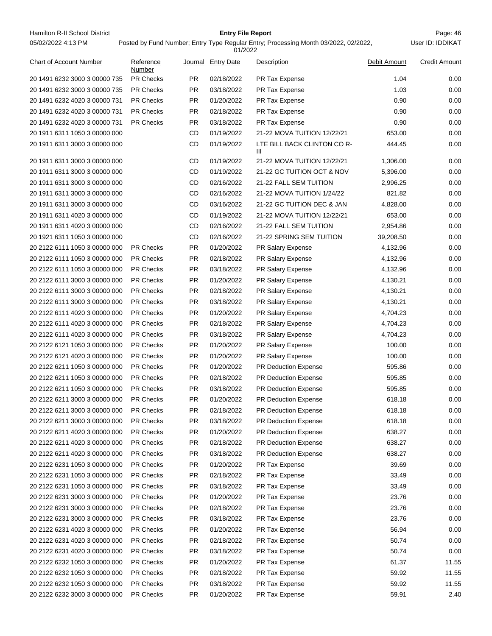Hamilton R-II School District **Entry File Report Entry File Report** Page: 46 05/02/2022 4:13 PM

# **Entry File Report**

| 01/2022                        |                     |           |                   |                                  |              |                      |  |  |
|--------------------------------|---------------------|-----------|-------------------|----------------------------------|--------------|----------------------|--|--|
| <b>Chart of Account Number</b> | Reference<br>Number | Journal   | <b>Entry Date</b> | Description                      | Debit Amount | <b>Credit Amount</b> |  |  |
| 20 1491 6232 3000 3 00000 735  | <b>PR Checks</b>    | PR.       | 02/18/2022        | PR Tax Expense                   | 1.04         | 0.00                 |  |  |
| 20 1491 6232 3000 3 00000 735  | <b>PR Checks</b>    | <b>PR</b> | 03/18/2022        | PR Tax Expense                   | 1.03         | 0.00                 |  |  |
| 20 1491 6232 4020 3 00000 731  | <b>PR Checks</b>    | PR.       | 01/20/2022        | PR Tax Expense                   | 0.90         | 0.00                 |  |  |
| 20 1491 6232 4020 3 00000 731  | <b>PR Checks</b>    | PR.       | 02/18/2022        | PR Tax Expense                   | 0.90         | 0.00                 |  |  |
| 20 1491 6232 4020 3 00000 731  | <b>PR Checks</b>    | PR.       | 03/18/2022        | PR Tax Expense                   | 0.90         | 0.00                 |  |  |
| 20 1911 6311 1050 3 00000 000  |                     | CD        | 01/19/2022        | 21-22 MOVA TUITION 12/22/21      | 653.00       | 0.00                 |  |  |
| 20 1911 6311 3000 3 00000 000  |                     | CD        | 01/19/2022        | LTE BILL BACK CLINTON CO R-<br>Ш | 444.45       | 0.00                 |  |  |
| 20 1911 6311 3000 3 00000 000  |                     | CD        | 01/19/2022        | 21-22 MOVA TUITION 12/22/21      | 1,306.00     | 0.00                 |  |  |
| 20 1911 6311 3000 3 00000 000  |                     | CD        | 01/19/2022        | 21-22 GC TUITION OCT & NOV       | 5,396.00     | 0.00                 |  |  |
| 20 1911 6311 3000 3 00000 000  |                     | CD        | 02/16/2022        | 21-22 FALL SEM TUITION           | 2,996.25     | 0.00                 |  |  |
| 20 1911 6311 3000 3 00000 000  |                     | CD        | 02/16/2022        | 21-22 MOVA TUITION 1/24/22       | 821.82       | 0.00                 |  |  |
| 20 1911 6311 3000 3 00000 000  |                     | CD        | 03/16/2022        | 21-22 GC TUITION DEC & JAN       | 4,828.00     | 0.00                 |  |  |
| 20 1911 6311 4020 3 00000 000  |                     | <b>CD</b> | 01/19/2022        | 21-22 MOVA TUITION 12/22/21      | 653.00       | 0.00                 |  |  |
| 20 1911 6311 4020 3 00000 000  |                     | CD        | 02/16/2022        | 21-22 FALL SEM TUITION           | 2,954.86     | 0.00                 |  |  |
| 20 1921 6311 1050 3 00000 000  |                     | CD        | 02/16/2022        | 21-22 SPRING SEM TUITION         | 39,208.50    | 0.00                 |  |  |
| 20 2122 6111 1050 3 00000 000  | <b>PR Checks</b>    | PR.       | 01/20/2022        | PR Salary Expense                | 4,132.96     | 0.00                 |  |  |
| 20 2122 6111 1050 3 00000 000  | <b>PR Checks</b>    | <b>PR</b> | 02/18/2022        | PR Salary Expense                | 4,132.96     | 0.00                 |  |  |
| 20 2122 6111 1050 3 00000 000  | <b>PR Checks</b>    | PR.       | 03/18/2022        | PR Salary Expense                | 4,132.96     | 0.00                 |  |  |
| 20 2122 6111 3000 3 00000 000  | <b>PR Checks</b>    | <b>PR</b> | 01/20/2022        | PR Salary Expense                | 4,130.21     | 0.00                 |  |  |
| 20 2122 6111 3000 3 00000 000  | <b>PR Checks</b>    | <b>PR</b> | 02/18/2022        | PR Salary Expense                | 4,130.21     | 0.00                 |  |  |
| 20 2122 6111 3000 3 00000 000  | <b>PR Checks</b>    | <b>PR</b> | 03/18/2022        | PR Salary Expense                | 4,130.21     | 0.00                 |  |  |
| 20 2122 6111 4020 3 00000 000  | <b>PR Checks</b>    | PR.       | 01/20/2022        | PR Salary Expense                | 4,704.23     | 0.00                 |  |  |
| 20 2122 6111 4020 3 00000 000  | <b>PR Checks</b>    | PR.       | 02/18/2022        | PR Salary Expense                | 4,704.23     | 0.00                 |  |  |
| 20 2122 6111 4020 3 00000 000  | <b>PR Checks</b>    | PR.       | 03/18/2022        | PR Salary Expense                | 4,704.23     | 0.00                 |  |  |
| 20 2122 6121 1050 3 00000 000  | <b>PR Checks</b>    | <b>PR</b> | 01/20/2022        | PR Salary Expense                | 100.00       | 0.00                 |  |  |
| 20 2122 6121 4020 3 00000 000  | <b>PR Checks</b>    | <b>PR</b> | 01/20/2022        | PR Salary Expense                | 100.00       | 0.00                 |  |  |
| 20 2122 6211 1050 3 00000 000  | <b>PR Checks</b>    | PR.       | 01/20/2022        | PR Deduction Expense             | 595.86       | 0.00                 |  |  |
| 20 2122 6211 1050 3 00000 000  | <b>PR Checks</b>    | PR.       | 02/18/2022        | PR Deduction Expense             | 595.85       | 0.00                 |  |  |
| 20 2122 6211 1050 3 00000 000  | <b>PR Checks</b>    | <b>PR</b> | 03/18/2022        | <b>PR Deduction Expense</b>      | 595.85       | 0.00                 |  |  |
| 20 2122 6211 3000 3 00000 000  | <b>PR Checks</b>    | <b>PR</b> | 01/20/2022        | PR Deduction Expense             | 618.18       | 0.00                 |  |  |
| 20 2122 6211 3000 3 00000 000  | <b>PR Checks</b>    | PR.       | 02/18/2022        | <b>PR Deduction Expense</b>      | 618.18       | 0.00                 |  |  |
| 20 2122 6211 3000 3 00000 000  | <b>PR Checks</b>    | <b>PR</b> | 03/18/2022        | PR Deduction Expense             | 618.18       | 0.00                 |  |  |
| 20 2122 6211 4020 3 00000 000  | <b>PR Checks</b>    | PR        | 01/20/2022        | <b>PR Deduction Expense</b>      | 638.27       | 0.00                 |  |  |
| 20 2122 6211 4020 3 00000 000  | PR Checks           | <b>PR</b> | 02/18/2022        | PR Deduction Expense             | 638.27       | 0.00                 |  |  |
| 20 2122 6211 4020 3 00000 000  | PR Checks           | <b>PR</b> | 03/18/2022        | PR Deduction Expense             | 638.27       | 0.00                 |  |  |
| 20 2122 6231 1050 3 00000 000  | PR Checks           | <b>PR</b> | 01/20/2022        | PR Tax Expense                   | 39.69        | 0.00                 |  |  |
| 20 2122 6231 1050 3 00000 000  | PR Checks           | <b>PR</b> | 02/18/2022        | PR Tax Expense                   | 33.49        | 0.00                 |  |  |
| 20 2122 6231 1050 3 00000 000  | <b>PR Checks</b>    | <b>PR</b> | 03/18/2022        | PR Tax Expense                   | 33.49        | 0.00                 |  |  |
| 20 2122 6231 3000 3 00000 000  | PR Checks           | <b>PR</b> | 01/20/2022        | PR Tax Expense                   | 23.76        | 0.00                 |  |  |
| 20 2122 6231 3000 3 00000 000  | PR Checks           | <b>PR</b> | 02/18/2022        | PR Tax Expense                   | 23.76        | 0.00                 |  |  |
| 20 2122 6231 3000 3 00000 000  | PR Checks           | PR        | 03/18/2022        | PR Tax Expense                   | 23.76        | 0.00                 |  |  |
| 20 2122 6231 4020 3 00000 000  | PR Checks           | <b>PR</b> | 01/20/2022        | PR Tax Expense                   | 56.94        | 0.00                 |  |  |
| 20 2122 6231 4020 3 00000 000  | PR Checks           | <b>PR</b> | 02/18/2022        | PR Tax Expense                   | 50.74        | 0.00                 |  |  |
| 20 2122 6231 4020 3 00000 000  | PR Checks           | <b>PR</b> | 03/18/2022        | PR Tax Expense                   | 50.74        | 0.00                 |  |  |
| 20 2122 6232 1050 3 00000 000  | PR Checks           | <b>PR</b> | 01/20/2022        | PR Tax Expense                   | 61.37        | 11.55                |  |  |
| 20 2122 6232 1050 3 00000 000  | <b>PR Checks</b>    | <b>PR</b> | 02/18/2022        | PR Tax Expense                   | 59.92        | 11.55                |  |  |
| 20 2122 6232 1050 3 00000 000  | PR Checks           | <b>PR</b> | 03/18/2022        | PR Tax Expense                   | 59.92        | 11.55                |  |  |
| 20 2122 6232 3000 3 00000 000  | PR Checks           | PR        | 01/20/2022        | PR Tax Expense                   | 59.91        | 2.40                 |  |  |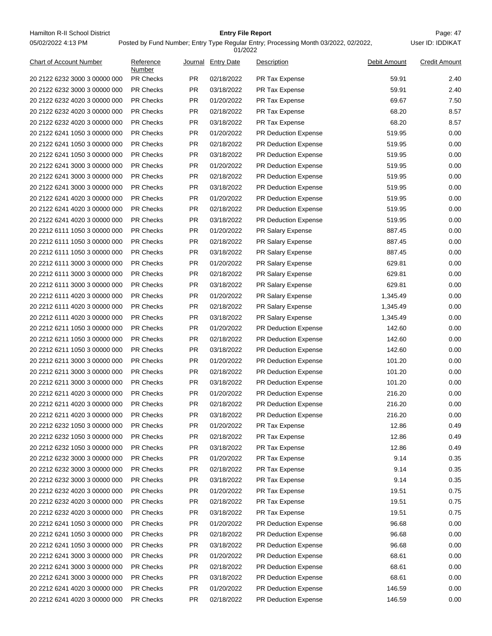Hamilton R-II School District **Entry File Report Entry File Report** Page: 47 05/02/2022 4:13 PM

# **Entry File Report**

Posted by Fund Number; Entry Type Regular Entry; Processing Month 03/2022, 02/2022,

|                                |                     |           | 01/2022           |                                                     |              |                      |
|--------------------------------|---------------------|-----------|-------------------|-----------------------------------------------------|--------------|----------------------|
| <b>Chart of Account Number</b> | Reference<br>Number | Journal   | <b>Entry Date</b> | Description                                         | Debit Amount | <b>Credit Amount</b> |
| 20 2122 6232 3000 3 00000 000  | <b>PR Checks</b>    | PR.       | 02/18/2022        | PR Tax Expense                                      | 59.91        | 2.40                 |
| 20 2122 6232 3000 3 00000 000  | <b>PR Checks</b>    | <b>PR</b> | 03/18/2022        | PR Tax Expense                                      | 59.91        | 2.40                 |
| 20 2122 6232 4020 3 00000 000  | <b>PR Checks</b>    | PR.       | 01/20/2022        | PR Tax Expense                                      | 69.67        | 7.50                 |
| 20 2122 6232 4020 3 00000 000  | <b>PR Checks</b>    | <b>PR</b> | 02/18/2022        | PR Tax Expense                                      | 68.20        | 8.57                 |
| 20 2122 6232 4020 3 00000 000  | <b>PR Checks</b>    | PR.       | 03/18/2022        | PR Tax Expense                                      | 68.20        | 8.57                 |
| 20 2122 6241 1050 3 00000 000  | <b>PR Checks</b>    | <b>PR</b> | 01/20/2022        | <b>PR Deduction Expense</b>                         | 519.95       | 0.00                 |
| 20 2122 6241 1050 3 00000 000  | <b>PR Checks</b>    | <b>PR</b> | 02/18/2022        | PR Deduction Expense                                | 519.95       | 0.00                 |
| 20 2122 6241 1050 3 00000 000  | <b>PR Checks</b>    | <b>PR</b> | 03/18/2022        | PR Deduction Expense                                | 519.95       | 0.00                 |
| 20 2122 6241 3000 3 00000 000  | <b>PR Checks</b>    | PR        | 01/20/2022        | PR Deduction Expense                                | 519.95       | 0.00                 |
| 20 2122 6241 3000 3 00000 000  | <b>PR Checks</b>    | <b>PR</b> | 02/18/2022        | <b>PR Deduction Expense</b>                         | 519.95       | 0.00                 |
| 20 2122 6241 3000 3 00000 000  | <b>PR Checks</b>    | PR.       | 03/18/2022        | PR Deduction Expense                                | 519.95       | 0.00                 |
| 20 2122 6241 4020 3 00000 000  | <b>PR Checks</b>    | PR.       | 01/20/2022        | PR Deduction Expense                                | 519.95       | 0.00                 |
| 20 2122 6241 4020 3 00000 000  | <b>PR Checks</b>    | PR.       | 02/18/2022        | <b>PR Deduction Expense</b>                         | 519.95       | 0.00                 |
| 20 2122 6241 4020 3 00000 000  | <b>PR Checks</b>    | <b>PR</b> | 03/18/2022        | <b>PR Deduction Expense</b>                         | 519.95       | 0.00                 |
| 20 2212 6111 1050 3 00000 000  | <b>PR Checks</b>    | <b>PR</b> | 01/20/2022        | PR Salary Expense                                   | 887.45       | 0.00                 |
| 20 2212 6111 1050 3 00000 000  | <b>PR Checks</b>    | PR        | 02/18/2022        | PR Salary Expense                                   | 887.45       | 0.00                 |
| 20 2212 6111 1050 3 00000 000  | <b>PR Checks</b>    | <b>PR</b> | 03/18/2022        | PR Salary Expense                                   | 887.45       | 0.00                 |
| 20 2212 6111 3000 3 00000 000  | <b>PR Checks</b>    | <b>PR</b> | 01/20/2022        | PR Salary Expense                                   | 629.81       | 0.00                 |
| 20 2212 6111 3000 3 00000 000  | <b>PR Checks</b>    | PR.       | 02/18/2022        | PR Salary Expense                                   | 629.81       | 0.00                 |
| 20 2212 6111 3000 3 00000 000  | <b>PR Checks</b>    | PR.       | 03/18/2022        | PR Salary Expense                                   | 629.81       | 0.00                 |
| 20 2212 6111 4020 3 00000 000  | <b>PR Checks</b>    | PR.       | 01/20/2022        | PR Salary Expense                                   | 1,345.49     | 0.00                 |
| 20 2212 6111 4020 3 00000 000  | <b>PR Checks</b>    | <b>PR</b> | 02/18/2022        | PR Salary Expense                                   | 1,345.49     | 0.00                 |
| 20 2212 6111 4020 3 00000 000  | <b>PR Checks</b>    | <b>PR</b> | 03/18/2022        | PR Salary Expense                                   | 1,345.49     | 0.00                 |
| 20 2212 6211 1050 3 00000 000  | <b>PR Checks</b>    | <b>PR</b> | 01/20/2022        | PR Deduction Expense                                | 142.60       | 0.00                 |
| 20 2212 6211 1050 3 00000 000  | <b>PR Checks</b>    | PR        | 02/18/2022        | PR Deduction Expense                                | 142.60       | 0.00                 |
| 20 2212 6211 1050 3 00000 000  | <b>PR Checks</b>    | <b>PR</b> | 03/18/2022        | <b>PR Deduction Expense</b>                         | 142.60       | 0.00                 |
| 20 2212 6211 3000 3 00000 000  | <b>PR Checks</b>    | PR.       | 01/20/2022        | PR Deduction Expense                                | 101.20       | 0.00                 |
| 20 2212 6211 3000 3 00000 000  | <b>PR Checks</b>    | PR.       | 02/18/2022        | PR Deduction Expense                                | 101.20       | 0.00                 |
| 20 2212 6211 3000 3 00000 000  | <b>PR Checks</b>    | PR.       | 03/18/2022        | PR Deduction Expense                                | 101.20       | 0.00                 |
| 20 2212 6211 4020 3 00000 000  | <b>PR Checks</b>    | <b>PR</b> | 01/20/2022        | <b>PR Deduction Expense</b>                         | 216.20       | 0.00                 |
| 20 2212 6211 4020 3 00000 000  | <b>PR Checks</b>    | <b>PR</b> | 02/18/2022        |                                                     | 216.20       | 0.00                 |
| 20 2212 6211 4020 3 00000 000  | <b>PR Checks</b>    | <b>PR</b> | 03/18/2022        | <b>PR Deduction Expense</b><br>PR Deduction Expense | 216.20       | 0.00                 |
| 20 2212 6232 1050 3 00000 000  | PR Checks           | <b>PR</b> | 01/20/2022        |                                                     | 12.86        | 0.49                 |
|                                | <b>PR Checks</b>    | <b>PR</b> |                   | PR Tax Expense                                      | 12.86        | 0.49                 |
| 20 2212 6232 1050 3 00000 000  |                     |           | 02/18/2022        | PR Tax Expense                                      |              |                      |
| 20 2212 6232 1050 3 00000 000  | <b>PR Checks</b>    | <b>PR</b> | 03/18/2022        | PR Tax Expense                                      | 12.86        | 0.49                 |
| 20 2212 6232 3000 3 00000 000  | PR Checks           | <b>PR</b> | 01/20/2022        | PR Tax Expense                                      | 9.14         | 0.35                 |
| 20 2212 6232 3000 3 00000 000  | PR Checks           | <b>PR</b> | 02/18/2022        | PR Tax Expense                                      | 9.14         | 0.35                 |
| 20 2212 6232 3000 3 00000 000  | <b>PR Checks</b>    | PR        | 03/18/2022        | PR Tax Expense                                      | 9.14         | 0.35                 |
| 20 2212 6232 4020 3 00000 000  | <b>PR Checks</b>    | <b>PR</b> | 01/20/2022        | PR Tax Expense                                      | 19.51        | 0.75                 |
| 20 2212 6232 4020 3 00000 000  | PR Checks           | <b>PR</b> | 02/18/2022        | PR Tax Expense                                      | 19.51        | 0.75                 |
| 20 2212 6232 4020 3 00000 000  | PR Checks           | <b>PR</b> | 03/18/2022        | PR Tax Expense                                      | 19.51        | 0.75                 |
| 20 2212 6241 1050 3 00000 000  | <b>PR Checks</b>    | PR        | 01/20/2022        | PR Deduction Expense                                | 96.68        | 0.00                 |
| 20 2212 6241 1050 3 00000 000  | <b>PR Checks</b>    | <b>PR</b> | 02/18/2022        | PR Deduction Expense                                | 96.68        | 0.00                 |
| 20 2212 6241 1050 3 00000 000  | PR Checks           | <b>PR</b> | 03/18/2022        | PR Deduction Expense                                | 96.68        | 0.00                 |
| 20 2212 6241 3000 3 00000 000  | PR Checks           | PR        | 01/20/2022        | PR Deduction Expense                                | 68.61        | 0.00                 |
| 20 2212 6241 3000 3 00000 000  | <b>PR Checks</b>    | PR        | 02/18/2022        | PR Deduction Expense                                | 68.61        | 0.00                 |
| 20 2212 6241 3000 3 00000 000  | <b>PR Checks</b>    | <b>PR</b> | 03/18/2022        | PR Deduction Expense                                | 68.61        | 0.00                 |
| 20 2212 6241 4020 3 00000 000  | PR Checks           | <b>PR</b> | 01/20/2022        | PR Deduction Expense                                | 146.59       | 0.00                 |
| 20 2212 6241 4020 3 00000 000  | PR Checks           | PR        | 02/18/2022        | PR Deduction Expense                                | 146.59       | 0.00                 |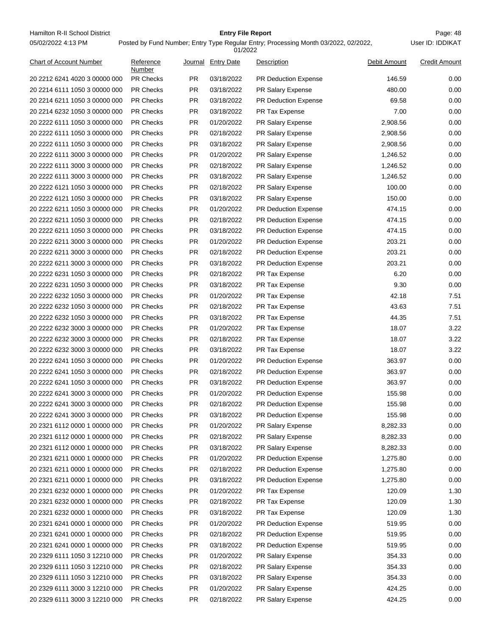Hamilton R-II School District **Entry File Report Entry File Report** Page: 48 05/02/2022 4:13 PM

# **Entry File Report**

Posted by Fund Number; Entry Type Regular Entry; Processing Month 03/2022, 02/2022,

|                                                                |                     |                        | 01/2022                  |                                              |                  |                      |
|----------------------------------------------------------------|---------------------|------------------------|--------------------------|----------------------------------------------|------------------|----------------------|
| <b>Chart of Account Number</b>                                 | Reference<br>Number |                        | Journal Entry Date       | Description                                  | Debit Amount     | <b>Credit Amount</b> |
| 20 2212 6241 4020 3 00000 000                                  | <b>PR Checks</b>    | PR.                    | 03/18/2022               | <b>PR Deduction Expense</b>                  | 146.59           | 0.00                 |
| 20 2214 6111 1050 3 00000 000                                  | <b>PR Checks</b>    | <b>PR</b>              | 03/18/2022               | PR Salary Expense                            | 480.00           | 0.00                 |
| 20 2214 6211 1050 3 00000 000                                  | <b>PR Checks</b>    | PR.                    | 03/18/2022               | PR Deduction Expense                         | 69.58            | 0.00                 |
| 20 2214 6232 1050 3 00000 000                                  | <b>PR Checks</b>    | PR.                    | 03/18/2022               | PR Tax Expense                               | 7.00             | 0.00                 |
| 20 2222 6111 1050 3 00000 000                                  | <b>PR Checks</b>    | PR.                    | 01/20/2022               | <b>PR Salary Expense</b>                     | 2,908.56         | 0.00                 |
| 20 2222 6111 1050 3 00000 000                                  | <b>PR Checks</b>    | PR.                    | 02/18/2022               | <b>PR Salary Expense</b>                     | 2,908.56         | 0.00                 |
| 20 2222 6111 1050 3 00000 000                                  | PR Checks           | PR                     | 03/18/2022               | PR Salary Expense                            | 2,908.56         | 0.00                 |
| 20 2222 6111 3000 3 00000 000                                  | <b>PR Checks</b>    | PR.                    | 01/20/2022               | PR Salary Expense                            | 1,246.52         | 0.00                 |
| 20 2222 6111 3000 3 00000 000                                  | <b>PR Checks</b>    | PR.                    | 02/18/2022               | <b>PR Salary Expense</b>                     | 1,246.52         | 0.00                 |
| 20 2222 6111 3000 3 00000 000                                  | <b>PR Checks</b>    | <b>PR</b>              | 03/18/2022               | <b>PR Salary Expense</b>                     | 1,246.52         | 0.00                 |
| 20 2222 6121 1050 3 00000 000                                  | <b>PR Checks</b>    | PR.                    | 02/18/2022               | PR Salary Expense                            | 100.00           | 0.00                 |
| 20 2222 6121 1050 3 00000 000                                  | <b>PR Checks</b>    | PR.                    | 03/18/2022               | PR Salary Expense                            | 150.00           | 0.00                 |
| 20 2222 6211 1050 3 00000 000                                  | <b>PR Checks</b>    | PR.                    | 01/20/2022               | <b>PR Deduction Expense</b>                  | 474.15           | 0.00                 |
| 20 2222 6211 1050 3 00000 000                                  | <b>PR Checks</b>    | PR.                    | 02/18/2022               | <b>PR Deduction Expense</b>                  | 474.15           | 0.00                 |
| 20 2222 6211 1050 3 00000 000                                  | PR Checks           | PR                     | 03/18/2022               | PR Deduction Expense                         | 474.15           | 0.00                 |
| 20 2222 6211 3000 3 00000 000                                  | <b>PR Checks</b>    | PR.                    | 01/20/2022               | PR Deduction Expense                         | 203.21           | 0.00                 |
| 20 2222 6211 3000 3 00000 000                                  | <b>PR Checks</b>    | PR.                    | 02/18/2022               | PR Deduction Expense                         | 203.21           | 0.00                 |
| 20 2222 6211 3000 3 00000 000                                  | <b>PR Checks</b>    | <b>PR</b>              | 03/18/2022               | <b>PR Deduction Expense</b>                  | 203.21           | 0.00                 |
| 20 2222 6231 1050 3 00000 000                                  | <b>PR Checks</b>    | PR.                    | 02/18/2022               | PR Tax Expense                               | 6.20             | 0.00                 |
| 20 2222 6231 1050 3 00000 000                                  | <b>PR Checks</b>    | PR.                    | 03/18/2022               | PR Tax Expense                               | 9.30             | 0.00                 |
| 20 2222 6232 1050 3 00000 000                                  | <b>PR Checks</b>    | PR.                    | 01/20/2022               | PR Tax Expense                               | 42.18            | 7.51                 |
| 20 2222 6232 1050 3 00000 000                                  | <b>PR Checks</b>    | PR.                    | 02/18/2022               | PR Tax Expense                               | 43.63            | 7.51                 |
| 20 2222 6232 1050 3 00000 000                                  | <b>PR Checks</b>    | PR                     | 03/18/2022               | PR Tax Expense                               | 44.35            | 7.51                 |
| 20 2222 6232 3000 3 00000 000                                  | <b>PR Checks</b>    | PR.                    | 01/20/2022               | PR Tax Expense                               | 18.07            | 3.22                 |
| 20 2222 6232 3000 3 00000 000                                  | <b>PR Checks</b>    | PR.                    | 02/18/2022               | PR Tax Expense                               | 18.07            | 3.22                 |
| 20 2222 6232 3000 3 00000 000                                  | <b>PR Checks</b>    | <b>PR</b>              | 03/18/2022               | PR Tax Expense                               | 18.07            | 3.22                 |
| 20 2222 6241 1050 3 00000 000                                  | <b>PR Checks</b>    | PR.                    | 01/20/2022               | PR Deduction Expense                         | 363.97           | 0.00                 |
| 20 2222 6241 1050 3 00000 000                                  | <b>PR Checks</b>    | PR.                    | 02/18/2022               | PR Deduction Expense                         | 363.97           | 0.00                 |
| 20 2222 6241 1050 3 00000 000                                  | <b>PR Checks</b>    | PR.                    | 03/18/2022               | PR Deduction Expense                         | 363.97           | 0.00                 |
| 20 2222 6241 3000 3 00000 000                                  | <b>PR Checks</b>    | <b>PR</b>              | 01/20/2022               | <b>PR Deduction Expense</b>                  | 155.98           | 0.00                 |
| 20 2222 6241 3000 3 00000 000                                  | <b>PR Checks</b>    | PR                     | 02/18/2022               | PR Deduction Expense                         | 155.98           | 0.00                 |
| 20 2222 6241 3000 3 00000 000                                  | <b>PR Checks</b>    | PR                     | 03/18/2022               | PR Deduction Expense                         | 155.98           | 0.00                 |
| 20 2321 6112 0000 1 00000 000                                  | PR Checks           | PR                     | 01/20/2022               | <b>PR Salary Expense</b>                     | 8,282.33         | 0.00                 |
| 20 2321 6112 0000 1 00000 000                                  | <b>PR Checks</b>    | PR                     | 02/18/2022               | <b>PR Salary Expense</b>                     | 8,282.33         | 0.00                 |
| 20 2321 6112 0000 1 00000 000                                  | PR Checks           | <b>PR</b>              | 03/18/2022               | PR Salary Expense                            | 8,282.33         | 0.00                 |
| 20 2321 6211 0000 1 00000 000                                  | PR Checks           | <b>PR</b>              | 01/20/2022               | PR Deduction Expense                         | 1,275.80         | 0.00                 |
| 20 2321 6211 0000 1 00000 000                                  | PR Checks           | <b>PR</b>              | 02/18/2022               | PR Deduction Expense                         | 1,275.80         | 0.00                 |
| 20 2321 6211 0000 1 00000 000                                  | <b>PR Checks</b>    | <b>PR</b>              | 03/18/2022               | PR Deduction Expense                         | 1,275.80         | 0.00                 |
| 20 2321 6232 0000 1 00000 000                                  | <b>PR Checks</b>    | PR                     | 01/20/2022               | PR Tax Expense                               | 120.09           | 1.30                 |
| 20 2321 6232 0000 1 00000 000                                  | PR Checks           | PR                     | 02/18/2022               | PR Tax Expense                               | 120.09           | 1.30                 |
| 20 2321 6232 0000 1 00000 000                                  | PR Checks           | <b>PR</b>              | 03/18/2022               | PR Tax Expense                               | 120.09           | 1.30                 |
| 20 2321 6241 0000 1 00000 000                                  | <b>PR Checks</b>    | <b>PR</b>              | 01/20/2022               | <b>PR Deduction Expense</b>                  | 519.95           | 0.00                 |
|                                                                | <b>PR Checks</b>    |                        |                          |                                              |                  | 0.00                 |
| 20 2321 6241 0000 1 00000 000<br>20 2321 6241 0000 1 00000 000 | PR Checks           | <b>PR</b><br><b>PR</b> | 02/18/2022<br>03/18/2022 | PR Deduction Expense<br>PR Deduction Expense | 519.95<br>519.95 | 0.00                 |
| 20 2329 6111 1050 3 12210 000                                  | PR Checks           | <b>PR</b>              | 01/20/2022               |                                              | 354.33           | 0.00                 |
|                                                                | <b>PR Checks</b>    | <b>PR</b>              | 02/18/2022               | PR Salary Expense                            | 354.33           | 0.00                 |
| 20 2329 6111 1050 3 12210 000                                  |                     |                        |                          | PR Salary Expense                            |                  |                      |
| 20 2329 6111 1050 3 12210 000                                  | <b>PR Checks</b>    | PR                     | 03/18/2022               | PR Salary Expense                            | 354.33           | 0.00                 |
| 20 2329 6111 3000 3 12210 000                                  | PR Checks           | <b>PR</b>              | 01/20/2022               | PR Salary Expense                            | 424.25           | 0.00                 |
| 20 2329 6111 3000 3 12210 000                                  | PR Checks           | PR                     | 02/18/2022               | PR Salary Expense                            | 424.25           | 0.00                 |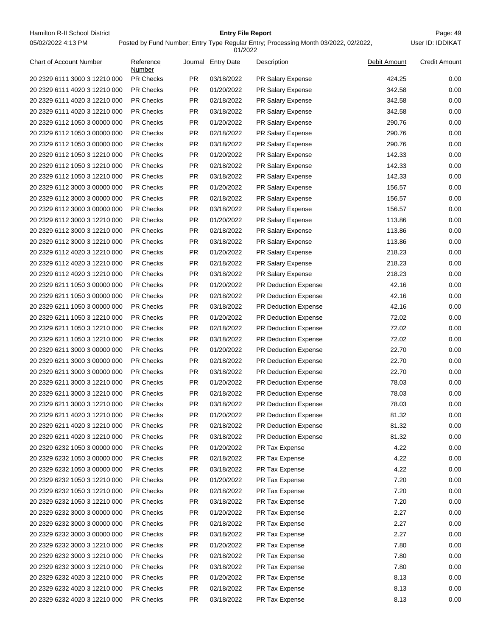Hamilton R-II School District **Entry File Report Entry File Report** Page: 49 05/02/2022 4:13 PM

# **Entry File Report**

Posted by Fund Number; Entry Type Regular Entry; Processing Month 03/2022, 02/2022,

| 01/2022                        |                     |           |                    |                             |              |                      |  |
|--------------------------------|---------------------|-----------|--------------------|-----------------------------|--------------|----------------------|--|
| <b>Chart of Account Number</b> | Reference<br>Number |           | Journal Entry Date | Description                 | Debit Amount | <b>Credit Amount</b> |  |
| 20 2329 6111 3000 3 12210 000  | <b>PR Checks</b>    | PR.       | 03/18/2022         | PR Salary Expense           | 424.25       | 0.00                 |  |
| 20 2329 6111 4020 3 12210 000  | <b>PR Checks</b>    | <b>PR</b> | 01/20/2022         | <b>PR Salary Expense</b>    | 342.58       | 0.00                 |  |
| 20 2329 6111 4020 3 12210 000  | <b>PR Checks</b>    | PR.       | 02/18/2022         | PR Salary Expense           | 342.58       | 0.00                 |  |
| 20 2329 6111 4020 3 12210 000  | PR Checks           | <b>PR</b> | 03/18/2022         | PR Salary Expense           | 342.58       | 0.00                 |  |
| 20 2329 6112 1050 3 00000 000  | <b>PR Checks</b>    | PR.       | 01/20/2022         | PR Salary Expense           | 290.76       | 0.00                 |  |
| 20 2329 6112 1050 3 00000 000  | <b>PR Checks</b>    | PR.       | 02/18/2022         | PR Salary Expense           | 290.76       | 0.00                 |  |
| 20 2329 6112 1050 3 00000 000  | PR Checks           | <b>PR</b> | 03/18/2022         | PR Salary Expense           | 290.76       | 0.00                 |  |
| 20 2329 6112 1050 3 12210 000  | <b>PR Checks</b>    | PR.       | 01/20/2022         | PR Salary Expense           | 142.33       | 0.00                 |  |
| 20 2329 6112 1050 3 12210 000  | <b>PR Checks</b>    | <b>PR</b> | 02/18/2022         | PR Salary Expense           | 142.33       | 0.00                 |  |
| 20 2329 6112 1050 3 12210 000  | <b>PR Checks</b>    | <b>PR</b> | 03/18/2022         | PR Salary Expense           | 142.33       | 0.00                 |  |
| 20 2329 6112 3000 3 00000 000  | <b>PR Checks</b>    | <b>PR</b> | 01/20/2022         | PR Salary Expense           | 156.57       | 0.00                 |  |
| 20 2329 6112 3000 3 00000 000  | PR Checks           | PR.       | 02/18/2022         | PR Salary Expense           | 156.57       | 0.00                 |  |
| 20 2329 6112 3000 3 00000 000  | <b>PR Checks</b>    | PR.       | 03/18/2022         | PR Salary Expense           | 156.57       | 0.00                 |  |
| 20 2329 6112 3000 3 12210 000  | <b>PR Checks</b>    | PR.       | 01/20/2022         | PR Salary Expense           | 113.86       | 0.00                 |  |
| 20 2329 6112 3000 3 12210 000  | PR Checks           | <b>PR</b> | 02/18/2022         | PR Salary Expense           | 113.86       | 0.00                 |  |
| 20 2329 6112 3000 3 12210 000  | <b>PR Checks</b>    | PR.       | 03/18/2022         | PR Salary Expense           | 113.86       | 0.00                 |  |
| 20 2329 6112 4020 3 12210 000  | <b>PR Checks</b>    | <b>PR</b> | 01/20/2022         | PR Salary Expense           | 218.23       | 0.00                 |  |
| 20 2329 6112 4020 3 12210 000  | <b>PR Checks</b>    | <b>PR</b> | 02/18/2022         | PR Salary Expense           | 218.23       | 0.00                 |  |
| 20 2329 6112 4020 3 12210 000  | <b>PR Checks</b>    | <b>PR</b> | 03/18/2022         | PR Salary Expense           | 218.23       | 0.00                 |  |
| 20 2329 6211 1050 3 00000 000  | PR Checks           | PR.       | 01/20/2022         | PR Deduction Expense        | 42.16        | 0.00                 |  |
| 20 2329 6211 1050 3 00000 000  | <b>PR Checks</b>    | PR.       | 02/18/2022         | <b>PR Deduction Expense</b> | 42.16        | 0.00                 |  |
| 20 2329 6211 1050 3 00000 000  | <b>PR Checks</b>    | PR.       | 03/18/2022         | <b>PR Deduction Expense</b> | 42.16        | 0.00                 |  |
| 20 2329 6211 1050 3 12210 000  | PR Checks           | <b>PR</b> | 01/20/2022         | <b>PR Deduction Expense</b> | 72.02        | 0.00                 |  |
| 20 2329 6211 1050 3 12210 000  | <b>PR Checks</b>    | <b>PR</b> | 02/18/2022         | PR Deduction Expense        | 72.02        | 0.00                 |  |
| 20 2329 6211 1050 3 12210 000  | <b>PR Checks</b>    | <b>PR</b> | 03/18/2022         | PR Deduction Expense        | 72.02        | 0.00                 |  |
| 20 2329 6211 3000 3 00000 000  | <b>PR Checks</b>    | <b>PR</b> | 01/20/2022         | <b>PR Deduction Expense</b> | 22.70        | 0.00                 |  |
| 20 2329 6211 3000 3 00000 000  | <b>PR Checks</b>    | PR.       | 02/18/2022         | PR Deduction Expense        | 22.70        | 0.00                 |  |
| 20 2329 6211 3000 3 00000 000  | PR Checks           | PR.       | 03/18/2022         | PR Deduction Expense        | 22.70        | 0.00                 |  |
| 20 2329 6211 3000 3 12210 000  | <b>PR Checks</b>    | PR.       | 01/20/2022         | PR Deduction Expense        | 78.03        | 0.00                 |  |
| 20 2329 6211 3000 3 12210 000  | <b>PR Checks</b>    | PR.       | 02/18/2022         | <b>PR Deduction Expense</b> | 78.03        | 0.00                 |  |
| 20 2329 6211 3000 3 12210 000  | PR Checks           | <b>PR</b> | 03/18/2022         | <b>PR Deduction Expense</b> | 78.03        | 0.00                 |  |
| 20 2329 6211 4020 3 12210 000  | PR Checks           | <b>PR</b> | 01/20/2022         | <b>PR Deduction Expense</b> | 81.32        | 0.00                 |  |
| 20 2329 6211 4020 3 12210 000  | PR Checks           | <b>PR</b> | 02/18/2022         | PR Deduction Expense        | 81.32        | 0.00                 |  |
| 20 2329 6211 4020 3 12210 000  | PR Checks           | <b>PR</b> | 03/18/2022         | PR Deduction Expense        | 81.32        | 0.00                 |  |
| 20 2329 6232 1050 3 00000 000  | PR Checks           | <b>PR</b> | 01/20/2022         | PR Tax Expense              | 4.22         | 0.00                 |  |
| 20 2329 6232 1050 3 00000 000  | PR Checks           | <b>PR</b> | 02/18/2022         | PR Tax Expense              | 4.22         | 0.00                 |  |
| 20 2329 6232 1050 3 00000 000  | PR Checks           | <b>PR</b> | 03/18/2022         | PR Tax Expense              | 4.22         | 0.00                 |  |
| 20 2329 6232 1050 3 12210 000  | PR Checks           | <b>PR</b> | 01/20/2022         | PR Tax Expense              | 7.20         | 0.00                 |  |
| 20 2329 6232 1050 3 12210 000  | PR Checks           | <b>PR</b> | 02/18/2022         | PR Tax Expense              | 7.20         | 0.00                 |  |
| 20 2329 6232 1050 3 12210 000  | PR Checks           | <b>PR</b> | 03/18/2022         | PR Tax Expense              | 7.20         | 0.00                 |  |
| 20 2329 6232 3000 3 00000 000  | PR Checks           | <b>PR</b> | 01/20/2022         | PR Tax Expense              | 2.27         | 0.00                 |  |
| 20 2329 6232 3000 3 00000 000  | PR Checks           | <b>PR</b> | 02/18/2022         | PR Tax Expense              | 2.27         | 0.00                 |  |
| 20 2329 6232 3000 3 00000 000  | PR Checks           | <b>PR</b> | 03/18/2022         | PR Tax Expense              | 2.27         | 0.00                 |  |
| 20 2329 6232 3000 3 12210 000  | PR Checks           | <b>PR</b> | 01/20/2022         | PR Tax Expense              | 7.80         | 0.00                 |  |
| 20 2329 6232 3000 3 12210 000  | PR Checks           | <b>PR</b> | 02/18/2022         | PR Tax Expense              | 7.80         | 0.00                 |  |
| 20 2329 6232 3000 3 12210 000  | PR Checks           | <b>PR</b> | 03/18/2022         | PR Tax Expense              | 7.80         | 0.00                 |  |
| 20 2329 6232 4020 3 12210 000  | PR Checks           | <b>PR</b> | 01/20/2022         | PR Tax Expense              | 8.13         | 0.00                 |  |
| 20 2329 6232 4020 3 12210 000  | PR Checks           | <b>PR</b> | 02/18/2022         | PR Tax Expense              | 8.13         | 0.00                 |  |
| 20 2329 6232 4020 3 12210 000  | PR Checks           | <b>PR</b> | 03/18/2022         | PR Tax Expense              | 8.13         | 0.00                 |  |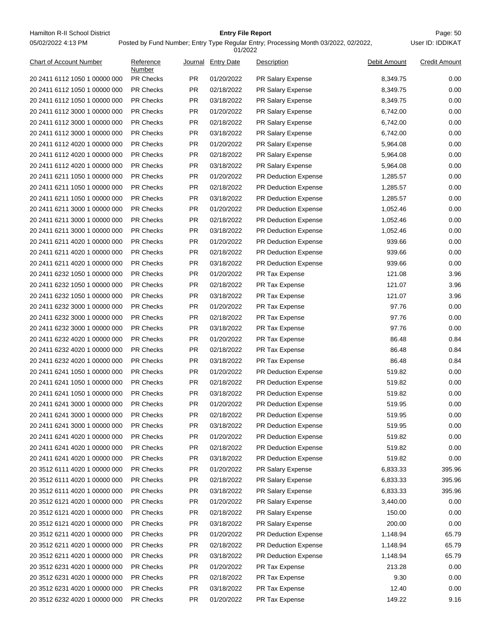Hamilton R-II School District **Entry File Report Entry File Report** Page: 50 05/02/2022 4:13 PM

#### **Entry File Report**

| 01/2022                                                        |                     |           |                          |                             |                    |                      |  |  |
|----------------------------------------------------------------|---------------------|-----------|--------------------------|-----------------------------|--------------------|----------------------|--|--|
| <b>Chart of Account Number</b>                                 | Reference<br>Number |           | Journal Entry Date       | Description                 | Debit Amount       | <b>Credit Amount</b> |  |  |
| 20 2411 6112 1050 1 00000 000                                  | <b>PR Checks</b>    | PR.       | 01/20/2022               | PR Salary Expense           | 8,349.75           | 0.00                 |  |  |
| 20 2411 6112 1050 1 00000 000                                  | <b>PR Checks</b>    | <b>PR</b> | 02/18/2022               | <b>PR Salary Expense</b>    | 8,349.75           | 0.00                 |  |  |
| 20 2411 6112 1050 1 00000 000                                  | <b>PR Checks</b>    | PR.       | 03/18/2022               | PR Salary Expense           | 8,349.75           | 0.00                 |  |  |
| 20 2411 6112 3000 1 00000 000                                  | <b>PR Checks</b>    | <b>PR</b> | 01/20/2022               | PR Salary Expense           | 6,742.00           | 0.00                 |  |  |
| 20 2411 6112 3000 1 00000 000                                  | <b>PR Checks</b>    | PR.       | 02/18/2022               | PR Salary Expense           | 6,742.00           | 0.00                 |  |  |
| 20 2411 6112 3000 1 00000 000                                  | <b>PR Checks</b>    | <b>PR</b> | 03/18/2022               | PR Salary Expense           | 6,742.00           | 0.00                 |  |  |
| 20 2411 6112 4020 1 00000 000                                  | <b>PR Checks</b>    | <b>PR</b> | 01/20/2022               | PR Salary Expense           | 5,964.08           | 0.00                 |  |  |
| 20 2411 6112 4020 1 00000 000                                  | <b>PR Checks</b>    | PR.       | 02/18/2022               | PR Salary Expense           | 5,964.08           | 0.00                 |  |  |
| 20 2411 6112 4020 1 00000 000                                  | <b>PR Checks</b>    | <b>PR</b> | 03/18/2022               | PR Salary Expense           | 5,964.08           | 0.00                 |  |  |
| 20 2411 6211 1050 1 00000 000                                  | <b>PR Checks</b>    | <b>PR</b> | 01/20/2022               | <b>PR Deduction Expense</b> | 1,285.57           | 0.00                 |  |  |
| 20 2411 6211 1050 1 00000 000                                  | <b>PR Checks</b>    | PR.       | 02/18/2022               | PR Deduction Expense        | 1,285.57           | 0.00                 |  |  |
| 20 2411 6211 1050 1 00000 000                                  | <b>PR Checks</b>    | <b>PR</b> | 03/18/2022               | <b>PR Deduction Expense</b> | 1,285.57           | 0.00                 |  |  |
| 20 2411 6211 3000 1 00000 000                                  | <b>PR Checks</b>    | PR.       | 01/20/2022               | <b>PR Deduction Expense</b> | 1,052.46           | 0.00                 |  |  |
| 20 2411 6211 3000 1 00000 000                                  | <b>PR Checks</b>    | <b>PR</b> | 02/18/2022               | <b>PR Deduction Expense</b> | 1,052.46           | 0.00                 |  |  |
| 20 2411 6211 3000 1 00000 000                                  | <b>PR Checks</b>    | <b>PR</b> | 03/18/2022               | PR Deduction Expense        | 1,052.46           | 0.00                 |  |  |
| 20 2411 6211 4020 1 00000 000                                  | <b>PR Checks</b>    | PR.       | 01/20/2022               | <b>PR Deduction Expense</b> | 939.66             | 0.00                 |  |  |
| 20 2411 6211 4020 1 00000 000                                  | <b>PR Checks</b>    | <b>PR</b> | 02/18/2022               | PR Deduction Expense        | 939.66             | 0.00                 |  |  |
| 20 2411 6211 4020 1 00000 000                                  | <b>PR Checks</b>    | <b>PR</b> | 03/18/2022               | <b>PR Deduction Expense</b> | 939.66             | 0.00                 |  |  |
| 20 2411 6232 1050 1 00000 000                                  | <b>PR Checks</b>    | PR.       | 01/20/2022               | PR Tax Expense              | 121.08             | 3.96                 |  |  |
| 20 2411 6232 1050 1 00000 000                                  | <b>PR Checks</b>    | <b>PR</b> | 02/18/2022               | PR Tax Expense              | 121.07             | 3.96                 |  |  |
| 20 2411 6232 1050 1 00000 000                                  | <b>PR Checks</b>    | PR.       | 03/18/2022               | PR Tax Expense              | 121.07             | 3.96                 |  |  |
| 20 2411 6232 3000 1 00000 000                                  | <b>PR Checks</b>    | PR.       | 01/20/2022               | PR Tax Expense              | 97.76              | 0.00                 |  |  |
| 20 2411 6232 3000 1 00000 000                                  | <b>PR Checks</b>    | <b>PR</b> | 02/18/2022               | PR Tax Expense              | 97.76              | 0.00                 |  |  |
| 20 2411 6232 3000 1 00000 000                                  | <b>PR Checks</b>    | PR.       | 03/18/2022               | PR Tax Expense              | 97.76              | 0.00                 |  |  |
| 20 2411 6232 4020 1 00000 000                                  | <b>PR Checks</b>    | <b>PR</b> | 01/20/2022               | PR Tax Expense              | 86.48              | 0.84                 |  |  |
| 20 2411 6232 4020 1 00000 000                                  | <b>PR Checks</b>    | <b>PR</b> | 02/18/2022               | PR Tax Expense              | 86.48              | 0.84                 |  |  |
| 20 2411 6232 4020 1 00000 000                                  | <b>PR Checks</b>    | PR.       | 03/18/2022               | PR Tax Expense              | 86.48              | 0.84                 |  |  |
| 20 2411 6241 1050 1 00000 000                                  | <b>PR Checks</b>    | PR.       | 01/20/2022               | PR Deduction Expense        | 519.82             | 0.00                 |  |  |
| 20 2411 6241 1050 1 00000 000                                  | <b>PR Checks</b>    | PR.       | 02/18/2022               | PR Deduction Expense        | 519.82             | 0.00                 |  |  |
| 20 2411 6241 1050 1 00000 000                                  | <b>PR Checks</b>    | <b>PR</b> | 03/18/2022               | <b>PR Deduction Expense</b> | 519.82             | 0.00                 |  |  |
| 20 2411 6241 3000 1 00000 000                                  | <b>PR Checks</b>    | <b>PR</b> | 01/20/2022               | <b>PR Deduction Expense</b> | 519.95             | 0.00                 |  |  |
| 20 2411 6241 3000 1 00000 000                                  | <b>PR Checks</b>    | PR.       | 02/18/2022               | <b>PR Deduction Expense</b> | 519.95             | 0.00                 |  |  |
| 20 2411 6241 3000 1 00000 000                                  | PR Checks           | PR        | 03/18/2022               | PR Deduction Expense        | 519.95             | 0.00                 |  |  |
| 20 2411 6241 4020 1 00000 000                                  | PR Checks           | PR        | 01/20/2022               | PR Deduction Expense        | 519.82             | 0.00                 |  |  |
| 20 2411 6241 4020 1 00000 000                                  | PR Checks           | PR        | 02/18/2022               | PR Deduction Expense        | 519.82             | 0.00                 |  |  |
| 20 2411 6241 4020 1 00000 000                                  | PR Checks           | PR        | 03/18/2022               | PR Deduction Expense        | 519.82             | 0.00                 |  |  |
| 20 3512 6111 4020 1 00000 000                                  | PR Checks           | PR        | 01/20/2022               | PR Salary Expense           | 6,833.33           | 395.96               |  |  |
| 20 3512 6111 4020 1 00000 000                                  | PR Checks           | PR        | 02/18/2022               | PR Salary Expense           | 6,833.33           | 395.96               |  |  |
|                                                                | PR Checks           | PR        |                          | PR Salary Expense           |                    |                      |  |  |
| 20 3512 6111 4020 1 00000 000<br>20 3512 6121 4020 1 00000 000 | PR Checks           | PR        | 03/18/2022<br>01/20/2022 |                             | 6,833.33           | 395.96               |  |  |
|                                                                | PR Checks           | PR        | 02/18/2022               | PR Salary Expense           | 3,440.00<br>150.00 | 0.00<br>0.00         |  |  |
| 20 3512 6121 4020 1 00000 000                                  |                     |           |                          | PR Salary Expense           |                    |                      |  |  |
| 20 3512 6121 4020 1 00000 000                                  | PR Checks           | PR        | 03/18/2022               | PR Salary Expense           | 200.00             | 0.00                 |  |  |
| 20 3512 6211 4020 1 00000 000                                  | PR Checks           | PR        | 01/20/2022               | PR Deduction Expense        | 1,148.94           | 65.79                |  |  |
| 20 3512 6211 4020 1 00000 000                                  | PR Checks           | PR        | 02/18/2022               | PR Deduction Expense        | 1,148.94           | 65.79                |  |  |
| 20 3512 6211 4020 1 00000 000                                  | PR Checks           | PR        | 03/18/2022               | PR Deduction Expense        | 1,148.94           | 65.79                |  |  |
| 20 3512 6231 4020 1 00000 000                                  | PR Checks           | PR        | 01/20/2022               | PR Tax Expense              | 213.28             | 0.00                 |  |  |
| 20 3512 6231 4020 1 00000 000                                  | PR Checks           | PR        | 02/18/2022               | PR Tax Expense              | 9.30               | 0.00                 |  |  |
| 20 3512 6231 4020 1 00000 000                                  | PR Checks           | PR        | 03/18/2022               | PR Tax Expense              | 12.40              | 0.00                 |  |  |
| 20 3512 6232 4020 1 00000 000                                  | PR Checks           | PR        | 01/20/2022               | PR Tax Expense              | 149.22             | 9.16                 |  |  |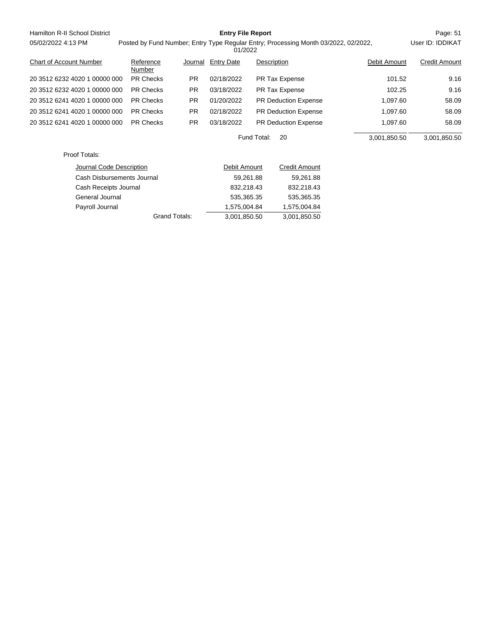| Hamilton R-II School District  | <b>Entry File Report</b> |                                                                                                |                   |             |                             |              | Page: 51             |
|--------------------------------|--------------------------|------------------------------------------------------------------------------------------------|-------------------|-------------|-----------------------------|--------------|----------------------|
| 05/02/2022 4:13 PM             |                          | Posted by Fund Number; Entry Type Regular Entry; Processing Month 03/2022, 02/2022,<br>01/2022 |                   |             |                             |              | User ID: IDDIKAT     |
| <b>Chart of Account Number</b> | Reference<br>Number      | Journal                                                                                        | <b>Entry Date</b> | Description |                             | Debit Amount | <b>Credit Amount</b> |
| 20 3512 6232 4020 1 00000 000  | <b>PR Checks</b>         | <b>PR</b>                                                                                      | 02/18/2022        |             | PR Tax Expense              | 101.52       | 9.16                 |
| 20 3512 6232 4020 1 00000 000  | <b>PR Checks</b>         | <b>PR</b>                                                                                      | 03/18/2022        |             | PR Tax Expense              | 102.25       | 9.16                 |
| 20 3512 6241 4020 1 00000 000  | <b>PR Checks</b>         | <b>PR</b>                                                                                      | 01/20/2022        |             | <b>PR Deduction Expense</b> | 1,097.60     | 58.09                |
| 20 3512 6241 4020 1 00000 000  | <b>PR Checks</b>         | PR.                                                                                            | 02/18/2022        |             | PR Deduction Expense        | 1,097.60     | 58.09                |
| 20 3512 6241 4020 1 00000 000  | <b>PR Checks</b>         | <b>PR</b>                                                                                      | 03/18/2022        |             | <b>PR Deduction Expense</b> | 1,097.60     | 58.09                |
|                                |                          |                                                                                                |                   | Fund Total: | 20                          | 3,001,850.50 | 3,001,850.50         |
| Proof Totals:                  |                          |                                                                                                |                   |             |                             |              |                      |
| Journal Code Description       |                          |                                                                                                | Debit Amount      |             | <b>Credit Amount</b>        |              |                      |
| Cash Disbursements Journal     |                          |                                                                                                | 59,261.88         |             | 59,261.88                   |              |                      |
| Cash Receipts Journal          |                          |                                                                                                | 832,218.43        |             | 832,218.43                  |              |                      |
| General Journal                |                          |                                                                                                | 535,365.35        |             | 535,365.35                  |              |                      |
| Payroll Journal                |                          |                                                                                                | 1,575,004.84      |             | 1,575,004.84                |              |                      |

Grand Totals:  $\overline{3,001,850.50}$  3,001,850.50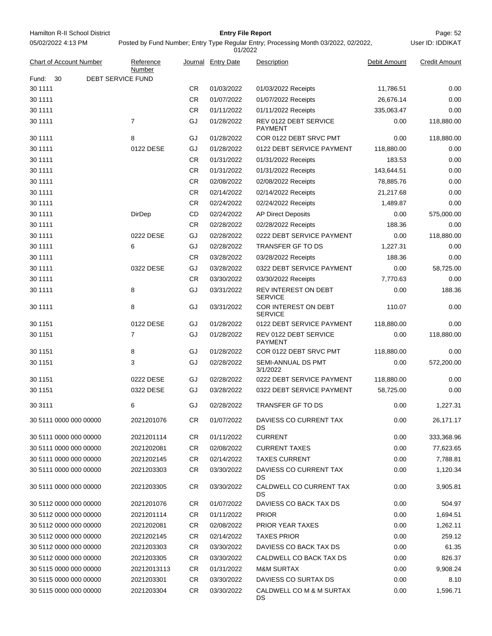Hamilton R-II School District **Entry File Report Entry File Report** Page: 52 05/02/2022 4:13 PM

# **Entry File Report**

User ID: IDDIKAT

| <b>Chart of Account Number</b> | Reference<br>Number |           | Journal Entry Date | Description                             | Debit Amount | <b>Credit Amount</b> |
|--------------------------------|---------------------|-----------|--------------------|-----------------------------------------|--------------|----------------------|
| Fund:<br>30                    | DEBT SERVICE FUND   |           |                    |                                         |              |                      |
| 30 1111                        |                     | CR.       | 01/03/2022         | 01/03/2022 Receipts                     | 11,786.51    | 0.00                 |
| 30 1111                        |                     | <b>CR</b> | 01/07/2022         | 01/07/2022 Receipts                     | 26,676.14    | 0.00                 |
| 30 1111                        |                     | <b>CR</b> | 01/11/2022         | 01/11/2022 Receipts                     | 335,063.47   | 0.00                 |
| 30 1111                        | $\overline{7}$      | GJ        | 01/28/2022         | REV 0122 DEBT SERVICE<br><b>PAYMENT</b> | 0.00         | 118,880.00           |
| 30 1111                        | 8                   | GJ        | 01/28/2022         | COR 0122 DEBT SRVC PMT                  | 0.00         | 118,880.00           |
| 30 1111                        | 0122 DESE           | GJ        | 01/28/2022         | 0122 DEBT SERVICE PAYMENT               | 118,880.00   | 0.00                 |
| 30 1111                        |                     | <b>CR</b> | 01/31/2022         | 01/31/2022 Receipts                     | 183.53       | 0.00                 |
| 30 1111                        |                     | CR.       | 01/31/2022         | 01/31/2022 Receipts                     | 143,644.51   | 0.00                 |
| 30 1111                        |                     | <b>CR</b> | 02/08/2022         | 02/08/2022 Receipts                     | 78,885.76    | 0.00                 |
| 30 1111                        |                     | <b>CR</b> | 02/14/2022         | 02/14/2022 Receipts                     | 21,217.68    | 0.00                 |
| 30 1111                        |                     | <b>CR</b> | 02/24/2022         | 02/24/2022 Receipts                     | 1,489.87     | 0.00                 |
| 30 1111                        | DirDep              | CD        | 02/24/2022         | <b>AP Direct Deposits</b>               | 0.00         | 575,000.00           |
| 30 1111                        |                     | <b>CR</b> | 02/28/2022         | 02/28/2022 Receipts                     | 188.36       | 0.00                 |
| 30 1111                        | 0222 DESE           | GJ        | 02/28/2022         | 0222 DEBT SERVICE PAYMENT               | 0.00         | 118,880.00           |
| 30 1111                        | 6                   | GJ        | 02/28/2022         | <b>TRANSFER GF TO DS</b>                | 1,227.31     | 0.00                 |
| 30 1111                        |                     | <b>CR</b> | 03/28/2022         | 03/28/2022 Receipts                     | 188.36       | 0.00                 |
| 30 1111                        | 0322 DESE           | GJ        | 03/28/2022         | 0322 DEBT SERVICE PAYMENT               | 0.00         | 58,725.00            |
| 30 1111                        |                     | <b>CR</b> | 03/30/2022         | 03/30/2022 Receipts                     | 7,770.63     | 0.00                 |
| 30 1111                        | 8                   | GJ        | 03/31/2022         | REV INTEREST ON DEBT<br><b>SERVICE</b>  | 0.00         | 188.36               |
| 30 1111                        | 8                   | GJ        | 03/31/2022         | COR INTEREST ON DEBT<br><b>SERVICE</b>  | 110.07       | 0.00                 |
| 30 1151                        | 0122 DESE           | GJ        | 01/28/2022         | 0122 DEBT SERVICE PAYMENT               | 118,880.00   | 0.00                 |
| 30 1151                        | 7                   | GJ        | 01/28/2022         | REV 0122 DEBT SERVICE<br><b>PAYMENT</b> | 0.00         | 118,880.00           |
| 30 1151                        | 8                   | GJ        | 01/28/2022         | COR 0122 DEBT SRVC PMT                  | 118,880.00   | 0.00                 |
| 30 1151                        | 3                   | GJ        | 02/28/2022         | SEMI-ANNUAL DS PMT<br>3/1/2022          | 0.00         | 572,200.00           |
| 30 1151                        | 0222 DESE           | GJ        | 02/28/2022         | 0222 DEBT SERVICE PAYMENT               | 118,880.00   | 0.00                 |
| 30 1151                        | 0322 DESE           | GJ        | 03/28/2022         | 0322 DEBT SERVICE PAYMENT               | 58,725.00    | 0.00                 |
| 30 3111                        | 6                   | GJ        | 02/28/2022         | <b>TRANSFER GF TO DS</b>                | 0.00         | 1,227.31             |
| 30 5111 0000 000 00000         | 2021201076          | CR        | 01/07/2022         | DAVIESS CO CURRENT TAX<br>DS            | 0.00         | 26,171.17            |
| 30 5111 0000 000 00000         | 2021201114          | CR.       | 01/11/2022         | <b>CURRENT</b>                          | 0.00         | 333,368.96           |
| 30 5111 0000 000 00000         | 2021202081          | CR.       | 02/08/2022         | <b>CURRENT TAXES</b>                    | 0.00         | 77,623.65            |
| 30 5111 0000 000 00000         | 2021202145          | CR        | 02/14/2022         | <b>TAXES CURRENT</b>                    | 0.00         | 7,788.81             |
| 30 5111 0000 000 00000         | 2021203303          | <b>CR</b> | 03/30/2022         | DAVIESS CO CURRENT TAX<br>DS            | 0.00         | 1,120.34             |
| 30 5111 0000 000 00000         | 2021203305          | <b>CR</b> | 03/30/2022         | CALDWELL CO CURRENT TAX<br>DS           | 0.00         | 3,905.81             |
| 30 5112 0000 000 00000         | 2021201076          | CR.       | 01/07/2022         | DAVIESS CO BACK TAX DS                  | 0.00         | 504.97               |
| 30 5112 0000 000 00000         | 2021201114          | CR.       | 01/11/2022         | <b>PRIOR</b>                            | 0.00         | 1,694.51             |
| 30 5112 0000 000 00000         | 2021202081          | CR.       | 02/08/2022         | PRIOR YEAR TAXES                        | 0.00         | 1,262.11             |
| 30 5112 0000 000 00000         | 2021202145          | CR        | 02/14/2022         | <b>TAXES PRIOR</b>                      | 0.00         | 259.12               |
| 30 5112 0000 000 00000         | 2021203303          | <b>CR</b> | 03/30/2022         | DAVIESS CO BACK TAX DS                  | 0.00         | 61.35                |
| 30 5112 0000 000 00000         | 2021203305          | CR.       | 03/30/2022         | CALDWELL CO BACK TAX DS                 | 0.00         | 826.37               |
| 30 5115 0000 000 00000         | 20212013113         | CR.       | 01/31/2022         | <b>M&amp;M SURTAX</b>                   | 0.00         | 9,908.24             |
| 30 5115 0000 000 00000         | 2021203301          | CR.       | 03/30/2022         | DAVIESS CO SURTAX DS                    | 0.00         | 8.10                 |
| 30 5115 0000 000 00000         | 2021203304          | <b>CR</b> | 03/30/2022         | CALDWELL CO M & M SURTAX<br>DS          | 0.00         | 1,596.71             |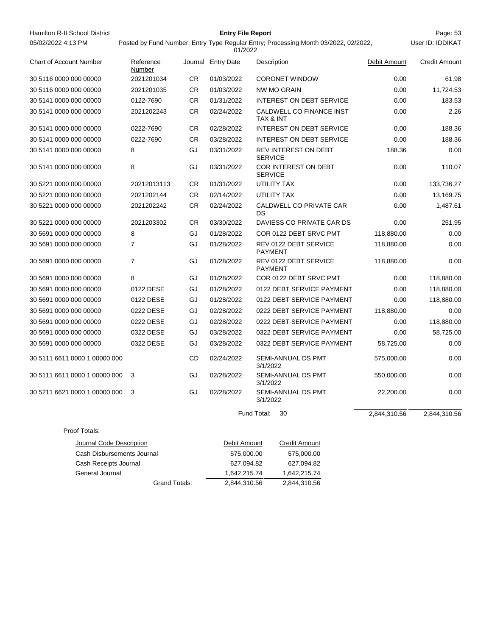Hamilton R-II School District **Entry File Report Entry File Report** Page: 53 05/02/2022 4:13 PM

Proof Totals:

# **Entry File Report**

User ID: IDDIKAT

| <b>Chart of Account Number</b> | Reference<br>Number |           | Journal Entry Date | Description                                      | Debit Amount | <b>Credit Amount</b> |
|--------------------------------|---------------------|-----------|--------------------|--------------------------------------------------|--------------|----------------------|
| 30 5116 0000 000 00000         | 2021201034          | <b>CR</b> | 01/03/2022         | <b>CORONET WINDOW</b>                            | 0.00         | 61.98                |
| 30 5116 0000 000 00000         | 2021201035          | <b>CR</b> | 01/03/2022         | <b>NW MO GRAIN</b>                               | 0.00         | 11,724.53            |
| 30 5141 0000 000 00000         | 0122-7690           | <b>CR</b> | 01/31/2022         | <b>INTEREST ON DEBT SERVICE</b>                  | 0.00         | 183.53               |
| 30 5141 0000 000 00000         | 2021202243          | CR.       | 02/24/2022         | CALDWELL CO FINANCE INST<br><b>TAX &amp; INT</b> | 0.00         | 2.26                 |
| 30 5141 0000 000 00000         | 0222-7690           | CR.       | 02/28/2022         | INTEREST ON DEBT SERVICE                         | 0.00         | 188.36               |
| 30 5141 0000 000 00000         | 0222-7690           | <b>CR</b> | 03/28/2022         | <b>INTEREST ON DEBT SERVICE</b>                  | 0.00         | 188.36               |
| 30 5141 0000 000 00000         | 8                   | GJ        | 03/31/2022         | <b>REV INTEREST ON DEBT</b><br><b>SERVICE</b>    | 188.36       | 0.00                 |
| 30 5141 0000 000 00000         | 8                   | GJ        | 03/31/2022         | COR INTEREST ON DEBT<br><b>SERVICE</b>           | 0.00         | 110.07               |
| 30 5221 0000 000 00000         | 20212013113         | <b>CR</b> | 01/31/2022         | UTILITY TAX                                      | 0.00         | 133,736.27           |
| 30 5221 0000 000 00000         | 2021202144          | CR        | 02/14/2022         | UTILITY TAX                                      | 0.00         | 13,169.75            |
| 30 5221 0000 000 00000         | 2021202242          | <b>CR</b> | 02/24/2022         | CALDWELL CO PRIVATE CAR<br><b>DS</b>             | 0.00         | 1,487.61             |
| 30 5221 0000 000 00000         | 2021203302          | <b>CR</b> | 03/30/2022         | DAVIESS CO PRIVATE CAR DS                        | 0.00         | 251.95               |
| 30 5691 0000 000 00000         | 8                   | GJ        | 01/28/2022         | COR 0122 DEBT SRVC PMT                           | 118,880.00   | 0.00                 |
| 30 5691 0000 000 00000         | $\overline{7}$      | GJ        | 01/28/2022         | REV 0122 DEBT SERVICE<br><b>PAYMENT</b>          | 118,880.00   | 0.00                 |
| 30 5691 0000 000 00000         | $\overline{7}$      | GJ        | 01/28/2022         | REV 0122 DEBT SERVICE<br><b>PAYMENT</b>          | 118,880.00   | 0.00                 |
| 30 5691 0000 000 00000         | 8                   | GJ        | 01/28/2022         | COR 0122 DEBT SRVC PMT                           | 0.00         | 118,880.00           |
| 30 5691 0000 000 00000         | 0122 DESE           | GJ        | 01/28/2022         | 0122 DEBT SERVICE PAYMENT                        | 0.00         | 118,880.00           |
| 30 5691 0000 000 00000         | 0122 DESE           | GJ        | 01/28/2022         | 0122 DEBT SERVICE PAYMENT                        | 0.00         | 118,880.00           |
| 30 5691 0000 000 00000         | 0222 DESE           | GJ        | 02/28/2022         | 0222 DEBT SERVICE PAYMENT                        | 118,880.00   | 0.00                 |
| 30 5691 0000 000 00000         | 0222 DESE           | GJ        | 02/28/2022         | 0222 DEBT SERVICE PAYMENT                        | 0.00         | 118,880.00           |
| 30 5691 0000 000 00000         | 0322 DESE           | GJ        | 03/28/2022         | 0322 DEBT SERVICE PAYMENT                        | 0.00         | 58,725.00            |
| 30 5691 0000 000 00000         | 0322 DESE           | GJ        | 03/28/2022         | 0322 DEBT SERVICE PAYMENT                        | 58,725.00    | 0.00                 |
| 30 5111 6611 0000 1 00000 000  |                     | CD        | 02/24/2022         | SEMI-ANNUAL DS PMT<br>3/1/2022                   | 575,000.00   | 0.00                 |
| 30 5111 6611 0000 1 00000 000  | 3                   | GJ        | 02/28/2022         | SEMI-ANNUAL DS PMT<br>3/1/2022                   | 550,000.00   | 0.00                 |
| 30 5211 6621 0000 1 00000 000  | 3                   | GJ        | 02/28/2022         | SEMI-ANNUAL DS PMT<br>3/1/2022                   | 22,200.00    | 0.00                 |
|                                |                     |           |                    | Fund Total:<br>30                                | 2,844,310.56 | 2,844,310.56         |

| Journal Code Description   | Debit Amount | <b>Credit Amount</b> |
|----------------------------|--------------|----------------------|
| Cash Disbursements Journal | 575,000.00   | 575,000.00           |
| Cash Receipts Journal      | 627.094.82   | 627.094.82           |
| General Journal            | 1.642.215.74 | 1.642.215.74         |
| Grand Totals:              | 2.844.310.56 | 2,844,310.56         |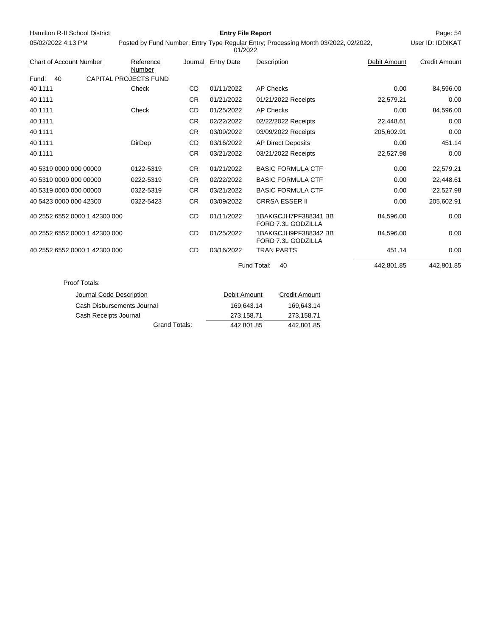| Hamilton R-II School District  |                              |           | <b>Entry File Report</b> |                                                                                     |              | Page: 54             |
|--------------------------------|------------------------------|-----------|--------------------------|-------------------------------------------------------------------------------------|--------------|----------------------|
| 05/02/2022 4:13 PM             |                              |           | 01/2022                  | Posted by Fund Number; Entry Type Regular Entry; Processing Month 03/2022, 02/2022, |              | User ID: IDDIKAT     |
| <b>Chart of Account Number</b> | Reference<br>Number          |           | Journal Entry Date       | Description                                                                         | Debit Amount | <b>Credit Amount</b> |
| Fund:<br>40                    | <b>CAPITAL PROJECTS FUND</b> |           |                          |                                                                                     |              |                      |
| 40 1111                        | Check                        | <b>CD</b> | 01/11/2022               | <b>AP Checks</b>                                                                    | 0.00         | 84,596.00            |
| 40 1111                        |                              | <b>CR</b> | 01/21/2022               | 01/21/2022 Receipts                                                                 | 22,579.21    | 0.00                 |
| 40 1111                        | Check                        | <b>CD</b> | 01/25/2022               | <b>AP Checks</b>                                                                    | 0.00         | 84,596.00            |
| 40 1111                        |                              | <b>CR</b> | 02/22/2022               | 02/22/2022 Receipts                                                                 | 22,448.61    | 0.00                 |
| 40 1111                        |                              | <b>CR</b> | 03/09/2022               | 03/09/2022 Receipts                                                                 | 205,602.91   | 0.00                 |
| 40 1111                        | DirDep                       | CD        | 03/16/2022               | <b>AP Direct Deposits</b>                                                           | 0.00         | 451.14               |
| 40 1111                        |                              | <b>CR</b> | 03/21/2022               | 03/21/2022 Receipts                                                                 | 22,527.98    | 0.00                 |
| 40 5319 0000 000 00000         | 0122-5319                    | <b>CR</b> | 01/21/2022               | <b>BASIC FORMULA CTF</b>                                                            | 0.00         | 22,579.21            |
| 40 5319 0000 000 00000         | 0222-5319                    | <b>CR</b> | 02/22/2022               | <b>BASIC FORMULA CTF</b>                                                            | 0.00         | 22,448.61            |
| 40 5319 0000 000 00000         | 0322-5319                    | <b>CR</b> | 03/21/2022               | <b>BASIC FORMULA CTF</b>                                                            | 0.00         | 22,527.98            |
| 40 5423 0000 000 42300         | 0322-5423                    | <b>CR</b> | 03/09/2022               | <b>CRRSA ESSER II</b>                                                               | 0.00         | 205,602.91           |
| 40 2552 6552 0000 1 42300 000  |                              | CD        | 01/11/2022               | 1BAKGCJH7PF388341 BB<br>FORD 7.3L GODZILLA                                          | 84,596.00    | 0.00                 |
| 40 2552 6552 0000 1 42300 000  |                              | <b>CD</b> | 01/25/2022               | 1BAKGCJH9PF388342 BB<br>FORD 7.3L GODZILLA                                          | 84,596.00    | 0.00                 |
| 40 2552 6552 0000 1 42300 000  |                              | <b>CD</b> | 03/16/2022               | <b>TRAN PARTS</b>                                                                   | 451.14       | 0.00                 |
|                                |                              |           |                          | Fund Total:<br>40                                                                   | 442,801.85   | 442,801.85           |
| Proof Totals:                  |                              |           |                          |                                                                                     |              |                      |
| Journal Code Description       |                              |           | Debit Amount             | <b>Credit Amount</b>                                                                |              |                      |
|                                | Cash Disbursements Journal   |           | 169,643.14               | 169,643.14                                                                          |              |                      |
| Cash Receipts Journal          |                              |           | 273,158.71               | 273,158.71                                                                          |              |                      |
|                                | <b>Grand Totals:</b>         |           | 442,801.85               | 442,801.85                                                                          |              |                      |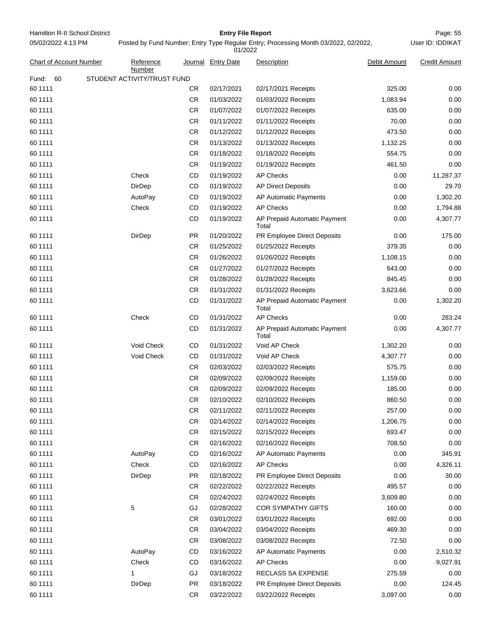Hamilton R-II School District **Entry File Report Entry File Report** Page: 55 05/02/2022 4:13 PM

# **Entry File Report**

User ID: IDDIKAT

| <b>Chart of Account Number</b> |                             | Reference<br>Number |           | Journal Entry Date | Description                           | Debit Amount | <b>Credit Amount</b> |
|--------------------------------|-----------------------------|---------------------|-----------|--------------------|---------------------------------------|--------------|----------------------|
| Fund:<br>60                    | STUDENT ACTIVITY/TRUST FUND |                     |           |                    |                                       |              |                      |
| 60 1111                        |                             |                     | CR.       | 02/17/2021         | 02/17/2021 Receipts                   | 325.00       | 0.00                 |
| 60 1111                        |                             |                     | CR        | 01/03/2022         | 01/03/2022 Receipts                   | 1,083.94     | 0.00                 |
| 60 1111                        |                             |                     | <b>CR</b> | 01/07/2022         | 01/07/2022 Receipts                   | 635.00       | 0.00                 |
| 60 1111                        |                             |                     | CR.       | 01/11/2022         | 01/11/2022 Receipts                   | 70.00        | 0.00                 |
| 60 1111                        |                             |                     | CR.       | 01/12/2022         | 01/12/2022 Receipts                   | 473.50       | 0.00                 |
| 60 1111                        |                             |                     | <b>CR</b> | 01/13/2022         | 01/13/2022 Receipts                   | 1,132.25     | 0.00                 |
| 60 1111                        |                             |                     | <b>CR</b> | 01/18/2022         | 01/18/2022 Receipts                   | 554.75       | 0.00                 |
| 60 1111                        |                             |                     | CR        | 01/19/2022         | 01/19/2022 Receipts                   | 461.50       | 0.00                 |
| 60 1111                        |                             | Check               | CD        | 01/19/2022         | <b>AP Checks</b>                      | 0.00         | 11,287.37            |
| 60 1111                        |                             | DirDep              | CD        | 01/19/2022         | <b>AP Direct Deposits</b>             | 0.00         | 29.70                |
| 60 1111                        |                             | AutoPay             | CD        | 01/19/2022         | AP Automatic Payments                 | 0.00         | 1,302.20             |
| 60 1111                        |                             | Check               | CD        | 01/19/2022         | <b>AP Checks</b>                      | 0.00         | 1,794.88             |
| 60 1111                        |                             |                     | CD        | 01/19/2022         | AP Prepaid Automatic Payment<br>Total | 0.00         | 4,307.77             |
| 60 1111                        |                             | DirDep              | PR        | 01/20/2022         | PR Employee Direct Deposits           | 0.00         | 175.00               |
| 60 1111                        |                             |                     | <b>CR</b> | 01/25/2022         | 01/25/2022 Receipts                   | 379.35       | 0.00                 |
| 60 1111                        |                             |                     | CR.       | 01/26/2022         | 01/26/2022 Receipts                   | 1,108.15     | 0.00                 |
| 60 1111                        |                             |                     | <b>CR</b> | 01/27/2022         | 01/27/2022 Receipts                   | 643.00       | 0.00                 |
| 60 1111                        |                             |                     | <b>CR</b> | 01/28/2022         | 01/28/2022 Receipts                   | 845.45       | 0.00                 |
| 60 1111                        |                             |                     | <b>CR</b> | 01/31/2022         | 01/31/2022 Receipts                   | 3,623.66     | 0.00                 |
| 60 1111                        |                             |                     | CD        | 01/31/2022         | AP Prepaid Automatic Payment<br>Total | 0.00         | 1,302.20             |
| 60 1111                        |                             | Check               | CD        | 01/31/2022         | <b>AP Checks</b>                      | 0.00         | 283.24               |
| 60 1111                        |                             |                     | CD        | 01/31/2022         | AP Prepaid Automatic Payment<br>Total | 0.00         | 4,307.77             |
| 60 1111                        |                             | Void Check          | CD        | 01/31/2022         | Void AP Check                         | 1,302.20     | 0.00                 |
| 60 1111                        |                             | Void Check          | CD        | 01/31/2022         | Void AP Check                         | 4,307.77     | 0.00                 |
| 60 1111                        |                             |                     | CR.       | 02/03/2022         | 02/03/2022 Receipts                   | 575.75       | 0.00                 |
| 60 1111                        |                             |                     | CR.       | 02/09/2022         | 02/09/2022 Receipts                   | 1,159.00     | 0.00                 |
| 60 1111                        |                             |                     | CR        | 02/09/2022         | 02/09/2022 Receipts                   | 185.00       | 0.00                 |
| 60 1111                        |                             |                     | CR        | 02/10/2022         | 02/10/2022 Receipts                   | 860.50       | 0.00                 |
| 60 1111                        |                             |                     | CR        | 02/11/2022         | 02/11/2022 Receipts                   | 257.00       | 0.00                 |
| 60 1111                        |                             |                     | CR        | 02/14/2022         | 02/14/2022 Receipts                   | 1,206.75     | 0.00                 |
| 60 1111                        |                             |                     | CR        | 02/15/2022         | 02/15/2022 Receipts                   | 693.47       | 0.00                 |
| 60 1111                        |                             |                     | CR        | 02/16/2022         | 02/16/2022 Receipts                   | 708.50       | 0.00                 |
| 60 1111                        |                             | AutoPay             | CD        | 02/16/2022         | AP Automatic Payments                 | 0.00         | 345.91               |
| 60 1111                        |                             | Check               | CD        | 02/16/2022         | <b>AP Checks</b>                      | 0.00         | 4,326.11             |
| 60 1111                        |                             | DirDep              | PR        | 02/18/2022         | PR Employee Direct Deposits           | 0.00         | 30.00                |
| 60 1111                        |                             |                     | CR        | 02/22/2022         | 02/22/2022 Receipts                   | 495.57       | 0.00                 |
| 60 1111                        |                             |                     | CR        | 02/24/2022         | 02/24/2022 Receipts                   | 3,609.80     | 0.00                 |
| 60 1111                        | 5                           |                     | GJ        | 02/28/2022         | <b>COR SYMPATHY GIFTS</b>             | 160.00       | 0.00                 |
| 60 1111                        |                             |                     | CR        | 03/01/2022         | 03/01/2022 Receipts                   | 692.00       | 0.00                 |
| 60 1111                        |                             |                     | CR        | 03/04/2022         | 03/04/2022 Receipts                   | 469.30       | 0.00                 |
| 60 1111                        |                             |                     | CR        | 03/08/2022         | 03/08/2022 Receipts                   | 72.50        | 0.00                 |
| 60 1111                        |                             | AutoPay             | CD        | 03/16/2022         | AP Automatic Payments                 | 0.00         | 2,510.32             |
| 60 1111                        |                             | Check               | CD        | 03/16/2022         | <b>AP Checks</b>                      | 0.00         | 9,027.91             |
| 60 1111                        | 1                           |                     | GJ        | 03/18/2022         | RECLASS SA EXPENSE                    | 275.59       | 0.00                 |
| 60 1111                        |                             | DirDep              | PR        | 03/18/2022         | PR Employee Direct Deposits           | 0.00         | 124.45               |
| 60 1111                        |                             |                     | CR.       | 03/22/2022         | 03/22/2022 Receipts                   | 3,097.00     | 0.00                 |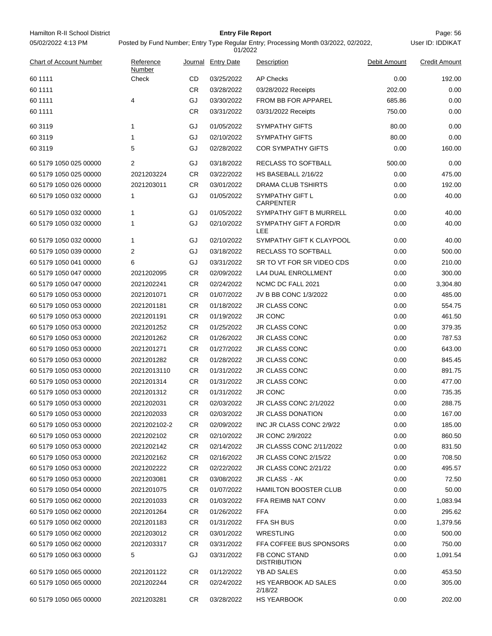Hamilton R-II School District **Entry File Report Entry File Report** Page: 56 05/02/2022 4:13 PM

# **Entry File Report**

Posted by Fund Number; Entry Type Regular Entry; Processing Month 03/2022, 02/2022,

| 01/2022                        |                     |           |                    |                                     |              |                      |  |  |
|--------------------------------|---------------------|-----------|--------------------|-------------------------------------|--------------|----------------------|--|--|
| <b>Chart of Account Number</b> | Reference<br>Number |           | Journal Entry Date | Description                         | Debit Amount | <b>Credit Amount</b> |  |  |
| 60 1111                        | Check               | CD        | 03/25/2022         | <b>AP Checks</b>                    | 0.00         | 192.00               |  |  |
| 60 1111                        |                     | <b>CR</b> | 03/28/2022         | 03/28/2022 Receipts                 | 202.00       | 0.00                 |  |  |
| 60 1111                        | 4                   | GJ        | 03/30/2022         | FROM BB FOR APPAREL                 | 685.86       | 0.00                 |  |  |
| 60 1111                        |                     | <b>CR</b> | 03/31/2022         | 03/31/2022 Receipts                 | 750.00       | 0.00                 |  |  |
| 60 3119                        | 1                   | GJ        | 01/05/2022         | <b>SYMPATHY GIFTS</b>               | 80.00        | 0.00                 |  |  |
| 60 3119                        | 1                   | GJ        | 02/10/2022         | <b>SYMPATHY GIFTS</b>               | 80.00        | 0.00                 |  |  |
| 60 31 19                       | 5                   | GJ        | 02/28/2022         | <b>COR SYMPATHY GIFTS</b>           | 0.00         | 160.00               |  |  |
| 60 5179 1050 025 00000         | 2                   | GJ        | 03/18/2022         | RECLASS TO SOFTBALL                 | 500.00       | 0.00                 |  |  |
| 60 5179 1050 025 00000         | 2021203224          | <b>CR</b> | 03/22/2022         | HS BASEBALL 2/16/22                 | 0.00         | 475.00               |  |  |
| 60 5179 1050 026 00000         | 2021203011          | CR        | 03/01/2022         | DRAMA CLUB TSHIRTS                  | 0.00         | 192.00               |  |  |
| 60 5179 1050 032 00000         | 1                   | GJ        | 01/05/2022         | SYMPATHY GIFT L<br><b>CARPENTER</b> | 0.00         | 40.00                |  |  |
| 60 5179 1050 032 00000         | 1                   | GJ        | 01/05/2022         | SYMPATHY GIFT B MURRELL             | 0.00         | 40.00                |  |  |
| 60 5179 1050 032 00000         | 1                   | GJ        | 02/10/2022         | SYMPATHY GIFT A FORD/R<br>LEE       | 0.00         | 40.00                |  |  |
| 60 5179 1050 032 00000         | $\mathbf{1}$        | GJ        | 02/10/2022         | SYMPATHY GIFT K CLAYPOOL            | 0.00         | 40.00                |  |  |
| 60 5179 1050 039 00000         | 2                   | GJ        | 03/18/2022         | RECLASS TO SOFTBALL                 | 0.00         | 500.00               |  |  |
| 60 5179 1050 041 00000         | 6                   | GJ        | 03/31/2022         | SR TO VT FOR SR VIDEO CDS           | 0.00         | 210.00               |  |  |
| 60 5179 1050 047 00000         | 2021202095          | CR        | 02/09/2022         | <b>LA4 DUAL ENROLLMENT</b>          | 0.00         | 300.00               |  |  |
| 60 5179 1050 047 00000         | 2021202241          | CR        | 02/24/2022         | NCMC DC FALL 2021                   | 0.00         | 3,304.80             |  |  |
| 60 5179 1050 053 00000         | 2021201071          | CR        | 01/07/2022         | JV B BB CONC 1/3/2022               | 0.00         | 485.00               |  |  |
| 60 5179 1050 053 00000         | 2021201181          | CR        | 01/18/2022         | <b>JR CLASS CONC</b>                | 0.00         | 554.75               |  |  |
| 60 5179 1050 053 00000         | 2021201191          | CR.       | 01/19/2022         | <b>JR CONC</b>                      | 0.00         | 461.50               |  |  |
| 60 5179 1050 053 00000         | 2021201252          | CR        | 01/25/2022         | JR CLASS CONC                       | 0.00         | 379.35               |  |  |
| 60 5179 1050 053 00000         | 2021201262          | CR        | 01/26/2022         | <b>JR CLASS CONC</b>                | 0.00         | 787.53               |  |  |
| 60 5179 1050 053 00000         | 2021201271          | <b>CR</b> | 01/27/2022         | JR CLASS CONC                       | 0.00         | 643.00               |  |  |
| 60 5179 1050 053 00000         | 2021201282          | CR.       | 01/28/2022         | <b>JR CLASS CONC</b>                | 0.00         | 845.45               |  |  |
| 60 5179 1050 053 00000         | 20212013110         | CR        | 01/31/2022         | <b>JR CLASS CONC</b>                | 0.00         | 891.75               |  |  |
| 60 5179 1050 053 00000         | 2021201314          | CR        | 01/31/2022         | <b>JR CLASS CONC</b>                | 0.00         | 477.00               |  |  |
| 60 5179 1050 053 00000         | 2021201312          | CR        | 01/31/2022         | <b>JR CONC</b>                      | 0.00         | 735.35               |  |  |
| 60 5179 1050 053 00000         | 2021202031          | CR        | 02/03/2022         | JR CLASS CONC 2/1/2022              | 0.00         | 288.75               |  |  |
| 60 5179 1050 053 00000         | 2021202033          | <b>CR</b> | 02/03/2022         | JR CLASS DONATION                   | 0.00         | 167.00               |  |  |
| 60 5179 1050 053 00000         | 2021202102-2        | CR.       | 02/09/2022         | INC JR CLASS CONC 2/9/22            | 0.00         | 185.00               |  |  |
| 60 5179 1050 053 00000         | 2021202102          | CR.       | 02/10/2022         | JR CONC 2/9/2022                    | 0.00         | 860.50               |  |  |
| 60 5179 1050 053 00000         | 2021202142          | CR.       | 02/14/2022         | JR CLASSS CONC 2/11/2022            | 0.00         | 831.50               |  |  |
| 60 5179 1050 053 00000         | 2021202162          | CR        | 02/16/2022         | JR CLASS CONC 2/15/22               | 0.00         | 708.50               |  |  |
| 60 5179 1050 053 00000         | 2021202222          | CR.       | 02/22/2022         | JR CLASS CONC 2/21/22               | 0.00         | 495.57               |  |  |
| 60 5179 1050 053 00000         | 2021203081          | CR.       | 03/08/2022         | JR CLASS - AK                       | 0.00         | 72.50                |  |  |
| 60 5179 1050 054 00000         | 2021201075          | CR.       | 01/07/2022         | <b>HAMILTON BOOSTER CLUB</b>        | 0.00         | 50.00                |  |  |
| 60 5179 1050 062 00000         | 2021201033          | CR        | 01/03/2022         | FFA REIMB NAT CONV                  | 0.00         | 1,083.94             |  |  |
| 60 5179 1050 062 00000         | 2021201264          | CR.       | 01/26/2022         | <b>FFA</b>                          | 0.00         | 295.62               |  |  |
| 60 5179 1050 062 00000         | 2021201183          | CR.       | 01/31/2022         | FFA SH BUS                          | 0.00         | 1,379.56             |  |  |
| 60 5179 1050 062 00000         | 2021203012          | CR.       | 03/01/2022         | WRESTLING                           | 0.00         | 500.00               |  |  |
| 60 5179 1050 062 00000         | 2021203317          | CR        | 03/31/2022         | FFA COFFEE BUS SPONSORS             | 0.00         | 750.00               |  |  |
| 60 5179 1050 063 00000         | 5                   | GJ        | 03/31/2022         | FB CONC STAND                       | 0.00         | 1,091.54             |  |  |
| 60 5179 1050 065 00000         |                     |           |                    | <b>DISTRIBUTION</b><br>YB AD SALES  | 0.00         | 453.50               |  |  |
| 60 5179 1050 065 00000         | 2021201122          | CR.       | 01/12/2022         | HS YEARBOOK AD SALES                | 0.00         |                      |  |  |
|                                | 2021202244          | CR        | 02/24/2022         | 2/18/22                             |              | 305.00               |  |  |
| 60 5179 1050 065 00000         | 2021203281          | <b>CR</b> | 03/28/2022         | HS YEARBOOK                         | 0.00         | 202.00               |  |  |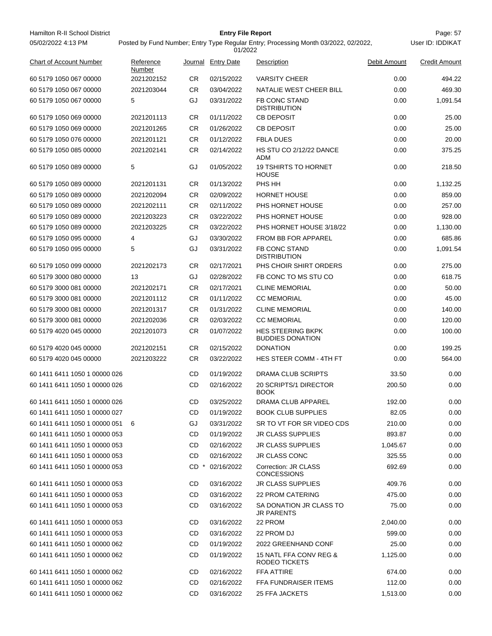Hamilton R-II School District **Entry File Report Entry File Report** Page: 57 05/02/2022 4:13 PM

# **Entry File Report**

User ID: IDDIKAT

| <b>Chart of Account Number</b> | Reference<br>Number |           | Journal Entry Date | Description                                         | Debit Amount | <b>Credit Amount</b> |
|--------------------------------|---------------------|-----------|--------------------|-----------------------------------------------------|--------------|----------------------|
| 60 5179 1050 067 00000         | 2021202152          | CR        | 02/15/2022         | <b>VARSITY CHEER</b>                                | 0.00         | 494.22               |
| 60 5179 1050 067 00000         | 2021203044          | CR        | 03/04/2022         | NATALIE WEST CHEER BILL                             | 0.00         | 469.30               |
| 60 5179 1050 067 00000         | 5                   | GJ        | 03/31/2022         | FB CONC STAND<br><b>DISTRIBUTION</b>                | 0.00         | 1,091.54             |
| 60 5179 1050 069 00000         | 2021201113          | CR.       | 01/11/2022         | <b>CB DEPOSIT</b>                                   | 0.00         | 25.00                |
| 60 5179 1050 069 00000         | 2021201265          | CR        | 01/26/2022         | <b>CB DEPOSIT</b>                                   | 0.00         | 25.00                |
| 60 5179 1050 076 00000         | 2021201121          | CR        | 01/12/2022         | <b>FBLA DUES</b>                                    | 0.00         | 20.00                |
| 60 5179 1050 085 00000         | 2021202141          | CR        | 02/14/2022         | HS STU CO 2/12/22 DANCE<br>ADM                      | 0.00         | 375.25               |
| 60 5179 1050 089 00000         | 5                   | GJ        | 01/05/2022         | <b>19 TSHIRTS TO HORNET</b><br><b>HOUSE</b>         | 0.00         | 218.50               |
| 60 5179 1050 089 00000         | 2021201131          | CR        | 01/13/2022         | PHS HH                                              | 0.00         | 1,132.25             |
| 60 5179 1050 089 00000         | 2021202094          | CR        | 02/09/2022         | <b>HORNET HOUSE</b>                                 | 0.00         | 859.00               |
| 60 5179 1050 089 00000         | 2021202111          | CR        | 02/11/2022         | PHS HORNET HOUSE                                    | 0.00         | 257.00               |
| 60 5179 1050 089 00000         | 2021203223          | CR        | 03/22/2022         | PHS HORNET HOUSE                                    | 0.00         | 928.00               |
| 60 5179 1050 089 00000         | 2021203225          | CR        | 03/22/2022         | PHS HORNET HOUSE 3/18/22                            | 0.00         | 1,130.00             |
| 60 5179 1050 095 00000         | 4                   | GJ        | 03/30/2022         | <b>FROM BB FOR APPAREL</b>                          | 0.00         | 685.86               |
| 60 5179 1050 095 00000         | 5                   | GJ        | 03/31/2022         | FB CONC STAND<br><b>DISTRIBUTION</b>                | 0.00         | 1,091.54             |
| 60 5179 1050 099 00000         | 2021202173          | CR        | 02/17/2021         | PHS CHOIR SHIRT ORDERS                              | 0.00         | 275.00               |
| 60 5179 3000 080 00000         | 13                  | GJ        | 02/28/2022         | FB CONC TO MS STU CO                                | 0.00         | 618.75               |
| 60 5179 3000 081 00000         | 2021202171          | CR        | 02/17/2021         | <b>CLINE MEMORIAL</b>                               | 0.00         | 50.00                |
| 60 5179 3000 081 00000         | 2021201112          | <b>CR</b> | 01/11/2022         | <b>CC MEMORIAL</b>                                  | 0.00         | 45.00                |
| 60 5179 3000 081 00000         | 2021201317          | <b>CR</b> | 01/31/2022         | <b>CLINE MEMORIAL</b>                               | 0.00         | 140.00               |
| 60 5179 3000 081 00000         | 2021202036          | CR        | 02/03/2022         | <b>CC MEMORIAL</b>                                  | 0.00         | 120.00               |
| 60 5179 4020 045 00000         | 2021201073          | CR        | 01/07/2022         | <b>HES STEERING BKPK</b><br><b>BUDDIES DONATION</b> | 0.00         | 100.00               |
| 60 5179 4020 045 00000         | 2021202151          | CR        | 02/15/2022         | <b>DONATION</b>                                     | 0.00         | 199.25               |
| 60 5179 4020 045 00000         | 2021203222          | CR        | 03/22/2022         | <b>HES STEER COMM - 4TH FT</b>                      | 0.00         | 564.00               |
| 60 1411 6411 1050 1 00000 026  |                     | CD        | 01/19/2022         | DRAMA CLUB SCRIPTS                                  | 33.50        | 0.00                 |
| 60 1411 6411 1050 1 00000 026  |                     | CD        | 02/16/2022         | 20 SCRIPTS/1 DIRECTOR<br><b>BOOK</b>                | 200.50       | 0.00                 |
| 60 1411 6411 1050 1 00000 026  |                     | CD        | 03/25/2022         | DRAMA CLUB APPAREL                                  | 192.00       | 0.00                 |
| 60 1411 6411 1050 1 00000 027  |                     | <b>CD</b> | 01/19/2022         | <b>BOOK CLUB SUPPLIES</b>                           | 82.05        | 0.00                 |
| 60 1411 6411 1050 1 00000 051  | -6                  | GJ        | 03/31/2022         | SR TO VT FOR SR VIDEO CDS                           | 210.00       | 0.00                 |
| 60 1411 6411 1050 1 00000 053  |                     | CD        | 01/19/2022         | <b>JR CLASS SUPPLIES</b>                            | 893.87       | 0.00                 |
| 60 1411 6411 1050 1 00000 053  |                     | CD        | 02/16/2022         | <b>JR CLASS SUPPLIES</b>                            | 1,045.67     | 0.00                 |
| 60 1411 6411 1050 1 00000 053  |                     | CD        | 02/16/2022         | <b>JR CLASS CONC</b>                                | 325.55       | 0.00                 |
| 60 1411 6411 1050 1 00000 053  |                     | $CD$ $*$  | 02/16/2022         | Correction: JR CLASS<br><b>CONCESSIONS</b>          | 692.69       | 0.00                 |
| 60 1411 6411 1050 1 00000 053  |                     | CD        | 03/16/2022         | <b>JR CLASS SUPPLIES</b>                            | 409.76       | 0.00                 |
| 60 1411 6411 1050 1 00000 053  |                     | CD        | 03/16/2022         | <b>22 PROM CATERING</b>                             | 475.00       | 0.00                 |
| 60 1411 6411 1050 1 00000 053  |                     | CD        | 03/16/2022         | SA DONATION JR CLASS TO<br>JR PARENTS               | 75.00        | 0.00                 |
| 60 1411 6411 1050 1 00000 053  |                     | CD        | 03/16/2022         | 22 PROM                                             | 2,040.00     | 0.00                 |
| 60 1411 6411 1050 1 00000 053  |                     | CD        | 03/16/2022         | 22 PROM DJ                                          | 599.00       | 0.00                 |
| 60 1411 6411 1050 1 00000 062  |                     | CD        | 01/19/2022         | 2022 GREENHAND CONF                                 | 25.00        | 0.00                 |
| 60 1411 6411 1050 1 00000 062  |                     | CD        | 01/19/2022         | 15 NATL FFA CONV REG &<br>RODEO TICKETS             | 1,125.00     | 0.00                 |
| 60 1411 6411 1050 1 00000 062  |                     | CD        | 02/16/2022         | FFA ATTIRE                                          | 674.00       | 0.00                 |
| 60 1411 6411 1050 1 00000 062  |                     | CD        | 02/16/2022         | FFA FUNDRAISER ITEMS                                | 112.00       | 0.00                 |
| 60 1411 6411 1050 1 00000 062  |                     | CD        | 03/16/2022         | 25 FFA JACKETS                                      | 1,513.00     | 0.00                 |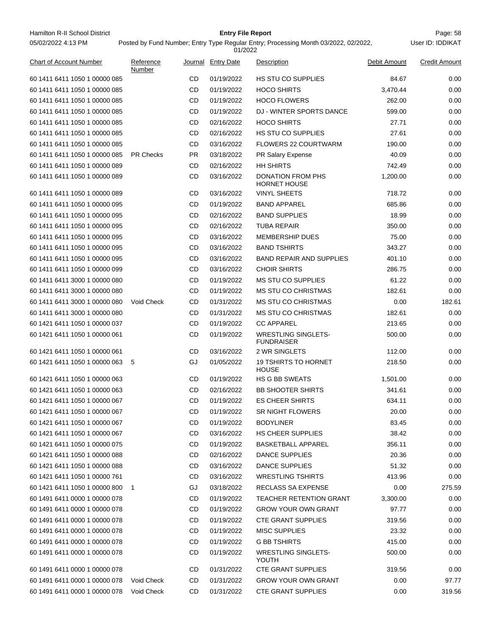Hamilton R-II School District **Entry File Report Entry File Report** Page: 58 05/02/2022 4:13 PM

# **Entry File Report**

User ID: IDDIKAT

| <b>Chart of Account Number</b>  | Reference<br>Number |           | Journal Entry Date | Description                                     | Debit Amount | <b>Credit Amount</b> |
|---------------------------------|---------------------|-----------|--------------------|-------------------------------------------------|--------------|----------------------|
| 60 1411 6411 1050 1 00000 085   |                     | CD        | 01/19/2022         | <b>HS STU CO SUPPLIES</b>                       | 84.67        | 0.00                 |
| 60 1411 6411 1050 1 00000 085   |                     | CD        | 01/19/2022         | <b>HOCO SHIRTS</b>                              | 3,470.44     | 0.00                 |
| 60 1411 6411 1050 1 00000 085   |                     | CD        | 01/19/2022         | <b>HOCO FLOWERS</b>                             | 262.00       | 0.00                 |
| 60 1411 6411 1050 1 00000 085   |                     | CD        | 01/19/2022         | DJ - WINTER SPORTS DANCE                        | 599.00       | 0.00                 |
| 60 1411 6411 1050 1 00000 085   |                     | CD        | 02/16/2022         | <b>HOCO SHIRTS</b>                              | 27.71        | 0.00                 |
| 60 1411 6411 1050 1 00000 085   |                     | CD        | 02/16/2022         | <b>HS STU CO SUPPLIES</b>                       | 27.61        | 0.00                 |
| 60 1411 6411 1050 1 00000 085   |                     | CD        | 03/16/2022         | <b>FLOWERS 22 COURTWARM</b>                     | 190.00       | 0.00                 |
| 60 1411 6411 1050 1 00000 085   | <b>PR Checks</b>    | PR.       | 03/18/2022         | PR Salary Expense                               | 40.09        | 0.00                 |
| 60 1411 6411 1050 1 00000 089   |                     | CD        | 02/16/2022         | <b>HH SHIRTS</b>                                | 742.49       | 0.00                 |
| 60 1411 6411 1050 1 00000 089   |                     | CD        | 03/16/2022         | <b>DONATION FROM PHS</b><br><b>HORNET HOUSE</b> | 1,200.00     | 0.00                 |
| 60 1411 6411 1050 1 00000 089   |                     | CD        | 03/16/2022         | <b>VINYL SHEETS</b>                             | 718.72       | 0.00                 |
| 60 1411 6411 1050 1 00000 095   |                     | CD        | 01/19/2022         | <b>BAND APPAREL</b>                             | 685.86       | 0.00                 |
| 60 1411 6411 1050 1 00000 095   |                     | CD        | 02/16/2022         | <b>BAND SUPPLIES</b>                            | 18.99        | 0.00                 |
| 60 1411 6411 1050 1 00000 095   |                     | CD        | 02/16/2022         | <b>TUBA REPAIR</b>                              | 350.00       | 0.00                 |
| 60 1411 6411 1050 1 00000 095   |                     | CD        | 03/16/2022         | <b>MEMBERSHIP DUES</b>                          | 75.00        | 0.00                 |
| 60 1411 6411 1050 1 00000 095   |                     | CD        | 03/16/2022         | <b>BAND TSHIRTS</b>                             | 343.27       | 0.00                 |
| 60 1411 6411 1050 1 00000 095   |                     | CD        | 03/16/2022         | <b>BAND REPAIR AND SUPPLIES</b>                 | 401.10       | 0.00                 |
| 60 1411 6411 1050 1 00000 099   |                     | CD        | 03/16/2022         | <b>CHOIR SHIRTS</b>                             | 286.75       | 0.00                 |
| 60 1411 6411 3000 1 00000 080   |                     | CD        | 01/19/2022         | <b>MS STU CO SUPPLIES</b>                       | 61.22        | 0.00                 |
| 60 1411 6411 3000 1 00000 080   |                     | CD        | 01/19/2022         | <b>MS STU CO CHRISTMAS</b>                      | 182.61       | 0.00                 |
| 60 1411 6411 3000 1 00000 080   | <b>Void Check</b>   | CD        | 01/31/2022         | <b>MS STU CO CHRISTMAS</b>                      | 0.00         | 182.61               |
| 60 1411 6411 3000 1 00000 080   |                     | CD        | 01/31/2022         | <b>MS STU CO CHRISTMAS</b>                      | 182.61       | 0.00                 |
| 60 1421 6411 1050 1 00000 037   |                     | CD        | 01/19/2022         | <b>CC APPAREL</b>                               | 213.65       | 0.00                 |
| 60 1421 6411 1050 1 00000 061   |                     | CD        | 01/19/2022         | <b>WRESTLING SINGLETS-</b><br><b>FUNDRAISER</b> | 500.00       | 0.00                 |
| 60 1421 6411 1050 1 00000 061   |                     | CD        | 03/16/2022         | 2 WR SINGLETS                                   | 112.00       | 0.00                 |
| 60 1421 6411 1050 1 00000 063 5 |                     | GJ        | 01/05/2022         | <b>19 TSHIRTS TO HORNET</b><br><b>HOUSE</b>     | 218.50       | 0.00                 |
| 60 1421 6411 1050 1 00000 063   |                     | CD        | 01/19/2022         | <b>HS G BB SWEATS</b>                           | 1,501.00     | 0.00                 |
| 60 1421 6411 1050 1 00000 063   |                     | CD        | 02/16/2022         | <b>BB SHOOTER SHIRTS</b>                        | 341.61       | 0.00                 |
| 60 1421 6411 1050 1 00000 067   |                     | CD        | 01/19/2022         | <b>ES CHEER SHIRTS</b>                          | 634.11       | 0.00                 |
| 60 1421 6411 1050 1 00000 067   |                     | <b>CD</b> | 01/19/2022         | <b>SR NIGHT FLOWERS</b>                         | 20.00        | 0.00                 |
| 60 1421 6411 1050 1 00000 067   |                     | CD        | 01/19/2022         | <b>BODYLINER</b>                                | 83.45        | 0.00                 |
| 60 1421 6411 1050 1 00000 067   |                     | CD        | 03/16/2022         | <b>HS CHEER SUPPLIES</b>                        | 38.42        | 0.00                 |
| 60 1421 6411 1050 1 00000 075   |                     | CD        | 01/19/2022         | <b>BASKETBALL APPAREL</b>                       | 356.11       | 0.00                 |
| 60 1421 6411 1050 1 00000 088   |                     | CD        | 02/16/2022         | <b>DANCE SUPPLIES</b>                           | 20.36        | 0.00                 |
| 60 1421 6411 1050 1 00000 088   |                     | CD        | 03/16/2022         | DANCE SUPPLIES                                  | 51.32        | 0.00                 |
| 60 1421 6411 1050 1 00000 761   |                     | CD        | 03/16/2022         | <b>WRESTLING TSHIRTS</b>                        | 413.96       | 0.00                 |
| 60 1421 6411 1050 1 00000 800   | -1                  | GJ        | 03/18/2022         | RECLASS SA EXPENSE                              | 0.00         | 275.59               |
| 60 1491 6411 0000 1 00000 078   |                     | CD        | 01/19/2022         | <b>TEACHER RETENTION GRANT</b>                  | 3,300.00     | 0.00                 |
| 60 1491 6411 0000 1 00000 078   |                     | CD        | 01/19/2022         | <b>GROW YOUR OWN GRANT</b>                      | 97.77        | 0.00                 |
| 60 1491 6411 0000 1 00000 078   |                     | CD        | 01/19/2022         | <b>CTE GRANT SUPPLIES</b>                       | 319.56       | 0.00                 |
| 60 1491 6411 0000 1 00000 078   |                     | CD        | 01/19/2022         | <b>MISC SUPPLIES</b>                            | 23.32        | 0.00                 |
| 60 1491 6411 0000 1 00000 078   |                     | CD        | 01/19/2022         | <b>G BB TSHIRTS</b>                             | 415.00       | 0.00                 |
| 60 1491 6411 0000 1 00000 078   |                     | CD        | 01/19/2022         | <b>WRESTLING SINGLETS-</b><br>YOUTH             | 500.00       | 0.00                 |
| 60 1491 6411 0000 1 00000 078   |                     | CD        | 01/31/2022         | <b>CTE GRANT SUPPLIES</b>                       | 319.56       | 0.00                 |
| 60 1491 6411 0000 1 00000 078   | Void Check          | CD        | 01/31/2022         | <b>GROW YOUR OWN GRANT</b>                      | 0.00         | 97.77                |
| 60 1491 6411 0000 1 00000 078   | Void Check          | CD        | 01/31/2022         | <b>CTE GRANT SUPPLIES</b>                       | 0.00         | 319.56               |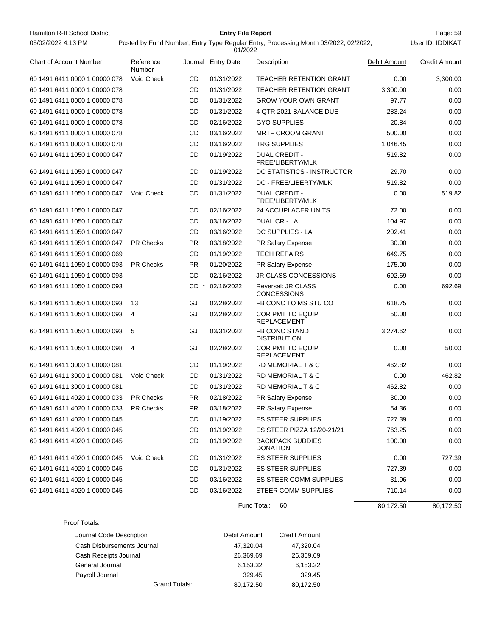| Hamilton R-II School District  |                     |           | <b>Entry File Report</b> |                                                                                     |              | Page: 59             |
|--------------------------------|---------------------|-----------|--------------------------|-------------------------------------------------------------------------------------|--------------|----------------------|
| 05/02/2022 4:13 PM             |                     |           | 01/2022                  | Posted by Fund Number; Entry Type Regular Entry; Processing Month 03/2022, 02/2022, |              | User ID: IDDIKAT     |
| <b>Chart of Account Number</b> | Reference<br>Number |           | Journal Entry Date       | Description                                                                         | Debit Amount | <b>Credit Amount</b> |
| 60 1491 6411 0000 1 00000 078  | Void Check          | CD.       | 01/31/2022               | <b>TEACHER RETENTION GRANT</b>                                                      | 0.00         | 3,300.00             |
| 60 1491 6411 0000 1 00000 078  |                     | <b>CD</b> | 01/31/2022               | <b>TEACHER RETENTION GRANT</b>                                                      | 3.300.00     | 0.00                 |
| 60 1491 6411 0000 1 00000 078  |                     | <b>CD</b> | 01/31/2022               | <b>GROW YOUR OWN GRANT</b>                                                          | 97.77        | 0.00                 |
| 60 1491 6411 0000 1 00000 078  |                     | <b>CD</b> | 01/31/2022               | 4 QTR 2021 BALANCE DUE                                                              | 283.24       | 0.00                 |
| 60 1491 6411 0000 1 00000 078  |                     | <b>CD</b> | 02/16/2022               | <b>GYO SUPPLIES</b>                                                                 | 20.84        | 0.00                 |
| 60 1491 6411 0000 1 00000 078  |                     | CD.       | 03/16/2022               | <b>MRTF CROOM GRANT</b>                                                             | 500.00       | 0.00                 |
| 60 1491 6411 0000 1 00000 078  |                     | <b>CD</b> | 03/16/2022               | <b>TRG SUPPLIES</b>                                                                 | 1,046.45     | 0.00                 |
| 60 1491 6411 1050 1 00000 047  |                     | CD.       | 01/19/2022               | <b>DUAL CREDIT -</b><br>FREE/LIBERTY/MLK                                            | 519.82       | 0.00                 |
| 60 1491 6411 1050 1 00000 047  |                     | <b>CD</b> | 01/19/2022               | DC STATISTICS - INSTRUCTOR                                                          | 29.70        | 0.00                 |
| 60 1491 6411 1050 1 00000 047  |                     | <b>CD</b> | 01/31/2022               | DC - FREE/LIBERTY/MLK                                                               | 519.82       | 0.00                 |
| 60 1491 6411 1050 1 00000 047  | Void Check          | CD        | 01/31/2022               | <b>DUAL CREDIT -</b><br>FREE/LIBERTY/MLK                                            | 0.00         | 519.82               |
| 60 1491 6411 1050 1 00000 047  |                     | CD.       | 02/16/2022               | <b>24 ACCUPLACER UNITS</b>                                                          | 72.00        | 0.00                 |
| 60 1491 6411 1050 1 00000 047  |                     | <b>CD</b> | 03/16/2022               | DUAL CR - LA                                                                        | 104.97       | 0.00                 |
| 60 1491 6411 1050 1 00000 047  |                     | <b>CD</b> | 03/16/2022               | DC SUPPLIES - LA                                                                    | 202.41       | 0.00                 |
| 60 1491 6411 1050 1 00000 047  | <b>PR Checks</b>    | <b>PR</b> | 03/18/2022               | PR Salary Expense                                                                   | 30.00        | 0.00                 |
| 60 1491 6411 1050 1 00000 069  |                     | <b>CD</b> | 01/19/2022               | <b>TECH REPAIRS</b>                                                                 | 649.75       | 0.00                 |
| 60 1491 6411 1050 1 00000 093  | <b>PR Checks</b>    | <b>PR</b> | 01/20/2022               | PR Salary Expense                                                                   | 175.00       | 0.00                 |
| 60 1491 6411 1050 1 00000 093  |                     | <b>CD</b> | 02/16/2022               | <b>JR CLASS CONCESSIONS</b>                                                         | 692.69       | 0.00                 |
| 60 1491 6411 1050 1 00000 093  |                     | CD        | 02/16/2022               | Reversal: JR CLASS<br><b>CONCESSIONS</b>                                            | 0.00         | 692.69               |
| 60 1491 6411 1050 1 00000 093  | 13                  | GJ        | 02/28/2022               | FB CONC TO MS STU CO                                                                | 618.75       | 0.00                 |
| 60 1491 6411 1050 1 00000 093  | 4                   | GJ        | 02/28/2022               | <b>COR PMT TO EQUIP</b><br>DEDI ACEMENT                                             | 50.00        | 0.00                 |

| 60 1491 6411 1050 1 00000 093 | 13               | GJ  | 02/28/2022 | FB CONC TO MS STU CO                          | 618.75   | 0.00   |
|-------------------------------|------------------|-----|------------|-----------------------------------------------|----------|--------|
| 60 1491 6411 1050 1 00000 093 | 4                | GJ  | 02/28/2022 | <b>COR PMT TO EQUIP</b><br><b>REPLACEMENT</b> | 50.00    | 0.00   |
| 60 1491 6411 1050 1 00000 093 | 5                | GJ  | 03/31/2022 | <b>FB CONC STAND</b><br><b>DISTRIBUTION</b>   | 3,274.62 | 0.00   |
| 60 1491 6411 1050 1 00000 098 | 4                | GJ  | 02/28/2022 | COR PMT TO EQUIP<br><b>REPLACEMENT</b>        | 0.00     | 50.00  |
| 60 1491 6411 3000 1 00000 081 |                  | CD. | 01/19/2022 | RD MEMORIAL T & C                             | 462.82   | 0.00   |
| 60 1491 6411 3000 1 00000 081 | Void Check       | CD. | 01/31/2022 | RD MEMORIAL T & C                             | 0.00     | 462.82 |
| 60 1491 6411 3000 1 00000 081 |                  | CD. | 01/31/2022 | <b>RD MEMORIAL T &amp; C</b>                  | 462.82   | 0.00   |
| 60 1491 6411 4020 1 00000 033 | <b>PR Checks</b> | PR. | 02/18/2022 | PR Salary Expense                             | 30.00    | 0.00   |
| 60 1491 6411 4020 1 00000 033 | <b>PR Checks</b> | PR. | 03/18/2022 | PR Salary Expense                             | 54.36    | 0.00   |
| 60 1491 6411 4020 1 00000 045 |                  | CD. | 01/19/2022 | <b>ES STEER SUPPLIES</b>                      | 727.39   | 0.00   |
| 60 1491 6411 4020 1 00000 045 |                  | CD. | 01/19/2022 | ES STEER PIZZA 12/20-21/21                    | 763.25   | 0.00   |
| 60 1491 6411 4020 1 00000 045 |                  | CD  | 01/19/2022 | <b>BACKPACK BUDDIES</b><br><b>DONATION</b>    | 100.00   | 0.00   |
| 60 1491 6411 4020 1 00000 045 | Void Check       | CD. | 01/31/2022 | <b>ES STEER SUPPLIES</b>                      | 0.00     | 727.39 |
| 60 1491 6411 4020 1 00000 045 |                  | CD. | 01/31/2022 | <b>ES STEER SUPPLIES</b>                      | 727.39   | 0.00   |
| 60 1491 6411 4020 1 00000 045 |                  | CD. | 03/16/2022 | <b>ES STEER COMM SUPPLIES</b>                 | 31.96    | 0.00   |
| 60 1491 6411 4020 1 00000 045 |                  | CD  | 03/16/2022 | <b>STEER COMM SUPPLIES</b>                    | 710.14   | 0.00   |
|                               |                  |     |            |                                               |          |        |

Fund Total: 60

 $80,172.50$   $80,172.50$ 

#### Proof Totals:

| Journal Code Description   | Debit Amount | <b>Credit Amount</b> |
|----------------------------|--------------|----------------------|
| Cash Disbursements Journal | 47,320.04    | 47,320.04            |
| Cash Receipts Journal      | 26,369.69    | 26,369.69            |
| General Journal            | 6.153.32     | 6.153.32             |
| Payroll Journal            | 329.45       | 329.45               |
| Grand Totals:              | 80,172.50    | 80,172.50            |